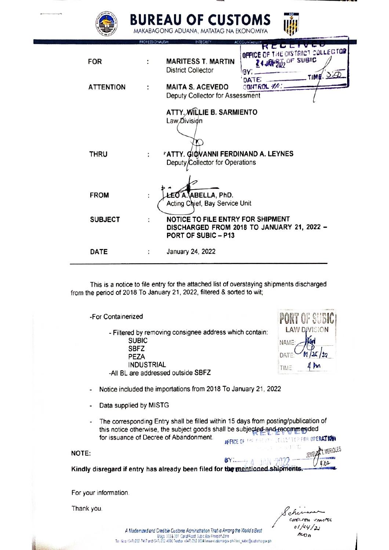

## **BUREAU OF CUSTOMS**



|                  |                | KCLLIVLO<br>OFFICE OF THE OISTRICT COLLEGTOR    |
|------------------|----------------|-------------------------------------------------|
| <b>FOR</b>       |                | 24JAM 500 OF SUBIC<br><b>MARITESS T. MARTIN</b> |
|                  |                | <b>District Collector</b><br>BY:<br>TIME. 320   |
| <b>ATTENTION</b> |                | DATE:<br>CONTROL #/<br><b>MAITA S. ACEVEDO</b>  |
|                  |                | Deputy Collector for Assessment                 |
|                  |                |                                                 |
|                  |                | ATTY. WILLIE B. SARMIENTO                       |
|                  |                | Law Division                                    |
|                  |                |                                                 |
|                  |                |                                                 |
| <b>THRU</b>      |                | <b>'ATTY. GIOVANNI FERDINAND A. LEYNES</b>      |
|                  |                | Deputy/Collector for Operations                 |
|                  |                |                                                 |
|                  |                |                                                 |
| <b>FROM</b>      |                | LEO A. ABELLA, PhD.                             |
|                  |                | Acting Chief, Bay Service Unit                  |
| <b>SUBJECT</b>   | $\ddot{\cdot}$ | NOTICE TO FILE ENTRY FOR SHIPMENT               |
|                  |                | DISCHARGED FROM 2018 TO JANUARY 21, 2022 -      |
|                  |                | PORT OF SUBIC - P13                             |
|                  |                |                                                 |
| <b>DATE</b>      |                | January 24, 2022                                |

This is a notice to file entry for the attached list of overstaying shipments discharged from the period of 2018 To January 21, 2022, filtered & sorted to wit;

> - Filtered by removing consignee address which contain: **SUBIC SBFZ** PEZA **INDUSTRIAL** -All BL are addressed outside SBFZ



Notice included the importations from 2018 To January 21, 2022  $\ddot{\phantom{a}}$ 

Data supplied by MISTG

-For Containerized

The corresponding Entry shall be filled within 15 days from posting/publication of this notice otherwise, the subject goods shall be subjected-and-recommended for issuance of Decree of Abandonment.

**JEERE OF THE RECUTY CELLECTOR FOR DPERATION** JEMEL 24 T. MERIOLES  $BY_{t_{i}}$   $A - iAN - 99$ 11.62

Kindly disregard if entry has already been filed for the mentioned shipments

For your information.

Thank you.

NOTE:

CHEROEM UMMPOL  $01/24/20$  $ACOB$ 

A Modernized and Credible Customs Administration That is Among the World's Best م History Library and Constitution Constitution Constitution Constitution Constitution Constitution Constitutio<br>Tel: New (D41) 212-223-2003 Telefax (D41) 223-2530 N Leave customs por philber\_subic@customs.gov.ph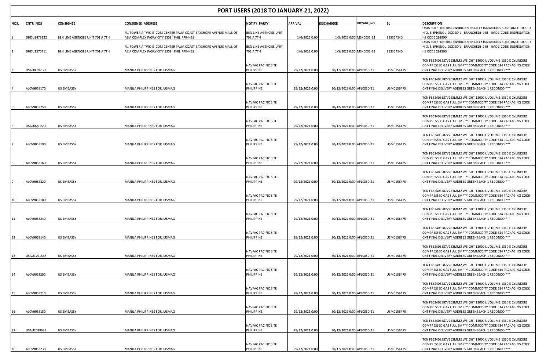|      | <b>PORT USERS (2018 TO JANUARY 21, 2022)</b> |                                  |                                                                                                              |                                     |                 |                            |                          |            |                                                                                                                                                                                    |  |  |
|------|----------------------------------------------|----------------------------------|--------------------------------------------------------------------------------------------------------------|-------------------------------------|-----------------|----------------------------|--------------------------|------------|------------------------------------------------------------------------------------------------------------------------------------------------------------------------------------|--|--|
| NOS. | <b>CNTR NOS</b>                              | <b>CONSIGNEE</b>                 | <b>CONSIGNEE_ADDRESS</b>                                                                                     | NOTIFY PARTY                        | <b>ARRIVAL</b>  | <b>DISCHARGED</b>          | <b>VOYAGE_NO</b>         | <b>BL</b>  | <b>DESCRIPTION</b>                                                                                                                                                                 |  |  |
|      |                                              |                                  | FL. TOWER A TWO E COM CENTER PALM COAST BAYSHORE AVENUE MALL OF                                              | BEN LINE AGENCIES UNIT              |                 |                            |                          |            | OMA 500 S UN 3082 ENVIRONMENTALLY HAZARDOUS SUBSTANCE LIQUID<br>N.O. S. (PHENOL DODECYL- BRANCHED) 9 III IMDG-CODE SEGREGATION                                                     |  |  |
|      | DHDU1479392                                  | BEN LINE AGENCIES UNIT 701 A 7TH | ASIA COMPLEX PASAY CITY 1308 PHILIPPINNES<br>FL. TOWER A TWO E COM CENTER PALM COAST BAYSHORE AVENUE MALL OF | 701 A 7TH<br>BEN LINE AGENCIES UNIT | 1/6/2022 0:00   | 1/5/2022 0:00 MSK0005-22   |                          | 913354540  | HS CODE 292990<br>OMA 500 S UN 3082 ENVIRONMENTALLY HAZARDOUS SUBSTANCE LIQUID<br>N.O. S. (PHENOL DODECYL- BRANCHED) 9 III IMDG-CODE SEGREGATION                                   |  |  |
|      | DHDU1570711                                  | BEN LINE AGENCIES UNIT 701 A 7TH | ASIA COMPLEX PASAY CITY 1308 PHILIPPINNES                                                                    | 701 A 7TH                           | 1/6/2022 0:00   |                            | 1/5/2022 0:00 MSK0005-22 | 913354540  | <b>HS CODE 292990</b>                                                                                                                                                              |  |  |
|      | USAU0526127                                  | US EMBASSY                       | MANILA PHILIPPINES FOR JUSMAG                                                                                | NAVFAC PACIFIC SITE<br>PHILIPPINE   | 29/12/2021 0:00 | 30/12/2021 0:00 APL0050-21 |                          | USM0156475 | TCN FB52403587V263MM2 WEIGHT 12000 L VOLUME 1360 E CYLINDERS<br>COMPRESSED GAS FULL EMPTY COMMODITY CODE 634 PACKAGING CODE<br>CNT FINAL DELIVERY ADDRESS GREENBEACH 1 REDONDO *** |  |  |
|      | ALCV9053170                                  | US EMBASSY                       | MANILA PHILIPPINES FOR JUSMAG                                                                                | NAVFAC PACIFIC SITE<br>PHILIPPINE   | 29/12/2021 0:00 | 30/12/2021 0:00 APL0050-21 |                          | USM0156475 | TCN FB52403587V263MM2 WEIGHT 12000 L VOLUME 1360 E CYLINDERS<br>COMPRESSED GAS FULL EMPTY COMMODITY CODE 634 PACKAGING CODE<br>CNT FINAL DELIVERY ADDRESS GREENBEACH 1 REDONDO *** |  |  |
|      | ALCV9053250                                  | US EMBASSY                       | MANILA PHILIPPINES FOR JUSMAG                                                                                | NAVFAC PACIFIC SITE<br>PHILIPPINE   | 29/12/2021 0:00 | 30/12/2021 0:00 APL0050-21 |                          | USM0156475 | TCN FB52403587V263MM2 WEIGHT 12000 L VOLUME 1360 E CYLINDERS<br>COMPRESSED GAS FULL EMPTY COMMODITY CODE 634 PACKAGING CODE<br>CNT FINAL DELIVERY ADDRESS GREENBEACH 1 REDONDO *** |  |  |
|      | USAU0201585                                  | US EMBASSY                       | MANILA PHILIPPINES FOR JUSMAG                                                                                | NAVFAC PACIFIC SITE<br>PHILIPPINE   | 29/12/2021 0:00 | 30/12/2021 0:00 APL0050-21 |                          | USM0156475 | TCN FB52403587V263MM2 WEIGHT 12000 L VOLUME 1360 E CYLINDERS<br>COMPRESSED GAS FULL EMPTY COMMODITY CODE 634 PACKAGING CODE<br>CNT FINAL DELIVERY ADDRESS GREENBEACH 1 REDONDO *** |  |  |
|      | ALCV9053190                                  | US EMBASSY                       | MANILA PHILIPPINES FOR JUSMAG                                                                                | NAVFAC PACIFIC SITE<br>PHILIPPINE   | 29/12/2021 0:00 | 30/12/2021 0:00 APL0050-21 |                          | USM0156475 | TCN FB52403587V263MM2 WEIGHT 12000 L VOLUME 1360 E CYLINDERS<br>COMPRESSED GAS FULL EMPTY COMMODITY CODE 634 PACKAGING CODE<br>CNT FINAL DELIVERY ADDRESS GREENBEACH 1 REDONDO *** |  |  |
|      | ALCV9053160                                  | <b>US EMBASSY</b>                | MANILA PHILIPPINES FOR JUSMAG                                                                                | NAVFAC PACIFIC SITE<br>PHILIPPINE   | 29/12/2021 0:00 | 30/12/2021 0:00 APL0050-21 |                          | USM0156475 | TCN FB52403587V263MM2 WEIGHT 12000 L VOLUME 1360 E CYLINDERS<br>COMPRESSED GAS FULL EMPTY COMMODITY CODE 634 PACKAGING CODE<br>CNT FINAL DELIVERY ADDRESS GREENBEACH 1 REDONDO *** |  |  |
|      | ALCV9053220                                  | US EMBASSY                       | MANILA PHILIPPINES FOR JUSMAG                                                                                | NAVFAC PACIFIC SITE<br>PHILIPPINE   | 29/12/2021 0:00 | 30/12/2021 0:00 APL0050-21 |                          | USM0156475 | TCN FB52403587V263MM2 WEIGHT 12000 L VOLUME 1360 E CYLINDERS<br>COMPRESSED GAS FULL EMPTY COMMODITY CODE 634 PACKAGING CODE<br>CNT FINAL DELIVERY ADDRESS GREENBEACH 1 REDONDO *** |  |  |
| 10   | ALCV9053180                                  | US EMBASSY                       | MANILA PHILIPPINES FOR JUSMAG                                                                                | NAVFAC PACIFIC SITE<br>PHILIPPINE   | 29/12/2021 0:00 | 30/12/2021 0:00 APL0050-21 |                          | USM0156475 | TCN FB52403587V263MM2 WEIGHT 12000 L VOLUME 1360 E CYLINDERS<br>COMPRESSED GAS FULL EMPTY COMMODITY CODE 634 PACKAGING CODE<br>CNT FINAL DELIVERY ADDRESS GREENBEACH 1 REDONDO *** |  |  |
| 11   | ALCV9053240                                  | US EMBASSY                       | MANILA PHILIPPINES FOR JUSMAG                                                                                | NAVFAC PACIFIC SITE<br>PHILIPPINE   | 29/12/2021 0:00 | 30/12/2021 0:00 APL0050-21 |                          | USM0156475 | TCN FB52403587V263MM2 WEIGHT 12000 L VOLUME 1360 E CYLINDERS<br>COMPRESSED GAS FULL EMPTY COMMODITY CODE 634 PACKAGING CODE<br>CNT FINAL DELIVERY ADDRESS GREENBEACH 1 REDONDO *** |  |  |
| 12   | ALCV9053140                                  | <b>US EMBASSY</b>                | MANILA PHILIPPINES FOR JUSMAG                                                                                | NAVFAC PACIFIC SITE<br>PHILIPPINE   | 29/12/2021 0:00 | 30/12/2021 0:00 APL0050-21 |                          | USM0156475 | TCN FB52403587V263MM2 WEIGHT 12000 L VOLUME 1360 E CYLINDERS<br>COMPRESSED GAS FULL EMPTY COMMODITY CODE 634 PACKAGING CODE<br>CNT FINAL DELIVERY ADDRESS GREENBEACH 1 REDONDO *** |  |  |
| 13   | USAU1791568                                  | US EMBASSY                       | MANILA PHILIPPINES FOR JUSMAG                                                                                | NAVFAC PACIFIC SITE<br>PHILIPPINE   | 29/12/2021 0:00 | 30/12/2021 0:00 APL0050-21 |                          | USM0156475 | TCN FB52403587V263MM2 WEIGHT 12000 L VOLUME 1360 E CYLINDERS<br>COMPRESSED GAS FULL EMPTY COMMODITY CODE 634 PACKAGING CODE<br>CNT FINAL DELIVERY ADDRESS GREENBEACH 1 REDONDO *** |  |  |
| 14   | ALCV9053200                                  | US EMBASSY                       | MANILA PHILIPPINES FOR JUSMAG                                                                                | NAVFAC PACIFIC SITE<br>PHILIPPINE   | 29/12/2021 0:00 | 30/12/2021 0:00 APL0050-21 |                          | USM0156475 | TCN FB52403587V263MM2 WEIGHT 12000 L VOLUME 1360 E CYLINDERS<br>COMPRESSED GAS FULL EMPTY COMMODITY CODE 634 PACKAGING CODE<br>CNT FINAL DELIVERY ADDRESS GREENBEACH 1 REDONDO *** |  |  |
| 15   | ALCV9053210                                  | <b>US EMBASSY</b>                | MANILA PHILIPPINES FOR JUSMAG                                                                                | NAVFAC PACIFIC SITE<br>PHILIPPINE   | 29/12/2021 0:00 | 30/12/2021 0:00 APL0050-21 |                          | USM0156475 | TCN FB52403587V263MM2 WEIGHT 12000 L VOLUME 1360 E CYLINDERS<br>COMPRESSED GAS FULL EMPTY COMMODITY CODE 634 PACKAGING CODE<br>CNT FINAL DELIVERY ADDRESS GREENBEACH 1 REDONDO *** |  |  |
| 16   | ALCV9053150                                  | <b>US EMBASSY</b>                | MANILA PHILIPPINES FOR JUSMAG                                                                                | NAVFAC PACIFIC SITE<br>PHILIPPINE   | 29/12/2021 0:00 | 30/12/2021 0:00 APL0050-21 |                          | USM0156475 | TCN FB52403587V263MM2 WEIGHT 12000 L VOLUME 1360 E CYLINDERS<br>COMPRESSED GAS FULL EMPTY COMMODITY CODE 634 PACKAGING CODE<br>CNT FINAL DELIVERY ADDRESS GREENBEACH 1 REDONDO *** |  |  |
| 17   | USAU2088631                                  | US EMBASSY                       | MANILA PHILIPPINES FOR JUSMAG                                                                                | NAVFAC PACIFIC SITE<br>PHILIPPINE   | 29/12/2021 0:00 | 30/12/2021 0:00 APL0050-21 |                          | USM0156475 | TCN FB52403587V263MM2 WEIGHT 12000 L VOLUME 1360 E CYLINDERS<br>COMPRESSED GAS FULL EMPTY COMMODITY CODE 634 PACKAGING CODE<br>CNT FINAL DELIVERY ADDRESS GREENBEACH 1 REDONDO *** |  |  |
|      | ALCV9053230                                  | <b>US EMBASSY</b>                | MANILA PHILIPPINES FOR JUSMAG                                                                                | NAVFAC PACIFIC SITE<br>PHILIPPINE   | 29/12/2021 0:00 | 30/12/2021 0:00 APL0050-21 |                          | USM0156475 | TCN FB52403587V263MM2 WEIGHT 12000 L VOLUME 1360 E CYLINDERS<br>COMPRESSED GAS FULL EMPTY COMMODITY CODE 634 PACKAGING CODE<br>CNT FINAL DELIVERY ADDRESS GREENBEACH 1 REDONDO *** |  |  |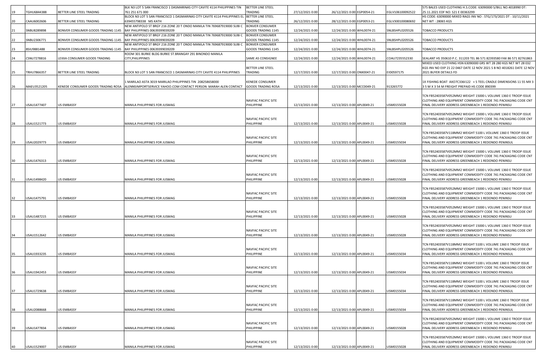|    |             |                                    | BLK N3 LOT 5 SAN FRANCISCO 1 DASMARINAS CITY CAVITE 4114 PHILIPPINES TIN                       | <b>BETTER LINE STEEL</b>          |                 |                            |                  | 575 BALES USED CLOTHING H.S.CODE: 63090000 S/BILL NO.4018990 DT:                                                                          |
|----|-------------|------------------------------------|------------------------------------------------------------------------------------------------|-----------------------------------|-----------------|----------------------------|------------------|-------------------------------------------------------------------------------------------------------------------------------------------|
| 19 | TGHU6844388 | BETTER LINE STEEL TRADING          | 761 251 671 000                                                                                | <b><i>FRADING</i></b>             | 27/12/2021 0:00 | 26/12/2021 0:00 EGP0054-21 | EGLV106100092522 | 25.11.2021 EDF NO: S21 E 00363299                                                                                                         |
|    |             |                                    | BLOCK N3 LOT 5 SAN FRANCISCO 1 DASMARINAS CITY CAVITE 4114 PHILIPPINES EL                      | BETTER LINE STEEL                 |                 |                            |                  | HS CODE: 63090000 MIXED RAGS INV NO : STG/173/2021 DT : 10/11/2021                                                                        |
| 20 | CAAU6002606 | BETTER LINE STEEL TRADING          | 639455798338 MS KATH<br>NEW ANTIPOLO ST BRGY 216 ZONE 20 T ONDO MANILA TIN 769687919000 SUBI C | TRADING<br><b>BONVER CONSUMER</b> | 26/12/2021 0:00 | 28/12/2021 0:00 EGP0053-21 | EGLV300100080692 | NET WT: 28065 KGS                                                                                                                         |
| 21 | SNBU8289898 | BONVER CONSUMER GOODS TRADING 1145 | BAY PHILIPPINES 00639399039209                                                                 | GOODS TRADING 1145                | 12/24/2021 0:00 | 12/24/2021 0:00 WHL0074-21 | SNLBSHPL0205526  | TOBACCO PRODUCTS                                                                                                                          |
|    |             |                                    | NEW ANTIPOLO ST BRGY 216 ZONE 20 T ONDO MANILA TIN 769687919000 SUBI C                         | <b>BONVER CONSUMER</b>            |                 |                            |                  |                                                                                                                                           |
| 22 | SNBU2306771 | BONVER CONSUMER GOODS TRADING 1145 | BAY PHILIPPINES 00639399039209                                                                 | <b>GOODS TRADING 1145</b>         | 12/24/2021 0:00 | 12/24/2021 0:00 WHL0074-21 | SNLBSHPL0205526  | TOBACCO PRODUCTS                                                                                                                          |
|    |             |                                    | NEW ANTIPOLO ST BRGY 216 ZONE 20 T ONDO MANILA TIN 769687919000 SUBI C                         | <b>BONVER CONSUMER</b>            |                 |                            |                  |                                                                                                                                           |
| 23 | BSIU9881488 | BONVER CONSUMER GOODS TRADING 1145 | BAY PHILIPPINES 00639399039209                                                                 | GOODS TRADING 1145                | 12/24/2021 0:00 | 12/24/2021 0:00 WHL0074-21 | SNLBSHPL0205526  | TOBACCO PRODUCTS                                                                                                                          |
|    | CSNU7278816 |                                    | ROOM 301 BURKE BLDG BURKE ST.BRANGAY 291 BINONDO MANILA                                        |                                   |                 |                            | COAU7235552330   |                                                                                                                                           |
| 24 |             | LEXXA CONSUMER GOODS TRADING       | CITY, PHILIPPINES                                                                              | SAME AS CONSIGNEE                 | 12/24/2021 0:00 | 12/24/2021 0:00 WHL0074-21 |                  | SEALANT HS 350610 P.C. 311203 TEL 86 571 82393580 FAX 86 571 82761863<br>MIXED USED CLOTHING HSN 63090000 GRS WT 28 280 KGS NET WT 28 032 |
|    |             |                                    |                                                                                                | BETTER LINE STEEL                 |                 |                            |                  | KGS INV NO EXP 21 22 0467 DATE 12 NOV 2021 S B NO 4018261 DATE 12 NOV                                                                     |
| 25 | TRHU7866357 | BETTER LINE STEEL TRADING          | BLOCK N3 LOT 5 SAN FRANCISCO 1 DASMARINAS CITY CAVITE 4114 PHILIPPINES                         | TRADING                           | 12/17/2021 0:00 | 12/17/2021 0:00 ONX0047-21 | EID0597175       | 2021 BUYER DETAILS FD                                                                                                                     |
|    |             |                                    |                                                                                                |                                   |                 |                            |                  |                                                                                                                                           |
|    |             |                                    | 1 MARILAO ASTA 3019 MARILAO PHILIPPINES TIN 208258658000                                       | <b>KENEDE CONSUMER</b>            |                 |                            |                  | 1X FISHING BOAT AXO7C336I122 + S TEEL CRADLE DIMENSIONS 11 55 MX 3                                                                        |
| 26 | MAEU3521205 | KENEDE CONSUMER GOODS TRADING ROSA | ALENNSIMPORTSERVICE YAHOO.COM CONTACT PERSON MARAH ALEN CONTACT                                | <b>GOODS TRADING ROSA</b>         | 12/13/2021 0:00 | 12/13/2021 0:00 MCC0049-21 | 913265772        | 3 5 M X 3 54 M FREIGHT PREPAID HS CODE 890399                                                                                             |
|    |             |                                    |                                                                                                |                                   |                 |                            |                  | TCN FB52403587V052MM2 WEIGHT 15000 L VOLUME 1360 E TROOP ISSUE                                                                            |
|    |             |                                    |                                                                                                | NAVFAC PACIFIC SITE               |                 |                            |                  | CLOTHING AND EQUIPMENT COMMODITY CODE 741 PACKAGING CODE CNT                                                                              |
| 27 | USAU1477407 | <b>US EMBASSY</b>                  | MANILA PHILIPPINES FOR JUSMAG                                                                  | PHILIPPINE                        | 12/13/2021 0:00 | 12/13/2021 0:00 APL0049-21 | USM0155028       | FINAL DELIVERY ADDRESS GREENBEACH 1 REDONDO PENINSU                                                                                       |
|    |             |                                    |                                                                                                |                                   |                 |                            |                  |                                                                                                                                           |
|    |             |                                    |                                                                                                |                                   |                 |                            |                  | TCN FB52403587V052MM2 WEIGHT 15000 L VOLUME 1360 E TROOP ISSUE                                                                            |
|    |             |                                    |                                                                                                | NAVFAC PACIFIC SITE               |                 |                            |                  | CLOTHING AND EQUIPMENT COMMODITY CODE 741 PACKAGING CODE CNT                                                                              |
| 28 | USAU1521773 | <b>US EMBASSY</b>                  | MANILA PHILIPPINES FOR JUSMAG                                                                  | PHILIPPINE                        | 12/13/2021 0:00 | 12/13/2021 0:00 APL0049-21 | USM0155028       | FINAL DELIVERY ADDRESS GREENBEACH 1 REDONDO PENINSU                                                                                       |
|    |             |                                    |                                                                                                |                                   |                 |                            |                  | TCN FB52403587V118MM2 WEIGHT 5100 L VOLUME 1360 E TROOP ISSUE                                                                             |
|    |             |                                    |                                                                                                | NAVFAC PACIFIC SITE               |                 |                            |                  | CLOTHING AND EQUIPMENT COMMODITY CODE 741 PACKAGING CODE CNT                                                                              |
| 29 | USAU2029773 | <b>US EMBASSY</b>                  | MANILA PHILIPPINES FOR JUSMAG                                                                  | PHILIPPINE                        | 12/13/2021 0:00 | 12/13/2021 0:00 APL0049-21 | USM0155034       | FINAL DELIVERY ADDRESS GREENBEACH 1 REDONDO PENINSUL                                                                                      |
|    |             |                                    |                                                                                                |                                   |                 |                            |                  |                                                                                                                                           |
|    |             |                                    |                                                                                                |                                   |                 |                            |                  | TCN FB52403587V052MM2 WEIGHT 15000 L VOLUME 1360 E TROOP ISSUE                                                                            |
|    |             | US EMBASSY                         |                                                                                                | NAVFAC PACIFIC SITE<br>PHILIPPINE | 12/13/2021 0:00 | 12/13/2021 0:00 APL0049-21 | USM0155028       | CLOTHING AND EQUIPMENT COMMODITY CODE 741 PACKAGING CODE CNT                                                                              |
| 30 | USAU1476313 |                                    | MANILA PHILIPPINES FOR JUSMAG                                                                  |                                   |                 |                            |                  | FINAL DELIVERY ADDRESS GREENBEACH 1 REDONDO PENINSU                                                                                       |
|    |             |                                    |                                                                                                |                                   |                 |                            |                  | TCN FB52403587V052MM2 WEIGHT 15000 L VOLUME 1360 E TROOP ISSUE                                                                            |
|    |             |                                    |                                                                                                | NAVFAC PACIFIC SITE               |                 |                            |                  | CLOTHING AND EQUIPMENT COMMODITY CODE 741 PACKAGING CODE CNT                                                                              |
| 31 | USAU1498420 | <b>US EMBASSY</b>                  | MANILA PHILIPPINES FOR JUSMAG                                                                  | PHILIPPINE                        | 12/13/2021 0:00 | 12/13/2021 0:00 APL0049-21 | USM0155028       | FINAL DELIVERY ADDRESS GREENBEACH 1 REDONDO PENINSU                                                                                       |
|    |             |                                    |                                                                                                |                                   |                 |                            |                  |                                                                                                                                           |
|    |             |                                    |                                                                                                | NAVFAC PACIFIC SITE               |                 |                            |                  | TCN FB52403587V052MM2 WEIGHT 15000 L VOLUME 1360 E TROOP ISSUE<br>CLOTHING AND EQUIPMENT COMMODITY CODE 741 PACKAGING CODE CNT            |
| 32 | USAU1475791 | <b>US EMBASSY</b>                  | MANILA PHILIPPINES FOR JUSMAG                                                                  | PHILIPPINE                        | 12/13/2021 0:00 | 12/13/2021 0:00 APL0049-21 | USM0155028       | FINAL DELIVERY ADDRESS GREENBEACH 1 REDONDO PENINSU                                                                                       |
|    |             |                                    |                                                                                                |                                   |                 |                            |                  |                                                                                                                                           |
|    |             |                                    |                                                                                                |                                   |                 |                            |                  | TCN FB52403587V052MM2 WEIGHT 15000 L VOLUME 1360 E TROOP ISSUE                                                                            |
|    |             |                                    |                                                                                                | NAVFAC PACIFIC SITE               |                 |                            |                  | CLOTHING AND EQUIPMENT COMMODITY CODE 741 PACKAGING CODE CNT                                                                              |
| 33 | USAU1487215 | <b>US EMBASSY</b>                  | MANILA PHILIPPINES FOR JUSMAG                                                                  | PHILIPPINE                        | 12/13/2021 0:00 | 12/13/2021 0:00 APL0049-21 | USM0155028       | FINAL DELIVERY ADDRESS GREENBEACH 1 REDONDO PENINSU                                                                                       |
|    |             |                                    |                                                                                                |                                   |                 |                            |                  | TCN FB52403587V052MM2 WEIGHT 15000 L VOLUME 1360 E TROOP ISSUE                                                                            |
|    |             |                                    |                                                                                                | NAVFAC PACIFIC SITE               |                 |                            |                  | CLOTHING AND EQUIPMENT COMMODITY CODE 741 PACKAGING CODE CNT                                                                              |
| 34 | USAU1512642 | <b>US EMBASSY</b>                  | MANILA PHILIPPINES FOR JUSMAG                                                                  | PHILIPPINE                        | 12/13/2021 0:00 | 12/13/2021 0:00 APL0049-21 | USM0155028       | FINAL DELIVERY ADDRESS GREENBEACH 1 REDONDO PENINSU                                                                                       |
|    |             |                                    |                                                                                                |                                   |                 |                            |                  |                                                                                                                                           |
|    |             |                                    |                                                                                                |                                   |                 |                            |                  | TCN FB52403587V118MM2 WEIGHT 5100 L VOLUME 1360 E TROOP ISSUE                                                                             |
|    | USAU1933235 | <b>US EMBASSY</b>                  | MANILA PHILIPPINES FOR JUSMAG                                                                  | NAVFAC PACIFIC SITE<br>PHILIPPINE | 12/13/2021 0:00 | 12/13/2021 0:00 APL0049-21 | USM0155034       | CLOTHING AND EQUIPMENT COMMODITY CODE 741 PACKAGING CODE CNT<br>FINAL DELIVERY ADDRESS GREENBEACH 1 REDONDO PENINSUL                      |
| 35 |             |                                    |                                                                                                |                                   |                 |                            |                  |                                                                                                                                           |
|    |             |                                    |                                                                                                |                                   |                 |                            |                  | TCN FB52403587V118MM2 WEIGHT 5100 L VOLUME 1360 E TROOP ISSUE                                                                             |
|    |             |                                    |                                                                                                | NAVFAC PACIFIC SITE               |                 |                            |                  | CLOTHING AND EQUIPMENT COMMODITY CODE 741 PACKAGING CODE CNT                                                                              |
| 36 | USAU1942453 | <b>US EMBASSY</b>                  | MANILA PHILIPPINES FOR JUSMAG                                                                  | PHILIPPINE                        | 12/13/2021 0:00 | 12/13/2021 0:00 APL0049-21 | USM0155034       | FINAL DELIVERY ADDRESS GREENBEACH 1 REDONDO PENINSUL                                                                                      |
|    |             |                                    |                                                                                                |                                   |                 |                            |                  |                                                                                                                                           |
|    |             |                                    |                                                                                                | NAVFAC PACIFIC SITE               |                 |                            |                  | TCN FB52403587V118MM2 WEIGHT 5100 L VOLUME 1360 E TROOP ISSUE<br>CLOTHING AND EQUIPMENT COMMODITY CODE 741 PACKAGING CODE CNT             |
| 37 | USAU1729638 | <b>US EMBASSY</b>                  | MANILA PHILIPPINES FOR JUSMAG                                                                  | PHILIPPINE                        | 12/13/2021 0:00 | 12/13/2021 0:00 APL0049-21 | USM0155034       | FINAL DELIVERY ADDRESS GREENBEACH 1 REDONDO PENINSUL                                                                                      |
|    |             |                                    |                                                                                                |                                   |                 |                            |                  |                                                                                                                                           |
|    |             |                                    |                                                                                                |                                   |                 |                            |                  | TCN FB52403587V118MM2 WEIGHT 5100 L VOLUME 1360 E TROOP ISSUE                                                                             |
|    |             |                                    |                                                                                                | NAVFAC PACIFIC SITE               |                 |                            |                  | CLOTHING AND EQUIPMENT COMMODITY CODE 741 PACKAGING CODE CNT                                                                              |
| 38 | USAU2088668 | <b>US EMBASSY</b>                  | MANILA PHILIPPINES FOR JUSMAG                                                                  | PHILIPPINE                        | 12/13/2021 0:00 | 12/13/2021 0:00 APL0049-21 | USM0155034       | FINAL DELIVERY ADDRESS GREENBEACH 1 REDONDO PENINSUL                                                                                      |
|    |             |                                    |                                                                                                |                                   |                 |                            |                  | TCN FB52403587V052MM2 WEIGHT 15000 L VOLUME 1360 E TROOP ISSUE                                                                            |
|    |             |                                    |                                                                                                | NAVFAC PACIFIC SITE               |                 |                            |                  | CLOTHING AND EQUIPMENT COMMODITY CODE 741 PACKAGING CODE CNT                                                                              |
| 39 | USAU1477834 | <b>US EMBASSY</b>                  | MANILA PHILIPPINES FOR JUSMAG                                                                  | PHILIPPINE                        | 12/13/2021 0:00 | 12/13/2021 0:00 APL0049-21 | USM0155028       | FINAL DELIVERY ADDRESS GREENBEACH 1 REDONDO PENINSU                                                                                       |
|    |             |                                    |                                                                                                |                                   |                 |                            |                  |                                                                                                                                           |
|    |             |                                    |                                                                                                |                                   |                 |                            |                  | TCN FB52403587V052MM2 WEIGHT 15000 L VOLUME 1360 E TROOP ISSUE                                                                            |
| 40 | USAU1529007 | <b>US EMBASSY</b>                  | MANILA PHILIPPINES FOR JUSMAG                                                                  | NAVFAC PACIFIC SITE<br>PHILIPPINE | 12/13/2021 0:00 | 12/13/2021 0:00 APL0049-21 | USM0155028       | CLOTHING AND EQUIPMENT COMMODITY CODE 741 PACKAGING CODE CNT<br>FINAL DELIVERY ADDRESS GREENBEACH 1 REDONDO PENINSU                       |
|    |             |                                    |                                                                                                |                                   |                 |                            |                  |                                                                                                                                           |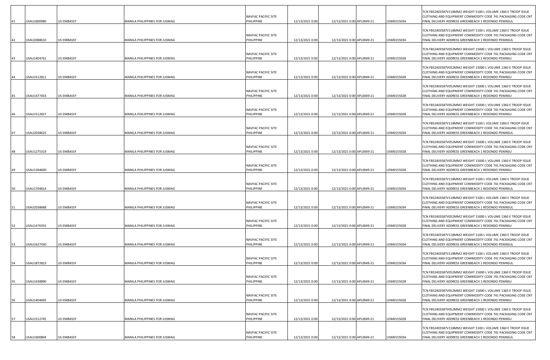| 41 | USAU1600980 | <b>US EMBASSY</b> | MANILA PHILIPPINES FOR JUSMAG | NAVFAC PACIFIC SITE<br>PHILIPPINE        | 12/13/2021 0:00 | 12/13/2021 0:00 APL0049-21 | USM0155034 | TCN FB52403587V118MM2 WEIGHT 5100 L VOLUME 1360 E TROOP ISSUE<br>CLOTHING AND EQUIPMENT COMMODITY CODE 741 PACKAGING CODE CNT<br>INAL DELIVERY ADDRESS GREENBEACH 1 REDONDO PENINSUL  |
|----|-------------|-------------------|-------------------------------|------------------------------------------|-----------------|----------------------------|------------|---------------------------------------------------------------------------------------------------------------------------------------------------------------------------------------|
| 42 | USAU2088610 | <b>US EMBASSY</b> | MANILA PHILIPPINES FOR JUSMAG | NAVFAC PACIFIC SITE<br>PHILIPPINE        | 12/13/2021 0:00 | 12/13/2021 0:00 APL0049-21 | USM0155034 | TCN FB52403587V118MM2 WEIGHT 5100 L VOLUME 1360 E TROOP ISSUE<br>CLOTHING AND EQUIPMENT COMMODITY CODE 741 PACKAGING CODE CNT<br>FINAL DELIVERY ADDRESS GREENBEACH 1 REDONDO PENINSUL |
| 43 | USAU1404761 | <b>US EMBASSY</b> | MANILA PHILIPPINES FOR JUSMAG | NAVFAC PACIFIC SITE<br>PHILIPPINE        | 12/13/2021 0:00 | 12/13/2021 0:00 APL0049-21 | USM0155028 | TCN FB52403587V052MM2 WEIGHT 15000 L VOLUME 1360 E TROOP ISSUE<br>CLOTHING AND EQUIPMENT COMMODITY CODE 741 PACKAGING CODE CNT<br>INAL DELIVERY ADDRESS GREENBEACH 1 REDONDO PENINSU  |
| 44 | USAU1512811 | <b>US EMBASSY</b> | MANILA PHILIPPINES FOR JUSMAG | NAVFAC PACIFIC SITE<br>PHILIPPINE        | 12/13/2021 0:00 | 12/13/2021 0:00 APL0049-21 | USM0155028 | TCN FB52403587V052MM2 WEIGHT 15000 L VOLUME 1360 E TROOP ISSUE<br>CLOTHING AND EQUIPMENT COMMODITY CODE 741 PACKAGING CODE CNT<br>FINAL DELIVERY ADDRESS GREENBEACH 1 REDONDO PENINSU |
| 45 | USAU1477433 | <b>US EMBASSY</b> | MANILA PHILIPPINES FOR JUSMAG | NAVFAC PACIFIC SITE<br>PHILIPPINE        | 12/13/2021 0:00 | 12/13/2021 0:00 APL0049-21 | USM0155028 | TCN FB52403587V052MM2 WEIGHT 15000 L VOLUME 1360 E TROOP ISSUE<br>CLOTHING AND EQUIPMENT COMMODITY CODE 741 PACKAGING CODE CNT<br>INAL DELIVERY ADDRESS GREENBEACH 1 REDONDO PENINSU  |
| 46 | USAU1512827 | <b>US EMBASSY</b> | MANILA PHILIPPINES FOR JUSMAG | NAVFAC PACIFIC SITE<br>PHILIPPINE        | 12/13/2021 0:00 | 12/13/2021 0:00 APL0049-21 | USM0155028 | TCN FB52403587V052MM2 WEIGHT 15000 L VOLUME 1360 E TROOP ISSUE<br>CLOTHING AND EQUIPMENT COMMODITY CODE 741 PACKAGING CODE CNT<br>FINAL DELIVERY ADDRESS GREENBEACH 1 REDONDO PENINSU |
| 47 | USAU2038625 | <b>US EMBASSY</b> | MANILA PHILIPPINES FOR JUSMAG | NAVFAC PACIFIC SITE<br>PHILIPPINE        | 12/13/2021 0:00 | 12/13/2021 0:00 APL0049-21 | USM0155034 | TCN FB52403587V118MM2 WEIGHT 5100 L VOLUME 1360 E TROOP ISSUE<br>CLOTHING AND EQUIPMENT COMMODITY CODE 741 PACKAGING CODE CNT<br>FINAL DELIVERY ADDRESS GREENBEACH 1 REDONDO PENINSUL |
| 48 | USAU1275319 | <b>US EMBASSY</b> | MANILA PHILIPPINES FOR JUSMAG | NAVFAC PACIFIC SITE<br>PHILIPPINE        | 12/13/2021 0:00 | 12/13/2021 0:00 APL0049-21 | USM0155028 | TCN FB52403587V052MM2 WEIGHT 15000 L VOLUME 1360 E TROOP ISSUE<br>CLOTHING AND EQUIPMENT COMMODITY CODE 741 PACKAGING CODE CNT<br>FINAL DELIVERY ADDRESS GREENBEACH 1 REDONDO PENINSU |
| 49 | USAU1394600 | <b>US EMBASSY</b> | MANILA PHILIPPINES FOR JUSMAG | NAVFAC PACIFIC SITE<br>PHILIPPINE        | 12/13/2021 0:00 | 12/13/2021 0:00 APL0049-21 | USM0155028 | TCN FB52403587V052MM2 WEIGHT 15000 L VOLUME 1360 E TROOP ISSUE<br>CLOTHING AND EQUIPMENT COMMODITY CODE 741 PACKAGING CODE CNT<br>INAL DELIVERY ADDRESS GREENBEACH 1 REDONDO PENINSU  |
| 50 | USAU1704814 | <b>US EMBASSY</b> | MANILA PHILIPPINES FOR JUSMAG | NAVFAC PACIFIC SITE<br>PHILIPPINE        | 12/13/2021 0:00 | 12/13/2021 0:00 APL0049-21 | USM0155034 | TCN FB52403587V118MM2 WEIGHT 5100 L VOLUME 1360 E TROOP ISSUE<br>CLOTHING AND EQUIPMENT COMMODITY CODE 741 PACKAGING CODE CNT<br>FINAL DELIVERY ADDRESS GREENBEACH 1 REDONDO PENINSUL |
| 51 | USAU2038688 | <b>US EMBASSY</b> | MANILA PHILIPPINES FOR JUSMAG | NAVFAC PACIFIC SITE<br>PHILIPPINE        | 12/13/2021 0:00 | 12/13/2021 0:00 APL0049-21 | USM0155034 | TCN FB52403587V118MM2 WEIGHT 5100 L VOLUME 1360 E TROOP ISSUE<br>CLOTHING AND EQUIPMENT COMMODITY CODE 741 PACKAGING CODE CNT<br>FINAL DELIVERY ADDRESS GREENBEACH 1 REDONDO PENINSUL |
| 52 | USAU1476355 | <b>US EMBASSY</b> | MANILA PHILIPPINES FOR JUSMAG | NAVFAC PACIFIC SITE<br>PHILIPPINE        | 12/13/2021 0:00 | 12/13/2021 0:00 APL0049-21 | USM0155028 | TCN FB52403587V052MM2 WEIGHT 15000 L VOLUME 1360 E TROOP ISSUE<br>CLOTHING AND EQUIPMENT COMMODITY CODE 741 PACKAGING CODE CNT<br>FINAL DELIVERY ADDRESS GREENBEACH 1 REDONDO PENINSU |
| 53 | USAU1627430 | <b>US EMBASSY</b> | MANILA PHILIPPINES FOR JUSMAG | NAVFAC PACIFIC SITE<br>PHILIPPINE        | 12/13/2021 0:00 | 12/13/2021 0:00 APL0049-21 | USM0155034 | FCN FB52403587V118MM2 WEIGHT 5100 L VOLUME 1360 E TROOP ISSUE<br>CLOTHING AND EQUIPMENT COMMODITY CODE 741 PACKAGING CODE CNT<br>FINAL DELIVERY ADDRESS GREENBEACH 1 REDONDO PENINSUL |
|    | USAU1872823 | <b>US EMBASSY</b> | MANILA PHILIPPINES FOR JUSMAG | <b>NAVFAC PACIFIC SITE</b><br>PHILIPPINE | 12/13/2021 0:00 | 12/13/2021 0:00 APL0049-21 | USM0155034 | TCN FB52403587V118MM2 WEIGHT 5100 L VOLUME 1360 E TROOP ISSUE<br>CLOTHING AND EQUIPMENT COMMODITY CODE 741 PACKAGING CODE CNT<br>FINAL DELIVERY ADDRESS GREENBEACH 1 REDONDO PENINSUL |
| 55 | USAU1438890 | <b>US EMBASSY</b> | MANILA PHILIPPINES FOR JUSMAG | NAVFAC PACIFIC SITE<br>PHILIPPINE        | 12/13/2021 0:00 | 12/13/2021 0:00 APL0049-21 | USM0155028 | TCN FB52403587V052MM2 WEIGHT 15000 L VOLUME 1360 E TROOP ISSUE<br>CLOTHING AND EQUIPMENT COMMODITY CODE 741 PACKAGING CODE CNT<br>FINAL DELIVERY ADDRESS GREENBEACH 1 REDONDO PENINSU |
| 56 | JSAU1404695 | <b>US EMBASSY</b> | MANILA PHILIPPINES FOR JUSMAG | NAVFAC PACIFIC SITE<br>PHILIPPINE        | 12/13/2021 0:00 | 12/13/2021 0:00 APL0049-21 | USM0155028 | TCN FB52403587V052MM2 WEIGHT 15000 L VOLUME 1360 E TROOP ISSUE<br>CLOTHING AND EQUIPMENT COMMODITY CODE 741 PACKAGING CODE CNT<br>FINAL DELIVERY ADDRESS GREENBEACH 1 REDONDO PENINSU |
| 57 | USAU1512745 | <b>US EMBASSY</b> | MANILA PHILIPPINES FOR JUSMAG | NAVFAC PACIFIC SITE<br>PHILIPPINE        | 12/13/2021 0:00 | 12/13/2021 0:00 APL0049-21 | USM0155028 | TCN FB52403587V052MM2 WEIGHT 15000 L VOLUME 1360 E TROOP ISSUE<br>CLOTHING AND EQUIPMENT COMMODITY CODE 741 PACKAGING CODE CNT<br>FINAL DELIVERY ADDRESS GREENBEACH 1 REDONDO PENINSU |
| 58 | USAU1600804 | <b>US EMBASSY</b> | MANILA PHILIPPINES FOR JUSMAG | NAVFAC PACIFIC SITE<br>PHILIPPINE        | 12/13/2021 0:00 | 12/13/2021 0:00 APL0049-21 | USM0155034 | TCN FB52403587V118MM2 WEIGHT 5100 L VOLUME 1360 E TROOP ISSUE<br>CLOTHING AND EQUIPMENT COMMODITY CODE 741 PACKAGING CODE CNT<br>FINAL DELIVERY ADDRESS GREENBEACH 1 REDONDO PENINSUL |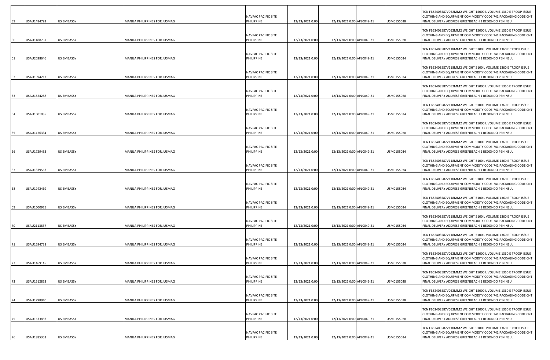| 59 | USAU1484793 | <b>US EMBASSY</b> | MANILA PHILIPPINES FOR JUSMAG | NAVFAC PACIFIC SITE<br>PHILIPPINE        | 12/13/2021 0:00 | 12/13/2021 0:00 APL0049-21 | USM0155028 | TCN FB52403587V052MM2 WEIGHT 15000 L VOLUME 1360 E TROOP ISSUE<br>CLOTHING AND EQUIPMENT COMMODITY CODE 741 PACKAGING CODE CNT<br>FINAL DELIVERY ADDRESS GREENBEACH 1 REDONDO PENINSU |
|----|-------------|-------------------|-------------------------------|------------------------------------------|-----------------|----------------------------|------------|---------------------------------------------------------------------------------------------------------------------------------------------------------------------------------------|
| 60 | USAU1488757 | <b>US EMBASSY</b> | MANILA PHILIPPINES FOR JUSMAG | NAVFAC PACIFIC SITE<br>PHILIPPINE        | 12/13/2021 0:00 | 12/13/2021 0:00 APL0049-21 | USM0155028 | TCN FB52403587V052MM2 WEIGHT 15000 L VOLUME 1360 E TROOP ISSUE<br>CLOTHING AND EQUIPMENT COMMODITY CODE 741 PACKAGING CODE CNT<br>FINAL DELIVERY ADDRESS GREENBEACH 1 REDONDO PENINSU |
| 61 | USAU2038646 | <b>US EMBASSY</b> | MANILA PHILIPPINES FOR JUSMAG | NAVFAC PACIFIC SITE<br>PHILIPPINE        | 12/13/2021 0:00 | 12/13/2021 0:00 APL0049-21 | USM0155034 | TCN FB52403587V118MM2 WEIGHT 5100 L VOLUME 1360 E TROOP ISSUE<br>CLOTHING AND EQUIPMENT COMMODITY CODE 741 PACKAGING CODE CNT<br>FINAL DELIVERY ADDRESS GREENBEACH 1 REDONDO PENINSUL |
| 62 | USAU1594213 | <b>US EMBASSY</b> | MANILA PHILIPPINES FOR JUSMAG | NAVFAC PACIFIC SITE<br>PHILIPPINE        | 12/13/2021 0:00 | 12/13/2021 0:00 APL0049-21 | USM0155034 | TCN FB52403587V118MM2 WEIGHT 5100 L VOLUME 1360 E TROOP ISSUE<br>CLOTHING AND EQUIPMENT COMMODITY CODE 741 PACKAGING CODE CNT<br>FINAL DELIVERY ADDRESS GREENBEACH 1 REDONDO PENINSUL |
| 63 | USAU1524258 | <b>US EMBASSY</b> | MANILA PHILIPPINES FOR JUSMAG | NAVFAC PACIFIC SITE<br>PHILIPPINE        | 12/13/2021 0:00 | 12/13/2021 0:00 APL0049-21 | USM0155028 | TCN FB52403587V052MM2 WEIGHT 15000 L VOLUME 1360 E TROOP ISSUE<br>CLOTHING AND EQUIPMENT COMMODITY CODE 741 PACKAGING CODE CNT<br>INAL DELIVERY ADDRESS GREENBEACH 1 REDONDO PENINSU  |
| 64 | USAU1601035 | <b>US EMBASSY</b> | MANILA PHILIPPINES FOR JUSMAG | NAVFAC PACIFIC SITE<br>PHILIPPINE        | 12/13/2021 0:00 | 12/13/2021 0:00 APL0049-21 | USM0155034 | TCN FB52403587V118MM2 WEIGHT 5100 L VOLUME 1360 E TROOP ISSUE<br>CLOTHING AND EQUIPMENT COMMODITY CODE 741 PACKAGING CODE CNT<br>FINAL DELIVERY ADDRESS GREENBEACH 1 REDONDO PENINSUL |
| 65 | USAU1476334 | <b>US EMBASSY</b> | MANILA PHILIPPINES FOR JUSMAG | NAVFAC PACIFIC SITE<br>PHILIPPINE        | 12/13/2021 0:00 | 12/13/2021 0:00 APL0049-21 | USM0155028 | TCN FB52403587V052MM2 WEIGHT 15000 L VOLUME 1360 E TROOP ISSUE<br>CLOTHING AND EQUIPMENT COMMODITY CODE 741 PACKAGING CODE CNT<br>INAL DELIVERY ADDRESS GREENBEACH 1 REDONDO PENINSU  |
| 66 | USAU1729453 | <b>US EMBASSY</b> | MANILA PHILIPPINES FOR JUSMAG | NAVFAC PACIFIC SITE<br>PHILIPPINE        | 12/13/2021 0:00 | 12/13/2021 0:00 APL0049-21 | USM0155034 | TCN FB52403587V118MM2 WEIGHT 5100 L VOLUME 1360 E TROOP ISSUE<br>CLOTHING AND EQUIPMENT COMMODITY CODE 741 PACKAGING CODE CNT<br>FINAL DELIVERY ADDRESS GREENBEACH 1 REDONDO PENINSUL |
| 67 | USAU1839553 | <b>US EMBASSY</b> | MANILA PHILIPPINES FOR JUSMAG | NAVFAC PACIFIC SITE<br>PHILIPPINE        | 12/13/2021 0:00 | 12/13/2021 0:00 APL0049-21 | USM0155034 | TCN FB52403587V118MM2 WEIGHT 5100 L VOLUME 1360 E TROOP ISSUE<br>CLOTHING AND EQUIPMENT COMMODITY CODE 741 PACKAGING CODE CNT<br>FINAL DELIVERY ADDRESS GREENBEACH 1 REDONDO PENINSUL |
| 68 | USAU1942469 | <b>US EMBASSY</b> | MANILA PHILIPPINES FOR JUSMAG | NAVFAC PACIFIC SITE<br>PHILIPPINE        | 12/13/2021 0:00 | 12/13/2021 0:00 APL0049-21 | USM0155034 | TCN FB52403587V118MM2 WEIGHT 5100 L VOLUME 1360 E TROOP ISSUE<br>CLOTHING AND EQUIPMENT COMMODITY CODE 741 PACKAGING CODE CNT<br>FINAL DELIVERY ADDRESS GREENBEACH 1 REDONDO PENINSUL |
| 69 | USAU1600975 | <b>US EMBASSY</b> | MANILA PHILIPPINES FOR JUSMAG | NAVFAC PACIFIC SITE<br>PHILIPPINE        | 12/13/2021 0:00 | 12/13/2021 0:00 APL0049-21 | USM0155034 | TCN FB52403587V118MM2 WEIGHT 5100 L VOLUME 1360 E TROOP ISSUE<br>CLOTHING AND EQUIPMENT COMMODITY CODE 741 PACKAGING CODE CNT<br>FINAL DELIVERY ADDRESS GREENBEACH 1 REDONDO PENINSUL |
| 70 | JSAU2113837 | <b>US EMBASSY</b> | MANILA PHILIPPINES FOR JUSMAG | NAVFAC PACIFIC SITE<br>PHILIPPINE        | 12/13/2021 0:00 | 12/13/2021 0:00 APL0049-21 | USM0155034 | TCN FB52403587V118MM2 WEIGHT 5100 L VOLUME 1360 E TROOP ISSUE<br>CLOTHING AND EQUIPMENT COMMODITY CODE 741 PACKAGING CODE CNT<br>FINAL DELIVERY ADDRESS GREENBEACH 1 REDONDO PENINSUL |
| 71 | USAU1594738 | <b>US EMBASSY</b> | MANILA PHILIPPINES FOR JUSMAG | NAVFAC PACIFIC SITE<br>PHILIPPINE        | 12/13/2021 0:00 | 12/13/2021 0:00 APL0049-21 | USM0155034 | FCN FB52403587V118MM2 WEIGHT 5100 L VOLUME 1360 E TROOP ISSUE<br>CLOTHING AND EQUIPMENT COMMODITY CODE 741 PACKAGING CODE CNT<br>FINAL DELIVERY ADDRESS GREENBEACH 1 REDONDO PENINSUL |
| 72 | USAU1469145 | <b>US EMBASSY</b> | MANILA PHILIPPINES FOR JUSMAG | <b>NAVFAC PACIFIC SITE</b><br>PHILIPPINE | 12/13/2021 0:00 | 12/13/2021 0:00 APL0049-21 | USM0155028 | TCN FB52403587V052MM2 WEIGHT 15000 L VOLUME 1360 E TROOP ISSUE<br>CLOTHING AND EQUIPMENT COMMODITY CODE 741 PACKAGING CODE CNT<br>FINAL DELIVERY ADDRESS GREENBEACH 1 REDONDO PENINSU |
| 73 | USAU1512853 | <b>US EMBASSY</b> | MANILA PHILIPPINES FOR JUSMAG | NAVFAC PACIFIC SITE<br>PHILIPPINE        | 12/13/2021 0:00 | 12/13/2021 0:00 APL0049-21 | USM0155028 | TCN FB52403587V052MM2 WEIGHT 15000 L VOLUME 1360 E TROOP ISSUE<br>CLOTHING AND EQUIPMENT COMMODITY CODE 741 PACKAGING CODE CNT<br>FINAL DELIVERY ADDRESS GREENBEACH 1 REDONDO PENINSU |
| 74 | USAU1298910 | <b>US EMBASSY</b> | MANILA PHILIPPINES FOR JUSMAG | NAVFAC PACIFIC SITE<br>PHILIPPINE        | 12/13/2021 0:00 | 12/13/2021 0:00 APL0049-21 | USM0155028 | TCN FB52403587V052MM2 WEIGHT 15000 L VOLUME 1360 E TROOP ISSUE<br>CLOTHING AND EQUIPMENT COMMODITY CODE 741 PACKAGING CODE CNT<br>FINAL DELIVERY ADDRESS GREENBEACH 1 REDONDO PENINSU |
| 75 | USAU1533882 | <b>US EMBASSY</b> | MANILA PHILIPPINES FOR JUSMAG | NAVFAC PACIFIC SITE<br>PHILIPPINE        | 12/13/2021 0:00 | 12/13/2021 0:00 APL0049-21 | USM0155028 | TCN FB52403587V052MM2 WEIGHT 15000 L VOLUME 1360 E TROOP ISSUE<br>CLOTHING AND EQUIPMENT COMMODITY CODE 741 PACKAGING CODE CNT<br>FINAL DELIVERY ADDRESS GREENBEACH 1 REDONDO PENINSU |
| 76 | USAU1885353 | <b>US EMBASSY</b> | MANILA PHILIPPINES FOR JUSMAG | NAVFAC PACIFIC SITE<br>PHILIPPINE        | 12/13/2021 0:00 | 12/13/2021 0:00 APL0049-21 | USM0155034 | TCN FB52403587V118MM2 WEIGHT 5100 L VOLUME 1360 E TROOP ISSUE<br>CLOTHING AND EQUIPMENT COMMODITY CODE 741 PACKAGING CODE CNT<br>FINAL DELIVERY ADDRESS GREENBEACH 1 REDONDO PENINSUL |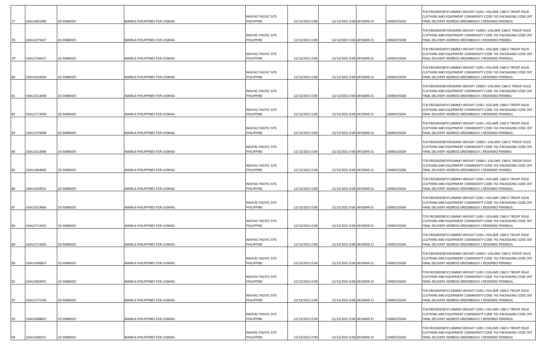|    | USAU1601040 | <b>US EMBASSY</b> | MANILA PHILIPPINES FOR JUSMAG | NAVFAC PACIFIC SITE<br>PHILIPPINE        | 12/13/2021 0:00 | 12/13/2021 0:00 APL0049-21 | USM0155034 | TCN FB52403587V118MM2 WEIGHT 5100 L VOLUME 1360 E TROOP ISSUE<br>CLOTHING AND EQUIPMENT COMMODITY CODE 741 PACKAGING CODE CNT<br>FINAL DELIVERY ADDRESS GREENBEACH 1 REDONDO PENINSUL  |
|----|-------------|-------------------|-------------------------------|------------------------------------------|-----------------|----------------------------|------------|----------------------------------------------------------------------------------------------------------------------------------------------------------------------------------------|
| 78 | USAU1275427 | <b>US EMBASSY</b> | MANILA PHILIPPINES FOR JUSMAG | NAVFAC PACIFIC SITE<br>PHILIPPINE        | 12/13/2021 0:00 | 12/13/2021 0:00 APL0049-21 | USM0155028 | TCN FB52403587V052MM2 WEIGHT 15000 L VOLUME 1360 E TROOP ISSUE<br>CLOTHING AND EQUIPMENT COMMODITY CODE 741 PACKAGING CODE CNT<br>FINAL DELIVERY ADDRESS GREENBEACH 1 REDONDO PENINSU  |
|    | USAU1746471 | <b>US EMBASSY</b> | MANILA PHILIPPINES FOR JUSMAG | NAVFAC PACIFIC SITE<br>PHILIPPINE        | 12/13/2021 0:00 | 12/13/2021 0:00 APL0049-21 | USM0155034 | TCN FB52403587V118MM2 WEIGHT 5100 L VOLUME 1360 E TROOP ISSUE<br>CLOTHING AND EQUIPMENT COMMODITY CODE 741 PACKAGING CODE CNT<br>FINAL DELIVERY ADDRESS GREENBEACH 1 REDONDO PENINSUL  |
| 80 | USAU1616924 | <b>US EMBASSY</b> | MANILA PHILIPPINES FOR JUSMAG | NAVFAC PACIFIC SITE<br>PHILIPPINE        | 12/13/2021 0:00 | 12/13/2021 0:00 APL0049-21 | USM0155034 | TCN FB52403587V118MM2 WEIGHT 5100 L VOLUME 1360 E TROOP ISSUE<br>CLOTHING AND EQUIPMENT COMMODITY CODE 741 PACKAGING CODE CNT<br>FINAL DELIVERY ADDRESS GREENBEACH 1 REDONDO PENINSUL  |
| 81 | USAU1512658 | <b>US EMBASSY</b> | MANILA PHILIPPINES FOR JUSMAG | NAVFAC PACIFIC SITE<br>PHILIPPINE        | 12/13/2021 0:00 | 12/13/2021 0:00 APL0049-21 | USM0155028 | TCN FB52403587V052MM2 WEIGHT 15000 L VOLUME 1360 E TROOP ISSUE<br>CLOTHING AND EQUIPMENT COMMODITY CODE 741 PACKAGING CODE CNT<br>FINAL DELIVERY ADDRESS GREENBEACH 1 REDONDO PENINSU  |
|    |             |                   |                               | NAVFAC PACIFIC SITE                      |                 |                            |            | TCN FB52403587V118MM2 WEIGHT 5100 L VOLUME 1360 E TROOP ISSUE<br>CLOTHING AND EQUIPMENT COMMODITY CODE 741 PACKAGING CODE CNT                                                          |
| 82 | USAU1713436 | <b>US EMBASSY</b> | MANILA PHILIPPINES FOR JUSMAG | PHILIPPINE<br>NAVFAC PACIFIC SITE        | 12/13/2021 0:00 | 12/13/2021 0:00 APL0049-21 | USM0155034 | FINAL DELIVERY ADDRESS GREENBEACH 1 REDONDO PENINSUL<br>TCN FB52403587V118MM2 WEIGHT 5100 L VOLUME 1360 E TROOP ISSUE<br>CLOTHING AND EQUIPMENT COMMODITY CODE 741 PACKAGING CODE CNT  |
| 83 | USAU1755848 | US EMBASSY        | MANILA PHILIPPINES FOR JUSMAG | PHILIPPINE<br>NAVFAC PACIFIC SITE        | 12/13/2021 0:00 | 12/13/2021 0:00 APL0049-21 | USM0155034 | FINAL DELIVERY ADDRESS GREENBEACH 1 REDONDO PENINSUL<br>TCN FB52403587V052MM2 WEIGHT 15000 L VOLUME 1360 E TROOP ISSUE<br>CLOTHING AND EQUIPMENT COMMODITY CODE 741 PACKAGING CODE CNT |
| 84 | USAU1512848 | <b>US EMBASSY</b> | MANILA PHILIPPINES FOR JUSMAG | PHILIPPINE<br>NAVFAC PACIFIC SITE        | 12/13/2021 0:00 | 12/13/2021 0:00 APL0049-21 | USM0155028 | FINAL DELIVERY ADDRESS GREENBEACH 1 REDONDO PENINSU<br>TCN FB52403587V052MM2 WEIGHT 15000 L VOLUME 1360 E TROOP ISSUE<br>CLOTHING AND EQUIPMENT COMMODITY CODE 741 PACKAGING CODE CNT  |
|    | USAU1404669 | US EMBASSY        | MANILA PHILIPPINES FOR JUSMAG | PHILIPPINE<br>NAVFAC PACIFIC SITE        | 12/13/2021 0:00 | 12/13/2021 0:00 APL0049-21 | USM0155028 | FINAL DELIVERY ADDRESS GREENBEACH 1 REDONDO PENINSU<br>TCN FB52403587V118MM2 WEIGHT 5100 L VOLUME 1360 E TROOP ISSUE<br>CLOTHING AND EQUIPMENT COMMODITY CODE 741 PACKAGING CODE CNT   |
|    | USAU1618552 | <b>US EMBASSY</b> | MANILA PHILIPPINES FOR JUSMAG | PHILIPPINE                               | 12/13/2021 0:00 | 12/13/2021 0:00 APL0049-21 | USM0155034 | FINAL DELIVERY ADDRESS GREENBEACH 1 REDONDO PENINSUL<br>TCN FB52403587V118MM2 WEIGHT 5100 L VOLUME 1360 E TROOP ISSUE                                                                  |
| 87 | USAU1619646 | <b>US EMBASSY</b> | MANILA PHILIPPINES FOR JUSMAG | NAVFAC PACIFIC SITE<br>PHILIPPINE        | 12/13/2021 0:00 | 12/13/2021 0:00 APL0049-21 | USM0155034 | CLOTHING AND EQUIPMENT COMMODITY CODE 741 PACKAGING CODE CNT<br>FINAL DELIVERY ADDRESS GREENBEACH 1 REDONDO PENINSUL<br>TCN FB52403587V118MM2 WEIGHT 5100 L VOLUME 1360 E TROOP ISSUE  |
| 88 | USAU1713415 | <b>US EMBASSY</b> | MANILA PHILIPPINES FOR JUSMAG | NAVFAC PACIFIC SITE<br>PHILIPPINE        | 12/13/2021 0:00 | 12/13/2021 0:00 APL0049-21 | USM0155034 | CLOTHING AND EQUIPMENT COMMODITY CODE 741 PACKAGING CODE CNT<br>FINAL DELIVERY ADDRESS GREENBEACH 1 REDONDO PENINSUL                                                                   |
| 89 | USAU1713420 | <b>US EMBASSY</b> | MANILA PHILIPPINES FOR JUSMAG | NAVFAC PACIFIC SITE<br>PHILIPPINE        | 12/13/2021 0:00 | 12/13/2021 0:00 APL0049-21 | USM0155034 | TCN FB52403587V118MM2 WEIGHT 5100 L VOLUME 1360 E TROOP ISSUE<br>CLOTHING AND EQUIPMENT COMMODITY CODE 741 PACKAGING CODE CNT<br>FINAL DELIVERY ADDRESS GREENBEACH 1 REDONDO PENINSUL  |
|    | USAU1490815 | US EMBASSY        | MANILA PHILIPPINES FOR JUSMAG | <b>NAVFAC PACIFIC SITE</b><br>PHILIPPINE | 12/13/2021 0:00 | 12/13/2021 0:00 APL0049-21 | USM0155028 | TCN FB52403587V052MM2 WEIGHT 15000 L VOLUME 1360 E TROOP ISSUE<br>CLOTHING AND EQUIPMENT COMMODITY CODE 741 PACKAGING CODE CNT<br>FINAL DELIVERY ADDRESS GREENBEACH 1 REDONDO PENINSU  |
| 91 | USAU1834931 | US EMBASSY        | MANILA PHILIPPINES FOR JUSMAG | NAVFAC PACIFIC SITE<br>PHILIPPINE        | 12/13/2021 0:00 | 12/13/2021 0:00 APL0049-21 | USM0155034 | TCN FB52403587V118MM2 WEIGHT 5100 L VOLUME 1360 E TROOP ISSUE<br>CLOTHING AND EQUIPMENT COMMODITY CODE 741 PACKAGING CODE CNT<br>FINAL DELIVERY ADDRESS GREENBEACH 1 REDONDO PENINSUL  |
| 92 | USAU1772104 | US EMBASSY        | MANILA PHILIPPINES FOR JUSMAG | NAVFAC PACIFIC SITE<br>PHILIPPINE        | 12/13/2021 0:00 | 12/13/2021 0:00 APL0049-21 | USM0155034 | TCN FB52403587V118MM2 WEIGHT 5100 L VOLUME 1360 E TROOP ISSUE<br>CLOTHING AND EQUIPMENT COMMODITY CODE 741 PACKAGING CODE CNT<br>FINAL DELIVERY ADDRESS GREENBEACH 1 REDONDO PENINSUL  |
| 93 | USAU2088652 | <b>US EMBASSY</b> | MANILA PHILIPPINES FOR JUSMAG | NAVFAC PACIFIC SITE<br>PHILIPPINE        | 12/13/2021 0:00 | 12/13/2021 0:00 APL0049-21 | USM0155034 | TCN FB52403587V118MM2 WEIGHT 5100 L VOLUME 1360 E TROOP ISSUE<br>CLOTHING AND EQUIPMENT COMMODITY CODE 741 PACKAGING CODE CNT<br>FINAL DELIVERY ADDRESS GREENBEACH 1 REDONDO PENINSUL  |
|    | USAU1606551 | US EMBASSY        | MANILA PHILIPPINES FOR JUSMAG | NAVFAC PACIFIC SITE<br>PHILIPPINE        | 12/13/2021 0:00 | 12/13/2021 0:00 APL0049-21 | USM0155034 | TCN FB52403587V118MM2 WEIGHT 5100 L VOLUME 1360 E TROOP ISSUE<br>CLOTHING AND EQUIPMENT COMMODITY CODE 741 PACKAGING CODE CNT<br>FINAL DELIVERY ADDRESS GREENBEACH 1 REDONDO PENINSUL  |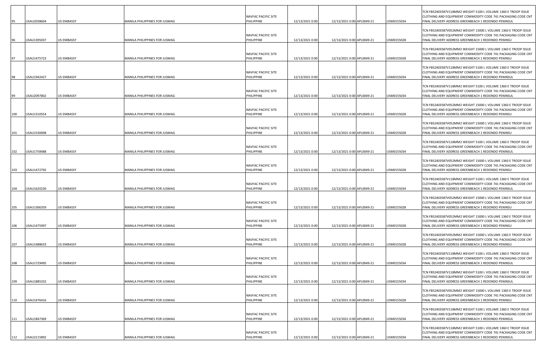| 95         | JSAU2038604                | <b>US EMBASSY</b>                      | MANILA PHILIPPINES FOR JUSMAG                                  | NAVFAC PACIFIC SITE<br>PHILIPPINE               | 12/13/2021 0:00                    | 12/13/2021 0:00 APL0049-21                               | USM0155034               | TCN FB52403587V118MM2 WEIGHT 5100 L VOLUME 1360 E TROOP ISSUE<br>CLOTHING AND EQUIPMENT COMMODITY CODE 741 PACKAGING CODE CNT<br>FINAL DELIVERY ADDRESS GREENBEACH 1 REDONDO PENINSUL                                                         |
|------------|----------------------------|----------------------------------------|----------------------------------------------------------------|-------------------------------------------------|------------------------------------|----------------------------------------------------------|--------------------------|-----------------------------------------------------------------------------------------------------------------------------------------------------------------------------------------------------------------------------------------------|
| 96         | USAU1395037                | <b>US EMBASSY</b>                      | MANILA PHILIPPINES FOR JUSMAG                                  | NAVFAC PACIFIC SITE<br>PHILIPPINE               | 12/13/2021 0:00                    | 12/13/2021 0:00 APL0049-21                               | USM0155028               | TCN FB52403587V052MM2 WEIGHT 15000 L VOLUME 1360 E TROOP ISSUE<br>CLOTHING AND EQUIPMENT COMMODITY CODE 741 PACKAGING CODE CNT<br>FINAL DELIVERY ADDRESS GREENBEACH 1 REDONDO PENINSU                                                         |
| 97         | USAU1475723                | <b>US EMBASSY</b>                      | MANILA PHILIPPINES FOR JUSMAG                                  | NAVFAC PACIFIC SITE<br>PHILIPPINE               | 12/13/2021 0:00                    | 12/13/2021 0:00 APL0049-21                               | USM0155028               | TCN FB52403587V052MM2 WEIGHT 15000 L VOLUME 1360 E TROOP ISSUE<br>CLOTHING AND EQUIPMENT COMMODITY CODE 741 PACKAGING CODE CNT<br>FINAL DELIVERY ADDRESS GREENBEACH 1 REDONDO PENINSU                                                         |
| 98         | USAU1942427                | <b>US EMBASSY</b>                      | MANILA PHILIPPINES FOR JUSMAG                                  | NAVFAC PACIFIC SITE<br>PHILIPPINE               | 12/13/2021 0:00                    | 12/13/2021 0:00 APL0049-21                               | USM0155034               | TCN FB52403587V118MM2 WEIGHT 5100 L VOLUME 1360 E TROOP ISSUE<br>CLOTHING AND EQUIPMENT COMMODITY CODE 741 PACKAGING CODE CNT<br>FINAL DELIVERY ADDRESS GREENBEACH 1 REDONDO PENINSUL                                                         |
| 99         | JSAU2097802                | <b>US EMBASSY</b>                      | MANILA PHILIPPINES FOR JUSMAG                                  | NAVFAC PACIFIC SITE<br>PHILIPPINE               | 12/13/2021 0:00                    | 12/13/2021 0:00 APL0049-21                               | USM0155034               | TCN FB52403587V118MM2 WEIGHT 5100 L VOLUME 1360 E TROOP ISSUE<br>CLOTHING AND EQUIPMENT COMMODITY CODE 741 PACKAGING CODE CNT<br>INAL DELIVERY ADDRESS GREENBEACH 1 REDONDO PENINSUL                                                          |
| 100        | USAU1310554                | <b>US EMBASSY</b>                      | MANILA PHILIPPINES FOR JUSMAG                                  | NAVFAC PACIFIC SITE<br>PHILIPPINE               | 12/13/2021 0:00                    | 12/13/2021 0:00 APL0049-21                               | USM0155028               | TCN FB52403587V052MM2 WEIGHT 15000 L VOLUME 1360 E TROOP ISSUE<br>CLOTHING AND EQUIPMENT COMMODITY CODE 741 PACKAGING CODE CNT<br>FINAL DELIVERY ADDRESS GREENBEACH 1 REDONDO PENINSU                                                         |
| 101        | USAU1530008                | <b>US EMBASSY</b>                      | MANILA PHILIPPINES FOR JUSMAG                                  | NAVFAC PACIFIC SITE<br>PHILIPPINE               | 12/13/2021 0:00                    | 12/13/2021 0:00 APL0049-21                               | USM0155028               | TCN FB52403587V052MM2 WEIGHT 15000 L VOLUME 1360 E TROOP ISSUE<br>CLOTHING AND EQUIPMENT COMMODITY CODE 741 PACKAGING CODE CNT<br>INAL DELIVERY ADDRESS GREENBEACH 1 REDONDO PENINSU                                                          |
| 102        | USAU1758488                | <b>US EMBASSY</b>                      | MANILA PHILIPPINES FOR JUSMAG                                  | NAVFAC PACIFIC SITE<br>PHILIPPINE               | 12/13/2021 0:00                    | 12/13/2021 0:00 APL0049-21                               | USM0155034               | TCN FB52403587V118MM2 WEIGHT 5100 L VOLUME 1360 E TROOP ISSUE<br>CLOTHING AND EQUIPMENT COMMODITY CODE 741 PACKAGING CODE CNT<br>FINAL DELIVERY ADDRESS GREENBEACH 1 REDONDO PENINSUL                                                         |
| 103        | USAU1472792                | <b>US EMBASSY</b>                      | MANILA PHILIPPINES FOR JUSMAG                                  | NAVFAC PACIFIC SITE<br>PHILIPPINE               | 12/13/2021 0:00                    | 12/13/2021 0:00 APL0049-21                               | USM0155028               | TCN FB52403587V052MM2 WEIGHT 15000 L VOLUME 1360 E TROOP ISSUE<br>CLOTHING AND EQUIPMENT COMMODITY CODE 741 PACKAGING CODE CNT<br>INAL DELIVERY ADDRESS GREENBEACH 1 REDONDO PENINSU                                                          |
| 104        | USAU1620230                | <b>US EMBASSY</b>                      | MANILA PHILIPPINES FOR JUSMAG                                  | NAVFAC PACIFIC SITE<br>PHILIPPINE               | 12/13/2021 0:00                    | 12/13/2021 0:00 APL0049-21                               | USM0155034               | TCN FB52403587V118MM2 WEIGHT 5100 L VOLUME 1360 E TROOP ISSUE<br>CLOTHING AND EQUIPMENT COMMODITY CODE 741 PACKAGING CODE CNT<br>FINAL DELIVERY ADDRESS GREENBEACH 1 REDONDO PENINSUL                                                         |
| 105        | USAU1306359                | <b>US EMBASSY</b>                      | MANILA PHILIPPINES FOR JUSMAG                                  | NAVFAC PACIFIC SITE<br>PHILIPPINE               | 12/13/2021 0:00                    | 12/13/2021 0:00 APL0049-21                               | USM0155028               | TCN FB52403587V052MM2 WEIGHT 15000 L VOLUME 1360 E TROOP ISSUE<br>CLOTHING AND EQUIPMENT COMMODITY CODE 741 PACKAGING CODE CNT<br>FINAL DELIVERY ADDRESS GREENBEACH 1 REDONDO PENINSU                                                         |
|            |                            |                                        |                                                                | NAVFAC PACIFIC SITE                             |                                    |                                                          |                          | TCN FB52403587V052MM2 WEIGHT 15000 L VOLUME 1360 E TROOP ISSUE<br>CLOTHING AND EQUIPMENT COMMODITY CODE 741 PACKAGING CODE CNT                                                                                                                |
| 106        | USAU1475997                | <b>US EMBASSY</b>                      | MANILA PHILIPPINES FOR JUSMAG                                  | PHILIPPINE<br>NAVFAC PACIFIC SITE               | 12/13/2021 0:00                    | 12/13/2021 0:00 APL0049-21                               | USM0155028               | FINAL DELIVERY ADDRESS GREENBEACH 1 REDONDO PENINSU<br>TCN FB52403587V052MM2 WEIGHT 15000 L VOLUME 1360 E TROOP ISSUE<br>CLOTHING AND EQUIPMENT COMMODITY CODE 741 PACKAGING CODE CNT                                                         |
| 107        | USAU1488633                | <b>US EMBASSY</b>                      | MANILA PHILIPPINES FOR JUSMAG                                  | PHILIPPINE<br><b>NAVFAC PACIFIC SITE</b>        | 12/13/2021 0:00                    | 12/13/2021 0:00 APL0049-21                               | USM0155028               | FINAL DELIVERY ADDRESS GREENBEACH 1 REDONDO PENINSU<br>TCN FB52403587V118MM2 WEIGHT 5100 L VOLUME 1360 E TROOP ISSUE<br>CLOTHING AND EQUIPMENT COMMODITY CODE 741 PACKAGING CODE CNT                                                          |
| 108        | USAU1729495                | <b>US EMBASSY</b>                      | MANILA PHILIPPINES FOR JUSMAG                                  | PHILIPPINE<br>NAVFAC PACIFIC SITE               | 12/13/2021 0:00                    | 12/13/2021 0:00 APL0049-21                               | USM0155034               | FINAL DELIVERY ADDRESS GREENBEACH 1 REDONDO PENINSUL<br>TCN FB52403587V118MM2 WEIGHT 5100 L VOLUME 1360 E TROOP ISSUE<br>CLOTHING AND EQUIPMENT COMMODITY CODE 741 PACKAGING CODE CNT                                                         |
| 109<br>110 | USAU1885332<br>USAU1476416 | <b>US EMBASSY</b><br><b>US EMBASSY</b> | MANILA PHILIPPINES FOR JUSMAG<br>MANILA PHILIPPINES FOR JUSMAG | PHILIPPINE<br>NAVFAC PACIFIC SITE<br>PHILIPPINE | 12/13/2021 0:00<br>12/13/2021 0:00 | 12/13/2021 0:00 APL0049-21<br>12/13/2021 0:00 APL0049-21 | USM0155034<br>USM0155028 | FINAL DELIVERY ADDRESS GREENBEACH 1 REDONDO PENINSUL<br>TCN FB52403587V052MM2 WEIGHT 15000 L VOLUME 1360 E TROOP ISSUE<br>CLOTHING AND EQUIPMENT COMMODITY CODE 741 PACKAGING CODE CNT<br>FINAL DELIVERY ADDRESS GREENBEACH 1 REDONDO PENINSU |
| 111        | USAU1847369                | <b>US EMBASSY</b>                      | MANILA PHILIPPINES FOR JUSMAG                                  | NAVFAC PACIFIC SITE<br>PHILIPPINE               | 12/13/2021 0:00                    | 12/13/2021 0:00 APL0049-21                               | USM0155034               | TCN FB52403587V118MM2 WEIGHT 5100 L VOLUME 1360 E TROOP ISSUE<br>CLOTHING AND EQUIPMENT COMMODITY CODE 741 PACKAGING CODE CNT<br>FINAL DELIVERY ADDRESS GREENBEACH 1 REDONDO PENINSUL                                                         |
| 112        | USAU2115892                | <b>US EMBASSY</b>                      | MANILA PHILIPPINES FOR JUSMAG                                  | NAVFAC PACIFIC SITE<br>PHILIPPINE               | 12/13/2021 0:00                    | 12/13/2021 0:00 APL0049-21                               | USM0155034               | TCN FB52403587V118MM2 WEIGHT 5100 L VOLUME 1360 E TROOP ISSUE<br>CLOTHING AND EQUIPMENT COMMODITY CODE 741 PACKAGING CODE CNT<br>FINAL DELIVERY ADDRESS GREENBEACH 1 REDONDO PENINSUL                                                         |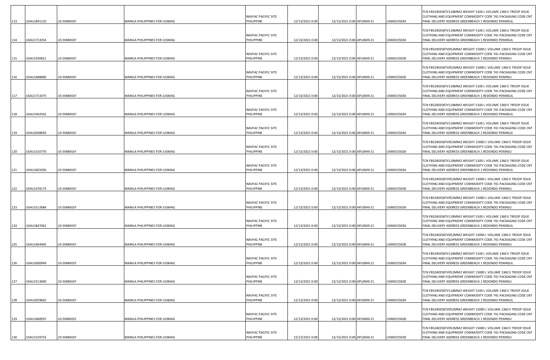| 113        | USAU1841210                | <b>US EMBASSY</b>                      | MANILA PHILIPPINES FOR JUSMAG                                  | NAVFAC PACIFIC SITE<br>PHILIPPINE               | 12/13/2021 0:00                    | 12/13/2021 0:00 APL0049-21                               | USM0155034               | TCN FB52403587V118MM2 WEIGHT 5100 L VOLUME 1360 E TROOP ISSUE<br>CLOTHING AND EQUIPMENT COMMODITY CODE 741 PACKAGING CODE CNT<br>FINAL DELIVERY ADDRESS GREENBEACH 1 REDONDO PENINSUL                                                        |
|------------|----------------------------|----------------------------------------|----------------------------------------------------------------|-------------------------------------------------|------------------------------------|----------------------------------------------------------|--------------------------|----------------------------------------------------------------------------------------------------------------------------------------------------------------------------------------------------------------------------------------------|
| 114        | USAU1713354                | <b>US EMBASSY</b>                      | MANILA PHILIPPINES FOR JUSMAG                                  | NAVFAC PACIFIC SITE<br>PHILIPPINE               | 12/13/2021 0:00                    | 12/13/2021 0:00 APL0049-21                               | USM0155034               | TCN FB52403587V118MM2 WEIGHT 5100 L VOLUME 1360 E TROOP ISSUE<br>CLOTHING AND EQUIPMENT COMMODITY CODE 741 PACKAGING CODE CNT<br>FINAL DELIVERY ADDRESS GREENBEACH 1 REDONDO PENINSUL                                                        |
| 115        | USAU1426821                | <b>US EMBASSY</b>                      | MANILA PHILIPPINES FOR JUSMAG                                  | NAVFAC PACIFIC SITE<br>PHILIPPINE               | 12/13/2021 0:00                    | 12/13/2021 0:00 APL0049-21                               | USM0155028               | TCN FB52403587V052MM2 WEIGHT 15000 L VOLUME 1360 E TROOP ISSUE<br>CLOTHING AND EQUIPMENT COMMODITY CODE 741 PACKAGING CODE CNT<br>FINAL DELIVERY ADDRESS GREENBEACH 1 REDONDO PENINSU                                                        |
| 116        | USAU1488680                | <b>US EMBASSY</b>                      | MANILA PHILIPPINES FOR JUSMAG                                  | NAVFAC PACIFIC SITE<br>PHILIPPINE               | 12/13/2021 0:00                    | 12/13/2021 0:00 APL0049-21                               | USM0155028               | TCN FB52403587V052MM2 WEIGHT 15000 L VOLUME 1360 E TROOP ISSUE<br>CLOTHING AND EQUIPMENT COMMODITY CODE 741 PACKAGING CODE CNT<br>FINAL DELIVERY ADDRESS GREENBEACH 1 REDONDO PENINSU                                                        |
| 117        | USAU1713375                | <b>US EMBASSY</b>                      | MANILA PHILIPPINES FOR JUSMAG                                  | NAVFAC PACIFIC SITE<br>PHILIPPINE               | 12/13/2021 0:00                    | 12/13/2021 0:00 APL0049-21                               | USM0155034               | TCN FB52403587V118MM2 WEIGHT 5100 L VOLUME 1360 E TROOP ISSUE<br>CLOTHING AND EQUIPMENT COMMODITY CODE 741 PACKAGING CODE CNT<br>FINAL DELIVERY ADDRESS GREENBEACH 1 REDONDO PENINSUL                                                        |
| 118        | USAU1942432                | <b>US EMBASSY</b>                      | MANILA PHILIPPINES FOR JUSMAG                                  | NAVFAC PACIFIC SITE<br>PHILIPPINE               | 12/13/2021 0:00                    | 12/13/2021 0:00 APL0049-21                               | USM0155034               | TCN FB52403587V118MM2 WEIGHT 5100 L VOLUME 1360 E TROOP ISSUE<br>CLOTHING AND EQUIPMENT COMMODITY CODE 741 PACKAGING CODE CNT<br>FINAL DELIVERY ADDRESS GREENBEACH 1 REDONDO PENINSUL                                                        |
| 119        | USAU2038693                | <b>US EMBASSY</b>                      | MANILA PHILIPPINES FOR JUSMAG                                  | NAVFAC PACIFIC SITE<br>PHILIPPINE               | 12/13/2021 0:00                    | 12/13/2021 0:00 APL0049-21                               | USM0155034               | TCN FB52403587V118MM2 WEIGHT 5100 L VOLUME 1360 E TROOP ISSUE<br>CLOTHING AND EQUIPMENT COMMODITY CODE 741 PACKAGING CODE CNT<br>FINAL DELIVERY ADDRESS GREENBEACH 1 REDONDO PENINSUL                                                        |
| 120        | USAU1310770                | <b>US EMBASSY</b>                      | MANILA PHILIPPINES FOR JUSMAG                                  | NAVFAC PACIFIC SITE<br>PHILIPPINE               | 12/13/2021 0:00                    | 12/13/2021 0:00 APL0049-21                               | USM0155028               | TCN FB52403587V052MM2 WEIGHT 15000 L VOLUME 1360 E TROOP ISSUE<br>CLOTHING AND EQUIPMENT COMMODITY CODE 741 PACKAGING CODE CNT<br>FINAL DELIVERY ADDRESS GREENBEACH 1 REDONDO PENINSU                                                        |
| 121        | USAU1601056                | US EMBASSY                             | MANILA PHILIPPINES FOR JUSMAG                                  | NAVFAC PACIFIC SITE<br>PHILIPPINE               | 12/13/2021 0:00                    | 12/13/2021 0:00 APL0049-21                               | USM0155034               | TCN FB52403587V118MM2 WEIGHT 5100 L VOLUME 1360 E TROOP ISSUE<br>CLOTHING AND EQUIPMENT COMMODITY CODE 741 PACKAGING CODE CNT<br>FINAL DELIVERY ADDRESS GREENBEACH 1 REDONDO PENINSUL                                                        |
| 122        | USAU1478173                | <b>US EMBASSY</b>                      | MANILA PHILIPPINES FOR JUSMAG                                  | NAVFAC PACIFIC SITE<br>PHILIPPINE               | 12/13/2021 0:00                    | 12/13/2021 0:00 APL0049-21                               | USM0155028               | TCN FB52403587V052MM2 WEIGHT 15000 L VOLUME 1360 E TROOP ISSUE<br>CLOTHING AND EQUIPMENT COMMODITY CODE 741 PACKAGING CODE CNT<br>FINAL DELIVERY ADDRESS GREENBEACH 1 REDONDO PENINSU                                                        |
| 123        | USAU1512684                | <b>US EMBASSY</b>                      | MANILA PHILIPPINES FOR JUSMAG                                  | NAVFAC PACIFIC SITE<br>PHILIPPINE               | 12/13/2021 0:00                    | 12/13/2021 0:00 APL0049-21                               | USM0155028               | TCN FB52403587V052MM2 WEIGHT 15000 L VOLUME 1360 E TROOP ISSUE<br>CLOTHING AND EQUIPMENT COMMODITY CODE 741 PACKAGING CODE CNT<br>FINAL DELIVERY ADDRESS GREENBEACH 1 REDONDO PENINSU                                                        |
|            |                            |                                        |                                                                | NAVFAC PACIFIC SITE                             |                                    |                                                          |                          | TCN FB52403587V118MM2 WEIGHT 5100 L VOLUME 1360 E TROOP ISSUE<br>CLOTHING AND EQUIPMENT COMMODITY CODE 741 PACKAGING CODE CNT                                                                                                                |
| 124        | USAU1847461                | <b>US EMBASSY</b>                      | MANILA PHILIPPINES FOR JUSMAG                                  | PHILIPPINE<br>NAVFAC PACIFIC SITE               | 12/13/2021 0:00                    | 12/13/2021 0:00 APL0049-21                               | USM0155034               | FINAL DELIVERY ADDRESS GREENBEACH 1 REDONDO PENINSUL<br>TCN FB52403587V052MM2 WEIGHT 15000 L VOLUME 1360 E TROOP ISSUE<br>CLOTHING AND EQUIPMENT COMMODITY CODE 741 PACKAGING CODE CNT                                                       |
| 125        | USAU1464945                | <b>US EMBASSY</b>                      | MANILA PHILIPPINES FOR JUSMAG                                  | PHILIPPINE<br><b>NAVFAC PACIFIC SITE</b>        | 12/13/2021 0:00                    | 12/13/2021 0:00 APL0049-21                               | USM0155028               | FINAL DELIVERY ADDRESS GREENBEACH 1 REDONDO PENINSU<br>TCN FB52403587V118MM2 WEIGHT 5100 L VOLUME 1360 E TROOP ISSUE<br>CLOTHING AND EQUIPMENT COMMODITY CODE 741 PACKAGING CODE CNT                                                         |
| 126        | USAU1600949                | <b>US EMBASSY</b>                      | MANILA PHILIPPINES FOR JUSMAG                                  | PHILIPPINE<br>NAVFAC PACIFIC SITE               | 12/13/2021 0:00                    | 12/13/2021 0:00 APL0049-21                               | USM0155034               | FINAL DELIVERY ADDRESS GREENBEACH 1 REDONDO PENINSUL<br>TCN FB52403587V052MM2 WEIGHT 15000 L VOLUME 1360 E TROOP ISSUE<br>CLOTHING AND EQUIPMENT COMMODITY CODE 741 PACKAGING CODE CNT                                                       |
| 127        | USAU1513000                | <b>US EMBASSY</b>                      | MANILA PHILIPPINES FOR JUSMAG                                  | PHILIPPINE<br>NAVFAC PACIFIC SITE               | 12/13/2021 0:00                    | 12/13/2021 0:00 APL0049-21                               | JSM0155028               | FINAL DELIVERY ADDRESS GREENBEACH 1 REDONDO PENINSU<br>TCN FB52403587V118MM2 WEIGHT 5100 L VOLUME 1360 E TROOP ISSUE<br>CLOTHING AND EQUIPMENT COMMODITY CODE 741 PACKAGING CODE CNT                                                         |
| 128        | USAU2029602                | <b>US EMBASSY</b>                      | MANILA PHILIPPINES FOR JUSMAG                                  | PHILIPPINE<br>NAVFAC PACIFIC SITE               | 12/13/2021 0:00                    | 12/13/2021 0:00 APL0049-21                               | USM0155034               | FINAL DELIVERY ADDRESS GREENBEACH 1 REDONDO PENINSUL<br>TCN FB52403587V052MM2 WEIGHT 15000 L VOLUME 1360 E TROOP ISSUE<br>CLOTHING AND EQUIPMENT COMMODITY CODE 741 PACKAGING CODE CNT                                                       |
| 129<br>130 | USAU1468597<br>USAU1529732 | <b>US EMBASSY</b><br><b>US EMBASSY</b> | MANILA PHILIPPINES FOR JUSMAG<br>MANILA PHILIPPINES FOR JUSMAG | PHILIPPINE<br>NAVFAC PACIFIC SITE<br>PHILIPPINE | 12/13/2021 0:00<br>12/13/2021 0:00 | 12/13/2021 0:00 APL0049-21<br>12/13/2021 0:00 APL0049-21 | USM0155028<br>USM0155028 | FINAL DELIVERY ADDRESS GREENBEACH 1 REDONDO PENINSU<br>TCN FB52403587V052MM2 WEIGHT 15000 L VOLUME 1360 E TROOP ISSUE<br>CLOTHING AND EQUIPMENT COMMODITY CODE 741 PACKAGING CODE CNT<br>FINAL DELIVERY ADDRESS GREENBEACH 1 REDONDO PENINSU |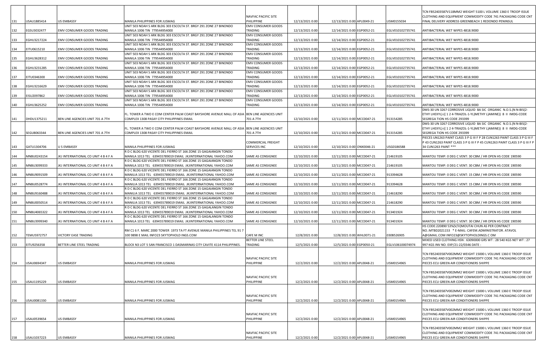|     |             |                                     |                                                                                                                                          |                                      |                 |                            |                  | CN FB52403587V118MM2 WEIGHT 5100 L VOLUME 1360 E TROOP ISSUE                                                                   |
|-----|-------------|-------------------------------------|------------------------------------------------------------------------------------------------------------------------------------------|--------------------------------------|-----------------|----------------------------|------------------|--------------------------------------------------------------------------------------------------------------------------------|
| 131 | USAU1885414 | <b>US EMBASSY</b>                   | MANILA PHILIPPINES FOR JUSMAG                                                                                                            | NAVFAC PACIFIC SITE<br>PHILIPPINE    | 12/13/2021 0:00 | 12/13/2021 0:00 APL0049-21 | USM0155034       | CLOTHING AND EQUIPMENT COMMODITY CODE 741 PACKAGING CODE CNT<br>INAL DELIVERY ADDRESS GREENBEACH 1 REDONDO PENINSUL            |
| 132 | EGSU3032477 | EMV CONSUMER GOODS TRADING          | UNIT 503 NOAH S ARK BLDG 303 ESCOLTA ST. BRGY 291 ZONE 27 BINONDO<br>MANILA 1006 TIN 779544954000                                        | <b>EMV CONSUMER GOODS</b><br>TRADING | 12/13/2021 0:00 | 12/14/2021 0:00 EGP0052-21 | EGLV010102735741 | ANTIBACTERIAL WET WIPES 4818.9000                                                                                              |
|     |             |                                     | UNIT 503 NOAH S ARK BLDG 303 ESCOLTA ST. BRGY 291 ZONE 27 BINONDO                                                                        | <b>EMV CONSUMER GOODS</b>            |                 |                            |                  |                                                                                                                                |
| 133 | EGHU3217224 | EMV CONSUMER GOODS TRADING          | MANILA 1006 TIN 779544954000<br>UNIT 503 NOAH S ARK BLDG 303 ESCOLTA ST. BRGY 291 ZONE 27 BINONDO                                        | TRADING<br><b>EMV CONSUMER GOODS</b> | 12/13/2021 0:00 | 12/14/2021 0:00 EGP0052-21 | EGLV010102735741 | ANTIBACTERIAL WET WIPES 4818.9000                                                                                              |
| 134 | EITU0615210 | EMV CONSUMER GOODS TRADING          | MANILA 1006 TIN 779544954000                                                                                                             | TRADING                              | 12/13/2021 0:00 | 12/14/2021 0:00 EGP0052-21 | EGLV010102735741 | ANTIBACTERIAL WET WIPES 4818.9000                                                                                              |
| 135 | EGHU3628312 | EMV CONSUMER GOODS TRADING          | UNIT 503 NOAH S ARK BLDG 303 ESCOLTA ST. BRGY 291 ZONE 27 BINONDO<br>MANILA 1006 TIN 779544954000                                        | <b>EMV CONSUMER GOODS</b><br>TRADING | 12/13/2021 0:00 | 12/14/2021 0:00 EGP0052-21 | EGLV010102735741 | ANTIBACTERIAL WET WIPES 4818.9000                                                                                              |
| 136 | EGHU3231285 | EMV CONSUMER GOODS TRADING          | UNIT 503 NOAH S ARK BLDG 303 ESCOLTA ST. BRGY 291 ZONE 27 BINONDO<br>MANILA 1006 TIN 779544954000                                        | <b>EMV CONSUMER GOODS</b><br>TRADING | 12/13/2021 0:00 | 12/14/2021 0:00 EGP0052-21 | EGLV010102735741 | ANTIBACTERIAL WET WIPES 4818.9000                                                                                              |
|     |             |                                     | UNIT 503 NOAH S ARK BLDG 303 ESCOLTA ST. BRGY 291 ZONE 27 BINONDO                                                                        | <b>EMV CONSUMER GOODS</b>            |                 |                            |                  |                                                                                                                                |
| 137 | EITU0346300 | EMV CONSUMER GOODS TRADING          | MANILA 1006 TIN 779544954000<br>UNIT 503 NOAH S ARK BLDG 303 ESCOLTA ST. BRGY 291 ZONE 27 BINONDO                                        | TRADING<br><b>EMV CONSUMER GOODS</b> | 12/13/2021 0:00 | 12/14/2021 0:00 EGP0052-21 | EGLV010102735741 | ANTIBACTERIAL WET WIPES 4818.9000                                                                                              |
| 138 | EGHU3216629 | EMV CONSUMER GOODS TRADING          | MANILA 1006 TIN 779544954000                                                                                                             | TRADING                              | 12/13/2021 0:00 | 12/14/2021 0:00 EGP0052-21 | EGLV010102735741 | ANTIBACTERIAL WET WIPES 4818.9000                                                                                              |
| 139 | EISU2097862 | EMV CONSUMER GOODS TRADING          | UNIT 503 NOAH S ARK BLDG 303 ESCOLTA ST. BRGY 291 ZONE 27 BINONDO<br>MANILA 1006 TIN 779544954000                                        | <b>EMV CONSUMER GOODS</b><br>TRADING | 12/13/2021 0:00 | 12/14/2021 0:00 EGP0052-21 | EGLV010102735741 | ANTIBACTERIAL WET WIPES 4818.9000                                                                                              |
| 140 |             |                                     | UNIT 503 NOAH S ARK BLDG 303 ESCOLTA ST. BRGY 291 ZONE 27 BINONDO                                                                        | <b>EMV CONSUMER GOODS</b><br>TRADING |                 |                            |                  | ANTIBACTERIAL WET WIPES 4818.9000                                                                                              |
|     | EGHU3625252 | EMV CONSUMER GOODS TRADING          | MANILA 1006 TIN 779544954000                                                                                                             |                                      | 12/13/2021 0:00 | 12/14/2021 0:00 EGP0052-21 | EGLV010102735741 | DMS-30 UN 3267 CORROSIVE LIQUID BA SIC ORGANIC N.O.S.(N N-BIS(2-                                                               |
| 141 | DHDU1375211 | BEN LINE AGENCIES UNIT 701 A 7TH    | FL. TOWER A TWO E COM CENTER PALM COAST BAYSHORE AVENUE MALL OF ASIA BEN LINE AGENCIES UNIT<br>COMPLEX 1308 PASAY CITY PHILIPPINES EMAIL | 701 A 7TH                            | 12/10/2021 0:00 | 12/11/2021 0:00 MCC0047-21 | 913154285        | ETHY LHEXYL)-((124-TRIAZOL-1-YL)METHY L)AMINE)) 8 II IMDG-CODE<br>SEGREGA TION HS CODE 293399                                  |
|     |             |                                     |                                                                                                                                          |                                      |                 |                            |                  | DMS-30 UN 3267 CORROSIVE LIQUID BA SIC ORGANIC N.O.S.(N N-BIS(2-                                                               |
| 142 | SEGU8063344 | BEN LINE AGENCIES UNIT 701 A 7TH    | FL. TOWER A TWO E COM CENTER PALM COAST BAYSHORE AVENUE MALL OF ASIA BEN LINE AGENCIES UNIT<br>COMPLEX 1308 PASAY CITY PHILIPPINES EMAIL | 701 A 7TH                            | 12/10/2021 0:00 | 12/11/2021 0:00 MCC0047-21 | 913154285        | ETHY LHEXYL)-((124-TRIAZOL-1-YL)METHY L)AMINE)) 8 II IMDG-CODE<br>SEGREGA TION HS CODE 293399                                  |
|     |             |                                     |                                                                                                                                          |                                      |                 |                            |                  | PIECES UN1263 PAINT CLASS 3 P G III F P 28 CUN1263 PAINT CLASS 3 P G III F                                                     |
| 143 | GATU1304706 | U S EMBASSY                         | MANILA PHILIPPINES FOR JUSMAG                                                                                                            | COMMERCIAL FREIGHT<br>SERVICES INC   | 12/10/2021 0:00 | 12/10/2021 0:00 ONX0046-21 | USG0186588       | P 43 CUN1263 PAINT CLASS 3 P G III F P 45 CUN1263 PAINT CLASS 3 P G III F P<br>34 CUN1263 PAINT ***                            |
| 144 | MNBU0243154 | JKJ INTERNATIONAL CO UNIT 4 B 4 F A | R D C BLDG 620 VICENTE DEL FIERRO ST 166 ZONE 15 GAGAIANGIN TONDO<br>MANILA 1013 TEL 639455789019 EMAIL JKJINTERNATIONAL YAHOO.COM       | SAME AS CONSIGNEE                    | 12/10/2021 0:00 | 12/11/2021 0:00 MCC0047-21 | 214619105        | MANTOU TEMP: 0 DEG C VENT: 30 CBM / HR OPEN HS CODE 190590                                                                     |
|     |             |                                     | R D C BLDG 620 VICENTE DEL FIERRO ST 166 ZONE 15 GAGAIANGIN TONDO                                                                        |                                      |                 |                            |                  |                                                                                                                                |
| 145 | MNBU3099333 | JKJ INTERNATIONAL CO UNIT 4 B 4 F A | MANILA 1013 TEL 639455789019 EMAIL JKJINTERNATIONAL YAHOO.COM<br>R D C BLDG 620 VICENTE DEL FIERRO ST 166 ZONE 15 GAGAIANGIN TONDO       | SAME AS CONSIGNEE                    | 12/10/2021 0:00 | 12/11/2021 0:00 MCC0047-21 | 214619105        | MANTOU TEMP: 0 DEG C VENT: 30 CBM / HR OPEN HS CODE 190590                                                                     |
| 146 | MNBU9091509 | JKJ INTERNATIONAL CO UNIT 4 B 4 F A | MANILIA 1013 TEL 639455789019 EMAIL JKJINTERNATIONAL YAHOO.COM                                                                           | SAME AS CONSIGNEE                    | 12/10/2021 0:00 | 12/11/2021 0:00 MCC0047-21 | 913394628        | MANTOU TEMP: 0 DEG C VENT: 15 CBM / HR OPEN HS CODE 190590                                                                     |
| 147 | MNBU0528774 | JKJ INTERNATIONAL CO UNIT 4 B 4 F A | R D C BLDG 620 VICENTE DEL FIERRO ST 166 ZONE 15 GAGAIANGIN TONDO<br>MANILIA 1013 TEL 639455789019 EMAIL JKJINTERNATIONAL YAHOO.COM      | SAME AS CONSIGNEE                    | 12/10/2021 0:00 | 12/11/2021 0:00 MCC0047-21 | 913394628        | MANTOU TEMP: 0 DEG C VENT: 15 CBM / HR OPEN HS CODE 190590                                                                     |
| 148 | MNBU9160488 | JKJ INTERNATIONAL CO UNIT 4 B 4 F A | R D C BLDG 620 VICENTE DEL FIERRO ST 166 ZONE 15 GAGAIANGIN TONDO<br>MANILIA 1013 TEL 639455789019 EMAIL JKJINTERNATIONAL YAHOO.COM      | SAME AS CONSIGNEE                    | 12/10/2021 0:00 | 12/11/2021 0:00 MCC0047-21 | 214618290        | MANTOU TEMP: 0 DEG C VENT: 30 CBM / HR OPEN HS CODE 190590                                                                     |
|     |             |                                     | R D C BLDG 620 VICENTE DEL FIERRO ST 166 ZONE 15 GAGAIANGIN TONDO                                                                        |                                      |                 |                            |                  |                                                                                                                                |
| 149 | MNBU0050514 | JKJ INTERNATIONAL CO UNIT 4 B 4 F A | MANILIA 1013 TEL 639455789019 EMAIL JKJINTERNATIONAL YAHOO.COM<br>R D C BLDG 620 VICENTE DEL FIERRO ST 166 ZONE 15 GAGALANGIN TONDO      | SAME AS CONSIGNEE                    | 12/10/2021 0:00 | 12/11/2021 0:00 MCC0047-21 | 214618290        | MANTOU TEMP: 0 DEG C VENT: 30 CBM / HR OPEN HS CODE 190590                                                                     |
| 150 | ANBU4065322 | JKJ INTERNATIONAL CO UNIT 4 B 4 F A | MANILA 1013 TEL 639455789019 EMAIL JKJINTERNATIONAL YAHOO.COM                                                                            | SAME AS CONSIGNEE                    | 12/10/2021 0:00 | 12/11/2021 0:00 MCC0047-21 | 913401924        | MANTOU TEMP: 0 DEG C VENT: 30 CBM / HR OPEN HS CODE 190590                                                                     |
| 151 | MNBU3999340 | JKJ INTERNATIONAL CO UNIT 4 B 4 F A | R D C BLDG 620 VICENTE DEL FIERRO ST 166 ZONE 15 GAGALANGIN TONDO<br>MANILA 1013 TEL 639455789019 EMAIL JKJINTERNATIONAL YAHOO.COM       | SAME AS CONSIGNEE                    | 12/10/2021 0:00 | 12/11/2021 0:00 MCC0047-21 | 913401924        | MANTOU TEMP: 0 DEG C VENT: 30 CBM / HR OPEN HS CODE 190590                                                                     |
|     |             |                                     |                                                                                                                                          |                                      |                 |                            |                  | HS CODE:220890 53%(V/V)MOUTAI CHUN AS PER CONTRACT                                                                             |
| 152 | TEMU5972757 | VICTORY EASE TRADING                | RM C1 6 F. MARC 2000 TOWER 1973 TA FT AVENUE MANILA PHILIPPINES TEL 91 7<br>100 9898 E MAIL INFO23 SKYTOPHOLD INGS.COM                   | CAFE M INC                           | 12/8/2021 0:00  | 12/8/2021 0:00 WHL0071-21  | 030B526905       | NO.: MTBD2021153 * E-MAIL: CAFEM.ADMINISTRATOR. ATAVOL<br>A@GMAIL.COM INFO23@SKYTOPHOLDINGS.C OM                               |
| 153 | EITU9256358 | BETTER LINE STEEL TRADING           | BLOCK N3 LOT 5 SAN FRANCISCO 1 DASMARINAS CITY CAVITE 4114 PHILIPPINES.                                                                  | BETTER LINE STEEL<br>TRADING         | 12/5/2021 0:00  | 12/5/2021 0:00 EGP0050-21  | EGLV106100074974 | MIXED USED CLOTHING HSN: 63090000 GRS WT: 28 540 KGS NET WT: 27<br>997 KGS INV NO. EXP/21-22/0346 DATE:                        |
|     |             |                                     |                                                                                                                                          |                                      |                 |                            |                  |                                                                                                                                |
|     |             |                                     |                                                                                                                                          | NAVFAC PACIFIC SITE                  |                 |                            |                  | TCN FB52403587V002MM2 WEIGHT 15000 L VOLUME 1360 E TROOP ISSUE<br>CLOTHING AND EQUIPMENT COMMODITY CODE 741 PACKAGING CODE CNT |
| 154 | USAU0694347 | <b>US EMBASSY</b>                   | MANILA PHILIPPINES FOR JUSMAG                                                                                                            | PHILIPPINE                           | 12/2/2021 0:00  | 12/2/2021 0:00 APL0048-21  | USM0154965       | PIECES ECU GREEN AIR CONDITIONERS SHIPPE                                                                                       |
|     |             |                                     |                                                                                                                                          |                                      |                 |                            |                  | TCN FB52403587V002MM2 WEIGHT 15000 L VOLUME 1360 E TROOP ISSUE                                                                 |
| 155 | USAU1195229 | <b>US EMBASSY</b>                   | MANILA PHILIPPINES FOR JUSMAG                                                                                                            | NAVFAC PACIFIC SITE<br>PHILIPPINE    | 12/2/2021 0:00  | 12/2/2021 0:00 APL0048-21  | USM0154965       | CLOTHING AND EQUIPMENT COMMODITY CODE 741 PACKAGING CODE CNT<br>PIECES ECU GREEN AIR CONDITIONERS SHIPPE                       |
|     |             |                                     |                                                                                                                                          |                                      |                 |                            |                  |                                                                                                                                |
|     |             |                                     |                                                                                                                                          | NAVFAC PACIFIC SITE                  |                 |                            |                  | TCN FB52403587V002MM2 WEIGHT 15000 L VOLUME 1360 E TROOP ISSUE<br>CLOTHING AND EQUIPMENT COMMODITY CODE 741 PACKAGING CODE CNT |
| 156 | USAU0081330 | <b>US EMBASSY</b>                   | MANILA PHILIPPINES FOR JUSMAG                                                                                                            | PHILIPPINE                           | 12/2/2021 0:00  | 12/2/2021 0:00 APL0048-21  | USM0154965       | PIECES ECU GREEN AIR CONDITIONERS SHIPPE                                                                                       |
|     |             |                                     |                                                                                                                                          |                                      |                 |                            |                  | TCN FB52403587V002MM2 WEIGHT 15000 L VOLUME 1360 E TROOP ISSUE                                                                 |
| 157 | USAU0539654 | <b>US EMBASSY</b>                   | MANILA PHILIPPINES FOR JUSMAG                                                                                                            | NAVFAC PACIFIC SITE<br>PHILIPPINE    | 12/2/2021 0:00  | 12/2/2021 0:00 APL0048-21  | USM0154965       | CLOTHING AND EQUIPMENT COMMODITY CODE 741 PACKAGING CODE CNT<br>PIECES ECU GREEN AIR CONDITIONERS SHIPPE                       |
|     |             |                                     |                                                                                                                                          |                                      |                 |                            |                  |                                                                                                                                |
|     |             |                                     |                                                                                                                                          | NAVFAC PACIFIC SITE                  |                 |                            |                  | TCN FB52403587V002MM2 WEIGHT 15000 L VOLUME 1360 E TROOP ISSUE<br>CLOTHING AND EQUIPMENT COMMODITY CODE 741 PACKAGING CODE CNT |
| 158 | USAU1037223 | <b>US EMBASSY</b>                   | MANILA PHILIPPINES FOR JUSMAG                                                                                                            | PHILIPPINE                           | 12/2/2021 0:00  | 12/2/2021 0:00 APL0048-21  | USM0154965       | PIECES ECU GREEN AIR CONDITIONERS SHIPPE                                                                                       |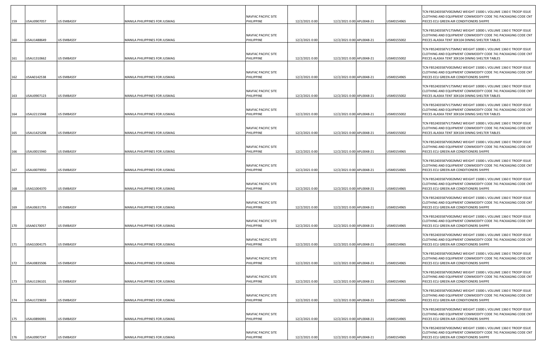| 159        | USAU0907057                | <b>US EMBASSY</b>                      | MANILA PHILIPPINES FOR JUSMAG                                  | NAVFAC PACIFIC SITE<br>PHILIPPINE               | 12/2/2021 0:00                   | 12/2/2021 0:00 APL0048-21                              | USM0154965               | TCN FB52403587V002MM2 WEIGHT 15000 L VOLUME 1360 E TROOP ISSUE<br>CLOTHING AND EQUIPMENT COMMODITY CODE 741 PACKAGING CODE CNT<br>PIECES ECU GREEN AIR CONDITIONERS SHIPPE                                             |
|------------|----------------------------|----------------------------------------|----------------------------------------------------------------|-------------------------------------------------|----------------------------------|--------------------------------------------------------|--------------------------|------------------------------------------------------------------------------------------------------------------------------------------------------------------------------------------------------------------------|
| 160        | USAU1488649                | <b>US EMBASSY</b>                      | MANILA PHILIPPINES FOR JUSMAG                                  | NAVFAC PACIFIC SITE<br>PHILIPPINE               | 12/2/2021 0:00                   | 12/2/2021 0:00 APL0048-21                              | USM0155002               | TCN FB52403587V175MM2 WEIGHT 10000 L VOLUME 1360 E TROOP ISSUE<br>CLOTHING AND EQUIPMENT COMMODITY CODE 741 PACKAGING CODE CNT<br>PIECES ALASKA TENT 30X104 DINING SHELTER TABLES                                      |
| 161        | USAU1310662                | <b>US EMBASSY</b>                      | MANILA PHILIPPINES FOR JUSMAG                                  | NAVFAC PACIFIC SITE<br>PHILIPPINE               | 12/2/2021 0:00                   | 12/2/2021 0:00 APL0048-21                              | USM0155002               | TCN FB52403587V175MM2 WEIGHT 10000 L VOLUME 1360 E TROOP ISSUE<br>CLOTHING AND EQUIPMENT COMMODITY CODE 741 PACKAGING CODE CNT<br>PIECES ALASKA TENT 30X104 DINING SHELTER TABLES                                      |
| 162        | USAA0142538                | <b>US EMBASSY</b>                      | MANILA PHILIPPINES FOR JUSMAG                                  | NAVFAC PACIFIC SITE<br>PHILIPPINE               | 12/2/2021 0:00                   | 12/2/2021 0:00 APL0048-21                              | USM0154965               | TCN FB52403587V002MM2 WEIGHT 15000 L VOLUME 1360 E TROOP ISSUE<br>CLOTHING AND EQUIPMENT COMMODITY CODE 741 PACKAGING CODE CNT<br>PIECES ECU GREEN AIR CONDITIONERS SHIPPE                                             |
| 163        | USAU0907123                | <b>US EMBASSY</b>                      | MANILA PHILIPPINES FOR JUSMAG                                  | NAVFAC PACIFIC SITE<br>PHILIPPINE               | 12/2/2021 0:00                   | 12/2/2021 0:00 APL0048-21                              | USM0155002               | TCN FB52403587V175MM2 WEIGHT 10000 L VOLUME 1360 E TROOP ISSUE<br>CLOTHING AND EQUIPMENT COMMODITY CODE 741 PACKAGING CODE CNT<br>PIECES ALASKA TENT 30X104 DINING SHELTER TABLES                                      |
| 164        | USAU2115948                | <b>US EMBASSY</b>                      | MANILA PHILIPPINES FOR JUSMAG                                  | NAVFAC PACIFIC SITE<br>PHILIPPINE               | 12/2/2021 0:00                   | 12/2/2021 0:00 APL0048-21                              | USM0155002               | TCN FB52403587V175MM2 WEIGHT 10000 L VOLUME 1360 E TROOP ISSUE<br>CLOTHING AND EQUIPMENT COMMODITY CODE 741 PACKAGING CODE CNT<br>PIECES ALASKA TENT 30X104 DINING SHELTER TABLES                                      |
| 165        | USAU1425208                | <b>US EMBASSY</b>                      | MANILA PHILIPPINES FOR JUSMAG                                  | NAVFAC PACIFIC SITE<br>PHILIPPINE               | 12/2/2021 0:00                   | 12/2/2021 0:00 APL0048-21                              | USM0155002               | TCN FB52403587V175MM2 WEIGHT 10000 L VOLUME 1360 E TROOP ISSUE<br>CLOTHING AND EQUIPMENT COMMODITY CODE 741 PACKAGING CODE CNT<br>PIECES ALASKA TENT 30X104 DINING SHELTER TABLES                                      |
| 166        | USAU0015940                | <b>US EMBASSY</b>                      | MANILA PHILIPPINES FOR JUSMAG                                  | NAVFAC PACIFIC SITE<br>PHILIPPINE               | 12/2/2021 0:00                   | 12/2/2021 0:00 APL0048-21                              | USM0154965               | TCN FB52403587V002MM2 WEIGHT 15000 L VOLUME 1360 E TROOP ISSUE<br>CLOTHING AND EQUIPMENT COMMODITY CODE 741 PACKAGING CODE CNT<br>PIECES ECU GREEN AIR CONDITIONERS SHIPPE                                             |
| 167        | USAU0079950                | <b>US EMBASSY</b>                      | MANILA PHILIPPINES FOR JUSMAG                                  | NAVFAC PACIFIC SITE<br>PHILIPPINE               | 12/2/2021 0:00                   | 12/2/2021 0:00 APL0048-21                              | USM0154965               | TCN FB52403587V002MM2 WEIGHT 15000 L VOLUME 1360 E TROOP ISSUE<br>CLOTHING AND EQUIPMENT COMMODITY CODE 741 PACKAGING CODE CNT<br>PIECES ECU GREEN AIR CONDITIONERS SHIPPE                                             |
| 168        | USAG1004370                | <b>US EMBASSY</b>                      | MANILA PHILIPPINES FOR JUSMAG                                  | <b>NAVFAC PACIFIC SITE</b><br>PHILIPPINE        | 12/2/2021 0:00                   | 12/2/2021 0:00 APL0048-21                              | USM0154965               | TCN FB52403587V002MM2 WEIGHT 15000 L VOLUME 1360 E TROOP ISSUE<br>CLOTHING AND EQUIPMENT COMMODITY CODE 741 PACKAGING CODE CNT<br>PIECES ECU GREEN AIR CONDITIONERS SHIPPE                                             |
| 169        | USAU0631755                | <b>US EMBASSY</b>                      | MANILA PHILIPPINES FOR JUSMAG                                  | NAVFAC PACIFIC SITE<br>PHILIPPINE               | 12/2/2021 0:00                   | 12/2/2021 0:00 APL0048-21                              | USM0154965               | TCN FB52403587V002MM2 WEIGHT 15000 L VOLUME 1360 E TROOP ISSUE<br>CLOTHING AND EQUIPMENT COMMODITY CODE 741 PACKAGING CODE CNT<br>PIECES ECU GREEN AIR CONDITIONERS SHIPPE                                             |
| 170        | USAA0170057                | US EMBASSY                             | MANILA PHILIPPINES FOR JUSMAG                                  | NAVFAC PACIFIC SITE<br>PHILIPPINE               | 12/2/2021 0:00                   | 12/2/2021 0:00 APL0048-21                              | USM0154965               | TCN FB52403587V002MM2 WEIGHT 15000 L VOLUME 1360 E TROOP ISSUE<br>CLOTHING AND EQUIPMENT COMMODITY CODE 741 PACKAGING CODE CNT<br>PIECES ECU GREEN AIR CONDITIONERS SHIPPE                                             |
|            | USAG1004175                | <b>US EMBASSY</b>                      |                                                                | NAVFAC PACIFIC SITE<br>PHILIPPINE               | 12/2/2021 0:00                   | 12/2/2021 0:00 APL0048-21                              | USM0154965               | TCN FB52403587V002MM2 WEIGHT 15000 L VOLUME 1360 E TROOP ISSUE<br>CLOTHING AND EQUIPMENT COMMODITY CODE 741 PACKAGING CODE CNT<br>PIECES ECU GREEN AIR CONDITIONERS SHIPPE                                             |
| 171        |                            | <b>US EMBASSY</b>                      | MANILA PHILIPPINES FOR JUSMAG                                  | NAVFAC PACIFIC SITE<br>PHILIPPINE               |                                  |                                                        | USM0154965               | TCN FB52403587V002MM2 WEIGHT 15000 L VOLUME 1360 E TROOP ISSUE<br>CLOTHING AND EQUIPMENT COMMODITY CODE 741 PACKAGING CODE CNT<br>PIECES ECU GREEN AIR CONDITIONERS SHIPPE                                             |
| 172        | USAU0835506<br>USAU1196101 | <b>US EMBASSY</b>                      | MANILA PHILIPPINES FOR JUSMAG<br>MANILA PHILIPPINES FOR JUSMAG | NAVFAC PACIFIC SITE<br>PHILIPPINE               | 12/2/2021 0:00                   | 12/2/2021 0:00 APL0048-21<br>12/2/2021 0:00 APL0048-21 | USM0154965               | TCN FB52403587V002MM2 WEIGHT 15000 L VOLUME 1360 E TROOP ISSUE<br>CLOTHING AND EQUIPMENT COMMODITY CODE 741 PACKAGING CODE CNT<br>PIECES ECU GREEN AIR CONDITIONERS SHIPPE                                             |
| 173<br>174 | USAU1729659                | <b>US EMBASSY</b>                      | MANILA PHILIPPINES FOR JUSMAG                                  | NAVFAC PACIFIC SITE<br>PHILIPPINE               | 12/2/2021 0:00<br>12/2/2021 0:00 | 12/2/2021 0:00 APL0048-21                              | USM0154965               | TCN FB52403587V002MM2 WEIGHT 15000 L VOLUME 1360 E TROOP ISSUE<br>CLOTHING AND EQUIPMENT COMMODITY CODE 741 PACKAGING CODE CNT<br>PIECES ECU GREEN AIR CONDITIONERS SHIPPE                                             |
|            |                            |                                        | MANILA PHILIPPINES FOR JUSMAG                                  | NAVFAC PACIFIC SITE                             |                                  |                                                        |                          | TCN FB52403587V002MM2 WEIGHT 15000 L VOLUME 1360 E TROOP ISSUE<br>CLOTHING AND EQUIPMENT COMMODITY CODE 741 PACKAGING CODE CNT                                                                                         |
| 175<br>176 | USAU0896991<br>USAU0907247 | <b>US EMBASSY</b><br><b>US EMBASSY</b> | MANILA PHILIPPINES FOR JUSMAG                                  | PHILIPPINE<br>NAVFAC PACIFIC SITE<br>PHILIPPINE | 12/2/2021 0:00<br>12/2/2021 0:00 | 12/2/2021 0:00 APL0048-21<br>12/2/2021 0:00 APL0048-21 | USM0154965<br>USM0154965 | PIECES ECU GREEN AIR CONDITIONERS SHIPPE<br>TCN FB52403587V002MM2 WEIGHT 15000 L VOLUME 1360 E TROOP ISSUE<br>CLOTHING AND EQUIPMENT COMMODITY CODE 741 PACKAGING CODE CNT<br>PIECES ECU GREEN AIR CONDITIONERS SHIPPE |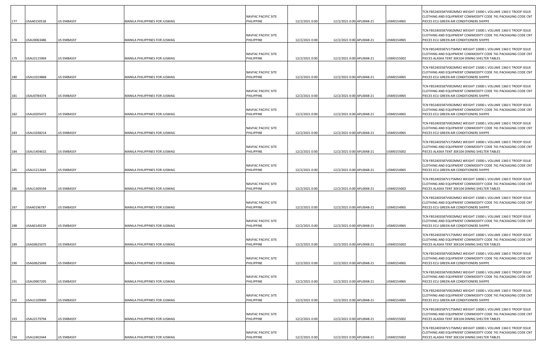| 177 | USAA0150528 | <b>US EMBASSY</b> | MANILA PHILIPPINES FOR JUSMAG | NAVFAC PACIFIC SITE<br>PHILIPPINE        | 12/2/2021 0:00 | 12/2/2021 0:00 APL0048-21 | USM0154965 | TCN FB52403587V002MM2 WEIGHT 15000 L VOLUME 1360 E TROOP ISSUE<br>CLOTHING AND EQUIPMENT COMMODITY CODE 741 PACKAGING CODE CNT<br>PIECES ECU GREEN AIR CONDITIONERS SHIPPE        |
|-----|-------------|-------------------|-------------------------------|------------------------------------------|----------------|---------------------------|------------|-----------------------------------------------------------------------------------------------------------------------------------------------------------------------------------|
| 178 | USAU0063486 | <b>US EMBASSY</b> | MANILA PHILIPPINES FOR JUSMAG | NAVFAC PACIFIC SITE<br>PHILIPPINE        | 12/2/2021 0:00 | 12/2/2021 0:00 APL0048-21 | USM0154965 | TCN FB52403587V002MM2 WEIGHT 15000 L VOLUME 1360 E TROOP ISSUE<br>CLOTHING AND EQUIPMENT COMMODITY CODE 741 PACKAGING CODE CNT<br>PIECES ECU GREEN AIR CONDITIONERS SHIPPE        |
| 179 | USAU2115969 | <b>US EMBASSY</b> | MANILA PHILIPPINES FOR JUSMAG | NAVFAC PACIFIC SITE<br>PHILIPPINE        | 12/2/2021 0:00 | 12/2/2021 0:00 APL0048-21 | USM0155002 | TCN FB52403587V175MM2 WEIGHT 10000 L VOLUME 1360 E TROOP ISSUE<br>CLOTHING AND EQUIPMENT COMMODITY CODE 741 PACKAGING CODE CNT<br>PIECES ALASKA TENT 30X104 DINING SHELTER TABLES |
| 180 | USAU1019868 | <b>US EMBASSY</b> | MANILA PHILIPPINES FOR JUSMAG | NAVFAC PACIFIC SITE<br>PHILIPPINE        | 12/2/2021 0:00 | 12/2/2021 0:00 APL0048-21 | USM0154965 | TCN FB52403587V002MM2 WEIGHT 15000 L VOLUME 1360 E TROOP ISSUE<br>CLOTHING AND EQUIPMENT COMMODITY CODE 741 PACKAGING CODE CNT<br>PIECES ECU GREEN AIR CONDITIONERS SHIPPE        |
| 181 | USAU0784374 | <b>US EMBASSY</b> | MANILA PHILIPPINES FOR JUSMAG | NAVFAC PACIFIC SITE<br>PHILIPPINE        | 12/2/2021 0:00 | 12/2/2021 0:00 APL0048-21 | USM0154965 | TCN FB52403587V002MM2 WEIGHT 15000 L VOLUME 1360 E TROOP ISSUE<br>CLOTHING AND EQUIPMENT COMMODITY CODE 741 PACKAGING CODE CNT<br>PIECES ECU GREEN AIR CONDITIONERS SHIPPE        |
| 182 | USAU0205472 | <b>US EMBASSY</b> | MANILA PHILIPPINES FOR JUSMAG | NAVFAC PACIFIC SITE<br>PHILIPPINE        | 12/2/2021 0:00 | 12/2/2021 0:00 APL0048-21 | USM0154965 | TCN FB52403587V002MM2 WEIGHT 15000 L VOLUME 1360 E TROOP ISSUE<br>CLOTHING AND EQUIPMENT COMMODITY CODE 741 PACKAGING CODE CNT<br>PIECES ECU GREEN AIR CONDITIONERS SHIPPE        |
| 183 | USAU1038214 | <b>US EMBASSY</b> | MANILA PHILIPPINES FOR JUSMAG | NAVFAC PACIFIC SITE<br>PHILIPPINE        | 12/2/2021 0:00 | 12/2/2021 0:00 APL0048-21 | USM0154965 | TCN FB52403587V002MM2 WEIGHT 15000 L VOLUME 1360 E TROOP ISSUE<br>CLOTHING AND EQUIPMENT COMMODITY CODE 741 PACKAGING CODE CNT<br>PIECES ECU GREEN AIR CONDITIONERS SHIPPE        |
| 184 | USAU1404632 | <b>US EMBASSY</b> | MANILA PHILIPPINES FOR JUSMAG | NAVFAC PACIFIC SITE<br>PHILIPPINE        | 12/2/2021 0:00 | 12/2/2021 0:00 APL0048-21 | USM0155002 | TCN FB52403587V175MM2 WEIGHT 10000 L VOLUME 1360 E TROOP ISSUE<br>CLOTHING AND EQUIPMENT COMMODITY CODE 741 PACKAGING CODE CNT<br>PIECES ALASKA TENT 30X104 DINING SHELTER TABLES |
| 185 | USAU1212645 | <b>US EMBASSY</b> | MANILA PHILIPPINES FOR JUSMAG | NAVFAC PACIFIC SITE<br>PHILIPPINE        | 12/2/2021 0:00 | 12/2/2021 0:00 APL0048-21 | USM0154965 | TCN FB52403587V002MM2 WEIGHT 15000 L VOLUME 1360 E TROOP ISSUE<br>CLOTHING AND EQUIPMENT COMMODITY CODE 741 PACKAGING CODE CNT<br>PIECES ECU GREEN AIR CONDITIONERS SHIPPE        |
| 186 | USAU1309194 | <b>US EMBASSY</b> | MANILA PHILIPPINES FOR JUSMAG | <b>NAVFAC PACIFIC SITE</b><br>PHILIPPINE | 12/2/2021 0:00 | 12/2/2021 0:00 APL0048-21 | USM0155002 | TCN FB52403587V175MM2 WEIGHT 10000 L VOLUME 1360 E TROOP ISSUE<br>CLOTHING AND EQUIPMENT COMMODITY CODE 741 PACKAGING CODE CNT<br>PIECES ALASKA TENT 30X104 DINING SHELTER TABLES |
| 187 | USAA0196787 | <b>US EMBASSY</b> | MANILA PHILIPPINES FOR JUSMAG | NAVFAC PACIFIC SITE<br>PHILIPPINE        | 12/2/2021 0:00 | 12/2/2021 0:00 APL0048-21 | USM0154965 | TCN FB52403587V002MM2 WEIGHT 15000 L VOLUME 1360 E TROOP ISSUE<br>CLOTHING AND EQUIPMENT COMMODITY CODE 741 PACKAGING CODE CNT<br>PIECES ECU GREEN AIR CONDITIONERS SHIPPE        |
|     | USAA0149229 | <b>US EMBASSY</b> | MANILA PHILIPPINES FOR JUSMAG | NAVFAC PACIFIC SITE<br>PHILIPPINE        | 12/2/2021 0:00 | 12/2/2021 0:00 APL0048-21 | USM0154965 | TCN FB52403587V002MM2 WEIGHT 15000 L VOLUME 1360 E TROOP ISSUE<br>CLOTHING AND EQUIPMENT COMMODITY CODE 741 PACKAGING CODE CNT<br>PIECES ECU GREEN AIR CONDITIONERS SHIPPE        |
| 188 |             |                   |                               | NAVFAC PACIFIC SITE                      |                |                           |            | TCN FB52403587V175MM2 WEIGHT 10000 L VOLUME 1360 E TROOP ISSUE<br>CLOTHING AND EQUIPMENT COMMODITY CODE 741 PACKAGING CODE CNT                                                    |
| 189 | USAG0625075 | <b>US EMBASSY</b> | MANILA PHILIPPINES FOR JUSMAG | PHILIPPINE<br>NAVFAC PACIFIC SITE        | 12/2/2021 0:00 | 12/2/2021 0:00 APL0048-21 | USM0155002 | PIECES ALASKA TENT 30X104 DINING SHELTER TABLES<br>TCN FB52403587V002MM2 WEIGHT 15000 L VOLUME 1360 E TROOP ISSUE<br>CLOTHING AND EQUIPMENT COMMODITY CODE 741 PACKAGING CODE CNT |
| 190 | USAG0625049 | <b>US EMBASSY</b> | MANILA PHILIPPINES FOR JUSMAG | PHILIPPINE<br>NAVFAC PACIFIC SITE        | 12/2/2021 0:00 | 12/2/2021 0:00 APL0048-21 | USM0154965 | PIECES ECU GREEN AIR CONDITIONERS SHIPPE<br>TCN FB52403587V002MM2 WEIGHT 15000 L VOLUME 1360 E TROOP ISSUE<br>CLOTHING AND EQUIPMENT COMMODITY CODE 741 PACKAGING CODE CNT        |
| 191 | USAU0907205 | <b>US EMBASSY</b> | MANILA PHILIPPINES FOR JUSMAG | PHILIPPINE<br>NAVFAC PACIFIC SITE        | 12/2/2021 0:00 | 12/2/2021 0:00 APL0048-21 | USM0154965 | PIECES ECU GREEN AIR CONDITIONERS SHIPPE<br>TCN FB52403587V002MM2 WEIGHT 15000 L VOLUME 1360 E TROOP ISSUE<br>CLOTHING AND EQUIPMENT COMMODITY CODE 741 PACKAGING CODE CNT        |
| 192 | USAU1109909 | <b>US EMBASSY</b> | MANILA PHILIPPINES FOR JUSMAG | PHILIPPINE<br>NAVFAC PACIFIC SITE        | 12/2/2021 0:00 | 12/2/2021 0:00 APL0048-21 | USM0154965 | PIECES ECU GREEN AIR CONDITIONERS SHIPPE<br>TCN FB52403587V175MM2 WEIGHT 10000 L VOLUME 1360 E TROOP ISSUE<br>CLOTHING AND EQUIPMENT COMMODITY CODE 741 PACKAGING CODE CNT        |
| 193 | USAU2179794 | <b>US EMBASSY</b> | MANILA PHILIPPINES FOR JUSMAG | PHILIPPINE<br>NAVFAC PACIFIC SITE        | 12/2/2021 0:00 | 12/2/2021 0:00 APL0048-21 | USM0155002 | PIECES ALASKA TENT 30X104 DINING SHELTER TABLES<br>TCN FB52403587V175MM2 WEIGHT 10000 L VOLUME 1360 E TROOP ISSUE<br>CLOTHING AND EQUIPMENT COMMODITY CODE 741 PACKAGING CODE CNT |
| 194 | USAU2402444 | <b>US EMBASSY</b> | MANILA PHILIPPINES FOR JUSMAG | PHILIPPINE                               | 12/2/2021 0:00 | 12/2/2021 0:00 APL0048-21 | USM0155002 | PIECES ALASKA TENT 30X104 DINING SHELTER TABLES                                                                                                                                   |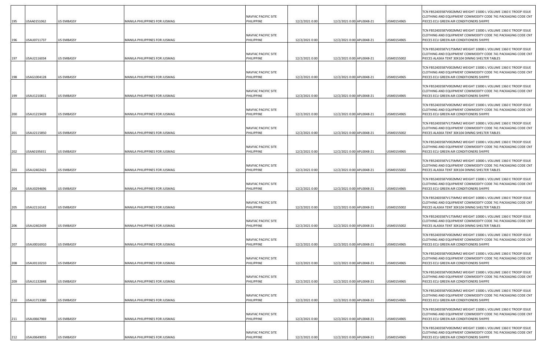| 195        | USAA0151062                | <b>US EMBASSY</b>                      | MANILA PHILIPPINES FOR JUSMAG                                  | NAVFAC PACIFIC SITE<br>PHILIPPINE               | 12/2/2021 0:00                   | 12/2/2021 0:00 APL0048-21                              | USM0154965               | TCN FB52403587V002MM2 WEIGHT 15000 L VOLUME 1360 E TROOP ISSUE<br>CLOTHING AND EQUIPMENT COMMODITY CODE 741 PACKAGING CODE CNT<br>PIECES ECU GREEN AIR CONDITIONERS SHIPPE                                             |
|------------|----------------------------|----------------------------------------|----------------------------------------------------------------|-------------------------------------------------|----------------------------------|--------------------------------------------------------|--------------------------|------------------------------------------------------------------------------------------------------------------------------------------------------------------------------------------------------------------------|
| 196        | USAU0711737                | <b>US EMBASSY</b>                      | MANILA PHILIPPINES FOR JUSMAG                                  | NAVFAC PACIFIC SITE<br>PHILIPPINE               | 12/2/2021 0:00                   | 12/2/2021 0:00 APL0048-21                              | USM0154965               | TCN FB52403587V002MM2 WEIGHT 15000 L VOLUME 1360 E TROOP ISSUE<br>CLOTHING AND EQUIPMENT COMMODITY CODE 741 PACKAGING CODE CNT<br>PIECES ECU GREEN AIR CONDITIONERS SHIPPE                                             |
| 197        | USAU2116034                | <b>US EMBASSY</b>                      | MANILA PHILIPPINES FOR JUSMAG                                  | NAVFAC PACIFIC SITE<br>PHILIPPINE               | 12/2/2021 0:00                   | 12/2/2021 0:00 APL0048-21                              | USM0155002               | TCN FB52403587V175MM2 WEIGHT 10000 L VOLUME 1360 E TROOP ISSUE<br>CLOTHING AND EQUIPMENT COMMODITY CODE 741 PACKAGING CODE CNT<br>PIECES ALASKA TENT 30X104 DINING SHELTER TABLES                                      |
| 198        | USAG1004128                | US EMBASSY                             | MANILA PHILIPPINES FOR JUSMAG                                  | NAVFAC PACIFIC SITE<br>PHILIPPINE               | 12/2/2021 0:00                   | 12/2/2021 0:00 APL0048-21                              | JSM0154965               | TCN FB52403587V002MM2 WEIGHT 15000 L VOLUME 1360 E TROOP ISSUE<br>CLOTHING AND EQUIPMENT COMMODITY CODE 741 PACKAGING CODE CNT<br>PIECES ECU GREEN AIR CONDITIONERS SHIPPE                                             |
| 199        | USAU1210811                | <b>US EMBASSY</b>                      | MANILA PHILIPPINES FOR JUSMAG                                  | NAVFAC PACIFIC SITE<br>PHILIPPINE               | 12/2/2021 0:00                   | 12/2/2021 0:00 APL0048-21                              | USM0154965               | TCN FB52403587V002MM2 WEIGHT 15000 L VOLUME 1360 E TROOP ISSUE<br>CLOTHING AND EQUIPMENT COMMODITY CODE 741 PACKAGING CODE CNT<br>PIECES ECU GREEN AIR CONDITIONERS SHIPPE                                             |
| 200        | USAU1219439                | <b>US EMBASSY</b>                      | MANILA PHILIPPINES FOR JUSMAG                                  | NAVFAC PACIFIC SITE<br>PHILIPPINE               | 12/2/2021 0:00                   | 12/2/2021 0:00 APL0048-21                              | USM0154965               | TCN FB52403587V002MM2 WEIGHT 15000 L VOLUME 1360 E TROOP ISSUE<br>CLOTHING AND EQUIPMENT COMMODITY CODE 741 PACKAGING CODE CNT<br>PIECES ECU GREEN AIR CONDITIONERS SHIPPE                                             |
| 201        | USAU2115850                | <b>US EMBASSY</b>                      | MANILA PHILIPPINES FOR JUSMAG                                  | NAVFAC PACIFIC SITE<br>PHILIPPINE               | 12/2/2021 0:00                   | 12/2/2021 0:00 APL0048-21                              | USM0155002               | TCN FB52403587V175MM2 WEIGHT 10000 L VOLUME 1360 E TROOP ISSUE<br>CLOTHING AND EQUIPMENT COMMODITY CODE 741 PACKAGING CODE CNT<br>PIECES ALASKA TENT 30X104 DINING SHELTER TABLES                                      |
| 202        | USAA0195651                | <b>US EMBASSY</b>                      | MANILA PHILIPPINES FOR JUSMAG                                  | <b>NAVFAC PACIFIC SITE</b><br>PHILIPPINE        | 12/2/2021 0:00                   | 12/2/2021 0:00 APL0048-21                              | USM0154965               | TCN FB52403587V002MM2 WEIGHT 15000 L VOLUME 1360 E TROOP ISSUE<br>CLOTHING AND EQUIPMENT COMMODITY CODE 741 PACKAGING CODE CNT<br>PIECES ECU GREEN AIR CONDITIONERS SHIPPE                                             |
| 203        | USAU2402423                | <b>US EMBASSY</b>                      | MANILA PHILIPPINES FOR JUSMAG                                  | NAVFAC PACIFIC SITE<br>PHILIPPINE               | 12/2/2021 0:00                   | 12/2/2021 0:00 APL0048-21                              | USM0155002               | TCN FB52403587V175MM2 WEIGHT 10000 L VOLUME 1360 E TROOP ISSUE<br>CLOTHING AND EQUIPMENT COMMODITY CODE 741 PACKAGING CODE CNT<br>PIECES ALASKA TENT 30X104 DINING SHELTER TABLES                                      |
| 204        | USAU0294696                | <b>US EMBASSY</b>                      | MANILA PHILIPPINES FOR JUSMAG                                  | NAVFAC PACIFIC SITE<br>PHILIPPINE               | 12/2/2021 0:00                   | 12/2/2021 0:00 APL0048-21                              | USM0154965               | TCN FB52403587V002MM2 WEIGHT 15000 L VOLUME 1360 E TROOP ISSUE<br>CLOTHING AND EQUIPMENT COMMODITY CODE 741 PACKAGING CODE CNT<br>PIECES ECU GREEN AIR CONDITIONERS SHIPPE                                             |
| 205        | USAU2116142                | <b>US EMBASSY</b>                      | MANILA PHILIPPINES FOR JUSMAG                                  | NAVFAC PACIFIC SITE<br>PHILIPPINE               | 12/2/2021 0:00                   | 12/2/2021 0:00 APL0048-21                              | USM0155002               | TCN FB52403587V175MM2 WEIGHT 10000 L VOLUME 1360 E TROOP ISSUE<br>CLOTHING AND EQUIPMENT COMMODITY CODE 741 PACKAGING CODE CNT<br>PIECES ALASKA TENT 30X104 DINING SHELTER TABLES                                      |
| 206        | USAU2402439                | <b>US EMBASSY</b>                      | MANILA PHILIPPINES FOR JUSMAG                                  | NAVFAC PACIFIC SITE<br>PHILIPPINE               | 12/2/2021 0:00                   | 12/2/2021 0:00 APL0048-21                              | USM0155002               | TCN FB52403587V175MM2 WEIGHT 10000 L VOLUME 1360 E TROOP ISSUE<br>CLOTHING AND EQUIPMENT COMMODITY CODE 741 PACKAGING CODE CNT<br>PIECES ALASKA TENT 30X104 DINING SHELTER TABLES                                      |
|            | USAU0016910                | <b>US EMBASSY</b>                      | MANILA PHILIPPINES FOR JUSMAG                                  | NAVFAC PACIFIC SITE<br>PHILIPPINE               |                                  | 12/2/2021 0:00 APL0048-21                              | USM0154965               | TCN FB52403587V002MM2 WEIGHT 15000 L VOLUME 1360 E TROOP ISSUE<br>CLOTHING AND EQUIPMENT COMMODITY CODE 741 PACKAGING CODE CNT<br>PIECES ECU GREEN AIR CONDITIONERS SHIPPE                                             |
| 207        | USAU0110210                | <b>US EMBASSY</b>                      | MANILA PHILIPPINES FOR JUSMAG                                  | NAVFAC PACIFIC SITE<br>PHILIPPINE               | 12/2/2021 0:00<br>12/2/2021 0:00 | 12/2/2021 0:00 APL0048-21                              | USM0154965               | TCN FB52403587V002MM2 WEIGHT 15000 L VOLUME 1360 E TROOP ISSUE<br>CLOTHING AND EQUIPMENT COMMODITY CODE 741 PACKAGING CODE CNT<br>PIECES ECU GREEN AIR CONDITIONERS SHIPPE                                             |
| 208        | USAU1132848                | <b>US EMBASSY</b>                      | MANILA PHILIPPINES FOR JUSMAG                                  | NAVFAC PACIFIC SITE<br>PHILIPPINE               | 12/2/2021 0:00                   | 12/2/2021 0:00 APL0048-21                              | USM0154965               | TCN FB52403587V002MM2 WEIGHT 15000 L VOLUME 1360 E TROOP ISSUE<br>CLOTHING AND EQUIPMENT COMMODITY CODE 741 PACKAGING CODE CNT<br>PIECES ECU GREEN AIR CONDITIONERS SHIPPE                                             |
| 209<br>210 | USAU1713380                | <b>US EMBASSY</b>                      | MANILA PHILIPPINES FOR JUSMAG                                  | NAVFAC PACIFIC SITE<br>PHILIPPINE               | 12/2/2021 0:00                   | 12/2/2021 0:00 APL0048-21                              | USM0154965               | TCN FB52403587V002MM2 WEIGHT 15000 L VOLUME 1360 E TROOP ISSUE<br>CLOTHING AND EQUIPMENT COMMODITY CODE 741 PACKAGING CODE CNT<br>PIECES ECU GREEN AIR CONDITIONERS SHIPPE                                             |
|            |                            |                                        |                                                                | NAVFAC PACIFIC SITE                             |                                  |                                                        |                          | TCN FB52403587V002MM2 WEIGHT 15000 L VOLUME 1360 E TROOP ISSUE<br>CLOTHING AND EQUIPMENT COMMODITY CODE 741 PACKAGING CODE CNT                                                                                         |
| 211<br>212 | USAU0667969<br>USAU0649055 | <b>US EMBASSY</b><br><b>US EMBASSY</b> | MANILA PHILIPPINES FOR JUSMAG<br>MANILA PHILIPPINES FOR JUSMAG | PHILIPPINE<br>NAVFAC PACIFIC SITE<br>PHILIPPINE | 12/2/2021 0:00<br>12/2/2021 0:00 | 12/2/2021 0:00 APL0048-21<br>12/2/2021 0:00 APL0048-21 | USM0154965<br>USM0154965 | PIECES ECU GREEN AIR CONDITIONERS SHIPPE<br>TCN FB52403587V002MM2 WEIGHT 15000 L VOLUME 1360 E TROOP ISSUE<br>CLOTHING AND EQUIPMENT COMMODITY CODE 741 PACKAGING CODE CNT<br>PIECES ECU GREEN AIR CONDITIONERS SHIPPE |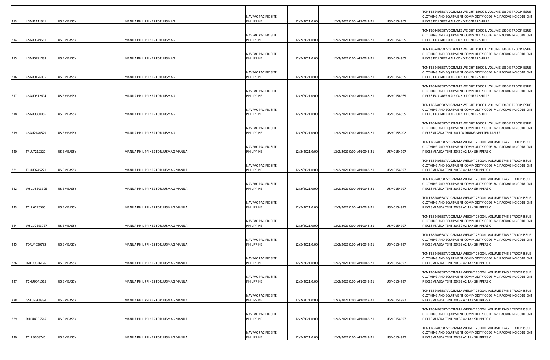| 213 | USAU1111341        | US EMBASSY        | MANILA PHILIPPINES FOR JUSMAG        | NAVFAC PACIFIC SITE<br>PHILIPPINE | 12/2/2021 0:00 | 12/2/2021 0:00 APL0048-21 | USM0154965 | TCN FB52403587V002MM2 WEIGHT 15000 L VOLUME 1360 E TROOP ISSUE<br>CLOTHING AND EQUIPMENT COMMODITY CODE 741 PACKAGING CODE CNT<br>PIECES ECU GREEN AIR CONDITIONERS SHIPPE        |
|-----|--------------------|-------------------|--------------------------------------|-----------------------------------|----------------|---------------------------|------------|-----------------------------------------------------------------------------------------------------------------------------------------------------------------------------------|
| 214 | USAU0949561        | <b>US EMBASSY</b> | MANILA PHILIPPINES FOR JUSMAG        | NAVFAC PACIFIC SITE<br>PHILIPPINE | 12/2/2021 0:00 | 12/2/2021 0:00 APL0048-21 | USM0154965 | TCN FB52403587V002MM2 WEIGHT 15000 L VOLUME 1360 E TROOP ISSUE<br>CLOTHING AND EQUIPMENT COMMODITY CODE 741 PACKAGING CODE CNT<br>PIECES ECU GREEN AIR CONDITIONERS SHIPPE        |
| 215 | USAU0291038        | <b>US EMBASSY</b> | MANILA PHILIPPINES FOR JUSMAG        | NAVFAC PACIFIC SITE<br>PHILIPPINE | 12/2/2021 0:00 | 12/2/2021 0:00 APL0048-21 | USM0154965 | TCN FB52403587V002MM2 WEIGHT 15000 L VOLUME 1360 E TROOP ISSUE<br>CLOTHING AND EQUIPMENT COMMODITY CODE 741 PACKAGING CODE CNT<br>PIECES ECU GREEN AIR CONDITIONERS SHIPPE        |
| 216 | USAU0476005        | <b>US EMBASSY</b> | MANILA PHILIPPINES FOR JUSMAG        | NAVFAC PACIFIC SITE<br>PHILIPPINE | 12/2/2021 0:00 | 12/2/2021 0:00 APL0048-21 | USM0154965 | TCN FB52403587V002MM2 WEIGHT 15000 L VOLUME 1360 E TROOP ISSUE<br>CLOTHING AND EQUIPMENT COMMODITY CODE 741 PACKAGING CODE CNT<br>PIECES ECU GREEN AIR CONDITIONERS SHIPPE        |
| 217 | USAU0612694        | <b>US EMBASSY</b> | MANILA PHILIPPINES FOR JUSMAG        | NAVFAC PACIFIC SITE<br>PHILIPPINE | 12/2/2021 0:00 | 12/2/2021 0:00 APL0048-21 | USM0154965 | TCN FB52403587V002MM2 WEIGHT 15000 L VOLUME 1360 E TROOP ISSUE<br>CLOTHING AND EQUIPMENT COMMODITY CODE 741 PACKAGING CODE CNT<br>PIECES ECU GREEN AIR CONDITIONERS SHIPPE        |
| 218 | USAU0680066        | <b>US EMBASSY</b> | MANILA PHILIPPINES FOR JUSMAG        | NAVFAC PACIFIC SITE<br>PHILIPPINE | 12/2/2021 0:00 | 12/2/2021 0:00 APL0048-21 | USM0154965 | TCN FB52403587V002MM2 WEIGHT 15000 L VOLUME 1360 E TROOP ISSUE<br>CLOTHING AND EQUIPMENT COMMODITY CODE 741 PACKAGING CODE CNT<br>PIECES ECU GREEN AIR CONDITIONERS SHIPPE        |
| 219 | USAU2140529        | <b>US EMBASSY</b> | MANILA PHILIPPINES FOR JUSMAG        | NAVFAC PACIFIC SITE<br>PHILIPPINE | 12/2/2021 0:00 | 12/2/2021 0:00 APL0048-21 | USM0155002 | TCN FB52403587V175MM2 WEIGHT 10000 L VOLUME 1360 E TROOP ISSUE<br>CLOTHING AND EQUIPMENT COMMODITY CODE 741 PACKAGING CODE CNT<br>PIECES ALASKA TENT 30X104 DINING SHELTER TABLES |
| 220 | TRLU7219220        | <b>US EMBASSY</b> | MANILA PHILIPPINES FOR JUSMAG MANILA | NAVFAC PACIFIC SITE<br>PHILIPPINE | 12/2/2021 0:00 | 12/2/2021 0:00 APL0048-21 | USM0154997 | TCN FB52403587V102MMA WEIGHT 25000 L VOLUME 2746 E TROOP ISSUE<br>CLOTHING AND EQUIPMENT COMMODITY CODE 741 PACKAGING CODE CNT<br>PIECES ALASKA TENT 20X39 V2 TAN SHIPPERS O      |
| 221 | <b>TCNU9745221</b> | <b>US EMBASSY</b> | MANILA PHILIPPINES FOR JUSMAG MANILA | NAVFAC PACIFIC SITE<br>PHILIPPINE | 12/2/2021 0:00 | 12/2/2021 0:00 APL0048-21 | USM0154997 | TCN FB52403587V102MMA WEIGHT 25000 L VOLUME 2746 E TROOP ISSUE<br>CLOTHING AND EQUIPMENT COMMODITY CODE 741 PACKAGING CODE CNT<br>PIECES ALASKA TENT 20X39 V2 TAN SHIPPERS O      |
| 222 | WSCU8503395        | <b>US EMBASSY</b> | MANILA PHILIPPINES FOR JUSMAG MANILA | NAVFAC PACIFIC SITE<br>PHILIPPINE | 12/2/2021 0:00 | 12/2/2021 0:00 APL0048-21 | USM0154997 | TCN FB52403587V102MMA WEIGHT 25000 L VOLUME 2746 E TROOP ISSUE<br>CLOTHING AND EQUIPMENT COMMODITY CODE 741 PACKAGING CODE CNT<br>PIECES ALASKA TENT 20X39 V2 TAN SHIPPERS O      |
| 223 | <b>TCLU6225595</b> | <b>US EMBASSY</b> | MANILA PHILIPPINES FOR JUSMAG MANILA | NAVFAC PACIFIC SITE<br>PHILIPPINE | 12/2/2021 0:00 | 12/2/2021 0:00 APL0048-21 | USM0154997 | TCN FB52403587V102MMA WEIGHT 25000 L VOLUME 2746 E TROOP ISSUE<br>CLOTHING AND EQUIPMENT COMMODITY CODE 741 PACKAGING CODE CNT<br>PIECES ALASKA TENT 20X39 V2 TAN SHIPPERS O      |
|     |                    |                   |                                      | NAVFAC PACIFIC SITE               |                |                           |            | TCN FB52403587V102MMA WEIGHT 25000 L VOLUME 2746 E TROOP ISSUE<br>CLOTHING AND EQUIPMENT COMMODITY CODE 741 PACKAGING CODE CNT                                                    |
| 224 | WSCU7593727        | US EMBASSY        | MANILA PHILIPPINES FOR JUSMAG MANILA | PHILIPPINE<br>NAVFAC PACIFIC SITE | 12/2/2021 0:00 | 12/2/2021 0:00 APL0048-21 | USM0154997 | PIECES ALASKA TENT 20X39 V2 TAN SHIPPERS O<br>TCN FB52403587V102MMA WEIGHT 25000 L VOLUME 2746 E TROOP ISSUE<br>CLOTHING AND EQUIPMENT COMMODITY CODE 741 PACKAGING CODE CNT      |
| 225 | TDRU4030793        | <b>US EMBASSY</b> | MANILA PHILIPPINES FOR JUSMAG MANILA | PHILIPPINE<br>NAVFAC PACIFIC SITE | 12/2/2021 0:00 | 12/2/2021 0:00 APL0048-21 | USM0154997 | PIECES ALASKA TENT 20X39 V2 TAN SHIPPERS O<br>TCN FB52403587V102MMA WEIGHT 25000 L VOLUME 2746 E TROOP ISSUE<br>CLOTHING AND EQUIPMENT COMMODITY CODE 741 PACKAGING CODE CNT      |
| 226 | IMTU9026126        | <b>US EMBASSY</b> | MANILA PHILIPPINES FOR JUSMAG MANILA | PHILIPPINE<br>NAVFAC PACIFIC SITE | 12/2/2021 0:00 | 12/2/2021 0:00 APL0048-21 | USM0154997 | PIECES ALASKA TENT 20X39 V2 TAN SHIPPERS O<br>TCN FB52403587V102MMA WEIGHT 25000 L VOLUME 2746 E TROOP ISSUE<br>CLOTHING AND EQUIPMENT COMMODITY CODE 741 PACKAGING CODE CNT      |
| 227 | TCNU9041515        | <b>US EMBASSY</b> | MANILA PHILIPPINES FOR JUSMAG MANILA | PHILIPPINE<br>NAVFAC PACIFIC SITE | 12/2/2021 0:00 | 12/2/2021 0:00 APL0048-21 | USM0154997 | PIECES ALASKA TENT 20X39 V2 TAN SHIPPERS O<br>TCN FB52403587V102MMA WEIGHT 25000 L VOLUME 2746 E TROOP ISSUE<br>CLOTHING AND EQUIPMENT COMMODITY CODE 741 PACKAGING CODE CNT      |
| 228 | GSTU9869834        | <b>US EMBASSY</b> | MANILA PHILIPPINES FOR JUSMAG MANILA | PHILIPPINE<br>NAVFAC PACIFIC SITE | 12/2/2021 0:00 | 12/2/2021 0:00 APL0048-21 | USM0154997 | PIECES ALASKA TENT 20X39 V2 TAN SHIPPERS O<br>TCN FB52403587V102MMA WEIGHT 25000 L VOLUME 2746 E TROOP ISSUE<br>CLOTHING AND EQUIPMENT COMMODITY CODE 741 PACKAGING CODE CNT      |
| 229 | BHCU4935567        | <b>US EMBASSY</b> | MANILA PHILIPPINES FOR JUSMAG MANILA | PHILIPPINE<br>NAVFAC PACIFIC SITE | 12/2/2021 0:00 | 12/2/2021 0:00 APL0048-21 | USM0154997 | PIECES ALASKA TENT 20X39 V2 TAN SHIPPERS O<br>TCN FB52403587V102MMA WEIGHT 25000 L VOLUME 2746 E TROOP ISSUE<br>CLOTHING AND EQUIPMENT COMMODITY CODE 741 PACKAGING CODE CNT      |
| 230 | TCLU9358740        | <b>US EMBASSY</b> | MANILA PHILIPPINES FOR JUSMAG MANILA | PHILIPPINE                        | 12/2/2021 0:00 | 12/2/2021 0:00 APL0048-21 | USM0154997 | PIECES ALASKA TENT 20X39 V2 TAN SHIPPERS O                                                                                                                                        |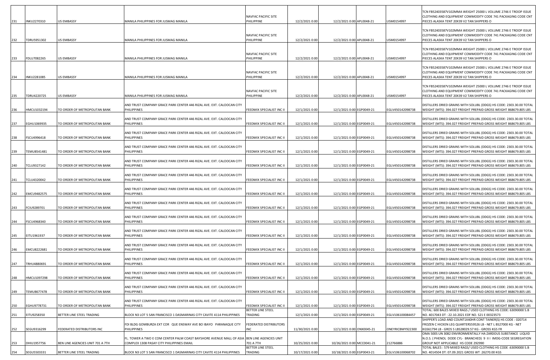|     |             |                                  |                                                                                             | NAVFAC PACIFIC SITE               |                 |                            |                  | TCN FB52403587V102MMA WEIGHT 25000 L VOLUME 2746 E TROOP ISSUE<br>CLOTHING AND EQUIPMENT COMMODITY CODE 741 PACKAGING CODE CNT            |
|-----|-------------|----------------------------------|---------------------------------------------------------------------------------------------|-----------------------------------|-----------------|----------------------------|------------------|-------------------------------------------------------------------------------------------------------------------------------------------|
| 231 | INKU2270310 | <b>US EMBASSY</b>                | MANILA PHILIPPINES FOR JUSMAG MANILA                                                        | PHILIPPINE                        | 12/2/2021 0:00  | 12/2/2021 0:00 APL0048-21  | USM0154997       | PIECES ALASKA TENT 20X39 V2 TAN SHIPPERS O                                                                                                |
|     |             |                                  |                                                                                             |                                   |                 |                            |                  | TCN FB52403587V102MMA WEIGHT 25000 L VOLUME 2746 E TROOP ISSUE                                                                            |
|     |             |                                  |                                                                                             | <b>NAVFAC PACIFIC SITE</b>        |                 |                            |                  | CLOTHING AND EQUIPMENT COMMODITY CODE 741 PACKAGING CODE CNT                                                                              |
| 232 | TDRU5951302 | <b>US EMBASSY</b>                | MANILA PHILIPPINES FOR JUSMAG MANILA                                                        | PHILIPPINE                        | 12/2/2021 0:00  | 12/2/2021 0:00 APL0048-21  | USM0154997       | PIECES ALASKA TENT 20X39 V2 TAN SHIPPERS O                                                                                                |
|     |             |                                  |                                                                                             |                                   |                 |                            |                  | TCN FB52403587V102MMA WEIGHT 25000 L VOLUME 2746 E TROOP ISSUE                                                                            |
| 233 | FDLU7082265 | <b>US EMBASSY</b>                | MANILA PHILIPPINES FOR JUSMAG MANILA                                                        | NAVFAC PACIFIC SITE<br>PHILIPPINE | 12/2/2021 0:00  | 12/2/2021 0:00 APL0048-21  | USM0154997       | CLOTHING AND EQUIPMENT COMMODITY CODE 741 PACKAGING CODE CNT<br>PIECES ALASKA TENT 20X39 V2 TAN SHIPPERS O                                |
|     |             |                                  |                                                                                             |                                   |                 |                            |                  |                                                                                                                                           |
|     |             |                                  |                                                                                             |                                   |                 |                            |                  | TCN FB52403587V102MMA WEIGHT 25000 L VOLUME 2746 E TROOP ISSUE                                                                            |
| 234 | INKU2281085 | <b>US EMBASSY</b>                | MANILA PHILIPPINES FOR JUSMAG MANILA                                                        | NAVFAC PACIFIC SITE<br>PHILIPPINE | 12/2/2021 0:00  | 12/2/2021 0:00 APL0048-21  | USM0154997       | CLOTHING AND EQUIPMENT COMMODITY CODE 741 PACKAGING CODE CNT<br>PIECES ALASKA TENT 20X39 V2 TAN SHIPPERS O                                |
|     |             |                                  |                                                                                             |                                   |                 |                            |                  |                                                                                                                                           |
|     |             |                                  |                                                                                             | NAVFAC PACIFIC SITE               |                 |                            |                  | TCN FB52403587V102MMA WEIGHT 25000 L VOLUME 2746 E TROOP ISSUE<br>CLOTHING AND EQUIPMENT COMMODITY CODE 741 PACKAGING CODE CNT            |
| 235 | TDRU4220725 | <b>US EMBASSY</b>                | MANILA PHILIPPINES FOR JUSMAG MANILA                                                        | PHILIPPINE                        | 12/2/2021 0:00  | 12/2/2021 0:00 APL0048-21  | USM0154997       | PIECES ALASKA TENT 20X39 V2 TAN SHIPPERS O                                                                                                |
|     |             |                                  | AND TRUST COMPANY GRACE PARK CENTER 446 RIZAL AVE. EXT. CALOOCAN CITY                       |                                   |                 |                            |                  | DISTILLERS DRIED GRAINS WITH SOLUBL (DDGS) HS CODE: 2303.30.00 TOTAL                                                                      |
| 236 | HMCU1032194 | TO ORDER OF METROPOLITAN BANK    | PHILIPPINES                                                                                 | FEEDMIX SPECIALIST INC II         | 12/1/2021 0:00  | 12/1/2021 0:00 EGP0049-21  | EGLV450142098738 | WEIGHT (MTS): 394.027 FREIGHT PREPAID GROSS WEIGHT 868679.805 LBS                                                                         |
|     |             |                                  |                                                                                             |                                   |                 |                            |                  |                                                                                                                                           |
| 237 | EGHU1069935 | TO ORDER OF METROPOLITAN BANK    | AND TRUST COMPANY GRACE PARK CENTER 446 RIZAL AVE. EXT. CALOOCAN CITY<br>PHILIPPINES        | FEEDMIX SPECIALIST INC II         | 12/1/2021 0:00  | 12/1/2021 0:00 EGP0049-21  | EGLV450142098738 | DISTILLERS DRIED GRAINS WITH SOLUBL (DDGS) HS CODE: 2303.30.00 TOTAL<br>WEIGHT (MTS): 394.027 FREIGHT PREPAID GROSS WEIGHT 868679.805 LBS |
|     |             |                                  |                                                                                             |                                   |                 |                            |                  |                                                                                                                                           |
| 238 | FSCU4996418 | TO ORDER OF METROPOLITAN BANK    | AND TRUST COMPANY GRACE PARK CENTER 446 RIZAL AVE. EXT. CALOOCAN CITY<br>PHILIPPINES        | FEEDMIX SPECIALIST INC II         | 12/1/2021 0:00  | 12/1/2021 0:00 EGP0049-21  | EGLV450142098738 | DISTILLERS DRIED GRAINS WITH SOLUBL (DDGS) HS CODE: 2303.30.00 TOTAL<br>WEIGHT (MTS): 394.027 FREIGHT PREPAID GROSS WEIGHT 868679.805 LBS |
|     |             |                                  |                                                                                             |                                   |                 |                            |                  |                                                                                                                                           |
| 239 | TEMU8541481 | TO ORDER OF METROPOLITAN BANK    | AND TRUST COMPANY GRACE PARK CENTER 446 RIZAL AVE. EXT. CALOOCAN CITY<br>PHILIPPINES        | FEEDMIX SPECIALIST INC II         | 12/1/2021 0:00  | 12/1/2021 0:00 EGP0049-21  | EGLV450142098738 | DISTILLERS DRIED GRAINS WITH SOLUBL (DDGS) HS CODE: 2303.30.00 TOTAL<br>WEIGHT (MTS): 394.027 FREIGHT PREPAID GROSS WEIGHT 868679.805 LBS |
|     |             |                                  |                                                                                             |                                   |                 |                            |                  |                                                                                                                                           |
| 240 | TCLU9327142 | TO ORDER OF METROPOLITAN BANK    | AND TRUST COMPANY GRACE PARK CENTER 446 RIZAL AVE. EXT. CALOOCAN CITY<br><b>PHILIPPINES</b> | FEEDMIX SPECIALIST INC II         | 12/1/2021 0:00  | 12/1/2021 0:00 EGP0049-21  | EGLV450142098738 | DISTILLERS DRIED GRAINS WITH SOLUBL (DDGS) HS CODE: 2303.30.00 TOTAL<br>WEIGHT (MTS): 394.027 FREIGHT PREPAID GROSS WEIGHT 868679.805 LBS |
|     |             |                                  |                                                                                             |                                   |                 |                            |                  |                                                                                                                                           |
|     |             |                                  | AND TRUST COMPANY GRACE PARK CENTER 446 RIZAL AVE. EXT. CALOOCAN CITY                       |                                   |                 |                            |                  | DISTILLERS DRIED GRAINS WITH SOLUBL (DDGS) HS CODE: 2303.30.00 TOTAL                                                                      |
| 241 | TCLU4320042 | TO ORDER OF METROPOLITAN BANK    | PHILIPPINES                                                                                 | FEEDMIX SPECIALIST INC II         | 12/1/2021 0:00  | 12/1/2021 0:00 EGP0049-21  | EGLV450142098738 | WEIGHT (MTS): 394.027 FREIGHT PREPAID GROSS WEIGHT 868679.805 LBS                                                                         |
|     |             |                                  | AND TRUST COMPANY GRACE PARK CENTER 446 RIZAL AVE. EXT. CALOOCAN CITY                       |                                   |                 |                            |                  | DISTILLERS DRIED GRAINS WITH SOLUBL (DDGS) HS CODE: 2303.30.00 TOTAL                                                                      |
| 242 | EMCU9482575 | TO ORDER OF METROPOLITAN BANK    | PHILIPPINES                                                                                 | FEEDMIX SPECIALIST INC II         | 12/1/2021 0:00  | 12/1/2021 0:00 EGP0049-21  | EGLV450142098738 | WEIGHT (MTS): 394.027 FREIGHT PREPAID GROSS WEIGHT 868679.805 LBS                                                                         |
|     |             |                                  | AND TRUST COMPANY GRACE PARK CENTER 446 RIZAL AVE. EXT. CALOOCAN CITY                       |                                   |                 |                            |                  | DISTILLERS DRIED GRAINS WITH SOLUBL (DDGS) HS CODE: 2303.30.00 TOTAL                                                                      |
| 243 | FCIU9289701 | TO ORDER OF METROPOLITAN BANK    | PHILIPPINES                                                                                 | FEEDMIX SPECIALIST INC II         | 12/1/2021 0:00  | 12/1/2021 0:00 EGP0049-21  | EGLV450142098738 | WEIGHT (MTS): 394.027 FREIGHT PREPAID GROSS WEIGHT 868679.805 LBS                                                                         |
|     |             |                                  | AND TRUST COMPANY GRACE PARK CENTER 446 RIZAL AVE. EXT. CALOOCAN CITY                       |                                   |                 |                            |                  | DISTILLERS DRIED GRAINS WITH SOLUBL (DDGS) HS CODE: 2303.30.00 TOTAL                                                                      |
| 244 | FSCU4968340 | TO ORDER OF METROPOLITAN BANK    | PHILIPPINES                                                                                 | FEEDMIX SPECIALIST INC II         | 12/1/2021 0:00  | 12/1/2021 0:00 EGP0049-21  | EGLV450142098738 | WEIGHT (MTS): 394.027 FREIGHT PREPAID GROSS WEIGHT 868679.805 LBS                                                                         |
|     |             |                                  | AND TRUST COMPANY GRACE PARK CENTER 446 RIZAL AVE. EXT. CALOOCAN CITY                       |                                   |                 |                            |                  | DISTILLERS DRIED GRAINS WITH SOLUBL (DDGS) HS CODE: 2303.30.00 TOTAL                                                                      |
| 245 | EITU1961937 | TO ORDER OF METROPOLITAN BANK    | <b>PHILIPPINES</b>                                                                          | FEEDMIX SPECIALIST INC II         | 12/1/2021 0:00  | 12/1/2021 0:00 EGP0049-21  | EGLV450142098738 | WEIGHT (MTS): 394.027 FREIGHT PREPAID GROSS WEIGHT 868679.805 LBS                                                                         |
|     |             |                                  | AND TRUST COMPANY GRACE PARK CENTER 446 RIZAL AVE. EXT. CALOOCAN CITY                       |                                   |                 |                            |                  | DISTILLERS DRIED GRAINS WITH SOLUBL (DDGS) HS CODE: 2303.30.00 TOTAL                                                                      |
| 246 | EMCU8222681 | TO ORDER OF METROPOLITAN BANK    | <b>PHILIPPINES</b>                                                                          | FEEDMIX SPECIALIST INC II         | 12/1/2021 0:00  | 12/1/2021 0:00 EGP0049-21  | EGLV450142098738 | WEIGHT (MTS): 394.027 FREIGHT PREPAID GROSS WEIGHT 868679.805 LBS                                                                         |
|     |             |                                  | AND TRUST COMPANY GRACE PARK CENTER 446 RIZAL AVE. EXT. CALOOCAN CITY                       |                                   |                 |                            |                  | DISTILLERS DRIED GRAINS WITH SOLUBL (DDGS) HS CODE: 2303.30.00 TOTAL                                                                      |
| 247 | TRHU4880691 | TO ORDER OF METROPOLITAN BANK    | <b>PHILIPPINES</b>                                                                          | FEEDMIX SPECIALIST INC II         | 12/1/2021 0:00  | 12/1/2021 0:00 EGP0049-21  | EGLV450142098738 | WEIGHT (MTS): 394.027 FREIGHT PREPAID GROSS WEIGHT 868679.805 LBS                                                                         |
|     |             |                                  | AND TRUST COMPANY GRACE PARK CENTER 446 RIZAL AVE. EXT. CALOOCAN CITY                       |                                   |                 |                            |                  | DISTILLERS DRIED GRAINS WITH SOLUBL (DDGS) HS CODE: 2303.30.00 TOTAL                                                                      |
| 248 | HMCU1097298 | TO ORDER OF METROPOLITAN BANK    | <b>PHILIPPINES</b>                                                                          | FEEDMIX SPECIALIST INC II         | 12/1/2021 0:00  | 12/1/2021 0:00 EGP0049-21  | EGLV450142098738 | WEIGHT (MTS): 394.027 FREIGHT PREPAID GROSS WEIGHT 868679.805 LBS                                                                         |
|     |             |                                  | AND TRUST COMPANY GRACE PARK CENTER 446 RIZAL AVE. EXT. CALOOCAN CITY                       |                                   |                 |                            |                  | DISTILLERS DRIED GRAINS WITH SOLUBL (DDGS) HS CODE: 2303.30.00 TOTAL                                                                      |
| 249 | TEMU8677478 | TO ORDER OF METROPOLITAN BANK    | <b>PHILIPPINES</b>                                                                          | FEEDMIX SPECIALIST INC II         | 12/1/2021 0:00  | 12/1/2021 0:00 EGP0049-21  | EGLV450142098738 | WEIGHT (MTS): 394.027 FREIGHT PREPAID GROSS WEIGHT 868679.805 LBS                                                                         |
|     |             |                                  | AND TRUST COMPANY GRACE PARK CENTER 446 RIZAL AVE. EXT. CALOOCAN CITY                       |                                   |                 |                            |                  | DISTILLERS DRIED GRAINS WITH SOLUBL (DDGS) HS CODE: 2303.30.00 TOTAL                                                                      |
| 250 | EGHU9778731 | TO ORDER OF METROPOLITAN BANK    | <b>PHILIPPINES</b>                                                                          | FEEDMIX SPECIALIST INC II         | 12/1/2021 0:00  | 12/1/2021 0:00 EGP0049-21  | EGLV450142098738 | WEIGHT (MTS): 394.027 FREIGHT PREPAID GROSS WEIGHT 868679.805 LBS                                                                         |
|     |             |                                  |                                                                                             | BETTER LINE STEEL                 |                 |                            |                  | TOTAL: 600 BALES MIXED RAGS / USED CLOTHING HS CODE: 63090000 S.B                                                                         |
| 251 | EITU9258350 | BETTER LINE STEEL TRADING        | BLOCK N3 LOT 5 SAN FRANCISCO 1 DASMARINAS CITY CAVITE 4114 PHILIPPINES                      | TRADING                           | 12/1/2021 0:00  | 12/1/2021 0:00 EGP0049-21  | EGLV106100084457 | NO. 4017043 DT: 22.10.2021 EDF NO. S21 E 00323573<br>SHIPPER'S LOAD AND COUNT1X40HR CONT TAINER(S) HS CODE: 020714                        |
|     |             |                                  | FDI BLDG GOMBURZA EXT COR QUE ENSWAY AVE BO IBAYO PARANAQUE CITY                            | FEDERATED DISTRIBUTORS            |                 |                            |                  | FROZEN C HICKEN LEG QUARTERS59526 LB - NET L BS27000 KG - NET                                                                             |
| 252 | SEGU9316299 | FEDERATED DISTRIBUTORS INC       | <b>PHILIPPINES</b>                                                                          | INC                               | 11/30/2021 0:00 | 12/1/2021 0:00 ONX0045-21  | ONEYRICBMY922300 | KGS61794 LB - GROS S LBS28029.57 KG - GROSS KGS FR<br>OMA 500S UN 3082 ENVIRONMENTALLY HA ZARDOUS SUBSTANCE LIQUID                        |
|     |             |                                  | FL. TOWER A TWO E COM CENTER PALM COAST BAYSHORE AVENUE MALL OF ASIA                        | BEN LINE AGENCIES UNIT            |                 |                            |                  | N.O.S. ( PHENOL DODE CYL- BRANCHED) 9 II I IMDG-CODE SEGREGATION                                                                          |
| 253 | DHIU1957756 | BEN LINE AGENCIES UNIT 701 A 7TH | COMPLEX 1308 PASAY CITY PHILIPPINES EMAIL                                                   | 701 A 7TH<br>BETTER LINE STEEL    | 10/25/2021 0:00 | 10/26/2021 0:00 MCC0041-21 | 212766886        | GROUP NOT APPLICABLE HS CODE 292990<br>TOTAL BALES : 579 MIXED RAGS/ USED CLOTHING HS CODE :63090000 S.B                                  |
| 254 | SEGU5503331 | BETTER LINE STEEL TRADING        | BLOCK N3 LOT 5 SAN FRANCISCO 1 DASMARINAS CITY CAVITE 4114 PHILIPPINES                      | TRADING                           | 10/17/2021 0:00 | 10/18/2021 0:00 EGP0043-21 | EGLV106100068702 | NO. 4014504 DT: 07.09.2021 GROSS WT :26270.00 KGS                                                                                         |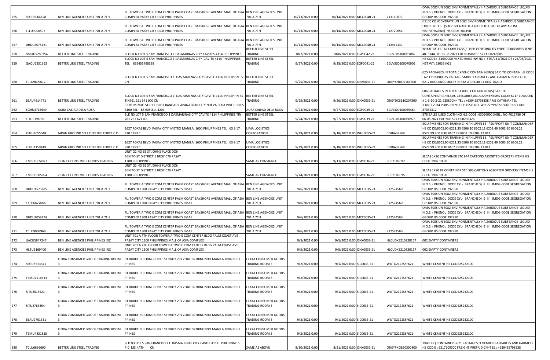|     |                   |                                           |                                                                                                                   |                                       |                 |                            |                  | OMA 500S UN 3082 ENVIRONMENTALLY HA ZARDOUS SUBSTANCE LIQUID                                                                     |
|-----|-------------------|-------------------------------------------|-------------------------------------------------------------------------------------------------------------------|---------------------------------------|-----------------|----------------------------|------------------|----------------------------------------------------------------------------------------------------------------------------------|
|     |                   |                                           | FL. TOWER A TWO E COM CENTER PALM COAST BAYSHORE AVENUE MALL OF ASIA                                              | BEN LINE AGENCIES UNIT                |                 |                            |                  | N.O.S. ( PHENOL DODE CYL- BRANCHED) 9 II I IMDG-CODE SEGREGATION                                                                 |
| 255 | SEGU8064628       | BEN LINE AGENCIES UNIT 701 A 7TH          | COMPLEX PASAY CITY 1308 PHILIPPINES                                                                               | 701 A 7TH                             | 10/13/2021 0:00 | 10/14/2021 0:00 MCC0040-21 | 213119877        | GROUP HS CODE 292990<br>C5100 CONCENTRATE UN 3082 ENVIRONME NTALLY HAZARDOUS SUBSTANCE                                           |
|     |                   |                                           | FL. TOWER A TWO E COM CENTER PALM COAST BAYSHORE AVENUE MALL OF ASIA                                              | BEN LINE AGENCIES UNIT                |                 |                            |                  | LIQUID N.O.S. (SOLVENT NAPHTHA (PETROLEU M) HEAVY AROM.                                                                          |
| 256 | TLLU9008502       | BEN LINE AGENCIES UNIT 701 A 7TH          | COMPLEX PASAY CITY 1308 PHILIPPINES                                                                               | 701 A 7TH                             | 10/13/2021 0:00 | 10/14/2021 0:00 MCC0040-21 | 912729654        | NAPHTHALENE) HS CODE 381190                                                                                                      |
|     |                   |                                           |                                                                                                                   |                                       |                 |                            |                  | OMA 500S UN 3082 ENVIRONMENTALLY HA ZARDOUS SUBSTANCE LIQUID                                                                     |
|     |                   |                                           | FL. TOWER A TWO E COM CENTER PALM COAST BAYSHORE AVENUE MALL OF ASIA                                              | BEN LINE AGENCIES UNIT                |                 |                            |                  | N.O.S. ( PHENOL DODE CYL- BRANCHED) 9 II I IMDG-CODE SEGREGATION                                                                 |
| 257 | DHDU2075121       | BEN LINE AGENCIES UNIT 701 A 7TH          | COMPLEX PASAY CITY 1308 PHILIPPINES                                                                               | 701 A 7TH<br>BETTER LINE STEEL        | 10/13/2021 0:00 | 10/14/2021 0:00 MCC0040-21 | 912914137        | GROUP HS CODE 292990<br>TOTAL BALES : 621 MIX RAGS / USED CLOTHING HS CODE : 63090000 S.B NO.                                    |
| 258 | BMOU5280354       | BETTER LINE STEEL TRADING                 | BLOCK N3 LOT 5 SAN FRANCISCO 1 DASMARINAS CITY CAVITES 4114 PHILIPPINES                                           | <b><i>FRADING</i></b>                 | 10/7/2021 0:00  | 10/8/2021 0:00 EGP0042-21  | EGLV106100061082 | 4013144 DT: 13.08.2021 EDF NUMBER: S21 E 00243685                                                                                |
|     |                   |                                           | BLOCK N3 LOT 5 SAN FRANCISCO 1 DASMARINAS CITY CAVITE 4114 PHILIPPINES                                            | BETTER LINE STEEL                     |                 |                            |                  | HS CODE.: 63090000 MIXED RAGS INV NO: STG/131/2021 DT: 26/08/2021                                                                |
| 259 | GAOU6251663       | BETTER LINE STEEL TRADING                 | TEL 639455798338                                                                                                  | TRADING                               | 9/27/2021 0:00  | 9/28/2021 0:00 EGP0041-21  | EGLV300100070905 | NET WT: 28035 KGS                                                                                                                |
|     |                   |                                           |                                                                                                                   |                                       |                 |                            |                  | 625 PACKAGES IN TOTAL1X40HC CONTAIN NER(S) SAID TO CONTAIN:HS CODE                                                               |
|     |                   |                                           | BLOCK N3 LOT 5 SAN FRANCISCO 1 DAS MARINAS CITY CAVITE 4114 PHILIPPIN ES                                          | <b>BETTER LINE STEEL</b>              |                 |                            |                  | 62 17109000625 PACKAGESMIXED APPARELS AND GARMENTSHS CODE:                                                                       |
| 260 | TCLU9699617       | BETTER LINE STEEL TRADING                 |                                                                                                                   | TRADING                               | 9/25/2021 0:00  | 9/26/2021 0:00 ONX0036-21  | ONEYKHIB09166600 | 6217109000NOC #KEPZ-N-EXA-AT70040-111832-2021D                                                                                   |
|     |                   |                                           |                                                                                                                   |                                       |                 |                            |                  |                                                                                                                                  |
|     |                   |                                           | BLOCK N3 LOT 5 SAN FRANCISCO 1 DAS MARINAS CITY CAVITE 4114 PHILIPPIN ES                                          | BETTER LINE STEEL                     |                 |                            |                  | 606 PACKAGES IN TOTAL1X40HC CONTAIN NER(S) SAID TO<br>CONTAIN: APPARELS, AC CESSORIES, ANDGARMENTSHS-CODE: 6217 109000ED         |
| 261 | BEAU4614771       | BETTER LINE STEEL TRADING                 | TIN761 251 671 000 CN                                                                                             | TRADING                               | 9/25/2021 0:00  | 9/26/2021 0:00 ONX0036-21  | ONEYDXBB10207300 | # 1-3-60-2-21-23587CN> TEL : +639455798338 / MS KATHNP> TEL                                                                      |
|     |                   |                                           | 32 HUMINOG STREET BRGY BANGAD CABANATUAN CITY NUEVA ECIJA PHILIPPINES                                             |                                       |                 |                            |                  | 1 UNIT 2014 PORSCHE 911 CHASSIS NO. WP0ZZZ99ZES160619 HS CODE.                                                                   |
| 262 | EGHU3715649       | AURA CABIAD DELA ROSA                     | 3100 TEL 63 908 814 4204                                                                                          | AURA CABIAD DELA ROSA                 | 9/24/2021 0:00  | 9/27/2021 0:00 EGP0039-21  | EGLV300100065464 | 87032312                                                                                                                         |
| 263 |                   |                                           | BLK N3 LOT 5 SAN FRANCISCO 1 DASMARINAS CITY CAVITE 4114 PHILIPPINES TIN                                          | BETTER LINE STEEL<br>TRADING          | 9/24/2021 0:00  |                            | EGLV106100060973 | 576 BALES USED CLOTHING H.S.CODE: 63090000 S/BILL NO.4012786 DT:<br>06.08.2021 EDF NO: S21 E 00236326                            |
|     | ITU9191051        | BETTER LINE STEEL TRADING                 | 761 251 671 000                                                                                                   |                                       |                 | 9/27/2021 0:00 EGP0039-21  |                  | EQUIPMENTS FOR TRAINING IN PHILPPIN ES *SUPPORT UNIT COMMANDER                                                                   |
|     |                   |                                           | 2627 ROXAS BLVD PASAY CITY METRO MANILA 1600 PHILIPPINES TEL 63 9 17                                              | IMA LOGISTICS                         |                 |                            |                  | HS CO DE:8705.90 6211.33 6506.10 8502.11 6203.49 3003.90 6306.22                                                                 |
| 264 | PHLU2055048       | <b>IAPAN GROUND SELF DEFENSE FORCE CO</b> | 820 1253 C                                                                                                        | CORPORATION                           | 9/19/2021 0:00  | 9/18/2021 0:00 WHL0055-21  | 008BA37568       | 8527.99 960 8.10 8467.29 8903.10 8204.11 847                                                                                     |
|     |                   |                                           |                                                                                                                   |                                       |                 |                            |                  | <b>EQUIPMENTS FOR TRAINING IN PHILPPIN ES *SUPPORT UNIT COMMANDER</b>                                                            |
| 265 | YHLU1350449       | IAPAN GROUND SELF DEFENSE FORCE C O       | 2627 ROXAS BLVD PASAY CITY METRO MANILA 1600 PHILIPPINES TEL 63 9 17<br>820 1253 C                                | IMA LOGISTICS<br>CORPORATION          | 9/19/2021 0:00  | 9/18/2021 0:00 WHL0055-21  | 008BA37568       | HS CO DE:8705.90 6211.33 6506.10 8502.11 6203.49 3003.90 6306.22<br>8527.99 960 8.10 8467.29 8903.10 8204.11 847                 |
|     |                   |                                           | UNIT G2 NO 66 ST JOHNS PLACE DON                                                                                  |                                       |                 |                            |                  |                                                                                                                                  |
|     |                   |                                           | BENITO ST DISTRICT 1 BRGY 076 PASAY                                                                               |                                       |                 |                            |                  | SLCAS 1X20 CONTAINER STC 944 CARTONS ASSORTED GROCERY ITEMS HS                                                                   |
| 266 | EMCU3974027       | 28 INT L CONSUMER GOODS TRADING           | 1300 PHILIPPINES                                                                                                  | SAME AS CONSIGNEE                     | 9/14/2021 0:00  | 9/13/2021 0:00 EGP0036-21  | SUB2108092       | CODE 1902 19 90                                                                                                                  |
|     |                   |                                           | UNIT G2 NO 66 ST JOHNS PLACE DON<br>BENITO ST DISTRICT 1 BRGY 076 PASAY                                           |                                       |                 |                            |                  | SLCAS 1X20 RF CONTAINER STC 583 CARTONS ASSORTED GROCERY ITEMS HS                                                                |
| 267 | EMCU5805094       | 28 INT L CONSUMER GOODS TRADING           | 1300 PHILIPPINES                                                                                                  | SAME AS CONSIGNEE                     | 9/14/2021 0:00  | 9/13/2021 0:00 EGP0036-21  | SUB2108095       | CODE 1902 19 90                                                                                                                  |
|     |                   |                                           |                                                                                                                   |                                       |                 |                            |                  | OMA 500S UN 3082 ENVIRONMENTALLY HA ZARDOUS SUBSTANCE LIQUID                                                                     |
|     |                   |                                           | FL. TOWER A TWO E COM CENTER PALM COAST BAYSHORE AVENUE MALL OF ASIA                                              | BEN LINE AGENCIES UNIT                |                 |                            |                  | N.O.S. ( PHENOL DODE CYL- BRANCHED) 9 II I IMDG-CODE SEGREGATION                                                                 |
| 268 | DHDU1573285       | BEN LINE AGENCIES UNIT 701 A 7TH          | COMPLEX 1308 PASAY CITY PHILIPPINES EMAIL                                                                         | 701 A 7TH                             | 9/6/2021 0:00   | 9/7/2021 0:00 MCC0035-21   | 912574560        | GROUP HS CODE 292990<br>OMA 500S UN 3082 ENVIRONMENTALLY HA ZARDOUS SUBSTANCE LIQUID                                             |
|     |                   |                                           | FL. TOWER A TWO E COM CENTER PALM COAST BAYSHORE AVENUE MALL OF ASIA                                              | BEN LINE AGENCIES UNIT                |                 |                            |                  | N.O.S. ( PHENOL DODE CYL- BRANCHED) 9 II I IMDG-CODE SEGREGATION                                                                 |
| 269 | EXFU6627066       | BEN LINE AGENCIES UNIT 701 A 7TH          | COMPLEX 1308 PASAY CITY PHILIPPINES EMAIL                                                                         | 701 A 7TH                             | 9/6/2021 0:00   | 9/7/2021 0:00 MCC0035-21   | 912574560        | GROUP HS CODE 292990                                                                                                             |
|     |                   |                                           | FL. TOWER A TWO E COM CENTER PALM COAST BAYSHORE AVENUE MALL OF ASIA                                              | BEN LINE AGENCIES UNIT                |                 |                            |                  | OMA 500S UN 3082 ENVIRONMENTALLY HA ZARDOUS SUBSTANCE LIQUID<br>N.O.S. ( PHENOL DODE CYL- BRANCHED) 9 II I IMDG-CODE SEGREGATION |
| 270 | DHDU2058274       | BEN LINE AGENCIES UNIT 701 A 7TH          | COMPLEX 1308 PASAY CITY PHILIPPINES EMAIL                                                                         | 701 A 7TH                             | 9/6/2021 0:00   | 9/7/2021 0:00 MCC0035-21   | 912574560        | GROUP HS CODE 292990                                                                                                             |
|     |                   |                                           |                                                                                                                   |                                       |                 |                            |                  | OMA 500S UN 3082 ENVIRONMENTALLY HA ZARDOUS SUBSTANCE LIQUID                                                                     |
| 271 | <b>CLU9008968</b> | BEN LINE AGENCIES UNIT 701 A 7TH          | FL. TOWER A TWO E COM CENTER PALM COAST BAYSHORE AVENUE MALL OF ASIA<br>COMPLEX 1308 PASAY CITY PHILIPPINES EMAIL | BEN LINE AGENCIES UNIT<br>701 A 7TH   | 9/6/2021 0:00   | 9/7/2021 0:00 MCC0035-21   | 912574560        | N.O.S. ( PHENOL DODE CYL- BRANCHED) 9 II I IMDG-CODE SEGREGATION<br>GROUP HS CODE 292990                                         |
|     |                   |                                           | UNIT 701 A 7TH FLOOR TOWER A TWO E COM CENTER BLDG PALM COAST AVE                                                 |                                       |                 |                            |                  |                                                                                                                                  |
| 272 | JACU5947247       | BEN LINE AGENCIES PHILIPPINES INC         | PASAY CITY 1300 PHILIPPINES MALL OF ASIA COMPLEX                                                                  |                                       | 9/5/2021 0:00   | 9/5/2021 0:00 ONX0033-21   | HLCUDX3210820157 | 002 EMPTY CONTAINERS                                                                                                             |
| 273 |                   |                                           | UNIT 701 A 7TH FLOOR TOWER A TWO E COM CENTER BLDG PALM COAST AVE                                                 |                                       |                 |                            |                  |                                                                                                                                  |
|     | ILBU2169400       | BEN LINE AGENCIES PHILIPPINES INC         | PASAY CITY 1300 PHILIPPINES MALL OF ASIA COMPLEX                                                                  |                                       | 9/5/2021 0:00   | 9/5/2021 0:00 ONX0033-21   | HLCUDX3210820157 | 002 EMPTY CONTAINERS                                                                                                             |
|     |                   | EXXA CONSUMER GOODS TRADING ROOM.         | 01 BURKE BUILDINGBURKE ST.BRGY 291 ZONE 027BINONDO MANILA 1006 PHILI                                              | EXXA CONSUMER GOODS                   |                 |                            |                  |                                                                                                                                  |
| 274 | SEGU3513541       |                                           | PPINES                                                                                                            | TRADING ROOM 3                        | 9/2/2021 0:00   | 9/1/2021 0:00 SIC0033-21   | WUTG2122SSF621   | WHITE CEMENT HS CODE25232100                                                                                                     |
|     |                   | LEXXA CONSUMER GOODS TRADING ROOM         | 01 BURKE BUILDINGBURKE ST.BRGY 291 ZONE 027BINONDO MANILA 1006 PHILI                                              | EXXA CONSUMER GOODS                   |                 |                            |                  |                                                                                                                                  |
| 275 | TEMU2514513       |                                           | PPINES                                                                                                            | TRADING ROOM 3                        | 9/2/2021 0:00   | 9/1/2021 0:00 SIC0033-21   | WUTG2122SSF621   | WHITE CEMENT HS CODE25232100                                                                                                     |
|     |                   |                                           |                                                                                                                   |                                       |                 |                            |                  |                                                                                                                                  |
|     |                   | EXXA CONSUMER GOODS TRADING ROOM          | 01 BURKE BUILDINGBURKE ST.BRGY 291 ZONE 027BINONDO MANILA 1006 PHILI                                              | EXXA CONSUMER GOODS                   |                 |                            |                  |                                                                                                                                  |
| 276 | SITU2813521       |                                           | PPINES                                                                                                            | <b>FRADING ROOM 3</b>                 | 9/2/2021 0:00   | 9/1/2021 0:00 SIC0033-21   | WUTG2122SSF621   | WHITE CEMENT HS CODE25232100                                                                                                     |
|     |                   | LEXXA CONSUMER GOODS TRADING ROOM         | 01 BURKE BUILDINGBURKE ST.BRGY 291 ZONE 027BINONDO MANILA 1006 PHILI                                              | EXXA CONSUMER GOODS                   |                 |                            |                  |                                                                                                                                  |
| 277 | SITU2763354       |                                           | PPINES                                                                                                            | <b>FRADING ROOM 3</b>                 | 9/2/2021 0:00   | 9/1/2021 0:00 SIC0033-21   | WUTG2122SSF621   | WHITE CEMENT HS CODE25232100                                                                                                     |
|     |                   | EXXA CONSUMER GOODS TRADING ROOM          | 01 BURKE BUILDINGBURKE ST.BRGY 291 ZONE 027BINONDO MANILA 1006 PHILI                                              | EXXA CONSUMER GOODS                   |                 |                            |                  |                                                                                                                                  |
| 278 | BEAU2701331       |                                           | PPINES                                                                                                            | <b>FRADING ROOM 3</b>                 | 9/2/2021 0:00   | 9/1/2021 0:00 SIC0033-21   | WUTG2122SSF621   | WHITE CEMENT HS CODE25232100                                                                                                     |
|     |                   |                                           |                                                                                                                   |                                       |                 |                            |                  |                                                                                                                                  |
|     | TEMU4831815       | EXXA CONSUMER GOODS TRADING ROOM          | 01 BURKE BUILDINGBURKE ST.BRGY 291 ZONE 027BINONDO MANILA 1006 PHILI<br>PPINES                                    | EXXA CONSUMER GOODS<br>TRADING ROOM 3 | 9/2/2021 0:00   | 9/1/2021 0:00 SIC0033-21   | WUTG2122SSF621   | WHITE CEMENT HS CODE25232100                                                                                                     |
| 279 |                   |                                           |                                                                                                                   |                                       |                 |                            |                  |                                                                                                                                  |
|     |                   |                                           | BLK N3 LOT 5 SAN FRANCISCO 1 DASMA RINAS CITY CAVITE 4114 PHILIPPINE S                                            |                                       |                 |                            |                  | LX40' HQ CONTAINER :-621 PACKAGES O OFMIXED APPARELS AND GARMETS                                                                 |
| 280 | TCLU6636600       | BETTER LINE STEEL TRADING                 | PIC MS KATH CN                                                                                                    | SAME AS ABOVE                         | 8/30/2021 0:00  | 8/31/2021 0:00 ONX0032-21  | ONEYPKGB50300800 | HS COD E: 6217109000 FREIGHT PREPAID CN>T EL: +639455798338                                                                      |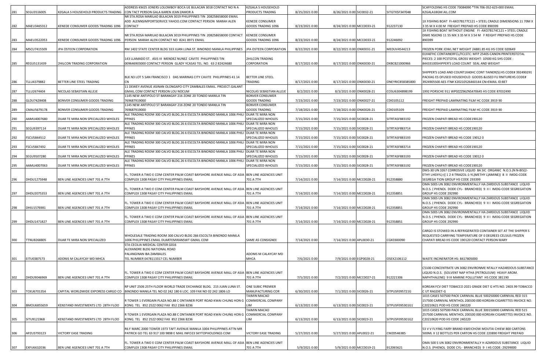|     |                    |                                           | ADDRESS KM25 JONERS LOLOMBOY BOCA UE BULACAN 3018 CONTACT NO N A                                                                                                                | <b>KZGALA S HOUSEHOLD</b>                      |                |                           |                  | SCAFFOLDING HS CODE 73084090 *TIN 706-352-623-000 EMAIL                                                                     |
|-----|--------------------|-------------------------------------------|---------------------------------------------------------------------------------------------------------------------------------------------------------------------------------|------------------------------------------------|----------------|---------------------------|------------------|-----------------------------------------------------------------------------------------------------------------------------|
| 281 | SEGU3516005        | KZGALA S HOUSEHOLD PRODUCTS TRADING       | CON TACT PERSON GALA KAREN JEAN ZAMOR A                                                                                                                                         | PRODUCTS TRADING                               | 8/25/2021 0:00 | 8/26/2021 0:00 SIC0032-21 | SITGTXSF347048   | KZGALA18GM AIL.COM                                                                                                          |
|     |                    |                                           | NR STA.ROSA MARILAO BULACAN 3019 PHILIPPINES TIN 208258658000 EMAIL                                                                                                             |                                                |                |                           |                  |                                                                                                                             |
|     |                    |                                           | ADD ALENNSIMPORTSERVICE YAHOO.COM CONTACT PERSON MARAH ALEN                                                                                                                     | <b>KENEDE CONSUMER</b>                         |                |                           |                  | 1X FISHING BOAT FI-AXO7B177C121 + STEEL CRADLE DIMENSIONS 11 70M X                                                          |
| 282 | MAEU3465312        | KENEDE CONSUMER GOODS TRADING 1096        | CONTACT                                                                                                                                                                         | GOODS TRADING 1096                             | 8/23/2021 0:00 | 8/24/2021 0:00 MCC0033-21 | 912237130        | 3 35 M X 4 00 M FREIGHT PREPAID HS CODE 890399                                                                              |
|     |                    |                                           |                                                                                                                                                                                 |                                                |                |                           |                  | 1X FISHING BOAT WITHOUT ENGINE FI-AXO7B174C121 + STEEL CRADLE                                                               |
|     |                    |                                           | NR STA.ROSA MARILAO BULACAN 3019 PHILIPPINES TIN 208258658000 CONTACT                                                                                                           | <b>KENEDE CONSUMER</b>                         |                |                           |                  | DIME NSIONS 11 55 MX 3 35 M X 3 54 M F REIGHT PREPAID HS CODE                                                               |
| 283 | MAEU3522053        | <b>KENEDE CONSUMER GOODS TRADING 1096</b> | PERSON MARAH ALEN CONTACT NO 8241 8971 EMAIL                                                                                                                                    | GOODS TRADING 1096                             | 8/23/2021 0:00 | 8/24/2021 0:00 MCC0033-21 | 912246092        | 890399                                                                                                                      |
| 284 | MSCU7415509        | JPA OSTEEN CORPORATION                    | RM 1402 STATE CENTER BLDG 333 JUAN LUNA ST. BINONDO MANILA PHILIPPINES                                                                                                          | JPA OSTEEN CORPORATION                         | 8/22/2021 0:00 | 8/22/2021 0:00 ONX0031-21 | MEDUV4544213     | FROZEN PORK JOWL NET WEIGHT 24881.85 KG HS CODE 020649                                                                      |
|     |                    |                                           |                                                                                                                                                                                 |                                                |                |                           |                  | 01X40'HC CONTAINERFCL/FCLSTC: MFP 2540S-CANON PRINTERSTOTAL                                                                 |
|     |                    |                                           | 143 LLAMADO ST. ASIS III MENDEZ NUNEZ CAVITE PHILIPPINES TIN                                                                                                                    | 2HILCON TRADING                                |                |                           |                  | PIECES: 2 100 PCSTOTAL GROSS WEIGHT: 10500 KG SHS CODE:                                                                     |
| 285 | REGU5131439        | 2HILCON TRADING CORPORATION               | 009646903000 CONTACT PERSON GLADY YCASAS TEL. NO. 63 2 82424680                                                                                                                 | CORPORATION                                    | 8/17/2021 0:00 | 8/17/2021 0:00 ONX0030-21 | DXBCB21000966    | 84433100SHIPPER'S LOAD COUNT SEAL AND WEIGHT                                                                                |
|     |                    |                                           |                                                                                                                                                                                 |                                                |                |                           |                  |                                                                                                                             |
|     |                    |                                           |                                                                                                                                                                                 |                                                |                |                           |                  | SHIPPER'S LOAD AND COUNT1X40HC CONT TAINER(S): HS CODE# 392490291                                                           |
|     |                    |                                           | BLK N3 LOT 5 SAN FRANCISCO 1 DAS MARINAS CITY CAVITE PHILIPPINES 41 14                                                                                                          | <b>BETTER LINE STEEL</b>                       |                |                           |                  | PACKAG ES OFUSED HOUSEHOLD GOODS &USED FU RNITUREHS CODE#                                                                   |
| 286 | TLLU4379882        | BETTER LINE STEEL TRADING                 |                                                                                                                                                                                 | TRADING                                        | 8/17/2021 0:00 | 8/17/2021 0:00 ONX0030-21 | ONEYRICB58385800 | 3924905500 AES ITN# X20210526460144 CN>EMAIL ID:BET                                                                         |
|     |                    |                                           | 11 DEWEY AVENUE ASINAN OLONGAPO CITY ZAMBALES EMAIL. PROJECT.GALANT                                                                                                             |                                                |                |                           |                  |                                                                                                                             |
| 287 | TLLU2674404        | NICOLAS SEBASTIAN ALLEJE                  | GMAIL.COM CONTACT PERSON LOU NOCUM                                                                                                                                              | NICOLAS SEBASTIAN ALLEJE                       | 8/2/2021 0:00  | 8/3/2021 0:00 ONX0028-21  | COSU6304898199   | 1992 PORSCHE 911 WP0ZZZ96ZNS470645 HS CODE 87032490                                                                         |
| 288 | GLDU7428408        | BONVER CONSUMER GOODS TRADING             | 1145 NEW ANTIPOLO ST BARANGAY 216 ZONE 20 TONDO MANILA TIN<br>769687919000                                                                                                      | <b>BONVER CONSUMER</b><br><b>GOODS TRADING</b> | 7/23/2021 0:00 | 7/23/2021 0:00 ONX0027-21 | CDI0105112       | REIGHT PREPAID LAMINATING FILM HC CODE 3919 90                                                                              |
|     |                    |                                           | 1145 NEW ANTIPOLO ST BARANGAY 216 ZONE 20 TONDO MANILA TIN                                                                                                                      | <b>BONVER CONSUMER</b>                         |                |                           |                  |                                                                                                                             |
| 289 | CMAU5679178        | BONVER CONSUMER GOODS TRADING             | 769687919000                                                                                                                                                                    | <b>GOODS TRADING</b>                           | 7/18/2021 0:00 | 7/18/2021 0:00 ONX0026-21 | CDI0105109       | FREIGHT PREPAID LAMINATING FILM HC CODE 3919 90                                                                             |
|     |                    |                                           | ALE TRADING ROOM 300 CALVO BLDG.26 6 ESCOLTA BINONDO MANILA 1006 PHILI                                                                                                          | DUAR TE MIRA NON                               |                |                           |                  |                                                                                                                             |
| 290 | AAMU4007680        | DUAR TE MIRA NON SPECIALIZED WHOLES       | PPINES                                                                                                                                                                          | SPECIALIZED WHOLES                             | 7/15/2021 0:00 | 7/15/2021 0:00 SIC0028-21 | SITRTASF883192   | ROZEN CHAPATI BREAD HS CODE190120                                                                                           |
|     |                    |                                           | ALE TRADING ROOM 300 CALVO BLDG.26 6 ESCOLTA BINONDO MANILA 1006 PHILI                                                                                                          | DUAR TE MIRA NON                               |                |                           |                  |                                                                                                                             |
| 291 | SEGU9397114        | DUAR TE MIRA NON SPECIALIZED WHOLES       | PPINES                                                                                                                                                                          | SPECIALIZED WHOLES                             | 7/15/2021 0:00 | 7/15/2021 0:00 SIC0028-21 | SITRTASF883714   | ROZEN CHAPATI BREAD HS CODE190120                                                                                           |
|     |                    |                                           | ALE TRADING ROOM 300 CALVO BLDG.26 6 ESCOLTA BINONDO MANILA 1006 PHILI   DUAR TE MIRA NON                                                                                       |                                                |                |                           |                  |                                                                                                                             |
| 292 | FSCU5844512        | DUAR TE MIRA NON SPECIALIZED WHOLES       | PPINES                                                                                                                                                                          | SPECIALIZED WHOLES                             | 7/15/2021 0:00 | 7/15/2021 0:00 SIC0028-21 | SITRTASF883193   | FROZEN CHAPATI BREAD HS CODE 19012 0                                                                                        |
|     |                    |                                           | ALE TRADING ROOM 300 CALVO BLDG.26 6 ESCOLTA BINONDO MANILA 1006 PHILI DUAR TE MIRA NON                                                                                         |                                                |                |                           |                  |                                                                                                                             |
| 293 | FSCU5847492        | DUAR TE MIRA NON SPECIALIZED WHOLES       | PPINES                                                                                                                                                                          | SPECIALIZED WHOLES                             | 7/15/2021 0:00 | 7/15/2021 0:00 SIC0028-21 | SITRTASF883714   | ROZEN CHAPATI BREAD HS CODE190120                                                                                           |
| 294 | SEGU9507280        | DUAR TE MIRA NON SPECIALIZED WHOLES       | ALE TRADING ROOM 300 CALVO BLDG.26 6 ESCOLTA BINONDO MANILA 1006 PHILI   DUAR TE MIRA NON<br>PPINES                                                                             | SPECIALIZED WHOLES                             | 7/15/2021 0:00 | 7/15/2021 0:00 SIC0028-21 | SITRTASF883193   | ROZEN CHAPATI BREAD HS CODE 19012 0                                                                                         |
|     |                    |                                           | ALE TRADING ROOM 300 CALVO BLDG.26 6 ESCOLTA BINONDO MANILA 1006 PHILI  DUAR TE MIRA NON                                                                                        |                                                |                |                           |                  |                                                                                                                             |
| 295 | AAMU4007063        | DUAR TE MIRA NON SPECIALIZED WHOLES       | PPINES                                                                                                                                                                          | SPECIALIZED WHOLES                             | 7/15/2021 0:00 | 7/15/2021 0:00 SIC0028-21 | SITRTASF883192   | FROZEN CHAPATI BREAD HS CODE190120                                                                                          |
|     |                    |                                           |                                                                                                                                                                                 |                                                |                |                           |                  | DMS-30 UN 3267 CORROSIVE LIQUID BA SIC ORGANIC N.O.S.(N N-BIS(2-                                                            |
|     |                    |                                           | FL. TOWER A TWO E COM CENTER PALM COAST BAYSHORE AVENUE MALL OF ASIA BEN LINE AGENCIES UNIT                                                                                     |                                                |                |                           |                  | ETHY LHEXYL)-((124-TRIAZOL-1-YL)METHY L)AMINE)) 8 II IMDG-CODE                                                              |
| 296 | DHDU1275948        | BEN LINE AGENCIES UNIT 701 A 7TH          | COMPLEX 1308 PASAY CITY PHILIPPINES EMAIL                                                                                                                                       | 701 A 7TH                                      | 7/14/2021 0:00 | 7/14/2021 0:00 MCC0028-21 | 912358880        | SEGREGA TION GROUP HS CODE 293399                                                                                           |
|     |                    |                                           |                                                                                                                                                                                 |                                                |                |                           |                  | OMA 500S UN 3082 ENVIRONMENTALLY HA ZARDOUS SUBSTANCE LIQUID                                                                |
|     |                    |                                           | FL. TOWER A TWO E COM CENTER PALM COAST BAYSHORE AVENUE MALL OF ASIA BEN LINE AGENCIES UNIT                                                                                     |                                                |                |                           |                  | N.O.S. ( PHENOL DODE CYL- BRANCHED) 9 II I IMDG-CODE SEGREGATION                                                            |
| 297 | DHDU2075353        | BEN LINE AGENCIES UNIT 701 A 7TH          | COMPLEX 1308 PASAY CITY PHILIPPINES EMAIL                                                                                                                                       | 701 A 7TH                                      | 7/14/2021 0:00 | 7/14/2021 0:00 MCC0028-21 | 912358851        | GROUP HS CODE 292990<br>OMA 500S UN 3082 ENVIRONMENTALLY HA ZARDOUS SUBSTANCE LIQUID                                        |
|     |                    |                                           | FL. TOWER A TWO E COM CENTER PALM COAST BAYSHORE AVENUE MALL OF ASIA BEN LINE AGENCIES UNIT                                                                                     |                                                |                |                           |                  | N.O.S. ( PHENOL DODE CYL- BRANCHED) 9 II I IMDG-CODE SEGREGATION                                                            |
| 298 | DHIU1576981        | BEN LINE AGENCIES UNIT 701 A 7TH          | COMPLEX 1308 PASAY CITY PHILIPPINES EMAIL                                                                                                                                       | 701 A 7TH                                      | 7/14/2021 0:00 | 7/14/2021 0:00 MCC0028-21 | 912358851        | GROUP HS CODE 292990                                                                                                        |
|     |                    |                                           |                                                                                                                                                                                 |                                                |                |                           |                  | OMA 500S UN 3082 ENVIRONMENTALLY HA ZARDOUS SUBSTANCE LIQUID                                                                |
|     |                    |                                           | FL. TOWER A TWO E COM CENTER PALM COAST BAYSHORE AVENUE MALL OF ASIA  BEN LINE AGENCIES UNIT                                                                                    |                                                |                |                           |                  | N.O.S. ( PHENOL DODE CYL- BRANCHED) 9 II I IMDG-CODE SEGREGATION                                                            |
| 299 | DHDU1471827        | BEN LINE AGENCIES UNIT 701 A 7TH          | COMPLEX 1308 PASAY CITY PHILIPPINES EMAIL                                                                                                                                       | 701 A 7TH                                      | 7/14/2021 0:00 | 7/14/2021 0:00 MCC0028-21 | 912358851        | GROUP HS CODE 292990                                                                                                        |
|     |                    |                                           |                                                                                                                                                                                 |                                                |                |                           |                  |                                                                                                                             |
|     |                    |                                           |                                                                                                                                                                                 |                                                |                |                           |                  | CARGO IS STOWED IN A REFRIGERATED CONTAINER SET AT THE SHIPPER S                                                            |
|     |                    | DUAR TE MIRA NON SPECIALIZED              | WHOLESALE TRADING ROOM 300 CALVO BLDG 266 ESCOLTA BINONDO MANILA<br>1006 PHILIPPINES EMAIL DUARTEMIRANSWT GMAIL COM                                                             |                                                | 7/14/2021 0:00 | 7/14/2021 0:00 APL0030-21 | CGK0300090       | REQUESTED CARRYING TEMPERATURE OF 0 DEGREES CELSIUS FROZEN                                                                  |
| 300 | <b>TTNU8268805</b> |                                           | TA CECILIA MEDICAL CENTER G016                                                                                                                                                  | SAME AS CONSIGNEE                              |                |                           |                  | CHAPATI BREAD HS CODE 190120 CONTACT PERSON MARY                                                                            |
|     |                    |                                           | ALEXANDRE BLDG NATIONAL ROAD                                                                                                                                                    |                                                |                |                           |                  |                                                                                                                             |
|     |                    |                                           | PALANGINAN IBA ZAMBALES                                                                                                                                                         | ADONIS M CALAYCAY MD                           |                |                           |                  |                                                                                                                             |
| 301 | EITU0387573        | ADONIS M CALAYCAY MD MHCA                 | TEL NUMBER 0478113317 CEL NUMBER                                                                                                                                                | МНСА                                           | 7/6/2021 0:00  | 7/9/2021 0:00 EGP0028-21  | OSEX2106112      | WASTE INCINERATOR HS: 8417805000                                                                                            |
|     |                    |                                           |                                                                                                                                                                                 |                                                |                |                           |                  |                                                                                                                             |
|     |                    |                                           |                                                                                                                                                                                 |                                                |                |                           |                  | C5100 CONCENTRATE UN 3082 ENVIRONME NTALLY HAZARDOUS SUBSTANCE                                                              |
|     |                    |                                           | FL. TOWER A TWO E COM CENTER PALM COAST BAYSHORE AVENUE MALL OF ASIA BEN LINE AGENCIES UNIT                                                                                     |                                                |                |                           |                  | LIQUID N.O.S. (SOLVENT NAP HTHA (PETROLEUM) HEAVY AROM.                                                                     |
| 302 | DHDU9046969        | BEN LINE AGENCIES UNIT 701 A 7TH          | COMPLEX 1308 PASAY CITY PHILIPPINES EMAIL                                                                                                                                       | 701 A 7TH                                      | 7/5/2021 0:00  | 7/2/2021 0:00 MCC0027-21  | 912221306        | NAPHTHALENE) 9 III MARINE POLLUTANT HS CODE 381190                                                                          |
|     |                    |                                           |                                                                                                                                                                                 | <b>ONE SUBIC PREMIER</b>                       |                |                           |                  |                                                                                                                             |
| 303 | TCKU6701354        |                                           | RP UNIT 2506 25TH FLOOR WORLD TRADE EXCHANGE BLDG. 215 JUAN LUNA ST.<br>CAPITAL WORLDWIDE EXPORESS CARGO CO   BINONDO MANILA TEL NO 02 242 180 6 LOC. 109 FAX NO 02 242 1806 LO | MANUFACTURING COR                              | 6/30/2021 0:00 | 7/1/2021 0:00 SIC0026-21  | SITPUSF095721G   | KOREAN FCV DIET TOBACCO 2021 GRADE DIET G HTS NO. 2403.99 TOBACCO<br>C UT RAGDIET-G                                         |
|     |                    |                                           |                                                                                                                                                                                 | TAIMIN MACAO                                   |                |                           |                  | 1015 CASES 507500 PACK CARNIVAL BLUE 500250000 CARNIVAL RED 315                                                             |
|     |                    |                                           | R TOWER 1 EVERGAIN PLAZA NO.88 C ONTAINER PORT ROAD KWAI CHUNG HON G                                                                                                            | COMMERCIAL COMPANY                             |                |                           |                  | 157500 CARNIVAL MENTHOL 200100 000 KOREAN CIGARETTES INVOICE NO.                                                            |
| 304 | BMOU6855659        | KENSTAND INVESTMENTS LTD 28TH FLOO        | KONG. TEL 852 2522 0062 FAX 852 2366 8236                                                                                                                                       | <b>IM</b>                                      | 6/13/2021 0:00 | 6/13/2021 0:00 SIC0023-21 | SITPUSF095301G1  | C20210621 POD HS CODE 240220                                                                                                |
|     |                    |                                           |                                                                                                                                                                                 | <b>TAIMIN MACAO</b>                            |                |                           |                  | 1015 CASES 507500 PACK CARNIVAL BLUE 300150000 CARNIVAL RED 515                                                             |
|     |                    |                                           | R TOWER 1 EVERGAIN PLAZA NO.88 C ONTAINER PORT ROAD KWAI CHUNG HON G                                                                                                            | COMMERCIAL COMPANY                             |                |                           |                  | 257500 CARNIVAL MENTHOL 200100 000 KOREAN CIGARETTES INVOICE NO.                                                            |
| 305 | SITU9121968        | KENSTAND INVESTMENTS LTD 28TH FLOO        | KONG. TEL 852 2522 0062 FAX 852 2366 8236                                                                                                                                       | .IM                                            | 6/13/2021 0:00 | 6/13/2021 0:00 SIC0023-21 | SITPUSF095301G2  | C20210620 POD HS CODE 240220                                                                                                |
|     |                    |                                           |                                                                                                                                                                                 |                                                |                |                           |                  |                                                                                                                             |
| 306 | APZU3793123        | VICTORY EASE TRADING                      | R6 F MARC 2000 TOWER 1973 TAFT AVENUE MANILA 1004 PHILIPPINES ATTN MR<br>PATRICK GO TEL 63 917 100 9898 E MAIL INFO23 SKYTOPHOLDINGS COM                                        | <b>VICTORY EASE TRADING</b>                    | 5/27/2021 0:00 | 5/27/2021 0:00 APL0022-21 | CMZ0546385       | 53 V V FLYING FAIRY BRAND KWEICHOW MOUTAI CHIEW 800 CARTONS<br>500ML X 12 BOTTLES PER CARTON HS CODE 220890 FREIGHT PREPAID |
|     |                    |                                           |                                                                                                                                                                                 |                                                |                |                           |                  |                                                                                                                             |
|     |                    |                                           | FL. TOWER A TWO E COM CENTER PALM COAST BAYSHORE AVENUE MALL OF ASIA BEN LINE AGENCIES UNIT                                                                                     |                                                |                |                           |                  | OMA 500 S UN 3082 ENVIRONMENTALLY H AZARDOUS SUBSTANCE LIQUID                                                               |
| 307 | EXFU6632036        | BEN LINE AGENCIES UNIT 701 A 7TH          | COMPLEX 1308 PASAY CITY PHILIPPINES EMAIL                                                                                                                                       | 701 A 7TH                                      | 5/9/2021 0:00  | 5/9/2021 0:00 MCC0019-21  | 912065621        | N.O.S. (PHENOL DODE CYL- BRANCHED) 9 I HS CODE: 29299000                                                                    |
|     |                    |                                           |                                                                                                                                                                                 |                                                |                |                           |                  |                                                                                                                             |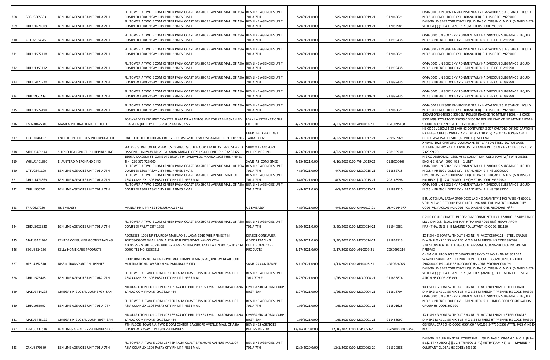|     |                    |                                    | FL. TOWER A TWO E COM CENTER PALM COAST BAYSHORE AVENUE MALL OF ASIA BEN LINE AGENCIES UNIT                                                                |                                          |                 |                            |                  | OMA 500 S UN 3082 ENVIRONMENTALLY H AZARDOUS SUBSTANCE LIQUID                                                                             |
|-----|--------------------|------------------------------------|------------------------------------------------------------------------------------------------------------------------------------------------------------|------------------------------------------|-----------------|----------------------------|------------------|-------------------------------------------------------------------------------------------------------------------------------------------|
| 308 | SEGU8005693        | BEN LINE AGENCIES UNIT 701 A 7TH   | COMPLEX 1308 PASAY CITY PHILIPPINES EMAIL                                                                                                                  | 701 A 7TH                                | 5/9/2021 0:00   | 5/9/2021 0:00 MCC0019-21   | 912065621        | N.O.S. (PHENOL DODE CYL- BRANCHED) 9 I HS CODE: 29299000                                                                                  |
| 309 | DHDU1671609        | BEN LINE AGENCIES UNIT 701 A 7TH   | FL. TOWER A TWO E COM CENTER PALM COAST BAYSHORE AVENUE MALL OF ASIA BEN LINE AGENCIES UNIT<br>COMPLEX 1308 PASAY CITY PHILIPPINES EMAIL                   | 701 A 7TH                                | 5/9/2021 0:00   | 5/9/2021 0:00 MCC0019-21   | 912052981        | DMS-30 UN 3267 CORROSIVE LIQUID BA SIC ORGANIC N.O.S. (N N-BIS(2-ETH<br>YLHEXYL)-((1 2 4-TRIAZOL-1-YL)METH HS CODE 293399                 |
|     |                    |                                    |                                                                                                                                                            |                                          |                 |                            |                  |                                                                                                                                           |
|     |                    |                                    | FL. TOWER A TWO E COM CENTER PALM COAST BAYSHORE AVENUE MALL OF ASIA BEN LINE AGENCIES UNIT                                                                |                                          |                 |                            |                  | OMA 500S UN 3082 ENVIRONMENTALLY HA ZARDOUS SUBSTANCE LIQUID                                                                              |
| 310 | UTTU2534515        | BEN LINE AGENCIES UNIT 701 A 7TH   | COMPLEX 1308 PASAY CITY PHILIPPINES EMAIL                                                                                                                  | 701 A 7TH                                | 5/9/2021 0:00   | 5/9/2021 0:00 MCC0019-21   | 911999435        | N.O.S. (PHENOL DODE CYL- BRANCHED) 9 II HS CODE 292990                                                                                    |
|     |                    |                                    | FL. TOWER A TWO E COM CENTER PALM COAST BAYSHORE AVENUE MALL OF ASIA BEN LINE AGENCIES UNIT                                                                |                                          |                 |                            |                  | OMA 500 S UN 3082 ENVIRONMENTALLY H AZARDOUS SUBSTANCE LIQUID                                                                             |
| 311 | DHDU1572118        | BEN LINE AGENCIES UNIT 701 A 7TH   | COMPLEX 1308 PASAY CITY PHILIPPINES EMAIL                                                                                                                  | 701 A 7TH                                | 5/9/2021 0:00   | 5/9/2021 0:00 MCC0019-21   | 912065621        | N.O.S. (PHENOL DODE CYL- BRANCHED) 9 I HS CODE: 29299000                                                                                  |
|     |                    |                                    | FL. TOWER A TWO E COM CENTER PALM COAST BAYSHORE AVENUE MALL OF ASIA BEN LINE AGENCIES UNIT                                                                |                                          |                 |                            |                  | OMA 500S UN 3082 ENVIRONMENTALLY HA ZARDOUS SUBSTANCE LIQUID                                                                              |
| 312 | DHDU1355112        | BEN LINE AGENCIES UNIT 701 A 7TH   | COMPLEX 1308 PASAY CITY PHILIPPINES EMAIL                                                                                                                  | 701 A 7TH                                | 5/9/2021 0:00   | 5/9/2021 0:00 MCC0019-21   | 911999435        | N.O.S. (PHENOL DODE CYL- BRANCHED) 9 II HS CODE 292990                                                                                    |
|     |                    |                                    | FL. TOWER A TWO E COM CENTER PALM COAST BAYSHORE AVENUE MALL OF ASIA BEN LINE AGENCIES UNIT                                                                |                                          |                 |                            |                  | OMA 500S UN 3082 ENVIRONMENTALLY HA ZARDOUS SUBSTANCE LIQUID                                                                              |
| 313 | DHDU2070270        | BEN LINE AGENCIES UNIT 701 A 7TH   | COMPLEX 1308 PASAY CITY PHILIPPINES EMAIL                                                                                                                  | 701 A 7TH                                | 5/9/2021 0:00   | 5/9/2021 0:00 MCC0019-21   | 911999435        | N.O.S. ( PHENOL DODE CYL- BRANCHED) 9 II HS CODE 292990                                                                                   |
|     |                    |                                    | FL. TOWER A TWO E COM CENTER PALM COAST BAYSHORE AVENUE MALL OF ASIA BEN LINE AGENCIES UNIT                                                                |                                          |                 |                            |                  | OMA 500S UN 3082 ENVIRONMENTALLY HA ZARDOUS SUBSTANCE LIQUID                                                                              |
| 314 | DHIU1955239        | BEN LINE AGENCIES UNIT 701 A 7TH   | COMPLEX 1308 PASAY CITY PHILIPPINES EMAIL                                                                                                                  | 701 A 7TH                                | 5/9/2021 0:00   | 5/9/2021 0:00 MCC0019-21   | 911999435        | N.O.S. ( PHENOL DODE CYL- BRANCHED) 9 II HS CODE 292990                                                                                   |
|     |                    |                                    | FL. TOWER A TWO E COM CENTER PALM COAST BAYSHORE AVENUE MALL OF ASIA BEN LINE AGENCIES UNIT                                                                |                                          |                 |                            |                  | OMA 500 S UN 3082 ENVIRONMENTALLY H AZARDOUS SUBSTANCE LIQUID                                                                             |
| 315 | DHDU1572490        | BEN LINE AGENCIES UNIT 701 A 7TH   | COMPLEX 1308 PASAY CITY PHILIPPINES EMAIL                                                                                                                  | 701 A 7TH                                | 5/9/2021 0:00   | 5/9/2021 0:00 MCC0019-21   | 912065621        | N.O.S. (PHENOL DODE CYL- BRANCHED) 9 I HS CODE: 29299000                                                                                  |
|     |                    |                                    | FORWARDERS INC UNIT C OYSTER PLAZA DR A SANTOS AVE COR KABIHASNAN RD                                                                                       | MANILA INTERNATIONAL                     |                 |                            |                  | 15CARTONS 64KGS 0 309CBM ROLLER INVOICE NO MTMP 21002 H S CODE<br>85011099 17CARTONS 73KGS 0 346CBM ROLLER INVOICE NO MTMP 21004 H        |
| 316 | CMAU0475340        | MANILA INTERNATIONAL FREIGHT       | PRARANAQUE CITY TEL 8523182 FAX 8253222                                                                                                                    | FREIGHT                                  | 4/27/2021 0:00  | 4/27/2021 0:00 APL0016-21  | CGK0295188       | S CODE 85011099 1PALLET 471 06KGS 1 331                                                                                                   |
|     |                    |                                    |                                                                                                                                                            | ENERLIFE DIRECT DIST                     |                 |                            |                  | HS CODE: 1905.32.20 1X40'HC CONTAINER 3 007 CARTONS OF 207 CARTONS<br>RICHEESE CHEESE WAFER 2 2G (20 BG X 10 PCS) 2 800 CARTONS NABATI    |
| 317 | <b>TCKU7046107</b> | ENERLIFE PHILIPPINES INCORPORATED  | UNIT D 20TH FLR CITIBANK BLDG SQR EASTWOOD BAGUMBAYAN Q.C. PHILIPPINES TARLAC GOV                                                                          |                                          | 4/23/2021 0:00  | 4/22/2021 0:00 MCC0017-21  | 209920969        | COCO LAVA WAFER 50G (60 PAC KS) NETT WE                                                                                                   |
|     |                    |                                    |                                                                                                                                                            |                                          |                 |                            |                  | X 40HC 1025 CARTONS COOKWARE SET CARBON STEEL DUTCH OVEN                                                                                  |
| 318 | MRKU3461144        | SHIPCO TRANSPORT PHILIPPINES INC   | SEC REGISTRATION NUMBER CS2004086 79 6TH FLOOR TIM BLDG 5600 SERGIO SHIPCO TRANSPORT<br>OSMENA HIGHWAY BRGY. PALANAN MAKA TI CITY 1234 PHONE 011 632 82327 | PHILIPPINES INC                          | 4/23/2021 0:00  | 4/22/2021 0:00 MCC0017-21  | 208190930        | ALUMINUM FRY PAN ALUMINUM STEAMER POT STAIN HS CODE 7615.10.71<br>7323.99.70                                                              |
|     |                    |                                    | 1566 A. MACEDA ST. ZONE 049 BRGY. 4 94 SAMPALOC MANILA 1008 PHILIPPINES                                                                                    |                                          |                 |                            |                  | H.S.CODE:8903.92 USED AS IS CONDIT ION USED BOAT W/ TWIN DIESEL                                                                           |
| 319 | WHLU1401890        | AUSTERO MERCHANDISING              | TIN 265 376 728 000<br>FL. TOWER A TWO E COM CENTER PALM COAST BAYSHORE AVENUE MALL OF ASIA BEN LINE AGENCIES UNIT                                         | SAME AS CONSIGNEE                        | 4/15/2021 0:00  | 4/16/2021 0:00 WHL0019-21  | 015BX06469       | ENGIN E G/W : 6000 KGS 1 UNIT<br>OMA 500S UN 3082 ENVIRONMENTALLY HA ZARDOUS SUBSTANCE LIQUID                                             |
| 320 | JTTU2541129        | BEN LINE AGENCIES UNIT 701 A 7TH   | COMPLEX 1308 PASAY CITY PHILIPPINES EMAIL                                                                                                                  | 701 A 7TH                                | 4/8/2021 0:00   | 4/7/2021 0:00 MCC0015-21   | 911882715        | N.O.S. (PHENOL DODE CYL- BRANCHED) 9 II HS 29299000                                                                                       |
|     |                    |                                    | FL. TOWER A TWO E COM CENTER PALM COAST BAYSHORE AVENUE MALL OF                                                                                            | BEN LINE AGENCIES UNIT                   |                 |                            |                  | DMS-30 UN 3267 CORROSIVE LIQUID BA SIC ORGANIC N.O.S. (N N-BIS (2-ET                                                                      |
| 321 | DHDU1471869        | BEN LINE AGENCIES UNIT 701 A 7TH   | ASIA COMPLEX 1308 PASAY CITY PHILIPPINES EMAIL<br>FL. TOWER A TWO E COM CENTER PALM COAST BAYSHORE AVENUE MALL OF ASIA                                     | 701 A 7TH<br>BEN LINE AGENCIES UNIT      | 4/8/2021 0:00   | 4/7/2021 0:00 MCC0015-21   | 208143998        | HYLHEXYL)- ((1 2 4-TRIAZOL-1-YL)MET HS CODE 29339980<br>OMA 500S UN 3082 ENVIRONMENTALLY HA ZARDOUS SUBSTANCE LIQUID                      |
| 322 | DHIU1955202        | BEN LINE AGENCIES UNIT 701 A 7TH   | COMPLEX 1308 PASAY CITY PHILIPPINES EMAIL                                                                                                                  | 701 A 7TH                                | 4/8/2021 0:00   | 4/7/2021 0:00 MCC0015-21   | 911882715        | N.O.S. (PHENOL DODE CYL- BRANCHED) 9 II HS 29299000                                                                                       |
|     |                    |                                    |                                                                                                                                                            |                                          |                 |                            |                  | BBULK TCN AWBA2AA 0F00470XX LADING QUANTITY 1 PCS WEIGHT 6000 L                                                                           |
|     |                    |                                    |                                                                                                                                                            |                                          |                 |                            |                  | VOLUME 416 E TROOP ISSUE CLOTHING AND EQUIPMENT COMMODITY                                                                                 |
| 323 | TRIU0627930        | <b>US EMBASSY</b>                  | MANILA PHILIPPINES FOR JUSMAG BK21                                                                                                                         | US EMBASSY                               | 4/5/2021 0:00   | 4/4/2021 0:00 ONX0012-21   | USM0144977       | CODE 741 PACKAGING CODE PCS DIMENSIONS 78X96X96 IN***                                                                                     |
|     |                    |                                    |                                                                                                                                                            |                                          |                 |                            |                  | C5100 CONCENTRATE UN 3082 ENVIRONME NTALLY HAZARDOUS SUBSTANCE                                                                            |
| 324 | DHDU9022930        | BEN LINE AGENCIES UNIT 701 A 7TH   | FL. TOWER A TWO E COM CENTER PALM COAST BAYSHORE AVENUE MALL OF ASIA BEN LINE AGENCIES UNIT<br>COMPLEX PASAY CITY 1308                                     | 701 A 7TH                                | 3/30/2021 0:00  | 3/30/2021 0:00 MCC0014-21  | 911940981        | LIQUID N.O.S. (SOLVENT NAP HTHA (PETROLE UM) HEAVY AROM.<br>NAPHTHALENE) 9 III MARINE POLLUTANT HS CODE:381190                            |
|     |                    |                                    |                                                                                                                                                            |                                          |                 |                            |                  |                                                                                                                                           |
|     |                    |                                    | ADDRESSS 1096 NR STA.ROSA MARILAO BULACAN 3019 PHILIPPINES TIN                                                                                             | <b>KENEDE CONSUMER</b>                   |                 |                            |                  | 1X FISHING BOAT WITHOUT ENGINE FI- AXO7C189A121 + STEEL CRADLE                                                                            |
| 325 | MAEU3451094        | KENEDE CONSUMER GOODS TRADING      | 208258658000 EMAIL ADD ALENNSIMPORTSERVICE YAHOO.COM<br>ADDRESS RM 301 BURKE BUILDG BURKE ST BINONDO MANILA TIN NO 762 418 161                             | <b>GOODS TRADING</b><br>KELLY HOME CARE  | 3/30/2021 0:00  | 3/30/2021 0:00 MCC0014-21  | 911863113        | DIMENSI ONS 11 55 MX 3 35 M X 3 54 M FREIGH HS CODE 890399<br>3 OL STOVETOP KETTLE HS CODE 73239990 GUANGZHOU CHINA FREIGHT               |
| 326 | SEGU6314266        | KELLY HOME CARE PRODUCTS           | 00000 TEL NO 82887816                                                                                                                                      | <b>PRODUCTS</b>                          | 3/17/2021 0:00  | 3/17/2021 0:00 APL0009-21  | CGK0293214       | PREPAID                                                                                                                                   |
|     |                    |                                    | CORPORATION NO 14 CARGOVILLAGE COMPLEX NINOY AQUINO AV NEAR CORP                                                                                           |                                          |                 |                            |                  | CHEMICAL PRODUCTS 710 PACKAGES INVOICE NO PHNB 201369 SEA<br>WAYBILL SUBIC BAY FREEPORT ZONE HS CODE 35069100200 HS CODE                  |
| 327 | APZU4352610        | NISSIN TRANSPORT PHILIPPINES       | MULTINATIONAL AV STO NINO PARANAQUE CITY                                                                                                                   | SAME AS CONSIGNEE                        | 3/11/2021 0:00  | 3/11/2021 0:00 APL0008-21  | CGP0224045       | 294200000 HS CODE 38140000000 HS CODE 39091090000 PH                                                                                      |
|     |                    |                                    | FL. TOWER A TWO E COM CENTER PALM COAST BAYSHORE AVENUE MALL OF                                                                                            | BEN LINE AGENCIES UNIT                   |                 |                            |                  | DMS-30 UN 3267 CORROSIVE LIQUID BA SIC ORGANIC N.O.S. (N N-BIS(2-ETH<br>YLHEXYL)-((124-TRIAZOL-1-YL)METH YL)AMINE)) 8 II IMDG-CODE SEGREG |
| 328 | DHIU1576488        | BEN LINE AGENCIES UNIT 701A 7TH    | ASIA COMPLEX 1308 PASAY CITY PHILIPPINES EMAIL                                                                                                             | 701A 7TH FL                              | 1/27/2021 0:00  | 1/26/2021 0:00 MCC0004-21  | 911633874        | ATION HS CODE 293399                                                                                                                      |
|     |                    |                                    | NICOLAS OTON ILOILO TIN 407 185 624 000 PHILIPPINES EMAIL AARONPAUL ANG                                                                                    | OMEGA SIX GLOBAL CORP                    |                 |                            |                  | 1X FISHING BOAT WITHOUT ENGINE FI- AXO7B117J021 + STEEL CRADLE                                                                            |
| 329 | MAEU3414228        | OMEGA SIX GLOBAL CORP BRGY SAN     | YAHOO.COM PHONE 09173224444                                                                                                                                | <b>BRGY SAN</b>                          | 1/27/2021 0:00  | 1/26/2021 0:00 MCC0004-21  | 911616704        | DIMENSI ONS 11 55 MX 3 35 M X 3 54 M FREIGH T PREPAID HS CODE 890399                                                                      |
|     |                    |                                    |                                                                                                                                                            |                                          |                 |                            |                  | OMA 500S UN 3082 ENVIRONMENTALLY HA ZARDOUS SUBSTANCE LIQUID                                                                              |
| 330 | DHIU1956997        | BEN LINE AGENCIES UNIT 701 A 7TH   | FL. TOWER A TWO E COM CENTER PALM COAST BAYSHORE AVENUE MALL OF<br>ASIA COMPLEX 1308 PASAY CITY PHILIPPINES EMAIL                                          | BEN LINE AGENCIES UNIT<br>701 A 7TH      | 1/6/2021 0:00   | 1/5/2021 0:00 MCC0001-21   | 911501625        | N.O.S. ( PHENOL DODE CYL- BRANCHED) 9 II I IMDG-CODE SEGREGATION<br>GROUP HS CODE 292990                                                  |
|     |                    |                                    |                                                                                                                                                            |                                          |                 |                            |                  |                                                                                                                                           |
| 331 | MAEU3465122        | OMEGA SIX GLOBAL CORP BRGY SAN     | NICOLAS OTON ILOILO TIN 407 185 624 000 PHILIPPINES EMAIL AARONPAUL ANG<br>YAHOO.COM PHONE 09173224444                                                     | OMEGA SIX GLOBAL CORP<br><b>BRGY SAN</b> | 1/6/2021 0:00   | 1/5/2021 0:00 MCC0001-21   | 911488997        | 1X FISHING BOAT WITHOUT ENGINE FI- AXO7B112J021 + STEEL CRADLE<br>DIMENS IONS 11 55 MX 3 35 M X 3 54 M FREIG HT PREPAID HS CODE 890399    |
|     |                    |                                    | 7TH FLOOR TOWER A TWO E COM CENTER BAYSHORE AVENUE MALL OF ASIA                                                                                            | BEN LINES AGENCIES                       |                 |                            |                  | GENERAL CARGO HS CODE: 0504.00 *FAX:(63)2-7756-5558 ATTN: JAZZMINE E-                                                                     |
| 332 | TEMU0737518        | BEN LINES AGENCIES PHILIPPINES INC | COMPLEX PASAY CITY 1308 PHILIPPINES                                                                                                                        | PHILIPPINES INC                          | 12/16/2020 0:00 | 12/16/2020 0:00 EGP0053-20 | EGLV001000753546 | MAIL:                                                                                                                                     |
|     |                    |                                    |                                                                                                                                                            |                                          |                 |                            |                  | DMS-30 IN BULK UN 3267 CORROSIVE L IQUID BASIC ORGANIC N.O.S. (N N-                                                                       |
| 333 | CRXU8670389        | BEN LINE AGENCIES UNIT 701 A 7TH   | FL. TOWER A TWO E COM CENTER PALM COAST BAYSHORE AVENUE MALL OF<br>ASIA COMPLEX 1308 PASAY CITY PHILIPPINES EMAIL                                          | BEN LINE AGENCIES UNIT<br>701 A 7TH      | 12/3/2020 0:00  | 12/1/2020 0:00 MCC0062-20  | 911320888        | BIS(2-ETHYLHEXYL)-((1 2 4-TRIAZOL-1 -YL)METHYL)AMINE) 8 II MARINE P<br>OLLUTANT GLOBAL HS CODE: 293399                                    |
|     |                    |                                    |                                                                                                                                                            |                                          |                 |                            |                  |                                                                                                                                           |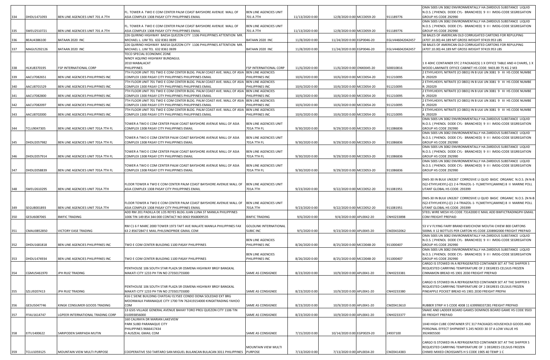|     |             |                                    |                                                                                                                   |                                     |                 |                            |            |                  | OMA 500S UN 3082 ENVIRONMENTALLY HA ZARDOUS SUBSTANCE LIQUID                                                               |
|-----|-------------|------------------------------------|-------------------------------------------------------------------------------------------------------------------|-------------------------------------|-----------------|----------------------------|------------|------------------|----------------------------------------------------------------------------------------------------------------------------|
|     |             |                                    | FL. TOWER A TWO E COM CENTER PALM COAST BAYSHORE AVENUE MALL OF                                                   | BEN LINE AGENCIES UNIT              |                 |                            |            |                  | N.O.S. ( PHENOL DODE CYL- BRANCHED) 9 II I IMDG-CODE SEGREGATION                                                           |
| 334 | DHDU1471093 | BEN LINE AGENCIES UNIT 701 A 7TH   | ASIA COMPLEX 1308 PASAY CITY PHILIPPINES EMAIL                                                                    | 701 A 7TH                           | 11/13/2020 0:00 | 12/8/2020 0:00 MCC0059-20  |            | 911189776        | GROUP HS CODE 292990                                                                                                       |
|     |             |                                    |                                                                                                                   |                                     |                 |                            |            |                  | OMA 500S UN 3082 ENVIRONMENTALLY HA ZARDOUS SUBSTANCE LIQUID                                                               |
| 335 | SWEU2510721 | BEN LINE AGENCIES UNIT 701 A 7TH   | FL. TOWER A TWO E COM CENTER PALM COAST BAYSHORE AVENUE MALL OF<br>ASIA COMPLEX 1308 PASAY CITY PHILIPPINES EMAIL | BEN LINE AGENCIES UNIT<br>701 A 7TH | 11/13/2020 0:00 | 12/8/2020 0:00 MCC0059-20  |            | 911189776        | N.O.S. ( PHENOL DODE CYL- BRANCHED) 9 II I IMDG-CODE SEGREGATION<br>GROUP HS CODE 292990                                   |
|     |             |                                    | 226 QUIRINO HIGHWAY BAESA QUEZON CITY 1106 PHILIPPINES ATTENTION MR.                                              |                                     |                 |                            |            |                  | 58 BALES OF AMERICAN OLD CORRUGATED CARTONS FOR REPULPING                                                                  |
| 336 | BEAU4386100 | BATAAN 2020 INC                    | MICHAEL L. LIM TEL 632 8361 0699                                                                                  | BATAAN 2020 INC                     | 11/8/2020 0:00  | 11/24/2020 0:00 EGP0046-20 |            | EGLV446042042457 | (4707.10.00) 44.189 MT GROSS WEIGHT 97419.953 LBS                                                                          |
|     |             |                                    | 226 QUIRINO HIGHWAY BAESA QUEZON CITY 1106 PHILIPPINES ATTENTION MR.                                              |                                     |                 |                            |            |                  | 58 BALES OF AMERICAN OLD CORRUGATED CARTONS FOR REPULPING                                                                  |
| 337 | MAGU5292126 | BATAAN 2020 INC                    | MICHAEL L. LIM TEL 632 8361 0699                                                                                  | BATAAN 2020 INC                     | 11/8/2020 0:00  | 11/24/2020 0:00            | EGP0046-20 | EGLV446042042457 | 4707.10.00) 44.189 MT GROSS WEIGHT 97419.953 LBS                                                                           |
|     |             |                                    | TECO SPECIAL ECONOMIC ZONE                                                                                        |                                     |                 |                            |            |                  |                                                                                                                            |
|     |             |                                    | NINOY AQUINO HIGHWAY BUNDAGUL                                                                                     |                                     |                 |                            |            |                  |                                                                                                                            |
|     |             |                                    | 2010 MABALACAT                                                                                                    |                                     |                 |                            |            |                  | 1 X 40HC CONTAINER STC 2 PACKAGE(S) 1 X OFFICE TABLE AND 4 CHAIRS, 1 X                                                     |
| 338 | HLXU8370195 | FSP INTERNATIONAL CORP             | PHILIPPINES<br>7TH FLOOR UNIT 701 TWO E COM CENTER BLDG. PALM COAST AVE. MALL OF ASIA BEN LINE AGENCIES           | FSP INTERNATIONAL CORP              | 11/6/2020 0:00  | 11/6/2020 0:00 ONX0045-20  |            | S00010816        | WOOD LAMINATE OFFICE CABINET HS CODE: 9403.89 75 KG 2 M3                                                                   |
| 339 | AACU7082651 | BEN LINE AGENCIES PHILIPPINES INC  | COMPLEX 1300 PASAY CITY PHILIPPINES PHILIPPINES EMAIL                                                             | PHILIPPINES INC                     | 10/6/2020 0:00  | 10/6/2020 0:00 MCC0054-20  |            | 911210095        | 2 ETHYLHEXYL NITRATE (CI 0801) IN B ULK UN 3081 9 III HS CODE NUMBE<br>R: 292029                                           |
|     |             |                                    | 7TH FLOOR UNIT 701 TWO E COM CENTER BLDG. PALM COAST AVE. MALL OF ASIA BEN LINE AGENCIES                          |                                     |                 |                            |            |                  | 2 ETHYLHEXYL NITRATE (CI 0801) IN B ULK UN 3081 9 III HS CODE NUMBE                                                        |
| 340 | AACU8701529 | BEN LINE AGENCIES PHILIPPINES INC  | COMPLEX 1300 PASAY CITY PHILIPPINES PHILIPPINES EMAIL                                                             | PHILIPPINES INC                     | 10/6/2020 0:00  | 10/6/2020 0:00 MCC0054-20  |            | 911210095        | R: 292029                                                                                                                  |
|     |             |                                    | 7TH FLOOR UNIT 701 TWO E COM CENTER BLDG. PALM COAST AVE. MALL OF ASIA SBEN LINE AGENCIES                         |                                     |                 |                            |            |                  | 2 ETHYLHEXYL NITRATE (CI 0801) IN B ULK UN 3081 9 III HS CODE NUMBE                                                        |
| 341 | AACU7082800 | BEN LINE AGENCIES PHILIPPINES INC  | COMPLEX 1300 PASAY CITY PHILIPPINES PHILIPPINES EMAIL                                                             | PHILIPPINES INC                     | 10/6/2020 0:00  | 10/6/2020 0:00 MCC0054-20  |            | 911210095        | R: 292029                                                                                                                  |
|     |             |                                    | 7TH FLOOR UNIT 701 TWO E COM CENTER BLDG. PALM COAST AVE. MALL OF ASIA SBEN LINE AGENCIES                         |                                     |                 |                            |            |                  | 2 ETHYLHEXYL NITRATE (CI 0801) IN B ULK UN 3081 9 III HS CODE NUMBE                                                        |
| 342 | AACU7082097 | BEN LINE AGENCIES PHILIPPINES INC  | COMPLEX 1300 PASAY CITY PHILIPPINES PHILIPPINES EMAIL                                                             | PHILIPPINES INC                     | 10/6/2020 0:00  | 10/6/2020 0:00 MCC0054-20  |            | 911210095        | R: 292029                                                                                                                  |
|     |             |                                    | 7TH FLOOR UNIT 701 TWO E COM CENTER BLDG. PALM COAST AVE. MALL OF ASIA SBEN LINE AGENCIES                         |                                     |                 |                            |            |                  | 2 ETHYLHEXYL NITRATE (CI 0801) IN B ULK UN 3081 9 III HS CODE NUMBE                                                        |
| 343 | AACU8702000 | BEN LINE AGENCIES PHILIPPINES INC  | COMPLEX 1300 PASAY CITY PHILIPPINES PHILIPPINES EMAIL                                                             | PHILIPPINES INC                     | 10/6/2020 0:00  | 10/6/2020 0:00 MCC0054-20  |            | 911210095        | R: 292029                                                                                                                  |
|     |             |                                    |                                                                                                                   |                                     |                 |                            |            |                  | OMA 500S UN 3082 ENVIRONMENTALLY HA ZARDOUS SUBSTANCE LIQUID                                                               |
|     |             |                                    | TOWER A TWO E COM CENTER PALM COAST BAYSHORE AVENUE MALL OF ASIA                                                  | BEN LINE AGENCIES UNIT              |                 |                            |            |                  | N.O.S. ( PHENOL DODE CYL- BRANCHED) 9 II I IMDG-CODE SEGREGATION                                                           |
| 344 | TCLU9047305 | BEN LINE AGENCIES UNIT 701A 7TH FL | COMPLEX 1308 PASAY CITY PHILIPPINES EMAIL                                                                         | 701A 7TH FL                         | 9/30/2020 0:00  | 9/29/2020 0:00 MCC0053-20  |            | 911086836        | GROUP HS CODE 292990<br>OMA 500S UN 3082 ENVIRONMENTALLY HA ZARDOUS SUBSTANCE LIQUID                                       |
|     |             |                                    | TOWER A TWO E COM CENTER PALM COAST BAYSHORE AVENUE MALL OF ASIA                                                  | BEN LINE AGENCIES UNIT              |                 |                            |            |                  | N.O.S. ( PHENOL DODE CYL- BRANCHED) 9 II I IMDG-CODE SEGREGATION                                                           |
| 345 | DHDU2057982 | BEN LINE AGENCIES UNIT 701A 7TH FL | COMPLEX 1308 PASAY CITY PHILIPPINES EMAIL                                                                         | 701A 7TH FL                         | 9/30/2020 0:00  | 9/29/2020 0:00 MCC0053-20  |            | 911086836        | GROUP HS CODE 292990                                                                                                       |
|     |             |                                    |                                                                                                                   |                                     |                 |                            |            |                  | OMA 500S UN 3082 ENVIRONMENTALLY HA ZARDOUS SUBSTANCE LIQUID                                                               |
|     |             |                                    | TOWER A TWO E COM CENTER PALM COAST BAYSHORE AVENUE MALL OF ASIA                                                  | BEN LINE AGENCIES UNIT              |                 |                            |            |                  | N.O.S. ( PHENOL DODE CYL- BRANCHED) 9 II I IMDG-CODE SEGREGATION                                                           |
| 346 | DHDU2057914 | BEN LINE AGENCIES UNIT 701A 7TH FL | COMPLEX 1308 PASAY CITY PHILIPPINES EMAIL                                                                         | 701A 7TH FL                         | 9/30/2020 0:00  | 9/29/2020 0:00 MCC0053-20  |            | 911086836        | GROUP HS CODE 292990                                                                                                       |
|     |             |                                    |                                                                                                                   |                                     |                 |                            |            |                  | OMA 500S UN 3082 ENVIRONMENTALLY HA ZARDOUS SUBSTANCE LIQUID                                                               |
|     |             |                                    | TOWER A TWO E COM CENTER PALM COAST BAYSHORE AVENUE MALL OF ASIA                                                  | BEN LINE AGENCIES UNIT              |                 |                            |            |                  | N.O.S. ( PHENOL DODE CYL- BRANCHED) 9 II I IMDG-CODE SEGREGATION                                                           |
| 347 | DHDU2058839 | BEN LINE AGENCIES UNIT 701A 7TH FL | COMPLEX 1308 PASAY CITY PHILIPPINES EMAIL                                                                         | 701A 7TH FL                         | 9/30/2020 0:00  | 9/29/2020 0:00 MCC0053-20  |            | 911086836        | GROUP HS CODE 292990                                                                                                       |
|     |             |                                    |                                                                                                                   |                                     |                 |                            |            |                  |                                                                                                                            |
|     |             |                                    |                                                                                                                   |                                     |                 |                            |            |                  | DMS-30 IN BULK UN3267 CORROSIVE LI QUID BASIC ORGANIC N.O.S. (N N-B                                                        |
|     |             |                                    | FLOOR TOWER A TWO E COM CENTER PALM COAST BAYSHORE AVENUE MALL OF                                                 | <b>BEN LINE AGENCIES UNIT</b>       |                 |                            |            |                  | IS(2-ETHYLHEXYL)-((1 2 4-TRIAZOL-1- YL)METHYL)AMINE) 8 II MARINE POLL                                                      |
| 348 | SWEU2610295 | BEN LINE AGENCIES UNIT 701A 7TH    | ASIA COMPLEX 1308 PASAY CITY PHILIPPINES EMAIL                                                                    | 701A 7TH                            | 9/23/2020 0:00  | 9/22/2020 0:00 MCC0052-20  |            | 911081951        | UTANT GLOBAL HS CODE: 293399                                                                                               |
|     |             |                                    |                                                                                                                   |                                     |                 |                            |            |                  | DMS-30 IN BULK UN3267 CORROSIVE LI QUID BASIC ORGANIC N.O.S. (N N-B                                                        |
|     |             |                                    | FLOOR TOWER A TWO E COM CENTER PALM COAST BAYSHORE AVENUE MALL OF                                                 | BEN LINE AGENCIES UNIT              |                 |                            |            |                  | IS(2-ETHYLHEXYL)-((1 2 4-TRIAZOL-1- YL)METHYL)AMINE) 8 II MARINE POLL                                                      |
| 349 | SEGU8001893 | BEN LINE AGENCIES UNIT 701A 7TH    | ASIA COMPLEX 1308 PASAY CITY PHILIPPINES EMAIL                                                                    | 701A 7TH                            | 9/23/2020 0:00  | 9/22/2020 0:00 MCC0052-20  |            | 911081951        | UTANT GLOBAL HS CODE: 293399                                                                                               |
|     |             |                                    | ADD RM 201 PADILLA DE LOS REYES BLDG JUAN LUNA ST MANILA PHILIPPINES                                              |                                     |                 |                            |            |                  | STEEL WIRE MESH HS CODE 73142000 E MAIL ADD BWFICTRADINGPH GMAIL                                                           |
| 350 | GESU6087065 | <b>BWFIC TRADING</b>               | 1006 TIN 149 854 344 000 CONTACT NO 0063 9568009535                                                               | <b>BWFIC TRADING</b>                | 9/6/2020 0:00   | 9/4/2020 0:00 APL0042-20   |            | CNH0233898       | COM FREIGHT PREPAID                                                                                                        |
|     |             |                                    |                                                                                                                   |                                     |                 |                            |            |                  |                                                                                                                            |
|     |             |                                    | RM C1 6 F MARC 2000 TOWER 1973 TAFT AVE MALATE MANILA PHILIPPINES FAX                                             | <b>GOLDLINK INTERNATIONAL</b>       |                 |                            |            |                  | 53 V V FLYING FAIRY BRAND KWEICHOW MOUTAI CHIEW 800 CARTONS                                                                |
| 351 | CMAU0852850 | VICTORY EASE TRADING               | 63 2 85672847 E MAIL PHILSINOPRIDE GMAIL COM                                                                      | <b>SUBIC INC</b>                    | 9/5/2020 0:00   | 9/23/2020 0:00 APL0045-20  |            | CMZ0432062       | 500ML X 12 BOTTLES PER CARTON HS CODE 2208902000 FREIGHT PREPAID                                                           |
|     |             |                                    |                                                                                                                   |                                     |                 |                            |            |                  | OMA 500S UN 3082 ENVIRONMENTALLY HA ZARDOUS SUBSTANCE LIQUID                                                               |
|     |             |                                    |                                                                                                                   | <b>BEN LINE AGENCIES</b>            |                 |                            |            |                  | N.O.S. ( PHENOL DODE CYL- BRANCHED) 9 II I IMDG-CODE SEGREGATION                                                           |
| 352 | DHDU1681818 | BEN LINE AGENCIES PHILIPPINES INC  | TWO E COM CENTER BUILDING 1100 PASAY PHILIPPINES                                                                  | PHILIPPINES INC                     | 8/26/2020 0:00  | 8/25/2020 0:00 MCC0048-20  |            | 911000407        | GROUP HS CODE 292990<br>OMA 500S UN 3082 ENVIRONMENTALLY HA ZARDOUS SUBSTANCE LIQUID                                       |
|     |             |                                    |                                                                                                                   | <b>BEN LINE AGENCIES</b>            |                 |                            |            |                  | N.O.S. ( PHENOL DODE CYL- BRANCHED) 9 II I IMDG-CODE SEGREGATION                                                           |
| 353 | DHDU1474934 | BEN LINE AGENCIES PHILIPPINES INC  | TWO E COM CENTER BUILDING 1100 PASAY PHILIPPINES                                                                  | PHILIPPINES INC                     | 8/26/2020 0:00  | 8/25/2020 0:00 MCC0048-20  |            | 911000407        | GROUP HS CODE 292990                                                                                                       |
|     |             |                                    |                                                                                                                   |                                     |                 |                            |            |                  | CARGO IS STOWED IN A REFRIGERATED CONTAINER SET AT THE SHIPPER S                                                           |
|     |             |                                    | PENTHOUSE 106 SOUTH STAR PLAZA SR OSMENA HIGHWAY BRGY BANGKAL                                                     |                                     |                 |                            |            |                  | REQUESTED CARRYING TEMPERATURE OF 2 DEGREES CELSIUS FROZEN                                                                 |
| 354 | CGMU5461970 | JPH RUIZ TRADING                   | MAKATI CITY 1233 PH TIN NO 273501755000                                                                           | SAME AS CONSIGNEE                   | 8/23/2020 0:00  | 10/9/2020 0:00 APL0041-20  |            | CNH0233381       | CINNAMON BREAD HS 1901 2030 FREIGHT PREPAID                                                                                |
|     |             |                                    |                                                                                                                   |                                     |                 |                            |            |                  |                                                                                                                            |
|     |             |                                    |                                                                                                                   |                                     |                 |                            |            |                  | CARGO IS STOWED IN A REFRIGERATED CONTAINER SET AT THE SHIPPER S                                                           |
|     |             |                                    | PENTHOUSE 106 SOUTH STAR PLAZA SR OSMENA HIGHWAY BRGY BANGKAL                                                     |                                     |                 |                            |            |                  | REQUESTED CARRYING TEMPERATURE OF 2 DEGREES CELSIUS FROZEN                                                                 |
| 355 | SZLU9207413 | JPH RUIZ TRADING                   | MAKATI CITY 1233 PH TIN NO 273501755000                                                                           | SAME AS CONSIGNEE                   | 8/23/2020 0:00  | 10/9/2020 0:00 APL0041-20  |            | CNH0233380       | PINEAPPLE POCKET BREAD HS 1901 2030 FREIGHT PREPAI                                                                         |
|     |             |                                    | 416 C SIENE BUILDING CHATEAU ELYSEE CONDO DONA SOLEDAD EXT BRG                                                    |                                     |                 |                            |            |                  |                                                                                                                            |
|     | GESU5047746 |                                    | MOONWALK PARANAQUE CITY 1700 TIN 762419154000 KINGKTRADING YAHOO<br>COM                                           |                                     | 8/23/2020 0:00  | 10/9/2020 0:00 APL0041-20  |            | CMZ0413610       |                                                                                                                            |
| 356 |             | KINGK CONSUMER GOODS TRADING       | 13 GSIS VILLAGE GENERAL AVENUE BAHAY TORO PROJ QUEZON CITY 1106 TIN                                               | SAME AS CONSIGNEE                   |                 |                            |            |                  | RUBBER STRIP H S CODE 4008 11 639998337281 FREIGHT PREPAID<br>SNAKE AND LADDER BOARD GAMES DOMINOS BOARD GAME HS CODE 9503 |
| 357 | FFAU1614747 | GPEER INTERNATIONAL TRADING CORP   | 010093856000                                                                                                      | SAME AS CONSIGNEE                   | 8/23/2020 0:00  | 10/9/2020 0:00 APL0041-20  |            | CNH0233377       | 00 FREIGHT PREPAID                                                                                                         |
|     |             |                                    | 160 CALIRAYA DR MARIAN LAKEVIEW                                                                                   |                                     |                 |                            |            |                  |                                                                                                                            |
|     |             |                                    | PARK SUBD PARANAQUE CITY                                                                                          |                                     |                 |                            |            |                  | 1X40 HIGH CUBE CONTAINER STC 317 PACKAGES HOUSEHOLD GOODS AND                                                              |
|     |             |                                    | PHILIPPINES 9666417434                                                                                            |                                     |                 |                            |            |                  | PERSONAL EFFECT SHIPMENT S 245 NOEEI 30 37 A LOW VALUE HS                                                                  |
| 358 | EITU1400622 | SARIPODEN SARIPADA MUTIN           | D AUSZEAL GMAIL COM                                                                                               | SAME AS CONSIGNEE                   | 7/15/2020 0:00  | 10/14/2020 0:00 EGP0029-20 |            | 24937100         | 3924905500                                                                                                                 |
|     |             |                                    |                                                                                                                   |                                     |                 |                            |            |                  |                                                                                                                            |
|     |             |                                    |                                                                                                                   |                                     |                 |                            |            |                  | CARGO IS STOWED IN A REFRIGERATED CONTAINER SET AT THE SHIPPER S                                                           |
|     |             |                                    |                                                                                                                   | MOUNTAIN VIEW MULTI                 |                 |                            |            |                  | REQUESTED CARRYING TEMPERATURE OF 1 DEGREES CELSIUS FROZEN                                                                 |
| 359 | TCLU1059125 | MOUNTAIN VIEW MULTI PURPOSE        | COOPERATIVE 550 TARTARO SAN MIGUEL BULANCAN BULACAN 3011 PHILIPPINES PURPOSE                                      |                                     | 7/13/2020 0:00  | 7/13/2020 0:00 APL0034-20  |            | CMZ0414383       | CHIMEI MIXED CROISSANTS H S CODE 1905 40 TEMP 1 C                                                                          |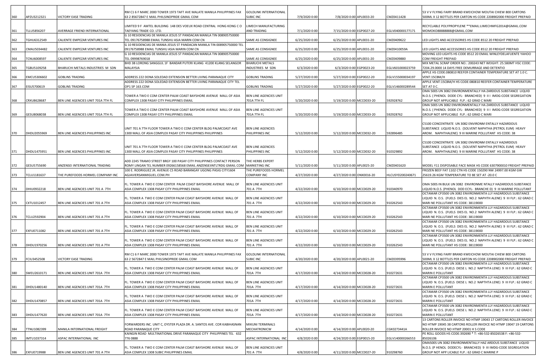|     |                    |                                    | RM C1 6 F MARC 2000 TOWER 1973 TAFT AVE MALATE MANILA PHILIPPINES FAX                                                 | <b>GOLDLINK INTERNATIONAL</b>         |                |                           |                  | 53 V V FLYING FAIRY BRAND KWEICHOW MOUTAI CHIEW 800 CARTONS                                                                           |
|-----|--------------------|------------------------------------|-----------------------------------------------------------------------------------------------------------------------|---------------------------------------|----------------|---------------------------|------------------|---------------------------------------------------------------------------------------------------------------------------------------|
| 360 | APZU3212321        | VICTORY EASE TRADING               | 63 2 85672847 E MAIL PHILSINOPRIDE GMAIL COM                                                                          | SUBIC INC                             | 7/9/2020 0:00  | 7/8/2020 0:00 APL0033-20  | CMZ0411428       | 500ML X 12 BOTTLES PER CARTON HS CODE 2208902000 FREIGHT PREPAID                                                                      |
|     |                    |                                    | LIMITED 9 F AMTEL BUILDING 148 DES VOEUX ROAD CENTRAL HONG KONG CO                                                    | LIMECH MANUFACTURING                  |                |                           |                  | RECYCLABLE POLYPROPYLENE ** EMAIL:LIMECHMFG2014@GMAIL.COM                                                                             |
| 361 | <b>TLLU5856207</b> | AVERRAGE FRIEND INTERNATIONAL      | TAEYANG TRADE CO. LTD.                                                                                                | AND TRADING                           | 7/1/2020 0:00  | 7/15/2020 0:00 EGP0027-20 | EGLV040000177171 | MOMOKO88888888@GMAIL.COM                                                                                                              |
|     |                    |                                    | G 10 RESIDENCIAS DE MANILA JESUS ST PANDACAN MANILA TIN 008905750000                                                  |                                       |                |                           |                  |                                                                                                                                       |
| 362 | TGHU6312549        | CALIENTE EMPEZAR VENTURES INC      | TEL 09176758988 EMAIL TUNSHU ASIA MARIN COM CN                                                                        | SAME AS CONSIGNEE                     | 6/25/2020 0:00 | 6/25/2020 0:00 APL0031-20 | CMZ0409622       | LED LIGHTS AND ACCESSORIES HS CODE 8512 20 FREIGHT PREPAID                                                                            |
| 363 | CMAU5034482        | CALIENTE EMPEZAR VENTURES INC      | G 10 RESIDENCIAS DE MANIA JESUS ST PANDACAN MANILA TIN 008905750000 TEL<br>09176758988 EMAIL TUNSHU ASIA MARIN COM CN | SAME AS CONSIGNEE                     | 6/25/2020 0:00 | 6/25/2020 0:00 APL0031-20 | CMZ0410059A      | LED LIGHTS AND ACCESSORIES HS CODE 8512 20 FREIGHT PREPAID                                                                            |
|     |                    |                                    | G 10 RESIDENCIAS DE MANILA JESUS ST PANDACAN MANILA TIN 008905750000                                                  |                                       |                |                           |                  | MOVING LED LIGHTS HS CODE 8512 20 EMAIL WINLEYDELAFUENTE YAHOO                                                                        |
| 364 | TCNU6008597        | CALIENTE EMPEZAR VENTURES INC      | TEL 09998769018                                                                                                       | SAME AS CONSIGNEE                     | 6/25/2020 0:00 | 6/25/2020 0:00 APL0031-20 | CMZ0409880       | COM FREIGHT PREPAID                                                                                                                   |
|     |                    |                                    | BHD 3B LORONG SANGGUL 1F BANDAR PUTERI KLANG 41200 KLANG SELANGOR                                                     | <b>BHARUCHI METALS</b>                |                |                           |                  | MIX METAL SCRAP ORDER NO.: 200243 NET WEIGHT: 25.580MT HSC CODE:                                                                      |
| 365 | FGBU5109258        | BHARUCHI METALS INDUSTRIES M SDN   | <b>MALAYSIA</b>                                                                                                       | INDUSTRIES M SDN                      | 6/3/2020 0:00  | 6/3/2020 0:00 EGP0023-20  | EGLV601000023759 | 7204.29.0000 14 DAYS FREE DEMURRAGE AND DETENTIO                                                                                      |
| 366 | EMCU5306602        | <b>GOBLINS TRADING</b>             | ADDRESS 222 DONA SOLEDAD EXTENSION BETTER LIVING PARANAQUE CITY                                                       | GOBLINS TRADING                       | 5/27/2020 0:00 | 5/27/2020 0:00 EGP0022-20 | EGLV155000034197 | APPLE HS CODE:080810 REEFER CONTAINER TEMPERATURE SET AT 1.0 C.<br>VENT:15CBM/H                                                       |
|     |                    |                                    | ADDRESS 222 DONA SOLEDAD EXTENSION BETTER LIVING PARANAQUE CITY TEL                                                   |                                       |                |                           |                  | APPLE VENT:15CBM/H HS CODE:080810 REEFER CONTAINER TEMPERATURE                                                                        |
| 367 | EISU5700619        | <b>GOBLINS TRADING</b>             | OP1 SP 163.COM                                                                                                        | <b>GOBLINS TRADING</b>                | 5/27/2020 0:00 | 5/27/2020 0:00 EGP0022-20 | EGLV146000289544 | SET AT 0 C.                                                                                                                           |
|     |                    |                                    |                                                                                                                       |                                       |                |                           |                  | OMA 500S UN 3082 ENVIRONMENTALLY HA ZARDOUS SUBSTANCE LIQUID                                                                          |
| 368 | CRXU8628687        | BEN LINE AGENCIES UNIT 701A 7TH FL | TOWER A TWO E COM CENTER PALM COAST BAYSHORE AVENUE MALL OF ASIA<br>COMPLEX 1308 PASAY CITY PHILIPPINES EMAIL         | BEN LINE AGENCIES UNIT<br>701A 7TH FL | 5/20/2020 0:00 | 5/19/2020 0:00 MCC0033-20 | 592928762        | N.O.S. ( PHENOL DODE CYL- BRANCHED) 9 II I IMDG-CODE SEGREGATION<br>GROUP NOT APPLICABLE FLP.: 62 GRAD C MARI                         |
|     |                    |                                    |                                                                                                                       |                                       |                |                           |                  | OMA 500S UN 3082 ENVIRONMENTALLY HA ZARDOUS SUBSTANCE LIQUID                                                                          |
|     |                    |                                    | TOWER A TWO E COM CENTER PALM COAST BAYSHORE AVENUE MALL OF ASIA                                                      | BEN LINE AGENCIES UNIT                |                |                           |                  | N.O.S. ( PHENOL DODE CYL- BRANCHED) 9 II I IMDG-CODE SEGREGATION                                                                      |
| 369 | GESU8068038        | BEN LINE AGENCIES UNIT 701A 7TH FL | COMPLEX 1308 PASAY CITY PHILIPPINES EMAIL                                                                             | 701A 7TH FL                           | 5/20/2020 0:00 | 5/19/2020 0:00 MCC0033-20 | 592928762        | GROUP NOT APPLICABLE FLP.: 62 GRAD C MARI                                                                                             |
|     |                    |                                    |                                                                                                                       |                                       |                |                           |                  | C5100 CONCENTRATE UN 3082 ENVIRONM ENTALLY HAZARDOUS                                                                                  |
|     |                    |                                    | UNIT 701 A 7TH FLOOR TOWER A TWO E COM CENTER BLDG PALMCOAST AVE                                                      | <b>BEN LINE AGENCIES</b>              |                |                           |                  | SUBSTANCE LIQUID N.O.S. (SOLVENT NAPHTHA (PETROL EUM) HEAVY                                                                           |
| 370 | DHDU2055969        | BEN LINE AGENCIES PHILIPPINES INC  | 1300 MALL OF ASIA COMPLEX PASAY CITY PHILIPPINES PHILIPPINES                                                          | PHILIPPINES INC                       | 5/12/2020 0:00 | 5/12/2020 0:00 MCC0032-20 | 592896485        | AROM. NAPHTHALENE) 9 III MARINE POLLUTANT HS CODE: 38                                                                                 |
|     |                    |                                    |                                                                                                                       |                                       |                |                           |                  |                                                                                                                                       |
|     |                    |                                    | UNIT 701 A 7TH FLOOR TOWER A TWO E COM CENTER BLDG PALMCOAST AVE                                                      | <b>BEN LINE AGENCIES</b>              |                |                           |                  | C5100 CONCENTRATE UN 3082 ENVIRONM ENTALLY HAZARDOUS<br>SUBSTANCE LIQUID N.O.S. (SOLVENT NAPHTHA (PETROL EUM) HEAVY                   |
| 371 | DHDU1475951        | BEN LINE AGENCIES PHILIPPINES INC  | 1300 MALL OF ASIA COMPLEX PASAY CITY PHILIPPINES PHILIPPINES                                                          | PHILIPPINES INC                       | 5/12/2020 0:00 | 5/12/2020 0:00 MCC0032-20 | 910329892        | AROM. NAPHTHALENE) 9 III MARINE POLLUTANT HS CODE: 38                                                                                 |
|     |                    |                                    |                                                                                                                       |                                       |                |                           |                  |                                                                                                                                       |
|     |                    |                                    | ADD 2245 TRAMO STREET BRGY 100 PASAY CITY PHILIPPINES CONTACT PERSON                                                  | THE HERBS EXPERT                      |                |                           |                  |                                                                                                                                       |
| 372 | GESU5755690        | ANZENSEI INTERNATIONAL TRADING     | ROMY LINGAN TEL NUMBER 09266158568 EMAIL ANZENSEIINTLTRDG GMAIL COM                                                   | MARKETING INC<br>THE PUREFOODS HORMEL | 5/11/2020 0:00 | 5/11/2020 0:00 APL0025-20 | CMZ0401620       | MODEL Y11 DISPOSABLE FACE MASK HS CODE 6307900010 FREIGHT PREPAID<br>FROZEN BEEF FAT 1102 CTN HS CODE 150290 NW 24997.00 KGM GW       |
| 373 | TCLU1181637        | THE PUREFOODS HORMEL COMPANY INC   | 100 E. RODRIGUEZ JR. AVENUE C5 ROAD BARANGAY UGONG PASIG CITY1604<br>AGJAVIERSANMIGUEL.COM.PH                         | COMPANY INC                           | 4/27/2020 0:00 | 4/27/2020 0:00 ONX0016-20 | HLCUSYD200240671 | 25619.26 KGM TEMPERATURE TO BE SET AT -20.0 C                                                                                         |
|     |                    |                                    |                                                                                                                       |                                       |                |                           |                  |                                                                                                                                       |
|     |                    |                                    | FL. TOWER A TWO E COM CENTER PALM COAST BAYSHORE AVENUE MALL OF                                                       | BEN LINE AGENCIES UNIT                |                |                           |                  | OMA 500S IN BULK UN 3082 ENVIRONME NTALLY HAZARDOUS SUBSTANCE                                                                         |
| 374 | DHIU0932218        | BEN LINE AGENCIES UNIT 701 A 7TH   | ASIA COMPLEX 1308 PASAY CITY PHILIPPINES EMAIL                                                                        | 701 A 7TH                             | 4/22/2020 0:00 | 6/10/2020 0:00 MCC0029-20 | 910340970        | LIQUID N.O.S. (PHENOL DOD ECYL- BRANCHE D) 9 III MARINE POLLUTANT                                                                     |
|     |                    |                                    | FL. TOWER A TWO E COM CENTER PALM COAST BAYSHORE AVENUE MALL OF                                                       | BEN LINE AGENCIES UNIT                |                |                           |                  | OCTAMAR CP3500 UN 3082 ENVIRONMENTA LLY HAZARDOUS SUBSTANCE<br>LIQUID N. O.S. (FUELS DIES EL NO.2 NAPHTH ALENE) 9 III FLP.: 62 GRAD C |
| 375 | CXTU1012457        | BEN LINE AGENCIES UNIT 701 A 7TH   | ASIA COMPLEX 1308 PASAY CITY PHILIPPINES EMAIL                                                                        | 701 A 7TH                             | 4/22/2020 0:00 | 6/10/2020 0:00 MCC0029-20 | 910262543        | MARI NE POLLUTANT HS CODE: 38119000                                                                                                   |
|     |                    |                                    |                                                                                                                       |                                       |                |                           |                  | OCTAMAR CP3500 UN 3082 ENVIRONMENTA LLY HAZARDOUS SUBSTANCE                                                                           |
|     |                    |                                    | FL. TOWER A TWO E COM CENTER PALM COAST BAYSHORE AVENUE MALL OF                                                       | BEN LINE AGENCIES UNIT                |                |                           |                  | LIQUID N. O.S. (FUELS DIES EL NO.2 NAPHTH ALENE) 9 III FLP.: 62 GRAD C                                                                |
| 376 | TCLU2592904        | BEN LINE AGENCIES UNIT 701 A 7TH   | ASIA COMPLEX 1308 PASAY CITY PHILIPPINES EMAIL                                                                        | 701 A 7TH                             | 4/22/2020 0:00 | 6/10/2020 0:00 MCC0029-20 | 910262543        | MARI NE POLLUTANT HS CODE: 38119000<br>OCTAMAR CP3500 UN 3082 ENVIRONMENTA LLY HAZARDOUS SUBSTANCE                                    |
|     |                    |                                    | FL. TOWER A TWO E COM CENTER PALM COAST BAYSHORE AVENUE MALL OF                                                       | BEN LINE AGENCIES UNIT                |                |                           |                  | LIQUID N. O.S. (FUELS DIES EL NO.2 NAPHTH ALENE) 9 III FLP.: 62 GRAD C                                                                |
| 377 | EXFU0711082        | BEN LINE AGENCIES UNIT 701 A 7TH   | ASIA COMPLEX 1308 PASAY CITY PHILIPPINES EMAIL                                                                        | 701 A 7TH                             | 4/22/2020 0:00 | 6/10/2020 0:00 MCC0029-20 | 910262543        | MARI NE POLLUTANT HS CODE: 38119000                                                                                                   |
|     |                    |                                    |                                                                                                                       |                                       |                |                           |                  | OCTAMAR CP3500 UN 3082 ENVIRONMENTA LLY HAZARDOUS SUBSTANCE                                                                           |
| 378 | DHDU1970256        | BEN LINE AGENCIES UNIT 701 A 7TH   | FL. TOWER A TWO E COM CENTER PALM COAST BAYSHORE AVENUE MALL OF<br>ASIA COMPLEX 1308 PASAY CITY PHILIPPINES EMAIL     | BEN LINE AGENCIES UNIT<br>701 A 7TH   | 4/22/2020 0:00 | 6/10/2020 0:00 MCC0029-20 | 910262543        | LIQUID N. O.S. (FUELS DIES EL NO.2 NAPHTH ALENE) 9 III FLP.: 62 GRAD C<br>MARI NE POLLUTANT HS CODE: 38119000                         |
|     |                    |                                    |                                                                                                                       |                                       |                |                           |                  |                                                                                                                                       |
|     |                    |                                    | RM C1 6 F MARC 2000 TOWER 1973 TAFT AVE MALATE MANILA PHILIPPINES FAX                                                 | <b>GOLDLINK INTERNATIONAL</b>         |                |                           |                  | 53 V V FLYING FAIRY BRAND KWEICHOW MOUTAI CHIEW 800 CARTONS                                                                           |
| 379 | FCIU3452508        | VICTORY EASE TRADING               | 63 2 5672847 E MAIL PHILSINOPRIDE GMAIL COM                                                                           | <b>SUBIC INC</b>                      | 4/20/2020 0:00 | 4/20/2020 0:00 APL0021-20 | CMZ0395996       | 500ML X 12 BOTTLES PER CARTON HS CODE 2208902000 FREIGHT PREPAID                                                                      |
|     |                    |                                    | FL. TOWER A TWO E COM CENTER PALM COAST BAYSHORE AVENUE MALL OF                                                       | BEN LINE AGENCIES UNIT                |                |                           |                  | OCTAMAR CP3500 UN 3082 ENVIRONMENTA LLY HAZARDOUS SUBSTANCE<br>LIQUID N. O.S. (FUELS DIESE L NO.2 NAPTHTA LENE) 9 III FLP.: 62 GRAD C |
| 380 | SWEU2610171        | BEN LINE AGENCIES UNIT 701A 7TH    | ASIA COMPLEX 1308 PASAY CITY PHILIPPINES EMAIL                                                                        | 701A 7TH                              | 4/17/2020 0:00 | 4/14/2020 0:00 MCC0028-20 | 910272631        | MARIN E POLLUTANT                                                                                                                     |
|     |                    |                                    |                                                                                                                       |                                       |                |                           |                  | OCTAMAR CP3500 UN 3082 ENVIRONMENTA LLY HAZARDOUS SUBSTANCE                                                                           |
|     |                    |                                    | FL. TOWER A TWO E COM CENTER PALM COAST BAYSHORE AVENUE MALL OF                                                       | BEN LINE AGENCIES UNIT                |                |                           |                  | LIQUID N. O.S. (FUELS DIESE L NO.2 NAPTHTA LENE) 9 III FLP.: 62 GRAD C                                                                |
| 381 | DHDU1480140        | BEN LINE AGENCIES UNIT 701A 7TH    | ASIA COMPLEX 1308 PASAY CITY PHILIPPINES EMAIL                                                                        | 701A 7TH                              | 4/17/2020 0:00 | 4/14/2020 0:00 MCC0028-20 | 910272631        | <b>MARIN E POLLUTANT</b><br>OCTAMAR CP3500 UN 3082 ENVIRONMENTA LLY HAZARDOUS SUBSTANCE                                               |
|     |                    |                                    | FL. TOWER A TWO E COM CENTER PALM COAST BAYSHORE AVENUE MALL OF                                                       | BEN LINE AGENCIES UNIT                |                |                           |                  | LIQUID N. O.S. (FUELS DIESE L NO.2 NAPTHTA LENE) 9 III FLP.: 62 GRAD C                                                                |
| 382 | DHDU1470857        | BEN LINE AGENCIES UNIT 701A 7TH    | ASIA COMPLEX 1308 PASAY CITY PHILIPPINES EMAIL                                                                        | 701A 7TH                              | 4/17/2020 0:00 | 4/14/2020 0:00 MCC0028-20 | 910272631        | <b>MARIN E POLLUTANT</b>                                                                                                              |
|     |                    |                                    |                                                                                                                       |                                       |                |                           |                  | OCTAMAR CP3500 UN 3082 ENVIRONMENTA LLY HAZARDOUS SUBSTANCE                                                                           |
|     |                    |                                    | FL. TOWER A TWO E COM CENTER PALM COAST BAYSHORE AVENUE MALL OF                                                       | BEN LINE AGENCIES UNIT                |                | 4/14/2020 0:00 MCC0028-20 |                  | LIQUID N. O.S. (FUELS DIESE L NO.2 NAPTHTA LENE) 9 III FLP.: 62 GRAD C                                                                |
| 383 | DHDU1477620        | BEN LINE AGENCIES UNIT 701A 7TH    | ASIA COMPLEX 1308 PASAY CITY PHILIPPINES EMAIL                                                                        | 701A 7TH                              | 4/17/2020 0:00 |                           | 910272631        | MARIN E POLLUTANT<br>13 CARTONS ROLLER INVOICE NO HTMP 19043 17 CARTONS ROLLER INVOICE                                                |
|     |                    |                                    | FORWARDERS INC. UNIT C, OYSTER PLAZA DR. A. SANTOS AVE. COR KABIHASNAN                                                | <b>MIKUNI TERMINALS</b>               |                |                           |                  | NO HTMP 19045 38 CARTONS ROLLER INVOICE NO HTMP 19047 19 CARTONS                                                                      |
| 384 | TTNU1082399        | MANILA INTERNATIONAL FREIGHT       | ROAD PARANAQUE CITY                                                                                                   | MECHATRONICW                          | 4/14/2020 0:00 | 4/14/2020 0:00 APL0020-20 | CGK0273441A      | ROLLER INVOICE NO HTMP 20001 H S CODE                                                                                                 |
|     |                    |                                    | KAINGIN ROAD MULTINATIONAL DRIVE PARANAQUE CITY PHILIPPINES TEL 632                                                   |                                       |                |                           |                  | PE ROLL GOODS HS CODE:392690 * T: +86-532-85026538 F: +86-532-                                                                        |
| 385 | IMTU1037314        | ASPAC INTERNATIONAL INC            | 776 0888                                                                                                              | ASPAC INTERNATIONAL INC               | 4/8/2020 0:00  | 4/24/2020 0:00 EGP0015-20 | EGLV140000266553 | 85026106<br>OMA500S UN 3082 ENVIRONMENTALLY HAZ ARDOUS SUBSTANCE LIQUID                                                               |
|     |                    |                                    | FL. TOWER A TWO E COM CENTER PALM COAST BAYSHORE AVENUE MALL OF                                                       | BEN LINE AGENCIES UNIT                |                |                           |                  | N.O.S. (P HENOL DODECYL- BRANCHED) 9 III IMDG-CODE SEGREGATION                                                                        |
| 386 | EXFU0719988        | BEN LINE AGENCIES UNIT 701 A 7TH   | ASIA COMPLEX 1308 SUBIC PHILIPPINES EMAIL                                                                             | 701 A 7TH                             | 4/8/2020 0:00  | 4/11/2020 0:00 MCC0027-20 | 910298760        | GROUP NOT APP LICABLE FLP.: 62 GRAD C MARINE P                                                                                        |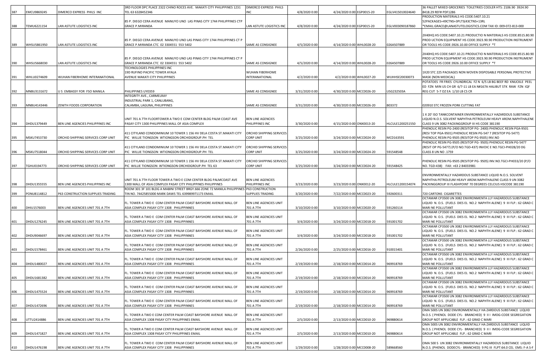|     |             |                                    | 3RD FLOOR DPC PLACE 2322 CHINO ROCES AVE. MAKATI CITY PHILIPPINES 1231                                            | DIMERCO EXPRESS PHILS               |                |                           |                  | 36 PALLET MIXED GROCERIES TOILETRIES COOLER HTS: 2106.90 3924.90                                                                      |
|-----|-------------|------------------------------------|-------------------------------------------------------------------------------------------------------------------|-------------------------------------|----------------|---------------------------|------------------|---------------------------------------------------------------------------------------------------------------------------------------|
| 387 | EMCU9869245 | DIMERCO EXPRESS PHILS INC          | TEL 63 6328452346                                                                                                 | INC                                 | 4/8/2020 0:00  | 4/24/2020 0:00 EGP0015-20 | EGLV415010024640 | 8418.29 REF# PDF1286                                                                                                                  |
|     |             |                                    |                                                                                                                   |                                     |                |                           |                  | PRODUCTION MATERIALS HS CODE:5407.10.21                                                                                               |
|     |             |                                    | 85 P. DIEGO CERA AVENUE MANUYO UNO LAS PINAS CITY 1744 PHILIPPINES CTP                                            |                                     |                |                           |                  | 52PACKAGES=49CTNS+3PLTS(43CTNS+13RL                                                                                                   |
| 388 | TEMU6221154 | AN ASTUTE LOGISTICS INC            | <b>GRACE P.MIRANDA</b>                                                                                            | LAN ASTUTE LOGISTICS INC            | 4/8/2020 0:00  | 4/24/2020 0:00 EGP0015-20 | EGLV003090187860 | *EMAIL:GRACE@LANASTUTELOGISTICS.COM TAX ID: 009-072-813-000                                                                           |
|     |             |                                    |                                                                                                                   |                                     |                |                           |                  | 2X40HQ HS CODE:5407.10.21 PRODUCTIO N MATERIALS HS CODE:8515.80.90                                                                    |
|     |             |                                    | 85 P. DIEGO CERA AVENUE MANUYO UNO LAS PINAS CITY 1744 PHILIPPINES CT P                                           |                                     |                |                           |                  | PROD UCTION EQUIPMENT HS CODE:3923.90.90 PRODUCTION INSTRUMENT                                                                        |
| 389 | WHSU5861950 | LAN ASTUTE LOGISTICS INC           | GRACE P.MIRANDA CTC 02 3304551 553 5402                                                                           | SAME AS CONSIGNEE                   | 4/5/2020 0:00  | 4/14/2020 0:00 WHL0028-20 | 026A507889       | OR TOOLS HS CODE:3926.10.00 OFFICE SUPPLY *T                                                                                          |
|     |             |                                    |                                                                                                                   |                                     |                |                           |                  |                                                                                                                                       |
|     |             |                                    |                                                                                                                   |                                     |                |                           |                  | 2X40HQ HS CODE:5407.10.21 PRODUCTIO N MATERIALS HS CODE:8515.80.90                                                                    |
|     |             |                                    | 85 P. DIEGO CERA AVENUE MANUYO UNO LAS PINAS CITY 1744 PHILIPPINES CT P                                           |                                     |                |                           |                  | PROD UCTION EQUIPMENT HS CODE:3923.90.90 PRODUCTION INSTRUMENT                                                                        |
| 390 | WHSU5668030 | LAN ASTUTE LOGISTICS INC           | GRACE P.MIRANDA CTC 02 3304551 553 5402                                                                           | SAME AS CONSIGNEE                   | 4/5/2020 0:00  | 4/14/2020 0:00 WHL0028-20 | 026A507889       | OR TOOLS HS CODE:3926.10.00 OFFICE SUPPLY *T                                                                                          |
|     |             |                                    | TECHNOLOGIES PHILIPPINES INC                                                                                      |                                     |                |                           |                  |                                                                                                                                       |
|     |             |                                    | 19D RUFINO PACIFIC TOWER AYALA                                                                                    | <b>WUHAN FIBERHOME</b>              |                |                           |                  | 1X20 STC 225 PACKAGES NON WOVEN DISPOSABLE PERSONAL PROTECTIVE                                                                        |
| 391 | WHLU0274609 | WUHAN FIBERHOME INTERANATIONAL     | AVENUE MAKATI CITY PHILIPPINES                                                                                    | INTERANATIONAL                      | 4/2/2020 0:00  | 4/2/2020 0:00 WHL0027-20  | WUHHSE20030073   | MASK (NON MEDICAL)                                                                                                                    |
|     |             |                                    |                                                                                                                   |                                     |                |                           |                  | POTATOES FR FRIES CYLINDRICAL FZ N 6/5 LB BG BEEF RD KNUCKLE PEEL                                                                     |
|     |             |                                    |                                                                                                                   |                                     |                |                           |                  | ED FZN MIN US CH GR 6/7-11 LB EA N#167A HALIBUT STK RAW FZN IQF                                                                       |
| 392 | MNBU3131672 | U S EMBASSY FOR FSO MANILA         | PHILIPPINES UY0359                                                                                                | SAME AS CONSIGNEE                   | 3/31/2020 0:00 | 4/30/2020 0:00 MCC0026-20 | JSG232503A       | REG CUT 5-7 OZ EA 1/10 LB CS CR                                                                                                       |
|     |             |                                    | INTEGRITY AVE., CARMELRAY                                                                                         |                                     |                |                           |                  |                                                                                                                                       |
|     |             |                                    | INDUSTRIAL PARK 1, CANLUBANG,                                                                                     |                                     |                |                           |                  |                                                                                                                                       |
| 393 | MNBU4143446 | ZENITH FOODS CORPORATION           | CALAMBA, LAGUNA, PHILIPPINES                                                                                      | SAME AS CONSIGNEE                   | 3/31/2020 0:00 | 4/30/2020 0:00 MCC0026-20 | B03372           | 020910 STC FROZEN PORK CUTTING FAT                                                                                                    |
|     |             |                                    |                                                                                                                   |                                     |                |                           |                  | 1 X 20' ISO TANKCONTAINER ENVIRONMENTALLY HAZARDOUS SUBSTANCE                                                                         |
|     |             |                                    | UNIT 701 A 7TH FLOORTOWER A TWO E COM CENTER BLDG PALM COAST AVE                                                  | <b>BEN LINE AGENCIES</b>            |                |                           |                  | LIQUID N.O.S. SOLVENT NAPHTHA PETROLEUM HEAVY AROM.NAPHTHALENE                                                                        |
| 394 | DHDU1379449 | BEN LINE AGENCIES PHILIPPINES INC  | PASAY CITY 1300 PHILIPPINES MALL OF ASIA COMPLEX                                                                  | PHILIPPINES INC                     | 3/30/2020 0:00 | 4/15/2020 0:00 ONX0013-20 | HLCULE1200251550 | CLASS 9 UN 3082 PACKINGGROUP III HS CODE 381190                                                                                       |
|     |             |                                    |                                                                                                                   |                                     |                |                           |                  | PHENOLIC RESIN PG-2400 (RESITOP PG- 2400) PHENOLIC RESIN PGA-9501                                                                     |
|     |             |                                    | 411 CITYLAND CONDOMINIUM 10 TOWER 1 156 HV DELA COSTA ST.MAKATI CITY                                              | ORCHID SHIPPING SERVICES            |                |                           |                  | (RESI TOP PGA-9501) PHENOLIC RESIN PG-547 7 (RESITOP PG-5477)                                                                         |
| 395 | MSKU7453730 | ORCHID SHIPPING SERVICES CORP UNIT | PIC WILLIE TIONGSON WTIONGSON ORCHIDGROUP.PH TEL                                                                  | CORP UNIT                           | 3/25/2020 0:00 | 3/24/2020 0:00 MCC0024-20 | MCD163591        | PHENOLIC RESIN PG-9505 (RESITOP PG-9505) INV.NO                                                                                       |
|     |             |                                    |                                                                                                                   |                                     |                |                           |                  | PHENOLIC RESIN PG-9505 (RESITOP PG-9505) PHENOLIC RESIN PG-5477                                                                       |
|     |             |                                    | 411 CITYLAND CONDOMINIUM 10 TOWER 1 156 HV DELA COSTA ST.MAKATI CITY                                              | ORCHID SHIPPING SERVICES            |                |                           |                  | (RESIT OP PG-5477) (P/O NO.TGD-437) INVOIC E NO.TGCI-PH028/20 DG                                                                      |
| 396 | MSKU7518044 | ORCHID SHIPPING SERVICES CORP UNIT | PIC WILLIE TIONGSON WTIONGSON ORCHIDGROUP.PH TEL                                                                  | CORP UNIT                           | 3/25/2020 0:00 | 3/24/2020 0:00 MCC0024-20 | 591548548        | CLASS 8 UN NO .1759                                                                                                                   |
|     |             |                                    |                                                                                                                   |                                     |                |                           |                  |                                                                                                                                       |
|     |             |                                    | 411 CITYLAND CONDOMINIUM 10 TOWER 1 156 HV DELA COSTA ST.MAKATI CITY                                              | ORCHID SHIPPING SERVICES            |                |                           |                  | PHENOLIC RESIN PG-9505 (RESITOP PG- 9505) INV.NO.TGCI-PH033/20 (P/O                                                                   |
| 397 | TGHU0194773 | ORCHID SHIPPING SERVICES CORP UNIT | PIC WILLIE TIONGSON WTIONGSON ORCHIDGROUP.PH TEL 63                                                               | CORP UNIT                           | 3/25/2020 0:00 | 3/24/2020 0:00 MCC0024-20 | 591548425        | NO. TGD-438) FAX: +63 2 84033981                                                                                                      |
|     |             |                                    |                                                                                                                   |                                     |                |                           |                  | ENVIRONMENTALLY HAZARDOUS SUBSTANCE LIQUID N.O.S. SOLVENT                                                                             |
|     |             |                                    | UNIT 701 A 7TH FLOOR TOWER A TWO E COM CENTER BLDG PALMCOAST AVE                                                  | <b>BEN LINE AGENCIES</b>            |                |                           |                  | NAPHTHA PETROLEUM HEAVY AROM.NAPHTHALENE CLASS 9 UN 3082                                                                              |
| 398 | DHDU1355555 | BEN LINE AGENCIES PHILIPPINES INC  | 1300 MALL OF ASIA COMPLEX PASAY CITY PHILIPPINES PHILIPPINES                                                      | PHILIPPINES INC                     | 3/23/2020 0:00 | 3/23/2020 0:00 ONX0012-20 | HLCULE1200154074 | PACKINGGROUP III FLASHPOINT 70 DEGREES CELCIUS HSCODE 381190                                                                          |
|     |             |                                    | ROOM 301 3F 101 BLDG A MABINI STREET BRGY.666 ZONE 72 MANILA PHILIPPINE                                           | <b>P63 CONSTRUCTION</b>             |                |                           |                  |                                                                                                                                       |
| 399 | PONU8114812 | P63 CONSTRUCTION SUPPLIES TRADING  | TIN NO. 74425855000 MARK DAWS TEL 639989971173 EMAIL                                                              | <b>SUPPLIES TRADING</b>             | 3/20/2020 0:00 | 7/22/2020 0:00 MCC0023-20 | 592600311        | 720 CARTONS CIGARETTES                                                                                                                |
|     |             |                                    |                                                                                                                   |                                     |                |                           |                  | OCTAMAR CP3500 UN 3082 ENVIRONMENTA LLY HAZARDOUS SUBSTANCE                                                                           |
|     |             |                                    | FL. TOWER A TWO E COM CENTER PALM COAST BAYSHORE AVENUE MALL OF                                                   | BEN LINE AGENCIES UNIT              |                |                           |                  | LIQUID N. O.S. (FUELS DIES EL NO.2 NAPHTH ALENE) 9 III FLP.: 62 GRAD C                                                                |
| 400 | DHIU1576003 | BEN LINE AGENCIES UNIT 701 A 7TH   | ASIA COMPLEX PASAY CITY 1308 PHILIPPINNES                                                                         | 701 A 7TH                           | 3/10/2020 0:00 | 3/10/2020 0:00 MCC0020-20 | 591260114        | MARI NE POLLUTANT<br>OCTAMAR CP3500 UN 3082 ENVIRONMENTA LLY HAZARDOUS SUBSTANCE                                                      |
|     |             |                                    | FL. TOWER A TWO E COM CENTER PALM COAST BAYSHORE AVENUE MALL OF                                                   | BEN LINE AGENCIES UNIT              |                |                           |                  | LIQUID N. O.S. (FUELS DIES EL NO.2 NAPHTH ALENE) 9 III FLP.: 62 GRAD C                                                                |
| 401 | DHDU1276245 | BEN LINE AGENCIES UNIT 701 A 7TH   | ASIA COMPLEX PASAY CITY 1308 PHILIPPINNES                                                                         | 701 A 7TH                           | 3/4/2020 0:00  | 3/24/2020 0:00 MCC0018-20 | 591001702        | MARI NE POLLUTANT                                                                                                                     |
|     |             |                                    |                                                                                                                   |                                     |                |                           |                  | OCTAMAR CP3500 UN 3082 ENVIRONMENTA LLY HAZARDOUS SUBSTANCE                                                                           |
|     |             |                                    | FL. TOWER A TWO E COM CENTER PALM COAST BAYSHORE AVENUE MALL OF                                                   | BEN LINE AGENCIES UNIT              |                |                           |                  | LIQUID N. O.S. (FUELS DIES EL NO.2 NAPHTH ALENE) 9 III FLP.: 62 GRAD C                                                                |
| 402 | DHDU9046697 | BEN LINE AGENCIES UNIT 701 A 7TH   | ASIA COMPLEX PASAY CITY 1308 PHILIPPINNES                                                                         | 701 A 7TH                           | 3/4/2020 0:00  | 3/24/2020 0:00 MCC0018-20 | 591001702        | MARI NE POLLUTANT                                                                                                                     |
|     |             |                                    |                                                                                                                   |                                     |                |                           |                  | OCTAMAR CP3500 UN 3082 ENVIRONMENTA LLY HAZARDOUS SUBSTANCE                                                                           |
|     |             |                                    | FL. TOWER A TWO E COM CENTER PALM COAST BAYSHORE AVENUE MALL OF                                                   | BEN LINE AGENCIES UNIT              |                |                           |                  | LIQUID N. O.S. (FUELS DIES EL NO.2 NAPHTH ALENE) 9 III FLP.: 62 GRAD C                                                                |
| 403 | DHDU1578461 | BEN LINE AGENCIES UNIT 701 A 7TH   | ASIA COMPLEX PASAY CITY 1308 PHILIPPINNES                                                                         | 701 A 7TH                           | 2/26/2020 0:00 | 2/25/2020 0:00 MCC0016-20 | 910015401        | <b>MARI NE POLLUTANT</b>                                                                                                              |
|     |             |                                    |                                                                                                                   |                                     |                |                           |                  | OCTAMAR CP3500 UN 3082 ENVIRONMENTA LLY HAZARDOUS SUBSTANCE                                                                           |
|     |             |                                    | FL. TOWER A TWO E COM CENTER PALM COAST BAYSHORE AVENUE MALL OF                                                   | BEN LINE AGENCIES UNIT              |                |                           |                  | IQUID N. O.S. (FUELS DIES EL NO.2 NAPHTH ALENE) 9 III FLP.: 62 GRAD C                                                                 |
| 404 | DHDU1480027 | BEN LINE AGENCIES UNIT 701 A 7TH   | ASIA COMPLEX PASAY CITY 1308 PHILIPPINNES                                                                         | 701 A 7TH                           | 2/19/2020 0:00 | 2/18/2020 0:00 MCC0014-20 | 969918769        | MARI NE POLLUTANT                                                                                                                     |
|     |             |                                    | FL. TOWER A TWO E COM CENTER PALM COAST BAYSHORE AVENUE MALL OF                                                   |                                     |                |                           |                  | OCTAMAR CP3500 UN 3082 ENVIRONMENTA LLY HAZARDOUS SUBSTANCE<br>LIQUID N. O.S. (FUELS DIES EL NO.2 NAPHTH ALENE) 9 III FLP.: 62 GRAD C |
| 405 | DHDU1681382 | BEN LINE AGENCIES UNIT 701 A 7TH   | ASIA COMPLEX PASAY CITY 1308 PHILIPPINNES                                                                         | BEN LINE AGENCIES UNIT<br>701 A 7TH | 2/19/2020 0:00 | 2/18/2020 0:00 MCC0014-20 | 969918769        | MARI NE POLLUTANT                                                                                                                     |
|     |             |                                    |                                                                                                                   |                                     |                |                           |                  | OCTAMAR CP3500 UN 3082 ENVIRONMENTA LLY HAZARDOUS SUBSTANCE                                                                           |
|     |             |                                    | FL. TOWER A TWO E COM CENTER PALM COAST BAYSHORE AVENUE MALL OF                                                   | BEN LINE AGENCIES UNIT              |                |                           |                  | LIQUID N. O.S. (FUELS DIES EL NO.2 NAPHTH ALENE) 9 III FLP.: 62 GRAD C                                                                |
| 406 | DHDU1475524 | BEN LINE AGENCIES UNIT 701 A 7TH   | ASIA COMPLEX PASAY CITY 1308 PHILIPPINNES                                                                         | 701 A 7TH                           | 2/19/2020 0:00 | 2/18/2020 0:00 MCC0014-20 | 969918769        | MARI NE POLLUTANT                                                                                                                     |
|     |             |                                    |                                                                                                                   |                                     |                |                           |                  | OCTAMAR CP3500 UN 3082 ENVIRONMENTA LLY HAZARDOUS SUBSTANCE                                                                           |
|     |             |                                    | FL. TOWER A TWO E COM CENTER PALM COAST BAYSHORE AVENUE MALL OF                                                   | BEN LINE AGENCIES UNIT              |                |                           |                  | LIQUID N. O.S. (FUELS DIES EL NO.2 NAPHTH ALENE) 9 III FLP.: 62 GRAD C                                                                |
| 407 | DHDU1472696 | BEN LINE AGENCIES UNIT 701 A 7TH   | ASIA COMPLEX PASAY CITY 1308 PHILIPPINNES                                                                         | 701 A 7TH                           | 2/19/2020 0:00 | 2/18/2020 0:00 MCC0014-20 | 969918769        | <b>MARI NE POLLUTANT</b>                                                                                                              |
|     |             |                                    |                                                                                                                   |                                     |                |                           |                  | OMA 500S UN 3082 ENVIRONMENTALLY HA ZARDOUS SUBSTANCE LIQUID                                                                          |
|     |             |                                    | FL. TOWER A TWO E COM CENTER PALM COAST BAYSHORE AVENUE MALL OF                                                   | BEN LINE AGENCIES UNIT              |                |                           |                  | N.O.S. ( PHENOL DODE CYL- BRANCHED) 9 II I IMDG-CODE SEGREGATION                                                                      |
| 408 | UTTU2414886 | BEN LINE AGENCIES UNIT 701 A 7TH   | ASIA COMPLEX 1308 PASAY CITY PHILIPPINES EMAIL                                                                    | 701 A 7TH                           | 2/5/2020 0:00  | 2/13/2020 0:00 MCC0010-20 | 969880614        | GROUP NOT APPLICABLE FLP.: 62 GRAD C MARI                                                                                             |
|     |             |                                    |                                                                                                                   |                                     |                |                           |                  | OMA 500S UN 3082 ENVIRONMENTALLY HA ZARDOUS SUBSTANCE LIQUID<br>N.O.S. ( PHENOL DODE CYL- BRANCHED) 9 II I IMDG-CODE SEGREGATION      |
| 409 | DHDU1471827 | BEN LINE AGENCIES UNIT 701 A 7TH   | FL. TOWER A TWO E COM CENTER PALM COAST BAYSHORE AVENUE MALL OF<br>ASIA COMPLEX 1308 PASAY CITY PHILIPPINES EMAIL | BEN LINE AGENCIES UNIT<br>701 A 7TH | 2/5/2020 0:00  | 2/13/2020 0:00 MCC0010-20 | 969880614        | GROUP NOT APPLICABLE FLP.: 62 GRAD C MARI                                                                                             |
|     |             |                                    |                                                                                                                   |                                     |                |                           |                  |                                                                                                                                       |
|     |             |                                    | FL. TOWER A TWO E COM CENTER PALM COAST BAYSHORE AVENUE MALL OF                                                   | BEN LINE AGENCIES UNIT              |                |                           |                  | OMA 500 S UN 3082 ENVIRONMENTALLY HAZARDOUS SUBSTANCE LIQUID                                                                          |
| 410 | DHDU1476198 | BEN LINE AGENCIES UNIT 701 A 7TH   | ASIA COMPLEX PASAY CITY 1308 PHILIPPINNES                                                                         | 701 A 7TH                           | 1/29/2020 0:00 | 1/28/2020 0:00 MCC0008-20 | 589668560        | N.O.S. (PHENOL DODECYL- BRANCHED) 9 PG III FLPT:64.0 CEL EMS: F-A S-F                                                                 |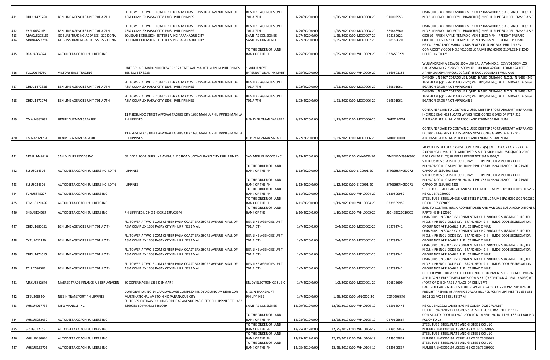|     |                    |                                                                      | FL. TOWER A TWO E COM CENTER PALM COAST BAYSHORE AVENUE MALL OF                                                   | BEN LINE AGENCIES UNIT                        |                 |                            |                  | OMA 500 S UN 3082 ENVIRONMENTALLY HAZARDOUS SUBSTANCE LIQUID                                                                          |
|-----|--------------------|----------------------------------------------------------------------|-------------------------------------------------------------------------------------------------------------------|-----------------------------------------------|-----------------|----------------------------|------------------|---------------------------------------------------------------------------------------------------------------------------------------|
| 411 | DHDU1470760        | BEN LINE AGENCIES UNIT 701 A 7TH                                     | ASIA COMPLEX PASAY CITY 1308 PHILIPPINNES                                                                         | 701 A 7TH                                     | 1/29/2020 0:00  | 1/28/2020 0:00 MCC0008-20  | 910002553        | N.O.S. (PHENOL DODECYL- BRANCHED) 9 PG III FLPT:64.0 CEL EMS: F-A S-F                                                                 |
|     |                    |                                                                      |                                                                                                                   |                                               |                 |                            |                  |                                                                                                                                       |
| 412 | EXFU6632165        |                                                                      | FL. TOWER A TWO E COM CENTER PALM COAST BAYSHORE AVENUE MALL OF<br>ASIA COMPLEX PASAY CITY 1308 PHILIPPINNES      | <b>BEN LINE AGENCIES UNIT</b><br>701 A 7TH    | 1/29/2020 0:00  | 1/28/2020 0:00 MCC0008-20  | 589668560        | OMA 500 S UN 3082 ENVIRONMENTALLY HAZARDOUS SUBSTANCE LIQUID<br>N.O.S. (PHENOL DODECYL- BRANCHED) 9 PG III FLPT:64.0 CEL EMS: F-A S-F |
| 413 | MWCU5203161        | BEN LINE AGENCIES UNIT 701 A 7TH<br>GOBLINS TRADING ADDRESS 222 DONA | SOLEDAD EXTENSION BETTER LIVING PARANAQUE CITY                                                                    | SAME AS CONSIGNEE                             | 1/27/2020 0:00  | 1/25/2020 0:00 MCC0007-20  | 598189621        | 080810 - FRESH APPLE TEMP:0'C VEN T:15CBM/H FREIGHT PREPAID                                                                           |
| 414 | MNBU4223794        | GOBLINS TRADING ADDRESS 222 DONA                                     | SOLEDAD EXTENSION BETTER LIVING PARANAQUE CITY                                                                    | SAME AS CONSIGNEE                             | 1/27/2020 0:00  | 1/25/2020 0:00 MCC0007-20  | 598189620        | 080810 - FRESH APPLE TEMP:0'C VEN T:15CBM/H FREIGHT PREPAID                                                                           |
|     |                    |                                                                      |                                                                                                                   |                                               |                 |                            |                  | HS CODE:94012090 VARIOUS BUS SEATS CIF SUBIC BAY PHILIPPINES                                                                          |
|     |                    |                                                                      |                                                                                                                   | TO THE ORDER OF LAND                          |                 |                            |                  | COMMODIT Y CODE NO.94012090 LC NUMBER:1HO091 219FLCS346 1X40'                                                                         |
| 415 | BEAU4804874        | AUTODELTA COACH BUILDERS INC                                         |                                                                                                                   | <b>BANK OF THE PH</b>                         | 1/25/2020 0:00  | 1/25/2020 0:00 WHL0009-20  | 027A503271       | HQ FCL CY TO CY                                                                                                                       |
|     |                    |                                                                      |                                                                                                                   |                                               |                 |                            |                  |                                                                                                                                       |
|     |                    |                                                                      |                                                                                                                   |                                               |                 |                            |                  | WULIANGRENJIA 52%VOL 500MLX6 BAIJIA YAN(NO.1) 52%VOL 500MLX6                                                                          |
|     |                    |                                                                      | UNIT 6C1 6 F. MARC 2000 TOWER 1973 TAFT AVE MALATE MANILA PHILIPPINES                                             | 1 WULIANGYE                                   |                 |                            |                  | BAIJIAYAN( NO.2) 52%VOL 500MLX6 HUO BAO 42%VOL 100MLX24 LITTLE                                                                        |
| 416 | TGCU0176750        | VICTORY EASE TRADING                                                 | FEL 632 567 3233                                                                                                  | INTERNATIONAL HK LIMIT                        | 1/25/2020 0:00  | 1/25/2020 0:00 WHL0009-20  | 1269501155       | IIANZHUANGMIANROU1 00 (161) 45%VOL 100MLX24 WULIANG                                                                                   |
|     |                    |                                                                      |                                                                                                                   |                                               |                 |                            |                  | DMS-30 UN 3267 CORROSIVE LIQUID B ASIC ORGANIC N.O.S. (N N-BIS (2-E                                                                   |
|     | DHDU1472356        | BEN LINE AGENCIES UNIT 701 A 7TH                                     | FL. TOWER A TWO E COM CENTER PALM COAST BAYSHORE AVENUE MALL OF<br>ASIA COMPLEX PASAY CITY 1308 PHILIPPINNES      | BEN LINE AGENCIES UNIT<br>701 A 7TH           |                 | 1/21/2020 0:00 MCC0006-20  | 969891961        | [HYLHEXYL)-((1 2 4-TRIAZOL-1-YL)MET HYL)AMINE))                           8 II IMDG-CODE SEGR<br>EGATION GROUP NOT APPLICABLE         |
| 417 |                    |                                                                      |                                                                                                                   |                                               | 1/22/2020 0:00  |                            |                  | DMS-30 UN 3267 CORROSIVE LIQUID B ASIC ORGANIC N.O.S. (N N-BIS (2-E                                                                   |
|     |                    |                                                                      | FL. TOWER A TWO E COM CENTER PALM COAST BAYSHORE AVENUE MALL OF                                                   | BEN LINE AGENCIES UNIT                        |                 |                            |                  | THYLHEXYL)-((1 2 4-TRIAZOL-1-YL)MET HYL)AMINE))                            8 II   IMDG-CODE SEGR                                      |
| 418 | DHDU1472274        | BEN LINE AGENCIES UNIT 701 A 7TH                                     | ASIA COMPLEX PASAY CITY 1308 PHILIPPINNES                                                                         | 701 A 7TH                                     | 1/22/2020 0:00  | 1/21/2020 0:00 MCC0006-20  | 969891961        | EGATION GROUP NOT APPLICABLE                                                                                                          |
|     |                    |                                                                      |                                                                                                                   |                                               |                 |                            |                  |                                                                                                                                       |
|     |                    |                                                                      |                                                                                                                   |                                               |                 |                            |                  | CONTAINER SAID TO CONTAIN 2 USED DRIFTER SPORT AIRCRAFT AIRFRAMES                                                                     |
|     |                    |                                                                      | 11 F SEGUNDO STREET AFPOVAI TAGUIG CITY 1630 MANILA PHILIPPINES MANILA                                            |                                               |                 |                            |                  | INC R912 ENGINES FLOATS WINGS NOSE CONES GEARS DRIFTER 912                                                                            |
| 419 | CMAU4382082        | HENRY GUZMAN SABARRE                                                 | PHILIPPINES                                                                                                       | HENRY GUZMAN SABARRE                          | 1/22/2020 0:00  | 1/21/2020 0:00 MCC0006-20  | GAD0110001       | AIRFRAME SERIAL NUMER RB001 AND ENGINE SERIAL NUM                                                                                     |
|     |                    |                                                                      |                                                                                                                   |                                               |                 |                            |                  |                                                                                                                                       |
|     |                    |                                                                      |                                                                                                                   |                                               |                 |                            |                  | CONTAINER SAID TO CONTAIN 2 USED DRIFTER SPORT AIRCRAFT AIRFRAMES                                                                     |
|     |                    |                                                                      | 11 F SEGUNDO STREET AFPOVAI TAGUIG CITY 1630 MANILA PHILIPPINES MANILA                                            |                                               |                 |                            |                  | INC R912 ENGINES FLOATS WINGS NOSE CONES GEARS DRIFTER 912                                                                            |
| 420 | CMAU2079734        | HENRY GUZMAN SABARRE                                                 | <b>PHILIPPINES</b>                                                                                                | HENRY GUZMAN SABARRE                          | 1/22/2020 0:00  | 1/21/2020 0:00 MCC0006-20  | GAD0110001       | AIRFRAME SERIAL NUMER RB001 AND ENGINE SERIAL NUM                                                                                     |
|     |                    |                                                                      |                                                                                                                   |                                               |                 |                            |                  | 20 PALLETS IN TOTAL1X20ST CONTAINER R(S) SAID TO CONTAIN:HS CODE                                                                      |
|     |                    |                                                                      |                                                                                                                   |                                               |                 |                            |                  | 230990 96ANIMAL FEED ADDITIVES15 MT-FUSION DYAD-25KG(600 X 25KG                                                                       |
| 421 | MOAU1449910        | SAN MIGUEL FOODS INC                                                 | 5F 100 E RODRIGUEZ JNR AVENUE C 5 ROAD UGONG PASIG CITY PHILIPPIN ES                                              | SAN MIGUEL FOODS INC                          | 1/13/2020 0:00  | 1/28/2020 0:00 ONX0002-20  | ONEYLIVV79916900 | BAGS ON 20 PL TS)SHIPPERS REFERENCE:SMF/1909/1                                                                                        |
|     |                    |                                                                      |                                                                                                                   |                                               |                 |                            |                  | VARIOUS BUS SEATS CIF SUBIC BAY PH ILIPPINES COMMODITY CODE                                                                           |
|     |                    |                                                                      |                                                                                                                   | TO THE ORDER OF LAND                          |                 |                            |                  | NO.9401209 0 LC NUMBER1HO091219FLCS348 HS 94 012090 1 OF 2 PART                                                                       |
| 422 | SLSU8034306        | AUTODELTA COACH BUILDERSINC LOT 6                                    | <b>ILIPPINES</b>                                                                                                  | <b>BANK OF THE PH</b>                         | 1/12/2020 0:00  | 1/12/2020 0:00 SIC0001-20  | SITGSHSFK050072  | CARGO OF SLSU803 4306                                                                                                                 |
|     |                    |                                                                      |                                                                                                                   |                                               |                 |                            |                  | VARIOUS BUS SEATS CIF SUBIC BAY PH ILIPPINES COMMODITY CODE                                                                           |
|     |                    |                                                                      |                                                                                                                   | TO THE ORDER OF LAND                          |                 |                            |                  | NO.9401209 0 LC NUMBER1HO141119FLCS310 HS 94 012090 1 OF 2 PART                                                                       |
| 423 | SLSU8034306        | AUTODELTA COACH BUILDERSINC LOT 6                                    | <b>ILIPPINES</b>                                                                                                  | <b>BANK OF THE PH</b>                         | 1/12/2020 0:00  | 1/12/2020 0:00 SIC0001-20  | SITGSHSFK050071  | CARGO OF SLSU803 4306                                                                                                                 |
|     |                    |                                                                      |                                                                                                                   | TO THE ORDER OF LAND                          |                 |                            |                  | STEEL TUBE STEEL ANGLE AND STEEL P LATE LC NUMBER:1H0301019FLCS282                                                                    |
| 424 | <b>TCNU5875227</b> | AUTODELTA COACH BUILDERS INC                                         |                                                                                                                   | <b>BANK OF THE PH</b>                         | 1/11/2020 0:00  | 1/11/2020 0:00 WHL0004-20  | 0339509959       | HS CODE:73089099<br>STEEL TUBE STEEL ANGLE AND STEEL P LATE LC NUMBER:1H0301019FLCS282                                                |
| 425 | TEMU8120456        | AUTODELTA COACH BUILDERS INC                                         |                                                                                                                   | TO THE ORDER OF LAND<br>BANK OF THE PH        | 1/11/2020 0:00  | 1/11/2020 0:00 WHL0004-20  | 0339509959       | HS CODE:73089099                                                                                                                      |
|     |                    |                                                                      |                                                                                                                   | TO THE ORDER OF LAND                          |                 |                            |                  | SAID TO CONTAIN BUS AIRCONDITIONER AND VARIOUS BUS AIRCONDITIONER                                                                     |
| 426 | SNBU8154629        | AUTODELTA COACH BUILDERS INC                                         | PHILIPPINES L C NO 1H0091219FLCS344                                                                               | <b>BANK OF THE</b>                            | 1/10/2020 0:00  | 1/10/2020 0:00 WHL0003-20  | JBSHSBC20010005  | PARTS HS 84152090                                                                                                                     |
|     |                    |                                                                      |                                                                                                                   |                                               |                 |                            |                  | OMA 500S UN 3082 ENVIRONMENTALLY HA ZARDOUS SUBSTANCE LIQUID                                                                          |
|     |                    |                                                                      | FL. TOWER A TWO E COM CENTER PALM COAST BAYSHORE AVENUE MALL OF                                                   | BEN LINE AGENCIES UNIT                        |                 |                            |                  | N.O.S. ( PHENOL DODE CYL- BRANCHED) 9 II I IMDG-CODE SEGREGATION                                                                      |
| 427 | DHDU1680051        | BEN LINE AGENCIES UNIT 701 A 7 TH                                    | ASIA COMPLEX 1308 PASAY CITY PHILIPPINES EMAIL                                                                    | 701 A 7TH                                     | 1/7/2020 0:00   | 2/4/2020 0:00 MCC0002-20   | 969792741        | GROUP NOT APPLICABLE FLP.: 62 GRAD C MARI                                                                                             |
|     |                    |                                                                      |                                                                                                                   |                                               |                 |                            |                  | OMA 500S UN 3082 ENVIRONMENTALLY HA ZARDOUS SUBSTANCE LIQUID                                                                          |
|     |                    |                                                                      | FL. TOWER A TWO E COM CENTER PALM COAST BAYSHORE AVENUE MALL OF                                                   | BEN LINE AGENCIES UNIT                        |                 |                            |                  | N.O.S. ( PHENOL DODE CYL- BRANCHED) 9 II I IMDG-CODE SEGREGATION                                                                      |
| 428 | CXTU1012230        | BEN LINE AGENCIES UNIT 701 A 7 TH                                    | ASIA COMPLEX 1308 PASAY CITY PHILIPPINES EMAIL                                                                    | 701 A 7TH                                     | 1/7/2020 0:00   | 2/4/2020 0:00 MCC0002-20   | 969792741        | GROUP NOT APPLICABLE FLP.: 62 GRAD C MARI                                                                                             |
|     |                    |                                                                      |                                                                                                                   |                                               |                 |                            |                  | OMA 500S UN 3082 ENVIRONMENTALLY HA ZARDOUS SUBSTANCE LIQUID                                                                          |
| 429 | DHDU1474615        | BEN LINE AGENCIES UNIT 701 A 7 TH                                    | FL. TOWER A TWO E COM CENTER PALM COAST BAYSHORE AVENUE MALL OF<br>ASIA COMPLEX 1308 PASAY CITY PHILIPPINES EMAIL | BEN LINE AGENCIES UNIT<br>701 A 7TH           | 1/7/2020 0:00   | 2/4/2020 0:00 MCC0002-20   | 969792741        | N.O.S. ( PHENOL DODE CYL- BRANCHED) 9 II I IMDG-CODE SEGREGATION<br>GROUP NOT APPLICABLE FLP.: 62 GRAD C MARI                         |
|     |                    |                                                                      |                                                                                                                   |                                               |                 |                            |                  | OMA 500S UN 3082 ENVIRONMENTALLY HA ZARDOUS SUBSTANCE LIQUID                                                                          |
|     |                    |                                                                      | FL. TOWER A TWO E COM CENTER PALM COAST BAYSHORE AVENUE MALL OF                                                   | BEN LINE AGENCIES UNIT                        |                 |                            |                  | N.O.S. ( PHENOL DODE CYL- BRANCHED) 9 II I IMDG-CODE SEGREGATION                                                                      |
| 430 | <b>TCLU2592587</b> | BEN LINE AGENCIES UNIT 701 A 7 TH                                    | ASIA COMPLEX 1308 PASAY CITY PHILIPPINES EMAIL                                                                    | 701 A 7TH                                     | 1/7/2020 0:00   | 2/4/2020 0:00 MCC0002-20   | 969792741        | GROUP NOT APPLICABLE FLP.: 62 GRAD C MARI                                                                                             |
|     |                    |                                                                      |                                                                                                                   |                                               |                 |                            |                  | COPPER WIRE FROM USED ELECTRONICS E QUIPMENTS ORDER NO.: 190926                                                                       |
|     |                    |                                                                      |                                                                                                                   |                                               |                 |                            |                  | APP LICABLE FREE TIME14 DAYS COMBINED(D ETENTION & DEMURRAGE) AT                                                                      |
| 431 | MRKU8882676        | MAERSK TRADE FINANCE A S ESPLANADEN                                  | 50 COPENHAGEN 1263 DENMARK                                                                                        | ENJOY ELECTRONICS SUBIC                       | 1/7/2020 0:00   | 1/2/2020 0:00 MCC0001-20   | 606815609        | (PORT OF D ISCHARGE / PLACE OF DELIVERY)                                                                                              |
|     |                    |                                                                      |                                                                                                                   |                                               |                 |                            |                  | PARTS OF CAR SENSOR HS CODE 2849 20 3824 99 3907 20 3923 90 9026 90                                                                   |
|     |                    |                                                                      | CORPORATION NO 14 CARGOVILLAGE COMPLEX NINOY AQUINO AV NEAR COR                                                   | <b>NISSIN TRANSPORT</b>                       |                 |                            |                  | FREIGHT PREPAID AS ARRANGED WAY BILL FCL FCL PHILIPPINES TEL 632 851                                                                  |
| 432 | DFSU3065204        | NISSIN TRANSPORT PHILIPPINES                                         | MULTINATIONAL AV STO NINO PARANAQUE CITY                                                                          | <b>PHILIPPINES</b>                            | 1/7/2020 0:00   | 1/25/2020 0:00 APL0002-20  | CGP0206876       | 56 21 22 FAX 632 851 56 37 M                                                                                                          |
|     |                    |                                                                      | SUITE 309 ORTIGAS BUILDING ORTIGAS AVENUE PASIG CITY PHILIPPINES TEL 632                                          |                                               |                 |                            |                  |                                                                                                                                       |
| 433 | WHSU4017733        | MFG MANILLE INC                                                      | 6360058 60 FAX 632 6360059                                                                                        | SAME AS CONSIGNEE                             | 12/29/2019 0:00 | 12/29/2019 0:00 WHL0106-19 | 0259650443       | HS CODE:420222 LADIES BAG HS CODE:4 20232 WALLET                                                                                      |
|     |                    |                                                                      |                                                                                                                   |                                               |                 |                            |                  | HS CODE 940120 VARIOUS BUS SEATS CI F SUBIC BAY PHILIPPINES                                                                           |
| 434 | WHSU5282032        | AUTODELTA COACH BUILDERS INC                                         |                                                                                                                   | TO THE ORDER OF LAND<br><b>BANK OF THE PH</b> | 12/28/2019 0:00 | 12/28/2019 0:00 WHL0105-19 | 0279695664       | COMMODITY CODE NO.94012090 LC NUMBER:1HO14111 9FLCS310 1X40' HQ<br>FCL CY TO CY                                                       |
|     |                    |                                                                      |                                                                                                                   | TO THE ORDER OF LAND                          |                 |                            |                  | STEEL TUBE STEEL PLATE AND GI STEE L COIL LC                                                                                          |
| 435 | SLSU8012755        | AUTODELTA COACH BUILDERS INC                                         |                                                                                                                   | <b>BANK OF THE PH</b>                         | 12/25/2019 0:00 | 12/25/2019 0:00 WHL0104-19 | 0339509837       | NUMBER:1H0301019FLCS282 H S CODE:73089099                                                                                             |
|     |                    |                                                                      |                                                                                                                   | TO THE ORDER OF LAND                          |                 |                            |                  | STEEL TUBE STEEL PLATE AND GI STEE L COIL LC                                                                                          |
| 436 | WHLU0480024        | AUTODELTA COACH BUILDERS INC                                         |                                                                                                                   | <b>BANK OF THE PH</b>                         | 12/25/2019 0:00 | 12/25/2019 0:00 WHL0104-19 | 0339509837       | NUMBER:1H0301019FLCS282 H S CODE:73089099                                                                                             |
|     |                    |                                                                      |                                                                                                                   | TO THE ORDER OF LAND                          |                 |                            |                  | STEEL TUBE STEEL PLATE AND GI STEE L COIL LC                                                                                          |
| 437 | WHSU5163706        | AUTODELTA COACH BUILDERS INC                                         |                                                                                                                   | <b>BANK OF THE PH</b>                         | 12/25/2019 0:00 | 12/25/2019 0:00 WHL0104-19 | 0339509837       | NUMBER:1H0301019FLCS282 H S CODE:73089099                                                                                             |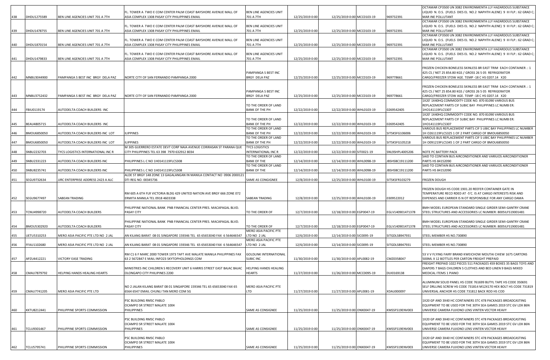|     |             |                                           |                                                                                                                   |                                        |                 |                            |                  | OCTAMAR CP3500 UN 3082 ENVIRONMENTA LLY HAZARDOUS SUBSTANCE                                                                         |
|-----|-------------|-------------------------------------------|-------------------------------------------------------------------------------------------------------------------|----------------------------------------|-----------------|----------------------------|------------------|-------------------------------------------------------------------------------------------------------------------------------------|
|     |             |                                           | FL. TOWER A TWO E COM CENTER PALM COAST BAYSHORE AVENUE MALL OF                                                   | BEN LINE AGENCIES UNIT                 |                 |                            |                  | LIQUID N. O.S. (FUELS DIES EL NO.2 NAPHTH ALENE) 9 III FLP.: 62 GRAD C;                                                             |
| 438 | DHDU1275589 | BEN LINE AGENCIES UNIT 701 A 7TH          | ASIA COMPLEX 1308 PASAY CITY PHILIPPINES EMAIL                                                                    | 701 A 7TH                              | 12/25/2019 0:00 | 12/25/2019 0:00 MCC0103-19 | 969732391        | MAR INE POLLUTANT                                                                                                                   |
|     |             |                                           |                                                                                                                   |                                        |                 |                            |                  | OCTAMAR CP3500 UN 3082 ENVIRONMENTA LLY HAZARDOUS SUBSTANCE                                                                         |
| 439 | DHDU1478755 | BEN LINE AGENCIES UNIT 701 A 7TH          | FL. TOWER A TWO E COM CENTER PALM COAST BAYSHORE AVENUE MALL OF<br>ASIA COMPLEX 1308 PASAY CITY PHILIPPINES EMAIL | BEN LINE AGENCIES UNIT<br>701 A 7TH    | 12/25/2019 0:00 | 12/25/2019 0:00 MCC0103-19 | 969732391        | LIQUID N. O.S. (FUELS DIES EL NO.2 NAPHTH ALENE) 9 III FLP.: 62 GRAD C;  <br>MAR INE POLLUTANT                                      |
|     |             |                                           |                                                                                                                   |                                        |                 |                            |                  | OCTAMAR CP3500 UN 3082 ENVIRONMENTA LLY HAZARDOUS SUBSTANCE                                                                         |
|     |             |                                           | FL. TOWER A TWO E COM CENTER PALM COAST BAYSHORE AVENUE MALL OF                                                   | BEN LINE AGENCIES UNIT                 |                 |                            |                  | LIQUID N. O.S. (FUELS DIES EL NO.2 NAPHTH ALENE) 9 III FLP.: 62 GRAD C;                                                             |
| 440 | DHDU1870154 | BEN LINE AGENCIES UNIT 701 A 7TH          | ASIA COMPLEX 1308 PASAY CITY PHILIPPINES EMAIL                                                                    | 701 A 7TH                              | 12/25/2019 0:00 | 12/25/2019 0:00 MCC0103-19 | 969732391        | MAR INE POLLUTANT                                                                                                                   |
|     |             |                                           |                                                                                                                   |                                        |                 |                            |                  | OCTAMAR CP3500 UN 3082 ENVIRONMENTA LLY HAZARDOUS SUBSTANCE                                                                         |
|     |             |                                           | FL. TOWER A TWO E COM CENTER PALM COAST BAYSHORE AVENUE MALL OF                                                   | BEN LINE AGENCIES UNIT                 |                 |                            |                  | LIQUID N. O.S. (FUELS DIES EL NO.2 NAPHTH ALENE) 9 III FLP.: 62 GRAD C;                                                             |
| 441 | DHDU1479833 | BEN LINE AGENCIES UNIT 701 A 7TH          | ASIA COMPLEX 1308 PASAY CITY PHILIPPINES EMAIL                                                                    | 701 A 7TH                              | 12/25/2019 0:00 | 12/25/2019 0:00 MCC0103-19 | 969732391        | MAR INE POLLUTANT                                                                                                                   |
|     |             |                                           |                                                                                                                   |                                        |                 |                            |                  |                                                                                                                                     |
|     |             |                                           |                                                                                                                   |                                        |                 |                            |                  | FROZEN CHICKEN BONELESS SKINLESS BR EAST TRIM EACH CONTAINER .: 1                                                                   |
| 442 | MNBU3044900 | PAMPANGA S BEST INC BRGY DELA PAZ         | NORTE CITY OF SAN FERNANDO PAMPANGA 2000                                                                          | PAMPANGA S BEST INC<br>BRGY DELA PAZ   | 12/25/2019 0:00 | 12/25/2019 0:00 MCC0103-19 | 969778661        | 425 CS / NET 25 854.80 KGS / GROSS 26 5 05 REFRIGERATOR<br>CARGO/FREEZER STOW AGE. TEMP -18 C HS 0207.14 X20                        |
|     |             |                                           |                                                                                                                   |                                        |                 |                            |                  |                                                                                                                                     |
|     |             |                                           |                                                                                                                   |                                        |                 |                            |                  | FROZEN CHICKEN BONELESS SKINLESS BR EAST TRIM EACH CONTAINER .: 1                                                                   |
|     |             |                                           |                                                                                                                   | PAMPANGA S BEST INC                    |                 |                            |                  | 425 CS / NET 25 854.80 KGS / GROSS 26 5 05 REFRIGERATOR                                                                             |
| 443 | MNBU3752432 | PAMPANGA S BEST INC BRGY DELA PAZ         | NORTE CITY OF SAN FERNANDO PAMPANGA 2000                                                                          | BRGY DELA PAZ                          | 12/25/2019 0:00 | 12/25/2019 0:00 MCC0103-19 | 969778661        | CARGO/FREEZER STOW AGE. TEMP -18 C HS 0207.14 X20                                                                                   |
|     |             |                                           |                                                                                                                   |                                        |                 |                            |                  | 1X20' 1X40HQ COMMODITY CODE NO. 870 81090 VARIOUS BUS                                                                               |
|     |             |                                           |                                                                                                                   | TO THE ORDER OF LAND                   |                 |                            |                  | REPLACEMENT PARTS CIF SUBIC BAY PHILIPPINES LC NUMB ER:                                                                             |
| 444 | FBIU0119174 | AUTODELTA COACH BUILDERS INC              |                                                                                                                   | BANK OF THE PH                         | 12/22/2019 0:00 | 12/22/2019 0:00 WHL0103-19 | 0269542405       | 1HO141119FLCS307                                                                                                                    |
|     |             |                                           |                                                                                                                   |                                        |                 |                            |                  | 1X20' 1X40HQ COMMODITY CODE NO. 870 81090 VARIOUS BUS                                                                               |
|     |             |                                           |                                                                                                                   | TO THE ORDER OF LAND                   |                 |                            |                  | REPLACEMENT PARTS CIF SUBIC BAY PHILIPPINES LC NUMB ER:                                                                             |
| 445 | BEAU4805715 | AUTODELTA COACH BUILDERS INC              |                                                                                                                   | BANK OF THE PH<br>TO THE ORDER OF LAND | 12/22/2019 0:00 | 12/22/2019 0:00 WHL0103-19 | 0269542405       | 1HO141119FLCS307<br>VARIOUS BUS REPLACEMENT PARTS CIF S UBIC BAY PHILIPPINES LC NUMBER                                              |
| 446 | BMOU6850050 | AUTODELTA COACH BUILDERS INC LOT          | <b>LIPPINES</b>                                                                                                   | BANK OF THE PH                         | 12/22/2019 0:00 | 12/22/2019 0:00 WHL0103-19 | SITSKSFG106006   | 1H O261119FLCS325 1 OF 2 PART CARGO OF BMOU6850050                                                                                  |
|     |             |                                           |                                                                                                                   | TO THE ORDER OF LAND                   |                 |                            |                  | VARIOUS BUS REPLACEMENT PARTS CIF S UBIC BAY PHILIPPINES LC NUMBER                                                                  |
| 447 | BMOU6850050 | AUTODELTA COACH BUILDERS INC LOT          | <b>ILIPPINES</b>                                                                                                  | <b>BANK OF THE PH</b>                  | 12/22/2019 0:00 | 12/22/2019 0:00 WHL0103-19 | SITSKSFG105218   | 1H 0091219FLCS345 1 OF 2 PART CARGO OF BMOU6850050                                                                                  |
|     |             |                                           | M 305 GUERRERO ESTATE DEVT CORP NAIA AVENUE CORIRASAN ST PARANA QUE                                               | <b>TYCS LOGISTICS</b>                  |                 |                            |                  |                                                                                                                                     |
| 448 | SNBU2232703 | <b>TYCS LOGISTICS INTERNATIONAL INC R</b> | CITY PHILIPPINES TEL 63 398 7970 632912 8034                                                                      | INTERNATIONAL INC R                    | 12/22/2019 0:00 | 12/22/2019 0:00 SIT0021-19 | SNL9SHPL4005206  | NOTE PC BATTERY PACK                                                                                                                |
|     |             |                                           |                                                                                                                   | TO THE ORDER OF LAND                   |                 |                            |                  | SAID TO CONTAIN BUS AIRCONDITIONER AND VARIUOS AIRCONDITIONER                                                                       |
| 449 | SNBU2331223 | AUTODELTA COACH BUILDERS INC              | PHILIPPINES L C NO 1H0141119FLCS308                                                                               | <b>BANK OF THE</b>                     | 12/14/2019 0:00 | 12/14/2019 0:00 WHL0098-19 | IBSHSBC19111200  | PARTS HS 84152090                                                                                                                   |
|     |             |                                           |                                                                                                                   | TO THE ORDER OF LAND                   |                 |                            |                  | SAID TO CONTAIN BUS AIRCONDITIONER AND VARIUOS AIRCONDITIONER                                                                       |
| 450 | SNBU8235741 | AUTODELTA COACH BUILDERS INC              | PHILIPPINES L C NO 1H0141119FLCS308<br>ALDE ST BRGY 148 ZONE 13 GAGALANGAN IN MANILA CONTACT NO 0906 2000121      | <b>BANK OF THE</b>                     | 12/14/2019 0:00 | 12/14/2019 0:00 WHL0098-19 | JBSHSBC19111200  | PARTS HS 84152090                                                                                                                   |
| 451 | SEGU9732634 | JJRC ENTERPRISE ADDRESS 2423 A ALC        | DTI REG NO. 00345736                                                                                              | SAME AS CONGIGNEE                      | 12/8/2019 0:00  | 12/25/2019 0:00 WHL0100-19 | SITSKSFR103279   | FROZEN DOUGH                                                                                                                        |
|     |             |                                           |                                                                                                                   |                                        |                 |                            |                  |                                                                                                                                     |
|     |             |                                           |                                                                                                                   |                                        |                 |                            |                  | FROZEN DOUGH HS CODE:1901.20 REEFER CONTAINER GATE IN                                                                               |
|     |             |                                           | RM 605 A 6TH FLR VICTORIA BLDG 429 UNITED NATION AVE BRGY 666 ZONE 072                                            |                                        |                 |                            |                  | TEMPERATURE RECO RDED AT -5'C. IS AT CARGO INTERESTS RISK AND                                                                       |
| 452 | SEGU9677497 | SABEAN TRADING                            | ERMITA MANILA TEL 0918 4603338                                                                                    | SABEAN TRADING                         | 12/8/2019 0:00  | 12/25/2019 0:00 WHL0100-19 | 0309522012       | EXPENSES AND CARRIER IS N OT RESPONSIBLE FOR ANY CARGO DAMA                                                                         |
|     |             |                                           |                                                                                                                   |                                        |                 |                            |                  |                                                                                                                                     |
|     |             |                                           | PHILIPPINE NATIONAL BANK PNB FINANCIAL CENTER PRES. MACAPAGAL BLVD.                                               |                                        |                 |                            |                  | BMH MODEL EUROPEAN STANDARD SINGLE GIRDER SEMI-GANTRY CRANE                                                                         |
| 453 | TCNU4998720 | AUTODELTA COACH BUILDERS                  | PASAY CITY                                                                                                        | TO THE ORDER OF                        | 12/7/2019 0:00  | 12/18/2019 0:00 EGP0047-19 | EGLV140901471378 | STEEL STRUCTURES AND ACCESSORIES LC NUMBER: 8005ILFS19001481                                                                        |
|     |             |                                           | PHILIPPINE NATIONAL BANK PNB FINANCIAL CENTER PRES. MACAPAGAL BLVD.                                               |                                        |                 |                            |                  | BMH MODEL EUROPEAN STANDARD SINGLE GIRDER SEMI-GANTRY CRANE                                                                         |
| 454 | BMOU5302920 | AUTODELTA COACH BUILDERS                  | PASAY CITY                                                                                                        | TO THE ORDER OF                        | 12/7/2019 0:00  | 12/18/2019 0:00 EGP0047-19 | EGLV140901471378 | STEEL STRUCTURES AND ACCESSORIES LC NUMBER: 8005ILFS19001481                                                                        |
|     |             |                                           |                                                                                                                   | MERO ASIA PACIFIC PTE                  |                 |                            |                  |                                                                                                                                     |
| 455 | UETU5310253 | MERO ASIA PACIFIC PTE LTD NO 2 JAL        | AN KILANG BARAT 08 01 SINGAPORE 159346 TEL 65 65653040 FAX 6 564646547                                            | LTD NO 2 JAL                           | 12/6/2019 0:00  | 12/14/2019 0:00 SIC0095-19 | SITGDLSB947931   | STEEL MEMBER HS NO.730890                                                                                                           |
|     |             |                                           |                                                                                                                   | MERO ASIA PACIFIC PTE                  |                 |                            |                  |                                                                                                                                     |
| 456 | FFAU1102680 | MERO ASIA PACIFIC PTE LTD NO 2 JAL        | AN KILANG BARAT 08 01 SINGAPORE 159346 TEL 65 65653040 FAX 6 564646547                                            | LTD NO 2 JAL                           | 12/6/2019 0:00  | 12/14/2019 0:00 SIC0095-19 | SITGDLSB947931   | STEEL MEMBER HS NO.730890                                                                                                           |
|     |             |                                           |                                                                                                                   |                                        |                 |                            |                  |                                                                                                                                     |
|     |             |                                           | RM C1 6 F MARC 2000 TOWER 1973 TAFT AVE MALATE MANILA PHILIPPINES FAX                                             | <b>GOLDLINK INTERNATIONAL</b>          |                 |                            |                  | 53 V V FLYING FAIRY BRAND KWEICHOW MOUTAI CHIEW 1675 CARTONS                                                                        |
| 457 | APZU4412221 | VICTORY EASE TRADING                      | 63 2 5672847 E MAIL INFO23 SKYTOPHOLDINGS COM                                                                     | <b>SUBIC INC</b>                       | 11/30/2019 0:00 | 11/30/2019 0:00 APL0082-19 | CMZ0358047       | 500ML X 12 BOTTLES PER CARTON FREIGHT PREPAID                                                                                       |
|     |             |                                           | MINISTRIES INC CHILDREN S RECOVERY UNIT 6 HARRIS STREET EAST BAJAC BAJAC                                          | HELPING HANDS HEALING                  |                 |                            |                  | FREIGHT PREPAID 1022 PIECES 511 PACKAGES 459 BOXES 35 BAGS TOYS AND<br>DIAPERS 7 BAGS CHILDREN S CLOTHES AND BED LINEN 9 BAGS MIXED |
| 458 | CMAU7879792 | HELPING HANDS HEALING HEARTS              | OLONGAPO CITY PHILIPINES 2200                                                                                     | <b>HEARTS</b>                          | 11/27/2019 0:00 | 11/26/2019 0:00 MCC0095-19 | DUI0169138       | MEDICAL ITEMS 1 PIANO                                                                                                               |
|     |             |                                           |                                                                                                                   |                                        |                 |                            |                  |                                                                                                                                     |
|     |             |                                           |                                                                                                                   |                                        |                 |                            |                  | ALUMINUM SOLID PANEL HS CODE 761699 BUTYL TAPE HS CODE 350691                                                                       |
|     |             |                                           | NO 2 JALAN KILANG BARAT 08 01 SINGAPORE 159346 TEL 65 65653040 FAX 65                                             | MERO ASIA PACIFIC PTE                  |                 |                            |                  | SELF DRLLING SCREW HS CODE 731814 M12X170 HEX BOLT HS CODE 731819                                                                   |
| 459 | CMAU7741205 | MERO ASIA PACIFIC PTE LTD                 | 6564 6547 EMAIL CHUNLI TAN MERO COM SG                                                                            | .TD                                    | 11/27/2019 0:00 | 11/27/2019 0:00 APL0081-19 | XDAU000097       | UNIVERSAL ANCHOR HS CODE 731812 BACK ROD HS COD                                                                                     |
|     |             |                                           |                                                                                                                   |                                        |                 |                            |                  |                                                                                                                                     |
|     |             |                                           | PSC BUILDING RMSC PABLO                                                                                           |                                        |                 |                            |                  | 1X20 GP AND 3X40 HC CONTAINERS STC 478 PACKAGES BROADCASTING                                                                        |
|     |             |                                           | OCAMPO SR STREET MALATE 1004                                                                                      |                                        |                 |                            |                  | EQUIPMENT TO BE USED FOR THE 30TH SEA GAMES 2019 STC GV LDX 86N                                                                     |
| 460 | KKTU8212441 | PHILIPPINE SPORTS COMMISSION              | PHILIPPINES                                                                                                       | SAME AS CONSIGNEE                      | 11/25/2019 0:00 | 11/25/2019 0:00 ONX0047-19 | KMSSFS19ENV003   | UNIVERSE CAMERA FUJIONO LENS VINTEN VECTOR HEAVY                                                                                    |
|     |             |                                           | PSC BUILDING RMSC PABLO                                                                                           |                                        |                 |                            |                  | 1X20 GP AND 3X40 HC CONTAINERS STC 478 PACKAGES BROADCASTING                                                                        |
|     |             |                                           | OCAMPO SR STREET MALATE 1004                                                                                      |                                        |                 |                            |                  | EQUIPMENT TO BE USED FOR THE 30TH SEA GAMES 2019 STC GV LDX 86N                                                                     |
| 461 | TCLU9301467 | PHILIPPINE SPORTS COMMISSION              | PHILIPPINES                                                                                                       | SAME AS CONSIGNEE                      | 11/25/2019 0:00 | 11/25/2019 0:00 ONX0047-19 | KMSSFS19ENV003   | UNIVERSE CAMERA FUJIONO LENS VINTEN VECTOR HEAVY                                                                                    |
|     |             |                                           |                                                                                                                   |                                        |                 |                            |                  |                                                                                                                                     |
|     |             |                                           |                                                                                                                   |                                        |                 |                            |                  |                                                                                                                                     |
|     |             |                                           | PSC BUILDING RMSC PABLO                                                                                           |                                        |                 |                            |                  | 1X20 GP AND 3X40 HC CONTAINERS STC 478 PACKAGES BROADCASTING                                                                        |
| 462 | TCLU5795741 | PHILIPPINE SPORTS COMMISSION              | OCAMPO SR STREET MALATE 1004<br>PHILIPPINES                                                                       | SAME AS CONSIGNEE                      | 11/25/2019 0:00 | 11/25/2019 0:00 ONX0047-19 | KMSSFS19ENV003   | EQUIPMENT TO BE USED FOR THE 30TH SEA GAMES 2019 STC GV LDX 86N<br>UNIVERSE CAMERA FUJIONO LENS VINTEN VECTOR HEAVY                 |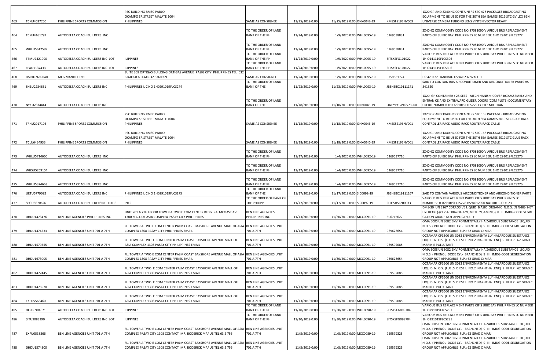|     |             |                                   | PSC BUILDING RMSC PABLO                                                                                |                                               |                 |                            |                  | 1X20 GP AND 3X40 HC CONTAINERS STC 478 PACKAGES BROADCASTING                                                                        |
|-----|-------------|-----------------------------------|--------------------------------------------------------------------------------------------------------|-----------------------------------------------|-----------------|----------------------------|------------------|-------------------------------------------------------------------------------------------------------------------------------------|
|     |             |                                   | OCAMPO SR STREET MALATE 1004                                                                           |                                               |                 |                            |                  | EQUIPMENT TO BE USED FOR THE 30TH SEA GAMES 2019 STC GV LDX 86N                                                                     |
| 463 | TCNU4637250 | PHILIPPINE SPORTS COMMISSION      | PHILIPPINES                                                                                            | SAME AS CONSIGNEE                             | 11/25/2019 0:00 | 11/25/2019 0:00 ONX0047-19 | KMSSFS19ENV003   | UNIVERSE CAMERA FUJIONO LENS VINTEN VECTOR HEAVY                                                                                    |
|     |             |                                   |                                                                                                        | TO THE ORDER OF LAND                          |                 |                            |                  | 2X40HQ COMMODITY CODE NO.87081090 V ARIOUS BUS REPLACEMENT                                                                          |
| 464 | TCNU4161797 | AUTODELTA COACH BUILDERS INC      |                                                                                                        | <b>BANK OF THE PH</b>                         | 11/24/2019 0:00 | 1/9/2020 0:00 WHL0095-19   | 0269538831       | PARTS CIF SU BIC BAY PHILIPPINES LC NUMBER: 1HO 291019FLCS277                                                                       |
|     |             |                                   |                                                                                                        |                                               |                 |                            |                  |                                                                                                                                     |
|     |             |                                   |                                                                                                        | TO THE ORDER OF LAND                          |                 |                            |                  | 2X40HQ COMMODITY CODE NO.87081090 V ARIOUS BUS REPLACEMENT                                                                          |
| 465 | WHLU5617589 | AUTODELTA COACH BUILDERS INC      |                                                                                                        | <b>BANK OF THE PH</b><br>TO THE ORDER OF LAND | 11/24/2019 0:00 | 1/9/2020 0:00 WHL0095-19   | 0269538831       | PARTS CIF SU BIC BAY PHILIPPINES LC NUMBER: 1HO 291019FLCS277<br>VARIOUS BUS REPLACEMENT PARTS CIF S UBIC BAY PHILIPPINES LC NUMBER |
| 466 | TEMU7421990 | AUTODELTA COACH BUILDERS INC LOT  | <b>ILIPPINES</b>                                                                                       | <b>BANK OF THE PH</b>                         | 11/24/2019 0:00 | 1/9/2020 0:00 WHL0095-19   | SITSKSFG101022   | 1H 0141119FLCS306                                                                                                                   |
|     |             |                                   |                                                                                                        | TO THE ORDER OF LAND                          |                 |                            |                  | VARIOUS BUS REPLACEMENT PARTS CIF S UBIC BAY PHILIPPINES LC NUMBER                                                                  |
| 467 | FFAU1137433 | AUTODELTA COACH BUILDERS INC LOT  | <b>ILIPPINES</b>                                                                                       | <b>BANK OF THE PH</b>                         | 11/24/2019 0:00 | 1/9/2020 0:00 WHL0095-19   | SITSKSFG101022   | 1H 0141119FLCS306                                                                                                                   |
| 468 | BMOU2699840 | MFG MANILLE INC                   | SUITE 309 ORTIGAS BUILDING ORTIGAS AVENUE PASIG CITY PHILIPPINES TEL 632<br>6360058 60 FAX 632 6360059 | SAME AS CONSIGNEE                             | 11/24/2019 0:00 | 1/9/2020 0:00 WHL0095-19   | 0259631774       | HS:420222 HANDBAG HS:420232 WALLET                                                                                                  |
|     |             |                                   |                                                                                                        | TO THE ORDER OF LAND                          |                 |                            |                  | SAID TO CONTAIN BUS AIRCONDITIONER AND AIRCONDITIONER PARTS HS                                                                      |
| 469 | SNBU2284651 | AUTODELTA COACH BUILDERS INC      | PHILIPPINES L C NO 1H0291019FLCS274                                                                    | <b>BANK OF THE</b>                            | 11/23/2019 0:00 | 11/23/2019 0:00 WHL0093-19 | JBSHSBC19111171  | 841520                                                                                                                              |
|     |             |                                   |                                                                                                        |                                               |                 |                            |                  |                                                                                                                                     |
|     |             |                                   |                                                                                                        | TO THE ORDER OF LAND                          |                 |                            |                  | 1X20' GP CONTAINER :- 25 SETS - MECH HANISM COVER BOXASSEMBLY AND<br>ENTRAN CE AND EXITINWARD GLIDER DOORS (COM PLETE) DOCUMENTARY  |
| 470 | NYKU2834444 | AUTODELTA COACH BUILDERS INC      |                                                                                                        | <b>BANK OF THE</b>                            | 11/18/2019 0:00 | 11/18/2019 0:00 ONX0046-19 | ONEYPKGV49573900 | CREDIT NUMBER:1H O291019FLCS279 >> PIC: MR. FRAN                                                                                    |
|     |             |                                   |                                                                                                        |                                               |                 |                            |                  |                                                                                                                                     |
|     |             |                                   | PSC BUILDING RMSC PABLO                                                                                |                                               |                 |                            |                  | 1X20 GP AND 1X40 HC CONTAINERS STC 168 PACKAGES BROADCASTING                                                                        |
|     |             |                                   | OCAMPO SR STREET MALATE 1004                                                                           |                                               |                 |                            |                  | EQUIPMENT TO BE USED FOR THE 30TH SEA GAMES 2019 STC GLUE RACK                                                                      |
| 471 | TRHU2917106 | PHILIPPINE SPORTS COMMISSION      | PHILIPPINES                                                                                            | SAME AS CONSIGNEE                             | 11/18/2019 0:00 | 11/18/2019 0:00 ONX0046-19 | KMSSFS19ENV001   | CONTROLLER RACK AUDIO RACK ROUTER RACK CABLE                                                                                        |
|     |             |                                   | PSC BUILDING RMSC PABLO                                                                                |                                               |                 |                            |                  | 1X20 GP AND 1X40 HC CONTAINERS STC 168 PACKAGES BROADCASTING                                                                        |
|     |             |                                   | OCAMPO SR STREET MALATE 1004                                                                           |                                               |                 |                            |                  | EQUIPMENT TO BE USED FOR THE 30TH SEA GAMES 2019 STC GLUE RACK                                                                      |
| 472 | TCLU6434933 | PHILIPPINE SPORTS COMMISSION      | PHILIPPINES                                                                                            | SAME AS CONSIGNEE                             | 11/18/2019 0:00 | 11/18/2019 0:00 ONX0046-19 | KMSSFS19ENV001   | CONTROLLER RACK AUDIO RACK ROUTER RACK CABLE                                                                                        |
|     |             |                                   |                                                                                                        |                                               |                 |                            |                  | 3X40HQ COMMODITY CODE NO.87081090 V ARIOUS BUS REPLACEMENT                                                                          |
| 473 | WHLU5714660 | AUTODELTA COACH BUILDERS INC      |                                                                                                        | TO THE ORDER OF LAND<br><b>BANK OF THE PH</b> | 11/17/2019 0:00 | 1/4/2020 0:00 WHL0092-19   | 0269537716       | PARTS CIF SU BIC BAY PHILIPPINES LC NUMBER: 1HO 291019FLCS276                                                                       |
|     |             |                                   |                                                                                                        |                                               |                 |                            |                  |                                                                                                                                     |
|     |             |                                   |                                                                                                        | TO THE ORDER OF LAND                          |                 |                            |                  | 3X40HQ COMMODITY CODE NO.87081090 V ARIOUS BUS REPLACEMENT                                                                          |
| 474 | WHSU5269154 | AUTODELTA COACH BUILDERS INC      |                                                                                                        | <b>BANK OF THE PH</b>                         | 11/17/2019 0:00 | 1/4/2020 0:00 WHL0092-19   | 0269537716       | PARTS CIF SU BIC BAY PHILIPPINES LC NUMBER: 1HO 291019FLCS276                                                                       |
|     |             |                                   |                                                                                                        |                                               |                 |                            |                  |                                                                                                                                     |
| 475 | WHLU5374663 | AUTODELTA COACH BUILDERS INC      |                                                                                                        | TO THE ORDER OF LAND<br><b>BANK OF THE PH</b> | 11/17/2019 0:00 | 1/4/2020 0:00 WHL0092-19   | 0269537716       | 3X40HQ COMMODITY CODE NO.87081090 V ARIOUS BUS REPLACEMENT<br>PARTS CIF SU BIC BAY PHILIPPINES LC NUMBER: 1HO 291019FLCS276         |
|     |             |                                   |                                                                                                        | TO THE ORDER OF LAND                          |                 |                            |                  |                                                                                                                                     |
| 476 | JETU5779092 | AUTODELTA COACH BUILDERS INC      | PHILIPPINES L C NO 1H0291019FLCS275                                                                    | <b>BANK OF THE</b>                            | 11/17/2019 0:00 | 11/17/2019 0:00 SIC0092-19 | JBSHSBC19111167  | SAID TO CONTAIN VARIOUS AIRCONDITIONER AND AIRCONDITIONER PARTS                                                                     |
|     |             |                                   |                                                                                                        | TO THE ORDER OF BANK OF                       |                 |                            |                  | VARIOUS BUS REPLACEMENT PARTS CIF S UBIC BAY PHILIPPINES LC                                                                         |
| 477 | SEGU6670626 | AUTODELTA COACH BUILDERSINC LOT 6 | <b>INES</b>                                                                                            | THE PHILIPP                                   | 11/17/2019 0:00 | 11/17/2019 0:00 SIC0092-19 | SITGSHSFZ00033   | NUMBERS1H 0291019FCLS278 HS94012090 NATURE C ODE 23<br>DMS-30 UN 3267 CORROSIVE LIQUID B ASIC ORGANIC N.O.S. (N N-BIS(2-ET          |
|     |             |                                   | UNIT 701 A 7TH FLOOR TOWER A TWO E COM CENTER BLDG. PALMCOAST AVE                                      | BEN LINE AGENCIES                             |                 |                            |                  | HYLHEXYL)-((1 2 4-TRIAZOL-1-YL)METH YL)AMINE)) 8 II IMDG-CODE SEGRE                                                                 |
| 478 | DHDU1473476 | BEN LINE AGENCIES PHILIPPINES INC | 1300 MALL OF ASIA COMPLEX PASAY CITY PHILIPPINES                                                       | PHILIPPINES INC                               | 11/13/2019 0:00 | 11/30/2019 0:00 MCC0091-19 | 606715627        | GATION GROUP NOT APPLICABLE F                                                                                                       |
|     |             |                                   |                                                                                                        |                                               |                 |                            |                  | OMA 500S UN 3082 ENVIRONMENTALLY HA ZARDOUS SUBSTANCE LIQUID                                                                        |
|     |             |                                   | FL. TOWER A TWO E COM CENTER PALM COAST BAYSHORE AVENUE MALL OF ASIA BEN LINE AGENCIES UNIT            |                                               |                 |                            |                  | N.O.S. ( PHENOL DODE CYL- BRANCHED) 9 II I IMDG-CODE SEGREGATION                                                                    |
| 479 | DHDU1474533 | BEN LINE AGENCIES UNIT 701 A 7TH  | COMPLEX 1308 PASAY CITY PHILIPPINES EMAIL                                                              | 701 A 7TH                                     | 11/13/2019 0:00 | 11/30/2019 0:00 MCC0091-19 | 969623654        | GROUP NOT APPLICABLE FLP.: 62 GRAD C; MAR<br>OCTAMAR CP3500 UN 3082 ENVIRONMENTA LLY HAZARDOUS SUBSTANCE                            |
|     |             |                                   | FL. TOWER A TWO E COM CENTER PALM COAST BAYSHORE AVENUE MALL OF                                        | BEN LINE AGENCIES UNIT                        |                 |                            |                  | LIQUID N. O.S. (FUELS DIESE L NO.2 NAPHTHA LENE) 9 III FLP.: 62 GRAD C                                                              |
| 480 | DHDU1579555 | BEN LINE AGENCIES UNIT 701 A 7TH  | ASIA COMPLEX 1308 PASAY CITY PHILIPPINES EMAIL                                                         | 701 A 7TH                                     | 11/13/2019 0:00 | 11/30/2019 0:00 MCC0091-19 | 969592085        | MARIN E POLLUTANT                                                                                                                   |
|     |             |                                   |                                                                                                        |                                               |                 |                            |                  | OMA 500S UN 3082 ENVIRONMENTALLY HA ZARDOUS SUBSTANCE LIQUID                                                                        |
|     |             |                                   | FL. TOWER A TWO E COM CENTER PALM COAST BAYSHORE AVENUE MALL OF ASIA                                   | BEN LINE AGENCIES UNIT                        |                 |                            |                  | N.O.S. ( PHENOL DODE CYL- BRANCHED) 9 II I IMDG-CODE SEGREGATION                                                                    |
| 481 | DHDU1673005 | BEN LINE AGENCIES UNIT 701 A 7TH  | COMPLEX 1308 PASAY CITY PHILIPPINES EMAIL                                                              | 701 A 7TH                                     | 11/13/2019 0:00 | 11/30/2019 0:00 MCC0091-19 | 969623654        | GROUP NOT APPLICABLE FLP.: 62 GRAD C; MAR<br>OCTAMAR CP3500 UN 3082 ENVIRONMENTA LLY HAZARDOUS SUBSTANCE                            |
|     |             |                                   | FL. TOWER A TWO E COM CENTER PALM COAST BAYSHORE AVENUE MALL OF                                        | BEN LINE AGENCIES UNIT                        |                 |                            |                  | LIQUID N. O.S. (FUELS DIESE L NO.2 NAPHTHA LENE) 9 III FLP.: 62 GRAD C                                                              |
| 482 | DHDU1477445 | BEN LINE AGENCIES UNIT 701 A 7TH  | ASIA COMPLEX 1308 PASAY CITY PHILIPPINES EMAIL                                                         | 701 A 7TH                                     | 11/13/2019 0:00 | 11/30/2019 0:00 MCC0091-19 | 969592085        | MARIN E POLLUTANT                                                                                                                   |
|     |             |                                   |                                                                                                        |                                               |                 |                            |                  | OCTAMAR CP3500 UN 3082 ENVIRONMENTA LLY HAZARDOUS SUBSTANCE                                                                         |
|     |             |                                   | FL. TOWER A TWO E COM CENTER PALM COAST BAYSHORE AVENUE MALL OF                                        | BEN LINE AGENCIES UNIT                        |                 |                            |                  | LIQUID N. O.S. (FUELS DIESE L NO.2 NAPHTHA LENE) 9 III FLP.: 62 GRAD C<br>MARIN E POLLUTANT                                         |
| 483 | DHDU1478570 | BEN LINE AGENCIES UNIT 701 A 7TH  | ASIA COMPLEX 1308 PASAY CITY PHILIPPINES EMAIL                                                         | 701 A 7TH                                     | 11/13/2019 0:00 | 11/30/2019 0:00 MCC0091-19 | 969592085        | OCTAMAR CP3500 UN 3082 ENVIRONMENTA LLY HAZARDOUS SUBSTANCE                                                                         |
|     |             |                                   | FL. TOWER A TWO E COM CENTER PALM COAST BAYSHORE AVENUE MALL OF                                        | BEN LINE AGENCIES UNIT                        |                 |                            |                  | LIQUID N. O.S. (FUELS DIESE L NO.2 NAPHTHA LENE) 9 III FLP.: 62 GRAD C                                                              |
| 484 | EXFU5566460 | BEN LINE AGENCIES UNIT 701 A 7TH  | ASIA COMPLEX 1308 PASAY CITY PHILIPPINES EMAIL                                                         | 701 A 7TH                                     | 11/13/2019 0:00 | 11/30/2019 0:00 MCC0091-19 | 969592085        | <b>MARIN E POLLUTANT</b>                                                                                                            |
|     |             |                                   |                                                                                                        | TO THE ORDER OF LAND                          |                 |                            |                  | VARIOUS BUS REPLACEMENT PARTS CIF S UBIC BAY PHILIPPINES LC NUMBER                                                                  |
| 485 | DFSU6984621 | AUTODELTA COACH BUILDERS INC LOT  | <b>ILIPPINES</b>                                                                                       | <b>BANK OF THE PH</b><br>TO THE ORDER OF LAND | 11/10/2019 0:00 | 11/30/2019 0:00 WHL0090-19 | SITSKSFG098704   | 1H O291019FLCS281<br>VARIOUS BUS REPLACEMENT PARTS CIF S UBIC BAY PHILIPPINES LC NUMBER                                             |
| 486 | SITU9083390 | AUTODELTA COACH BUILDERS INC LOT  | <b>ILIPPINES</b>                                                                                       | <b>BANK OF THE PH</b>                         | 11/10/2019 0:00 | 11/30/2019 0:00 WHL0090-19 | SITSKSFG098704   | 1H O291019FLCS281                                                                                                                   |
|     |             |                                   |                                                                                                        |                                               |                 |                            |                  | OMA 500S UN 3082 ENVIRONMENTALLY HA ZARDOUS SUBSTANCE LIQUID                                                                        |
|     |             |                                   | FL. TOWER A TWO E COM CENTER PALM COAST BAYSHORE AVENUE MALL OF ASIA BEN LINE AGENCIES UNIT            |                                               |                 |                            |                  | N.O.S. ( PHENOL DODE CYL- BRANCHED) 9 II I IMDG-CODE SEGREGATION                                                                    |
| 487 | EXFU0538866 | BEN LINE AGENCIES UNIT 701 A 7TH  | COMPLEX PASAY CITY 1308 CONTACT MR. RODERICK MAPUE TEL 63 2 756                                        | 701 A 7TH                                     | 11/5/2019 0:00  | 11/5/2019 0:00 MCC0089-19  | 969579325        | GROUP NOT APPLICABLE FLP.: 62 GRAD C MARI                                                                                           |
|     |             |                                   | FL. TOWER A TWO E COM CENTER PALM COAST BAYSHORE AVENUE MALL OF ASIA BEN LINE AGENCIES UNIT            |                                               |                 |                            |                  | OMA 500S UN 3082 ENVIRONMENTALLY HA ZARDOUS SUBSTANCE LIQUID<br>N.O.S. ( PHENOL DODE CYL- BRANCHED) 9 II I IMDG-CODE SEGREGATION    |
| 488 | DHDU1574300 | BEN LINE AGENCIES UNIT 701 A 7TH  | COMPLEX PASAY CITY 1308 CONTACT MR. RODERICK MAPUE TEL 63 2 756                                        | 701 A 7TH                                     | 11/5/2019 0:00  | 11/5/2019 0:00 MCC0089-19  | 969579325        | GROUP NOT APPLICABLE FLP.: 62 GRAD C MARI                                                                                           |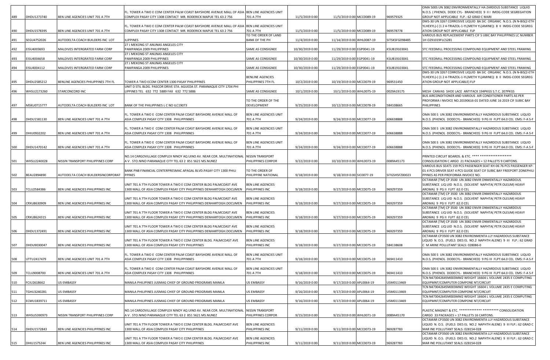|     |             |                                     |                                                                                                                                                                |                                             |                 |                            |                | OMA 500S UN 3082 ENVIRONMENTALLY HA ZARDOUS SUBSTANCE LIQUID                                                                          |
|-----|-------------|-------------------------------------|----------------------------------------------------------------------------------------------------------------------------------------------------------------|---------------------------------------------|-----------------|----------------------------|----------------|---------------------------------------------------------------------------------------------------------------------------------------|
|     | DHDU1273740 |                                     | FL. TOWER A TWO E COM CENTER PALM COAST BAYSHORE AVENUE MALL OF ASIA BEN LINE AGENCIES UNIT<br>COMPLEX PASAY CITY 1308 CONTACT MR. RODERICK MAPUE TEL 63 2 756 |                                             |                 | 11/5/2019 0:00 MCC0089-19  | 969579325      | N.O.S. ( PHENOL DODE CYL- BRANCHED) 9 II I IMDG-CODE SEGREGATION<br>GROUP NOT APPLICABLE FLP.: 62 GRAD C MARI                         |
| 489 |             | BEN LINE AGENCIES UNIT 701 A 7TH    |                                                                                                                                                                | 701 A 7TH                                   | 11/5/2019 0:00  |                            |                | DMS-30 UN 3267 CORROSIVE LIQUID BA SIC ORGANIC N.O.S. (N N-BIS(2-ETH                                                                  |
|     |             |                                     | FL. TOWER A TWO E COM CENTER PALM COAST BAYSHORE AVENUE MALL OF ASIA                                                                                           | BEN LINE AGENCIES UNIT                      |                 |                            |                | YLHEXYL)-( (1 2 4-TRIAZOL-1-YL)METH YL)AMINE)) 8 II IMDG-CODE SEGREG                                                                  |
| 490 | DHDU1578395 | BEN LINE AGENCIES UNIT 701 A 7TH    | COMPLEX PASAY CITY 1308 CONTACT MR. RODERICK MAPUE TEL 63 2 756                                                                                                | 701 A 7TH                                   | 11/5/2019 0:00  | 11/5/2019 0:00 MCC0089-19  | 969578778      | ATION GROUP NOT APPLICABLE FLP                                                                                                        |
|     |             |                                     |                                                                                                                                                                | TO THE ORDER OF LAND                        |                 |                            | SITSKSFG098485 | VARIOUS BUS REPLACEMENT PARTS CIF S UBIC BAY PHILIPPINES LC NUMBER                                                                    |
| 491 | SEGU4752026 | AUTODELTA COACH BUILDERS INC LOT    | <b>ILIPPINES</b><br>27 J MEKONG ST ANUNAS ANGELES CITY                                                                                                         | BANK OF THE PH                              | 11/4/2019 0:00  | 11/14/2019 0:00 WHL0087-19 |                | 1H O291019FLCS281                                                                                                                     |
| 492 | EISU4003693 | MALDIVES INTERGRATED FARM CORP      | PAMPANGA 2009 PHILIPPINES                                                                                                                                      | SAME AS CONSIGNEE                           | 10/30/2019 0:00 | 11/29/2019 0:00 EGP0041-19 | KSUB19103041   | STC FEEDMILL PROCESSING COMPOUND EQUIPMENT AND STEEL FRAMING                                                                          |
|     |             |                                     | 27 J MEKONG ST ANUNAS ANGELES CITY                                                                                                                             |                                             |                 |                            |                |                                                                                                                                       |
| 493 | EISU4004658 | MALDIVES INTERGRATED FARM CORP      | PAMPANGA 2009 PHILIPPINES                                                                                                                                      | SAME AS CONSIGNEE                           | 10/30/2019 0:00 | 11/29/2019 0:00 EGP0041-19 | KSUB19103041   | STC FEEDMILL PROCESSING COMPOUND EQUIPMENT AND STEEL FRAMING                                                                          |
| 494 | EISU4004112 | MALDIVES INTERGRATED FARM CORP      | 27 J MEKONG ST ANUNAS ANGELES CITY<br>PAMPANGA 2009 PHILIPPINES                                                                                                | SAME AS CONSIGNEE                           | 10/30/2019 0:00 | 11/29/2019 0:00 EGP0041-19 | KSUB19103041   | STC FEEDMILL PROCESSING COMPOUND EQUIPMENT AND STEEL FRAMING                                                                          |
|     |             |                                     |                                                                                                                                                                |                                             |                 |                            |                | DMS-30 UN 3267 CORROSIVE LIQUID BA SIC ORGANIC N.O.S. (N N-BIS(2-ETH                                                                  |
|     |             |                                     |                                                                                                                                                                | <b>BENLINE AGENCIES</b>                     |                 |                            |                | YLHEXYL)-((124-TRIAZOL-1-YL)METH YL)AMINE)) 8 II IMDG-CODE SEGREG                                                                     |
| 495 | DHDU2585212 | BENLINE AGENCIES PHILIPPINES 7TH FL | TOWER A TWO ECOM CENTER 1300 PASAY PHILIPPINES                                                                                                                 | PHILIPPINES 7TH FL                          | 10/2/2019 0:00  | 10/19/2019 0:00 MCC0079-19 | 969531450      | ATION GROUP NOT APPLICABLE) FLP                                                                                                       |
|     |             |                                     | UNIT D STIL BLDG. PASCOR DRIVE STA. AGUEDA ST. PARANAQUE CITY 1704 PHI                                                                                         |                                             |                 |                            |                |                                                                                                                                       |
| 496 | WHSU2173260 | STARCONCORD INC                     | LIPPINES TEL 632 772 5889 FAX 632 772 5886                                                                                                                     | SAME AS CONSIGNEE                           | 10/1/2019 0:00  | 10/1/2019 0:00 WHL0075-19  | 0029A19175     | MESH CANVAS SHOE LACE ANTITACK 194PKGS S.T.C. 207PKGS<br>BUS AIRCONDITIONER AND VARIOUS AIR CONDITIONER PARTS AS PER                  |
|     |             |                                     |                                                                                                                                                                | TO THE ORDER OF THE                         |                 |                            |                | PROFORMA I NVOICE NO.20190616-01 DATED JUNE 16 2019 CIF SUBIC BAY                                                                     |
| 497 | MSKU0715777 | AUTODELTA COACH BUILDERS INC LOT    | BANK OF THE PHILIPPINES L C NO ILC19073                                                                                                                        | DEVELOPMENT                                 | 9/25/2019 0:00  | 10/12/2019 0:00 MCC0078-19 | 584108665      | PHILIPPINES                                                                                                                           |
|     |             |                                     |                                                                                                                                                                |                                             |                 |                            |                |                                                                                                                                       |
|     |             |                                     | FL. TOWER A TWO E COM CENTER PALM COAST BAYSHORE AVENUE MALL OF                                                                                                | BEN LINE AGENCIES UNIT                      |                 |                            |                | OMA 500 S UN 3082 ENVIRONMENTALLY HAZARDOUS SUBSTANCE LIQUID                                                                          |
| 498 | DHDU1581130 | BEN LINE AGENCIES UNIT 701 A 7TH    | ASIA COMPLEX PASAY CITY 1308 PHILIPPINNES                                                                                                                      | 701 A 7TH                                   | 9/24/2019 0:00  | 9/24/2019 0:00 MCC0077-19  | 606638888      | N.O.S. (PHENOL DODECYL- BRANCHED) 9 PG III FLPT:64.0 CEL EMS: F-A S-F                                                                 |
|     |             |                                     | FL. TOWER A TWO E COM CENTER PALM COAST BAYSHORE AVENUE MALL OF                                                                                                | BEN LINE AGENCIES UNIT                      |                 |                            |                | OMA 500 S UN 3082 ENVIRONMENTALLY HAZARDOUS SUBSTANCE LIQUID                                                                          |
| 499 | DHIU0932202 | BEN LINE AGENCIES UNIT 701 A 7TH    | ASIA COMPLEX PASAY CITY 1308 PHILIPPINNES                                                                                                                      | 701 A 7TH                                   | 9/24/2019 0:00  | 9/24/2019 0:00 MCC0077-19  | 606638888      | N.O.S. (PHENOL DODECYL- BRANCHED) 9 PG III FLPT:64.0 CEL EMS: F-A S-F                                                                 |
|     |             |                                     |                                                                                                                                                                |                                             |                 |                            |                |                                                                                                                                       |
|     |             |                                     | FL. TOWER A TWO E COM CENTER PALM COAST BAYSHORE AVENUE MALL OF                                                                                                | BEN LINE AGENCIES UNIT                      |                 |                            |                | OMA 500 S UN 3082 ENVIRONMENTALLY HAZARDOUS SUBSTANCE LIQUID                                                                          |
| 500 | DHDU1470142 | BEN LINE AGENCIES UNIT 701 A 7TH    | ASIA COMPLEX PASAY CITY 1308 PHILIPPINNES                                                                                                                      | 701 A 7TH                                   | 9/24/2019 0:00  | 9/24/2019 0:00 MCC0077-19  | 606638888      | N.O.S. (PHENOL DODECYL- BRANCHED) 9 PG III FLPT:64.0 CEL EMS: F-A S-F                                                                 |
|     |             |                                     | NO.14 CARGOVILLAGE COMPLEX NINOY AQ UINO AV. NEAR COR. MULTINATIONAL                                                                                           | <b>NISSIN TRANSPORT</b>                     |                 |                            |                | PRINTED CIRCUIT BOARDS. & ETC. **** ******************                                                                                |
| 501 | WHSU2240028 | NISSIN TRANSPORT PHILIPPINES CORP   | A V. STO.NINO PARANAQUE CITY TEL 63 2 851 5621 MS.NUNEZ                                                                                                        | PHILIPPINES CORPOR                          | 9/22/2019 0:00  | 10/10/2019 0:00 WHL0073-19 | 0089A45173     | CONSOLIDATION C ARGO 21 PACKAGES = 12 PALLETS 9 CARTONS.                                                                              |
|     |             |                                     |                                                                                                                                                                |                                             |                 |                            |                | VARIOUS BUS SEATS 159 PCS PASSENGER SEAT KH-06 76 PCS PASSENGER KP-                                                                   |
|     |             |                                     | BANK PNB FINANCIAL CENTERPRESMAC APAGAL BLVD.PASAY CITY 1300 PHILI                                                                                             | TO THE ORDER OF                             |                 |                            |                | 01 4 PCS DRIVER SEAT 4 PCS GUIDE SEAT CIF SUBIC BAY FREEPORT ZONEPHILI                                                                |
| 502 | BEAU2894890 | AUTODELTA COACH BUILDERSINCORPORAT  | <b>PPINES</b>                                                                                                                                                  | PHILIPPINE NATIONAL                         | 9/18/2019 0:00  | 9/18/2019 0:00 SIC0077-19  | SITGSHSFZ00023 | PPINES AS PER PROFORMA INVOICE NO.                                                                                                    |
|     |             |                                     | UNIT 701 A 7TH FLOOR TOWER A TWO E COM CENTER BLDG PALMCOAST AVE                                                                                               | <b>BEN LINE AGENCIES</b>                    |                 |                            |                | OCTAMAR [TM] CP 3500 UN 3082 ENVIR ONMENTALLY HAZARDOUS                                                                               |
| 503 | TCLU2584386 | BEN LINE AGENCIES PHILIPPINES INC   | 300 MALL OF ASIA COMPLEX PASAY CITY PHILIPPINES DENHARTOGH.DOCUMEN                                                                                             | PHILIPPINES INC                             | 9/18/2019 0:00  | 9/27/2019 0:00 MCC0075-19  | 969297359      | SUBSTANCE LIQ UID N.O.S. (SOLVENT NAPHTA( PETR OLEUM) HEAVY<br>AROMA) 9 PG II FLPT :62.0 CEL                                          |
|     |             |                                     |                                                                                                                                                                |                                             |                 |                            |                | OCTAMAR [TM] CP 3500 UN 3082 ENVIR ONMENTALLY HAZARDOUS                                                                               |
|     |             |                                     | UNIT 701 A 7TH FLOOR TOWER A TWO E COM CENTER BLDG PALMCOAST AVE                                                                                               | <b>BEN LINE AGENCIES</b>                    |                 |                            |                | SUBSTANCE LIQ UID N.O.S. (SOLVENT NAPHTA( PETR OLEUM) HEAVY                                                                           |
| 504 | CRXU8630909 | BEN LINE AGENCIES PHILIPPINES INC   | 1300 MALL OF ASIA COMPLEX PASAY CITY PHILIPPINES DENHARTOGH.DOCUMEN                                                                                            | PHILIPPINES INC                             | 9/18/2019 0:00  | 9/27/2019 0:00 MCC0075-19  | 969297359      | AROMA) 9 PG II FLPT :62.0 CEL                                                                                                         |
|     |             |                                     |                                                                                                                                                                |                                             |                 |                            |                | OCTAMAR [TM] CP 3500 UN 3082 ENVIR ONMENTALLY HAZARDOUS                                                                               |
| 505 | CRXU8624315 | BEN LINE AGENCIES PHILIPPINES INC   | UNIT 701 A 7TH FLOOR TOWER A TWO E COM CENTER BLDG PALMCOAST AVE<br>1300 MALL OF ASIA COMPLEX PASAY CITY PHILIPPINES DENHARTOGH.DOCUMEN                        | BEN LINE AGENCIES<br>PHILIPPINES INC        | 9/18/2019 0:00  | 9/27/2019 0:00 MCC0075-19  | 969297359      | SUBSTANCE LIQ UID N.O.S. (SOLVENT NAPHTA( PETR OLEUM) HEAVY<br>AROMA) 9 PG II FLPT :62.0 CEL                                          |
|     |             |                                     |                                                                                                                                                                |                                             |                 |                            |                | OCTAMAR [TM] CP 3500 UN 3082 ENVIR ONMENTALLY HAZARDOUS                                                                               |
|     |             |                                     | UNIT 701 A 7TH FLOOR TOWER A TWO E COM CENTER BLDG PALMCOAST AVE                                                                                               | <b>BEN LINE AGENCIES</b>                    |                 |                            |                | SUBSTANCE LIQ UID N.O.S. (SOLVENT NAPHTA( PETR OLEUM) HEAVY                                                                           |
| 506 | DHDU1372491 | BEN LINE AGENCIES PHILIPPINES INC   | 1300 MALL OF ASIA COMPLEX PASAY CITY PHILIPPINES DENHARTOGH.DOCUMEN                                                                                            | PHILIPPINES INC                             | 9/18/2019 0:00  | 9/27/2019 0:00 MCC0075-19  | 969297359      | AROMA) 9 PG II FLPT :62.0 CEL                                                                                                         |
|     |             |                                     |                                                                                                                                                                |                                             |                 |                            |                | OCTAMAR CP3500 UN 3082 ENVIRONMENTA LLY HAZARDOUS SUBSTANCE                                                                           |
| 507 | DHDU9030047 | BEN LINE AGENCIES PHILIPPINES INC   | UNIT 701 A 7TH FLOOR TOWER A TWO E COM CENTER BLDG. PALMCOAST AVE<br>1300 MALL OF ASIA COMPLEX PASAY CITY PHILIPPINES                                          | <b>BEN LINE AGENCIES</b><br>PHILIPPINES INC | 9/18/2019 0:00  | 9/27/2019 0:00 MCC0075-19  | 584138608      | LIQUID N. O.S. (FUELS DIES EL NO.2 NAPHTH ALENE) 9 III FLP.: 62 GRAD<br>M ARINE POLLUTANT SEALS: 028086-0                             |
|     |             |                                     |                                                                                                                                                                |                                             |                 |                            |                |                                                                                                                                       |
|     |             |                                     | FL. TOWER A TWO E COM CENTER PALM COAST BAYSHORE AVENUE MALL OF                                                                                                | BEN LINE AGENCIES UNIT                      |                 |                            |                | OMA 500 S UN 3082 ENVIRONMENTALLY HAZARDOUS SUBSTANCE LIQUID                                                                          |
| 508 | UTTU2417479 | BEN LINE AGENCIES UNIT 701 A 7TH    | ASIA COMPLEX PASAY CITY 1308 PHILIPPINNES                                                                                                                      | 701 A 7TH                                   | 9/18/2019 0:00  | 9/27/2019 0:00 MCC0075-19  | 969411410      | N.O.S. (PHENOL DODECYL- BRANCHED) 9 PG III FLPT:64.0 CEL EMS: F-A S-F                                                                 |
|     |             |                                     |                                                                                                                                                                |                                             |                 |                            |                |                                                                                                                                       |
| 509 | TCLU9008700 | BEN LINE AGENCIES UNIT 701 A 7TH    | FL. TOWER A TWO E COM CENTER PALM COAST BAYSHORE AVENUE MALL OF<br>ASIA COMPLEX PASAY CITY 1308 PHILIPPINNES                                                   | BEN LINE AGENCIES UNIT<br>701 A 7TH         | 9/18/2019 0:00  | 9/27/2019 0:00 MCC0075-19  | 969411410      | OMA 500 S UN 3082 ENVIRONMENTALLY HAZARDOUS SUBSTANCE LIQUID<br>N.O.S. (PHENOL DODECYL- BRANCHED) 9 PG III FLPT:64.0 CEL EMS: F-A S-F |
|     |             |                                     |                                                                                                                                                                |                                             |                 |                            |                | TCN N473042645M003MM2 WEIGHT 16604 L VOLUME 2435 E COMPUTING                                                                          |
| 510 | FCIU2618662 | <b>US EMBASSY</b>                   | MANILA PHILIPINES JUSMAG CHIEF OF GROUND PROGRAMS MANILA                                                                                                       | US EMBASSY                                  | 9/16/2019 0:00  | 9/17/2019 0:00 APL0064-19  | USM0113469     | EQUIPMNT/COMPUTER COMPONE NT/CIRCUIT                                                                                                  |
|     |             |                                     |                                                                                                                                                                |                                             |                 |                            |                | TCN N473042645M003MM2 WEIGHT 16604 L VOLUME 2435 E COMPUTING                                                                          |
| 511 | TGHU3240281 | <b>US EMBASSY</b>                   | MANILA PHILIPINES JUSMAG CHIEF OF GROUND PROGRAMS MANILA                                                                                                       | US EMBASSY                                  | 9/16/2019 0:00  | 9/17/2019 0:00 APL0064-19  | JSM0113469     | EQUIPMNT/COMPUTER COMPONE NT/CIRCUIT<br>TCN N473042645M003MM2 WEIGHT 16604 L VOLUME 2435 E COMPUTING                                  |
| 512 | ECMU1839711 | <b>US EMBASSY</b>                   | MANILA PHILIPINES JUSMAG CHIEF OF GROUND PROGRAMS MANILA                                                                                                       | US EMBASSY                                  | 9/16/2019 0:00  | 9/17/2019 0:00 APL0064-19  | USM0113469     | EQUIPMNT/COMPUTER COMPONE NT/CIRCUIT                                                                                                  |
|     |             |                                     |                                                                                                                                                                |                                             |                 |                            |                |                                                                                                                                       |
|     |             |                                     | NO.14 CARGOVILLAGE COMPLEX NINOY AQ UINO AV. NEAR COR. MULTINATIONAL                                                                                           | <b>NISSIN TRANSPORT</b>                     |                 |                            |                | PLASTIC MAGNET & ETC. ************** ******** CONSOLIDATION                                                                           |
| 513 | WHSU5390973 | NISSIN TRANSPORT PHILIPPINES CORP   | A V. STO.NINO PARANAQUE CITY TEL 63 2 851 5621 MS.NUNEZ                                                                                                        | PHILIPPINES CORPOR                          | 9/15/2019 0:00  | 9/15/2019 0:00 WHL0071-19  | 0089A45170     | CARGO 33 PACKAGES = 17 PALLETS 16 CARTONS.                                                                                            |
|     |             |                                     |                                                                                                                                                                |                                             |                 |                            |                | OCTAMAR CP3500 UN 3082 ENVIRONMENTA LLY HAZARDOUS SUBSTANCE                                                                           |
| 514 | DHDU1572843 | BEN LINE AGENCIES PHILIPPINES INC   | UNIT 701 A 7TH FLOOR TOWER A TWO E COM CENTER BLDG. PALMCOAST AVE<br>1300 MALL OF ASIA COMPLEX PASAY CITY PHILIPPINES                                          | <b>BEN LINE AGENCIES</b><br>PHILIPPINES INC | 9/11/2019 0:00  | 9/11/2019 0:00 MCC0073-19  | 969287783      | LIQUID N. O.S. (FUELS DIES EL NO.2 NAPHTH ALENE) 9 III FLP.: 62 GRAD C<br>MAR INE POLLUTANT SEALS: 028154-028                         |
|     |             |                                     |                                                                                                                                                                |                                             |                 |                            |                | OCTAMAR CP3500 UN 3082 ENVIRONMENTA LLY HAZARDOUS SUBSTANCE                                                                           |
|     |             |                                     | UNIT 701 A 7TH FLOOR TOWER A TWO E COM CENTER BLDG. PALMCOAST AVE                                                                                              | <b>BEN LINE AGENCIES</b>                    |                 |                            |                | LIQUID N. O.S. (FUELS DIES EL NO.2 NAPHTH ALENE) 9 III FLP.: 62 GRAD C                                                                |
| 515 | DHIU1575244 | BEN LINE AGENCIES PHILIPPINES INC   | 1300 MALL OF ASIA COMPLEX PASAY CITY PHILIPPINES                                                                                                               | PHILIPPINES INC                             | 9/11/2019 0:00  | 9/11/2019 0:00 MCC0073-19  | 969287783      | MAR INE POLLUTANT SEALS: 028154-028                                                                                                   |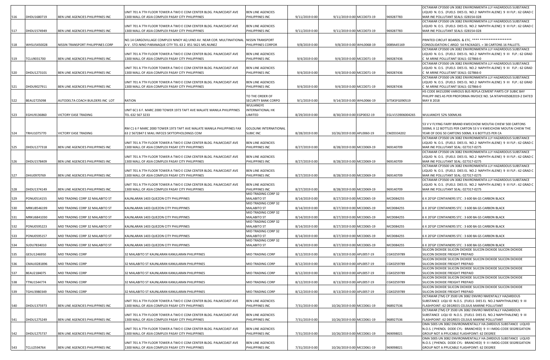|     |             |                                   |                                                                                                                       |                                             |                |                            |                  | OCTAMAR CP3500 UN 3082 ENVIRONMENTA LLY HAZARDOUS SUBSTANCE                                                                           |
|-----|-------------|-----------------------------------|-----------------------------------------------------------------------------------------------------------------------|---------------------------------------------|----------------|----------------------------|------------------|---------------------------------------------------------------------------------------------------------------------------------------|
|     |             |                                   | UNIT 701 A 7TH FLOOR TOWER A TWO E COM CENTER BLDG. PALMCOAST AVE                                                     | <b>BEN LINE AGENCIES</b>                    |                |                            |                  | LIQUID N. O.S. (FUELS DIES EL NO.2 NAPHTH ALENE) 9 III FLP.: 62 GRAD C                                                                |
| 516 | DHDU1680719 | BEN LINE AGENCIES PHILIPPINES INC | 1300 MALL OF ASIA COMPLEX PASAY CITY PHILIPPINES                                                                      | PHILIPPINES INC                             | 9/11/2019 0:00 | 9/11/2019 0:00 MCC0073-19  | 969287783        | MAR INE POLLUTANT SEALS: 028154-028                                                                                                   |
|     |             |                                   | UNIT 701 A 7TH FLOOR TOWER A TWO E COM CENTER BLDG. PALMCOAST AVE                                                     | <b>BEN LINE AGENCIES</b>                    |                |                            |                  | OCTAMAR CP3500 UN 3082 ENVIRONMENTA LLY HAZARDOUS SUBSTANCE<br>LIQUID N. O.S. (FUELS DIES EL NO.2 NAPHTH ALENE) 9 III FLP.: 62 GRAD C |
| 517 | DHDU1574949 | BEN LINE AGENCIES PHILIPPINES INC | 1300 MALL OF ASIA COMPLEX PASAY CITY PHILIPPINES                                                                      | PHILIPPINES INC                             | 9/11/2019 0:00 | 9/11/2019 0:00 MCC0073-19  | 969287783        | MAR INE POLLUTANT SEALS: 028154-028                                                                                                   |
|     |             |                                   |                                                                                                                       |                                             |                |                            |                  |                                                                                                                                       |
|     |             |                                   | NO.14 CARGOVILLAGE COMPLEX NINOY AQ UINO AV. NEAR COR. MULTINATIONAL                                                  | <b>NISSIN TRANSPORT</b>                     |                |                            |                  | PRINTED CIRCUIT BOARDS. & ETC. **** ******************                                                                                |
| 518 | WHSU5450028 | NISSIN TRANSPORT PHILIPPINES CORP | A V. STO.NINO PARANAQUE CITY TEL 63 2 851 5621 MS.NUNEZ                                                               | PHILIPPINES CORPOR                          | 9/8/2019 0:00  | 9/8/2019 0:00 WHL0068-19   | 0089A45169       | CONSOLIDATION C ARGO 54 PACKAGES. = 38 CARTONS 16 PALLETS.                                                                            |
|     |             |                                   |                                                                                                                       |                                             |                |                            |                  | OCTAMAR CP3500 UN 3082 ENVIRONMENTA LLY HAZARDOUS SUBSTANCE                                                                           |
|     |             |                                   | UNIT 701 A 7TH FLOOR TOWER A TWO E COM CENTER BLDG. PALMCOAST AVE                                                     | <b>BEN LINE AGENCIES</b>                    |                |                            |                  | LIQUID N. O.S. (FUELS DIES EL NO.2 NAPHTH ALENE) 9 III FLP.: 62 GRAD                                                                  |
| 519 | TCLU9031700 | BEN LINE AGENCIES PHILIPPINES INC | 1300 MALL OF ASIA COMPLEX PASAY CITY PHILIPPINES                                                                      | PHILIPPINES INC                             | 9/4/2019 0:00  | 9/4/2019 0:00 MCC0071-19   | 969287436        | C M ARINE POLLUTANT SEALS: 027866-0                                                                                                   |
|     |             |                                   | UNIT 701 A 7TH FLOOR TOWER A TWO E COM CENTER BLDG. PALMCOAST AVE                                                     |                                             |                |                            |                  | OCTAMAR CP3500 UN 3082 ENVIRONMENTA LLY HAZARDOUS SUBSTANCE<br>LIQUID N. O.S. (FUELS DIES EL NO.2 NAPHTH ALENE) 9 III FLP.: 62 GRAD   |
| 520 | DHDU1273101 | BEN LINE AGENCIES PHILIPPINES INC | 1300 MALL OF ASIA COMPLEX PASAY CITY PHILIPPINES                                                                      | <b>BEN LINE AGENCIES</b><br>PHILIPPINES INC | 9/4/2019 0:00  | 9/4/2019 0:00 MCC0071-19   | 969287436        | M ARINE POLLUTANT SEALS: 027866-0                                                                                                     |
|     |             |                                   |                                                                                                                       |                                             |                |                            |                  | OCTAMAR CP3500 UN 3082 ENVIRONMENTA LLY HAZARDOUS SUBSTANCE                                                                           |
|     |             |                                   | UNIT 701 A 7TH FLOOR TOWER A TWO E COM CENTER BLDG. PALMCOAST AVE                                                     | <b>BEN LINE AGENCIES</b>                    |                |                            |                  | LIQUID N. O.S. (FUELS DIES EL NO.2 NAPHTH ALENE) 9 III FLP.: 62 GRAD                                                                  |
| 521 | DHDU9027911 | BEN LINE AGENCIES PHILIPPINES INC | 1300 MALL OF ASIA COMPLEX PASAY CITY PHILIPPINES                                                                      | PHILIPPINES INC                             | 9/4/2019 0:00  | 9/4/2019 0:00 MCC0071-19   | 969287436        | M ARINE POLLUTANT SEALS: 027866-0                                                                                                     |
|     |             |                                   |                                                                                                                       |                                             |                |                            |                  | HS CODE 84152090 VARIOUS BUS REPLA CEMENT PARTS CIF SUBIC BAY                                                                         |
|     |             |                                   |                                                                                                                       | TO THE ORDER OF                             |                |                            |                  | PHILIPP INES AS PER PROFORMA INVOICE NO. SA NTAPHI05082019-2 DATED                                                                    |
| 522 | BEAU2725098 | AUTODELTA COACH BUILDERS INC LOT  | RATION                                                                                                                | SECURITY BANK CORPO                         | 9/1/2019 0:00  | 9/14/2019 0:00 WHL0066-19  | SITSKSFG090519   | MAY 8 2018                                                                                                                            |
|     |             |                                   |                                                                                                                       | WULIANGYE                                   |                |                            |                  |                                                                                                                                       |
| 523 | EGHU9136860 | VICTORY EASE TRADING              | UNIT 6C1 6 F. MARC 2000 TOWER 1973 TAFT AVE MALATE MANILA PHILIPPINES<br>TEL 632 567 3233                             | INTERNATIONAL HK                            | 8/29/2019 0:00 | 8/30/2019 0:00 EGP0032-19  | EGLV153906004265 | WULIANGYE 52% 500MLX6                                                                                                                 |
|     |             |                                   |                                                                                                                       | IMITED.                                     |                |                            |                  |                                                                                                                                       |
|     |             |                                   |                                                                                                                       |                                             |                |                            |                  | 53 V V FLYING FAIRY BRAND KWEICHOW MOUTAI CHIEW 500 CARTONS                                                                           |
|     |             |                                   | RM C1 6 F MARC 2000 TOWER 1973 TAFT AVE MALATE MANILA PHILIPPINES FAX                                                 | <b>GOLDLINK INTERNATIONAL</b>               |                |                            |                  | 500ML X 12 BOTTLES PER CARTON 53 V V KWEICHOW MOUTAI CHIEW THE                                                                        |
| 524 | TRHU1075770 | VICTORY EASE TRADING              | 63 2 5672847 E MAIL INFO23 SKYTOPHOLDINGS COM                                                                         | <b>SUBIC INC</b>                            | 8/28/2019 0:00 | 10/26/2019 0:00 APL0060-19 | CMZ0334202       | YEAR OF DOG 50 CARTONS 500ML X 6 BOTTLES PER CA                                                                                       |
|     |             |                                   |                                                                                                                       |                                             |                |                            |                  | OCTAMAR CP3500 UN 3082 ENVIRONMENTA LLY HAZARDOUS SUBSTANCE                                                                           |
|     |             |                                   | UNIT 701 A 7TH FLOOR TOWER A TWO E COM CENTER BLDG. PALMCOAST AVE                                                     | <b>BEN LINE AGENCIES</b>                    |                |                            |                  | LIQUID N. O.S. (FUELS DIES EL NO.2 NAPHTH ALENE) 9 III FLP.: 62 GRAD C                                                                |
| 525 | DHDU1277318 | BEN LINE AGENCIES PHILIPPINES INC | 1300 MALL OF ASIA COMPLEX PASAY CITY PHILIPPINES                                                                      | PHILIPPINES INC                             | 8/27/2019 0:00 | 8/28/2019 0:00 MCC0069-19  | 969140709        | MAR INE POLLUTANT SEAL: 027317-0275                                                                                                   |
|     |             |                                   |                                                                                                                       |                                             |                |                            |                  | OCTAMAR CP3500 UN 3082 ENVIRONMENTA LLY HAZARDOUS SUBSTANCE                                                                           |
| 526 | DHDU1578409 | BEN LINE AGENCIES PHILIPPINES INC | UNIT 701 A 7TH FLOOR TOWER A TWO E COM CENTER BLDG. PALMCOAST AVE<br>1300 MALL OF ASIA COMPLEX PASAY CITY PHILIPPINES | <b>BEN LINE AGENCIES</b><br>PHILIPPINES INC | 8/27/2019 0:00 | 8/28/2019 0:00 MCC0069-19  | 969140709        | LIQUID N. O.S. (FUELS DIES EL NO.2 NAPHTH ALENE) 9 III FLP.: 62 GRAD C<br>MAR INE POLLUTANT SEAL: 027317-0275                         |
|     |             |                                   |                                                                                                                       |                                             |                |                            |                  | OCTAMAR CP3500 UN 3082 ENVIRONMENTA LLY HAZARDOUS SUBSTANCE                                                                           |
|     |             |                                   | UNIT 701 A 7TH FLOOR TOWER A TWO E COM CENTER BLDG. PALMCOAST AVE                                                     | <b>BEN LINE AGENCIES</b>                    |                |                            |                  | LIQUID N. O.S. (FUELS DIES EL NO.2 NAPHTH ALENE) 9 III FLP.: 62 GRAD C                                                                |
| 527 | DHIU0970769 | BEN LINE AGENCIES PHILIPPINES INC | 1300 MALL OF ASIA COMPLEX PASAY CITY PHILIPPINES                                                                      | PHILIPPINES INC                             | 8/27/2019 0:00 | 8/28/2019 0:00 MCC0069-19  | 969140709        | MAR INE POLLUTANT SEAL: 027317-0275                                                                                                   |
|     |             |                                   |                                                                                                                       |                                             |                |                            |                  | OCTAMAR CP3500 UN 3082 ENVIRONMENTA LLY HAZARDOUS SUBSTANCE                                                                           |
|     |             |                                   | UNIT 701 A 7TH FLOOR TOWER A TWO E COM CENTER BLDG. PALMCOAST AVE                                                     | <b>BEN LINE AGENCIES</b>                    |                |                            |                  | LIQUID N. O.S. (FUELS DIES EL NO.2 NAPHTH ALENE) 9 III FLP.: 62 GRAD C                                                                |
| 528 | DHDU1374149 | BEN LINE AGENCIES PHILIPPINES INC | 1300 MALL OF ASIA COMPLEX PASAY CITY PHILIPPINES                                                                      | PHILIPPINES INC                             | 8/27/2019 0:00 | 8/28/2019 0:00 MCC0069-19  | 969140709        | MAR INE POLLUTANT SEAL: 027317-0275                                                                                                   |
|     | PONU0514155 | MID TRADING CORP 32 MALABITO ST   | KAUNLARAN 1403 QUEZON CITY PHILIPPINES                                                                                | MID TRADING CORP 32<br><b>MALABITO ST</b>   | 8/14/2019 0:00 | 8/27/2019 0:00 MCC0065-19  | MCD084255        | 6 X 20'GP CONTAINERS STC: 3 600 BA GS CARBON BLACK                                                                                    |
| 529 |             |                                   |                                                                                                                       | MID TRADING CORP 32                         |                |                            |                  |                                                                                                                                       |
| 530 | MRKU8546199 | MID TRADING CORP 32 MALABITO ST   | KAUNLARAN 1403 QUEZON CITY PHILIPPINES                                                                                | MALABITO ST                                 | 8/14/2019 0:00 | 8/27/2019 0:00 MCC0065-19  | MCD084255        | 6 X 20'GP CONTAINERS STC: 3 600 BA GS CARBON BLACK                                                                                    |
|     |             |                                   |                                                                                                                       | MID TRADING CORP 32                         |                |                            |                  |                                                                                                                                       |
| 531 | MRKU6841030 | MID TRADING CORP 32 MALABITO ST   | KAUNLARAN 1403 QUEZON CITY PHILIPPINES                                                                                | <b>MALABITO ST</b>                          | 8/14/2019 0:00 | 8/27/2019 0:00 MCC0065-19  | MCD084255        | 6 X 20'GP CONTAINERS STC: 3 600 BA GS CARBON BLACK                                                                                    |
|     |             |                                   |                                                                                                                       | MID TRADING CORP 32                         |                |                            |                  |                                                                                                                                       |
| 532 | PONU0595223 | MID TRADING CORP 32 MALABITO ST   | KAUNLARAN 1403 QUEZON CITY PHILIPPINES                                                                                | <b>MALABITO ST</b>                          | 8/14/2019 0:00 | 8/27/2019 0:00 MCC0065-19  | MCD084255        | 6 X 20'GP CONTAINERS STC: 3 600 BA GS CARBON BLACK                                                                                    |
|     |             |                                   |                                                                                                                       | MID TRADING CORP 32                         |                |                            |                  |                                                                                                                                       |
| 533 | PONU0595157 | MID TRADING CORP 32 MALABITO ST   | KAUNLARAN 1403 QUEZON CITY PHILIPPINES                                                                                | MALABITO ST<br>MID TRADING CORP 32          | 8/14/2019 0:00 | 8/27/2019 0:00 MCC0065-19  | MCD084255        | 6 X 20'GP CONTAINERS STC: 3 600 BA GS CARBON BLACK                                                                                    |
| 534 | SUDU7834010 | MID TRADING CORP 32 MALABITO ST   | KAUNLARAN 1403 QUEZON CITY PHILIPPINES                                                                                | MALABITO ST                                 | 8/14/2019 0:00 | 8/27/2019 0:00 MCC0065-19  | MCD084255        | 6 X 20'GP CONTAINERS STC: 3 600 BA GS CARBON BLACK                                                                                    |
|     |             |                                   |                                                                                                                       |                                             |                |                            |                  | SILICON DIOXIDE SILICON DIOXIDE SILICON DIOXIDE SILICON DIOXIDE                                                                       |
| 535 | GESU1246950 | MID TRADING CORP                  | 32 MALABITO ST KAUNLARAN KANULARAN PHILIPPINES                                                                        | MID TRADING CORP                            | 8/12/2019 0:00 | 8/13/2019 0:00 APL0057-19  | CGK0259789       | SILICON DIOXIDE FREIGHT PREPAID                                                                                                       |
|     |             |                                   |                                                                                                                       |                                             |                |                            |                  | SILICON DIOXIDE SILICON DIOXIDE SILICON DIOXIDE SILICON DIOXIDE                                                                       |
| 536 | CMAU0281896 | MID TRADING CORP                  | 32 MALABITO ST KAUNLARAN KANULARAN PHILIPPINES                                                                        | MID TRADING CORP                            | 8/12/2019 0:00 | 8/13/2019 0:00 APL0057-19  | CGK0259789       | SILICON DIOXIDE FREIGHT PREPAID                                                                                                       |
|     |             |                                   |                                                                                                                       |                                             |                |                            |                  | SILICON DIOXIDE SILICON DIOXIDE SILICON DIOXIDE SILICON DIOXIDE                                                                       |
| 537 | BEAU2184075 | MID TRADING CORP                  | 32 MALABITO ST KAUNLARAN KANULARAN PHILIPPINES                                                                        | MID TRADING CORP                            | 8/12/2019 0:00 | 8/13/2019 0:00 APL0057-19  | CGK0259789       | SILICON DIOXIDE FREIGHT PREPAID                                                                                                       |
| 538 | TTNU1544774 | <b>MID TRADING CORP</b>           | 32 MALABITO ST KAUNLARAN KANULARAN PHILIPPINES                                                                        | MID TRADING CORP                            | 8/12/2019 0:00 | 8/13/2019 0:00 APL0057-19  | CGK0259789       | SILICON DIOXIDE SILICON DIOXIDE SILICON DIOXIDE SILICON DIOXIDE<br>SILICON DIOXIDE FREIGHT PREPAID                                    |
|     |             |                                   |                                                                                                                       |                                             |                |                            |                  | SILICON DIOXIDE SILICON DIOXIDE SILICON DIOXIDE SILICON DIOXIDE                                                                       |
| 539 | TGHU3980349 | <b>MID TRADING CORP</b>           | 32 MALABITO ST KAUNLARAN KANULARAN PHILIPPINES                                                                        | MID TRADING CORP                            | 8/12/2019 0:00 | 8/13/2019 0:00 APL0057-19  | CGK0259789       | SILICON DIOXIDE FREIGHT PREPAID                                                                                                       |
|     |             |                                   |                                                                                                                       |                                             |                |                            |                  | OCTAMAR (TM) CP 3500 UN 3082 ENVIRO NMENTALLY HAZARDOUS                                                                               |
|     |             |                                   | UNIT 701 A 7TH FLOOR TOWER A TWO E COM CENTER BLDG. PALMCOAST AVE                                                     | <b>BEN LINE AGENCIES</b>                    |                |                            |                  | SUBSTANCE LIQUID N.O.S. (FUELS DIES EL NO.2 NAPHTHALENE) 9 III                                                                        |
| 540 | DHDU1375973 | BEN LINE AGENCIES PHILIPPINES INC | 1300 MALL OF ASIA COMPLEX PASAY CITY PHILIPPINES                                                                      | PHILIPPINES INC                             | 7/31/2019 0:00 | 10/26/2019 0:00 MCC0061-19 | 968927536        | LASHPOINT: 62 DEGREES CELSIUS MARINE POLLUTANT                                                                                        |
|     |             |                                   |                                                                                                                       |                                             |                |                            |                  | OCTAMAR (TM) CP 3500 UN 3082 ENVIRO NMENTALLY HAZARDOUS                                                                               |
|     |             |                                   | UNIT 701 A 7TH FLOOR TOWER A TWO E COM CENTER BLDG. PALMCOAST AVE                                                     | <b>BEN LINE AGENCIES</b>                    |                |                            |                  | SUBSTANCE LIQUID N.O.S. (FUELS DIES EL NO.2 NAPHTHALENE) 9 III                                                                        |
| 541 | DHDU1275249 | BEN LINE AGENCIES PHILIPPINES INC | 1300 MALL OF ASIA COMPLEX PASAY CITY PHILIPPINES                                                                      | PHILIPPINES INC                             | 7/31/2019 0:00 | 10/26/2019 0:00 MCC0061-19 | 968927536        | LASHPOINT: 62 DEGREES CELSIUS MARINE POLLUTANT<br>OMA 500S UN 3082 ENVIRONMENTALLY HA ZARDOUS SUBSTANCE LIQUID                        |
|     |             |                                   | UNIT 701 A 7TH FLOOR TOWER A TWO E COM CENTER BLDG. PALMCOAST AVE                                                     | <b>BEN LINE AGENCIES</b>                    |                |                            |                  | N.O.S. ( PHENOL DODE CYL- BRANCHED) 9 II I IMDG-CODE SEGREGATION                                                                      |
| 542 | DHDU1275737 | BEN LINE AGENCIES PHILIPPINES INC | 1300 MALL OF ASIA COMPLEX PASAY CITY PHILIPPINES                                                                      | PHILIPPINES INC                             | 7/31/2019 0:00 | 10/26/2019 0:00 MCC0061-19 | 969098021        | GROUP NOT A PPLICABLE FLASHPOINT: 62 DEGREE                                                                                           |
|     |             |                                   |                                                                                                                       |                                             |                |                            |                  | OMA 500S UN 3082 ENVIRONMENTALLY HA ZARDOUS SUBSTANCE LIQUID                                                                          |
|     |             |                                   | UNIT 701 A 7TH FLOOR TOWER A TWO E COM CENTER BLDG. PALMCOAST AVE                                                     | <b>BEN LINE AGENCIES</b>                    |                |                            |                  | N.O.S. ( PHENOL DODE CYL- BRANCHED) 9 II I IMDG-CODE SEGREGATION                                                                      |
| 543 | TCLU2594764 | BEN LINE AGENCIES PHILIPPINES INC | 1300 MALL OF ASIA COMPLEX PASAY CITY PHILIPPINES                                                                      | PHILIPPINES INC                             | 7/31/2019 0:00 | 10/26/2019 0:00 MCC0061-19 | 969098021        | GROUP NOT A PPLICABLE FLASHPOINT: 62 DEGREE                                                                                           |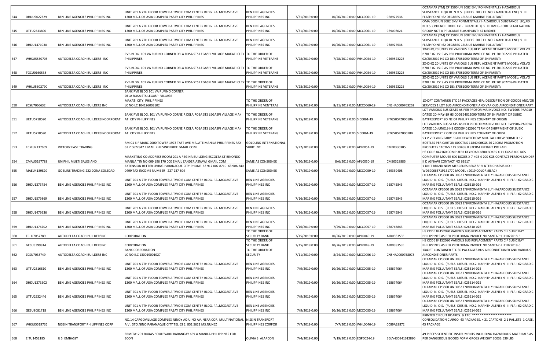|     |             |                                    |                                                                                           |                                         |                |                            |                  | OCTAMAR (TM) CP 3500 UN 3082 ENVIRO NMENTALLY HAZARDOUS                |
|-----|-------------|------------------------------------|-------------------------------------------------------------------------------------------|-----------------------------------------|----------------|----------------------------|------------------|------------------------------------------------------------------------|
|     |             |                                    | UNIT 701 A 7TH FLOOR TOWER A TWO E COM CENTER BLDG. PALMCOAST AVE                         | <b>BEN LINE AGENCIES</b>                |                |                            |                  | SUBSTANCE LIQUID N.O.S. (FUELS DIES EL NO.2 NAPHTHALENE) 9 III         |
| 544 | DHDU9022329 | BEN LINE AGENCIES PHILIPPINES INC  | 1300 MALL OF ASIA COMPLEX PASAY CITY PHILIPPINES                                          | PHILIPPINES INC                         | 7/31/2019 0:00 | 10/26/2019 0:00 MCC0061-19 | 968927536        | FLASHPOINT: 62 DEGREES CELSIUS MARINE POLLUTANT                        |
|     |             |                                    |                                                                                           |                                         |                |                            |                  | OMA 500S UN 3082 ENVIRONMENTALLY HA ZARDOUS SUBSTANCE LIQUID           |
|     |             |                                    | UNIT 701 A 7TH FLOOR TOWER A TWO E COM CENTER BLDG. PALMCOAST AVE                         | <b>BEN LINE AGENCIES</b>                |                |                            |                  | N.O.S. ( PHENOL DODE CYL- BRANCHED) 9 II I IMDG-CODE SEGREGATION       |
| 545 | UTTU2533890 | BEN LINE AGENCIES PHILIPPINES INC  | 1300 MALL OF ASIA COMPLEX PASAY CITY PHILIPPINES                                          | PHILIPPINES INC                         | 7/31/2019 0:00 | 10/26/2019 0:00 MCC0061-19 | 969098021        | GROUP NOT A PPLICABLE FLASHPOINT: 62 DEGREE                            |
|     |             |                                    |                                                                                           |                                         |                |                            |                  | OCTAMAR (TM) CP 3500 UN 3082 ENVIRO NMENTALLY HAZARDOUS                |
|     |             |                                    | UNIT 701 A 7TH FLOOR TOWER A TWO E COM CENTER BLDG. PALMCOAST AVE                         | <b>BEN LINE AGENCIES</b>                |                |                            |                  | SUBSTANCE LIQUID N.O.S. (FUELS DIES EL NO.2 NAPHTHALENE) 9 III         |
| 546 | DHDU1471030 | BEN LINE AGENCIES PHILIPPINES INC  | 1300 MALL OF ASIA COMPLEX PASAY CITY PHILIPPINES                                          | PHILIPPINES INC                         | 7/31/2019 0:00 | 10/26/2019 0:00 MCC0061-19 | 968927536        | FLASHPOINT: 62 DEGREES CELSIUS MARINE POLLUTANT                        |
|     |             |                                    |                                                                                           |                                         |                |                            |                  |                                                                        |
|     |             |                                    |                                                                                           |                                         |                |                            |                  | 3X40HQ 20 UNITS OF VARIOUS BUS REPL ACEMENT PARTS MODEL: VOLVO         |
|     |             |                                    | PVB BLDG. 101 VA RUFINO CORNER DELA ROSA STS LEGASPI VILLAGE MAKATI CI TY TO THE ORDER OF |                                         |                |                            |                  | B7RLE 02 1519 AS PER PROFORMA INVOICE NO. PF 20190220S-PH DATED        |
| 547 | WHSU5550705 | AUTODELTA COACH BUILDERS INC       | <b>PHILIPPINES</b>                                                                        | PHILIPPINE VETERANS                     | 7/28/2019 0:00 | 7/28/2019 0:00 WHL0054-19  | 0269523225       | 02/20/2019 HS CO DE: 87081090 TERM OF SHIPMENT:                        |
|     |             |                                    |                                                                                           |                                         |                |                            |                  | 3X40HQ 20 UNITS OF VARIOUS BUS REPL ACEMENT PARTS MODEL: VOLVO         |
|     |             |                                    | PVB BLDG. 101 VA RUFINO CORNER DELA ROSA STS LEGASPI VILLAGE MAKATI CI TY TO THE ORDER OF |                                         |                |                            |                  | B7RLE 02 1519 AS PER PROFORMA INVOICE NO. PF 20190220S-PH DATED        |
| 548 | TGCU0160538 | AUTODELTA COACH BUILDERS INC       | PHILIPPINES                                                                               | PHILIPPINE VETERANS                     | 7/28/2019 0:00 | 7/28/2019 0:00 WHL0054-19  | 0269523225       | 02/20/2019 HS CO DE: 87081090 TERM OF SHIPMENT:                        |
|     |             |                                    |                                                                                           |                                         |                |                            |                  | 3X40HQ 20 UNITS OF VARIOUS BUS REPL ACEMENT PARTS MODEL: VOLVO         |
|     |             |                                    | PVB BLDG. 101 VA RUFINO CORNER DELA ROSA STS LEGASPI VILLAGE MAKATI CI TY TO THE ORDER OF |                                         |                |                            |                  | B7RLE 02 1519 AS PER PROFORMA INVOICE NO. PF 20190220S-PH DATED        |
| 549 | WHLU5602790 | AUTODELTA COACH BUILDERS INC       | PHILIPPINES                                                                               | PHILIPPINE VETERANS                     | 7/28/2019 0:00 | 7/28/2019 0:00 WHL0054-19  | 0269523225       | 02/20/2019 HS CO DE: 87081090 TERM OF SHIPMENT:                        |
|     |             |                                    | BANK PVB BLDG 101 VA RUFINO CORNER                                                        |                                         |                |                            |                  |                                                                        |
|     |             |                                    | DELA ROSA STS LEGASPI VILLAGE                                                             |                                         |                |                            |                  |                                                                        |
|     |             |                                    | MAKATI CITY, PHILIPPINES                                                                  | TO THE ORDER OF                         |                |                            |                  | 1X40FT CONTAINER STC 14 PACKAGES 45A: DESCRIPTION OF GOODS AND/OR      |
| 550 | ZCSU7066632 | AUTODELTA COACH BUILDERS INC       | LC NO LC 104126003102                                                                     | PHILIPPINE VENTERAS                     | 7/25/2019 0:00 | 8/31/2019 0:00 MCC0060-19  | CNSHA0000763262  | SERVICES 1 LOT BUS AIRCONDITIONER AND VARIOUS AIRCONDITIONER PART      |
|     |             |                                    |                                                                                           |                                         |                |                            |                  | LOT VARIOUS BUS SEATS AS PER PROFOR MA INVOICE NO. BW1905-PAR010       |
|     |             |                                    | BANK PVB BLDG. 101 VA RUFINO CORNE R DELA ROSA STS LEGASPI VILLAGE MAK                    | TO THE ORDER OF                         |                |                            |                  | DATED 20-MAY-19 HS CODE94012090 TERM OF SHIPMENT CIF SUBIC             |
|     |             |                                    |                                                                                           |                                         |                |                            |                  |                                                                        |
| 551 | UETU5718590 | AUTODELTA COACH BUILDERSINCORPORAT | ATI CITY PHILIPPINES                                                                      | PHILIPPINE VETERANS                     | 7/25/2019 0:00 | 7/25/2019 0:00 SIC0061-19  | SITGSHSFZ00018A  | BAYFREEPORT ZO NE OF PHILIPPINES COUNTRY OF ORIGIN                     |
|     |             |                                    |                                                                                           |                                         |                |                            |                  | LOT VARIOUS BUS SEATS AS PER PROFOR MA INVOICE NO. BW1906-PAR014       |
|     |             |                                    | BANK PVB BLDG. 101 VA RUFINO CORNE R DELA ROSA STS LEGASPI VILLAGE MAK                    | TO THE ORDER OF                         |                |                            |                  | DATED 10-JUNE19 HS CODE94012090 TERM OF SHIPPMENT CIF SUBIC            |
| 552 | UETU5718590 | AUTODELTA COACH BUILDERSINCORPORAT | ATI CITY PHILIPPINES                                                                      | PHILIPPINE VETERANS                     | 7/25/2019 0:00 | 7/25/2019 0:00 SIC0061-19  | SITGSHSFZ00018B  | BAYFREEPORT Z ONE OF PHILIPPINES COUNTRY OF ORIGI                      |
|     |             |                                    |                                                                                           |                                         |                |                            |                  | 53 V V FLYING FAIRY BRAND KWEICHOW MOUTAI CHIEW 500ML X 12             |
|     |             |                                    | RM C1 6 F MARC 2000 TOWER 1973 TAFT AVE MALATE MANILA PHILIPPINES FAX                     | GOLDLINK INTERNATIONAL                  |                |                            |                  | BOTTLES PER CARTON 800CTNS 11840 00KGS 26 24CBM PROMOTION              |
| 553 | ECMU2137659 | <b>ICTORY EASE TRADING</b>         | 63 2 5672847 E MAIL PHILSINOPRIDE GMAIL COM                                               | <b>SUBIC INC</b>                        | 7/22/2019 0:00 | 7/23/2019 0:00 APL0051-19  | CMZ0330305       | PRODUCTS 11CTNS 119 30KGS 0 82CBM FREIGHT PREPAID                      |
|     |             |                                    |                                                                                           |                                         |                |                            |                  | HS CODE 847160 COMPUTER KEYBOARD 800 BOXES X 11 KGS 8 800 KGS          |
|     |             |                                    | MARKETING CO ADDRESS ROOM 201 A REGINA BUILDING ESCOLTA ST BINONDO                        |                                         |                |                            |                  | COMPUTER MOUSE 600 BOXES X 7 KGS 4 200 KGS CONTACT PERSON ZANDER       |
| 554 | CMAU5197788 | UNIPHIL MULTI SALES AND            | MANILA TIN NO 009 196 170 000 EMAIL ZANDER ASNAWI GMAIL COM                               | SAME AS CONSIGNEE                       | 7/20/2019 0:00 | 8/6/2019 0:00 APL0050-19   | CMZ0328885       | II D ASNAWI CONTACT NO 63917                                           |
|     |             |                                    | EXTENSION BETTER LIVING PARANAQUE CITY PHONE 63 917 807 8710 63 906 240                   |                                         |                |                            |                  | 1 UNIT BRAND NEW MERCEDES BENZ SPRI NTER CHASSIS NO :                  |
| 555 | MAEU4189820 | GOBLINS TRADING 222 DONA SOLEDAD   | 0499 TAX INCOME NUMBER 227 237 804                                                        | SAME AS CONSIGNEE                       | 7/17/2019 0:00 |                            | 969339408        | WDB9066371P131770 MODEL: 2019 COLOR :BLACK                             |
|     |             |                                    |                                                                                           |                                         |                | 7/24/2019 0:00 MCC0059-19  |                  |                                                                        |
|     |             |                                    |                                                                                           |                                         |                |                            |                  | OCTAMAR CP3500 UN 3082 ENVIRONMENTA LLY HAZARDOUS SUBSTANCE            |
|     |             |                                    | UNIT 701 A 7TH FLOOR TOWER A TWO E COM CENTER BLDG. PALMCOAST AVE                         | <b>BEN LINE AGENCIES</b>                |                |                            |                  | LIQUID N. O.S. (FUELS DIES EL NO.2 NAPHTH ALENE) 9 III FLP.: 62 GRAD C |
| 556 | DHDU1373754 | BEN LINE AGENCIES PHILIPPINES INC  | 1300 MALL OF ASIA COMPLEX PASAY CITY PHILIPPINES                                          | PHILIPPINES INC                         | 7/16/2019 0:00 | 7/29/2019 0:00 MCC0057-19  | 968745843        | MAR INE POLLUTANT SEALS: 026510-026                                    |
|     |             |                                    |                                                                                           |                                         |                |                            |                  | OCTAMAR CP3500 UN 3082 ENVIRONMENTA LLY HAZARDOUS SUBSTANCE            |
|     |             |                                    | UNIT 701 A 7TH FLOOR TOWER A TWO E COM CENTER BLDG. PALMCOAST AVE                         | <b>BEN LINE AGENCIES</b>                |                |                            |                  | LIQUID N. O.S. (FUELS DIES EL NO.2 NAPHTH ALENE) 9 III FLP.: 62 GRAD C |
| 557 | DHDU1579869 | BEN LINE AGENCIES PHILIPPINES INC  | 1300 MALL OF ASIA COMPLEX PASAY CITY PHILIPPINES                                          | PHILIPPINES INC                         | 7/16/2019 0:00 | 7/29/2019 0:00 MCC0057-19  | 968745843        | MAR INE POLLUTANT SEALS: 026510-026                                    |
|     |             |                                    |                                                                                           |                                         |                |                            |                  | OCTAMAR CP3500 UN 3082 ENVIRONMENTA LLY HAZARDOUS SUBSTANCE            |
|     |             |                                    | UNIT 701 A 7TH FLOOR TOWER A TWO E COM CENTER BLDG. PALMCOAST AVE                         | <b>BEN LINE AGENCIES</b>                |                |                            |                  | LIQUID N. O.S. (FUELS DIES EL NO.2 NAPHTH ALENE) 9 III FLP.: 62 GRAD C |
| 558 | DHDU1479936 | BEN LINE AGENCIES PHILIPPINES INC  | 1300 MALL OF ASIA COMPLEX PASAY CITY PHILIPPINES                                          | PHILIPPINES INC                         | 7/16/2019 0:00 | 7/29/2019 0:00 MCC0057-19  | 968745843        | MAR INE POLLUTANT SEALS: 026510-026                                    |
|     |             |                                    |                                                                                           |                                         |                |                            |                  | OCTAMAR CP3500 UN 3082 ENVIRONMENTA LLY HAZARDOUS SUBSTANCE            |
|     |             |                                    | UNIT 701 A 7TH FLOOR TOWER A TWO E COM CENTER BLDG. PALMCOAST AVE                         | <b>BEN LINE AGENCIES</b>                |                |                            |                  | LIQUID N. O.S. (FUELS DIES EL NO.2 NAPHTH ALENE) 9 III FLP.: 62 GRAD C |
| 559 | DHDU1376202 | BEN LINE AGENCIES PHILIPPINES INC  | 1300 MALL OF ASIA COMPLEX PASAY CITY PHILIPPINES                                          | PHILIPPINES INC                         | 7/16/2019 0:00 | 7/29/2019 0:00 MCC0057-19  | 968745843        | MAR INE POLLUTANT SEALS: 026510-026                                    |
|     |             |                                    |                                                                                           | TO THE ORDER OF                         |                |                            |                  | HS CODE 84152090 VARIOUS BUS REPLACEMENT PARTS CIF SUBIC BAY           |
| 560 | TCLU7057789 |                                    | CORPORATION                                                                               | <b>SECURITY BANK</b>                    | 7/15/2019 0:00 |                            | AJD0383535       | PHILIPPINES AS PER PROFORMA INVOICE NO SANTAPH I11022018-6             |
|     |             | AUTODELTA COACH BUILDERSINC        |                                                                                           |                                         |                | 10/26/2019 0:00 APL0049-19 |                  |                                                                        |
|     |             |                                    |                                                                                           | TO THE ORDER OF<br><b>SECURITY BANK</b> |                |                            |                  | HS CODE 84152090 VARIOUS BUS REPLACEMENT PARTS CIF SUBIC BAY           |
| 561 | GESU3399814 | AUTODELTA COACH BUILDERSINC        | CORPORATION                                                                               |                                         | 7/15/2019 0:00 | 10/26/2019 0:00 APL0049-19 | AJD0383535       | PHILIPPINES AS PER PROFORMA INVOICE NO SANTAPH I11022018-6             |
|     |             |                                    | <b>BANK CORPORATION</b>                                                                   | TO THE ORDER OF                         |                |                            |                  | 1X40FT CONTAINER STC 30 PACKAGES BUS AIRCONDITIONER AND VARIOUS        |
| 562 | ZCSU7038749 | AUTODELTA COACH BUILDERS INC       | C NO ILC 130019001027                                                                     | <b>SECURITY</b>                         | 7/11/2019 0:00 | 8/24/2019 0:00 MCC0056-19  | CNSHA0000758078  | <b>AIRCONDITIONER PARTS</b>                                            |
|     |             |                                    |                                                                                           |                                         |                |                            |                  | OCTAMAR CP3500 UN 3082 ENVIRONMENTA LLY HAZARDOUS SUBSTANCE            |
|     |             |                                    | UNIT 701 A 7TH FLOOR TOWER A TWO E COM CENTER BLDG. PALMCOAST AVE                         | <b>BEN LINE AGENCIES</b>                |                |                            |                  | LIQUID N. O.S. (FUELS DIES EL NO.2 NAPHTH ALENE) 9 III FLP.: 62 GRAD C |
| 563 | UTTU2516810 | BEN LINE AGENCIES PHILIPPINES INC  | 1300 MALL OF ASIA COMPLEX PASAY CITY PHILIPPINES                                          | PHILIPPINES INC                         | 7/9/2019 0:00  | 10/26/2019 0:00 MCC0055-19 | 968674064        | MAR INE POLLUTANT SEALS: 025514-025                                    |
|     |             |                                    |                                                                                           |                                         |                |                            |                  | OCTAMAR CP3500 UN 3082 ENVIRONMENTA LLY HAZARDOUS SUBSTANCE            |
|     |             |                                    | UNIT 701 A 7TH FLOOR TOWER A TWO E COM CENTER BLDG. PALMCOAST AVE                         | BEN LINE AGENCIES                       |                |                            |                  | LIQUID N. O.S. (FUELS DIES EL NO.2 NAPHTH ALENE) 9 III FLP.: 62 GRAD C |
| 564 | DHDU1273502 | BEN LINE AGENCIES PHILIPPINES INC  | 1300 MALL OF ASIA COMPLEX PASAY CITY PHILIPPINES                                          | PHILIPPINES INC                         | 7/9/2019 0:00  | 10/26/2019 0:00 MCC0055-19 | 968674064        | MAR INE POLLUTANT SEALS: 025514-025                                    |
|     |             |                                    |                                                                                           |                                         |                |                            |                  | OCTAMAR CP3500 UN 3082 ENVIRONMENTA LLY HAZARDOUS SUBSTANCE            |
|     |             |                                    | UNIT 701 A 7TH FLOOR TOWER A TWO E COM CENTER BLDG. PALMCOAST AVE                         | <b>BEN LINE AGENCIES</b>                |                |                            |                  | LIQUID N. O.S. (FUELS DIES EL NO.2 NAPHTH ALENE) 9 III FLP.: 62 GRAD C |
| 565 | UTTU2532446 | BEN LINE AGENCIES PHILIPPINES INC  | 1300 MALL OF ASIA COMPLEX PASAY CITY PHILIPPINES                                          | PHILIPPINES INC                         | 7/9/2019 0:00  | 10/26/2019 0:00 MCC0055-19 | 968674064        | MAR INE POLLUTANT SEALS: 025514-025                                    |
|     |             |                                    |                                                                                           |                                         |                |                            |                  | OCTAMAR CP3500 UN 3082 ENVIRONMENTA LLY HAZARDOUS SUBSTANCE            |
|     |             |                                    |                                                                                           | BEN LINE AGENCIES                       |                |                            |                  | LIQUID N. O.S. (FUELS DIES EL NO.2 NAPHTH ALENE) 9 III FLP.: 62 GRAD C |
|     |             |                                    | UNIT 701 A 7TH FLOOR TOWER A TWO E COM CENTER BLDG. PALMCOAST AVE                         |                                         |                |                            |                  |                                                                        |
| 566 | GESU8081718 | BEN LINE AGENCIES PHILIPPINES INC  | 1300 MALL OF ASIA COMPLEX PASAY CITY PHILIPPINES                                          | PHILIPPINES INC                         | 7/9/2019 0:00  | 10/26/2019 0:00 MCC0055-19 | 968674064        | MAR INE POLLUTANT SEALS: 025514-025                                    |
|     |             |                                    |                                                                                           |                                         |                |                            |                  | PRINTED CIRCUIT BOARDS. & ETC. **** *******************                |
|     |             |                                    | NO.14 CARGOVILLAGE COMPLEX NINOY AQ UINO AV. NEAR COR. MULTINATIONAL                      | <b>NISSIN TRANSPORT</b>                 |                |                            |                  | CONSOLIDATION C ARGO 43 PACKAGES. = 21 CARTONS 2 1 PALLETS 1 CASE.     |
| 567 | WHSU5519736 | NISSIN TRANSPORT PHILIPPINES CORP  | A V. STO.NINO PARANAQUE CITY TEL 63 2 851 5621 MS.NUNEZ                                   | PHILIPPINES CORPOR                      | 7/7/2019 0:00  | 7/7/2019 0:00 WHL0046-19   | 0089A28872       | 43 PACKAGE                                                             |
|     |             |                                    |                                                                                           |                                         |                |                            |                  |                                                                        |
|     |             |                                    | ERMITA1201 ROXAS BOULEVARD BARANGAY 659 A MANILA PHILIPPINES FOR                          |                                         |                |                            |                  | 49 PIECES SCIENTIFIC INSTRUMENTS INCLUDING HAZARDOUS MATERIALS AS      |
| 568 | EITU1452185 | JS EMBASSY                         | ECON                                                                                      | OLIVIA S ALARCON                        | 7/4/2019 0:00  | 7/19/2019 0:00 EGP0024-19  | EGLV430941612896 | PER DANGEROUS GOODS FORM GROSS WEIGHT 30033.539 LBS                    |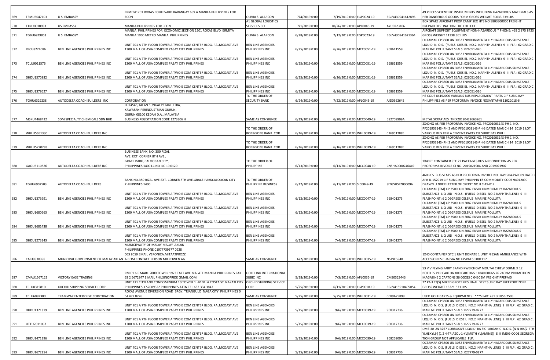| 569 | TEMU6047103 | U S EMBASSY                                                          | ERMITA1201 ROXAS BOULEVARD BARANGAY 659 A MANILA PHILIPPINES FOR<br>ECON                                                       | OLIVIA S ALARCON                            | 7/4/2019 0:00  | 7/19/2019 0:00 EGP0024-19  | EGLV430941612896 | 49 PIECES SCIENTIFIC INSTRUMENTS INCLUDING HAZARDOUS MATERIALS AS<br>PER DANGEROUS GOODS FORM GROSS WEIGHT 30033.539 LBS              |
|-----|-------------|----------------------------------------------------------------------|--------------------------------------------------------------------------------------------------------------------------------|---------------------------------------------|----------------|----------------------------|------------------|---------------------------------------------------------------------------------------------------------------------------------------|
|     |             |                                                                      |                                                                                                                                | A1 GLOBAL LOGISTICS                         |                |                            |                  | BOX SPARE AIRCRAFT PROP CAMP 2EX HTS NO 8803300060 FREIGHT                                                                            |
| 570 | TTNU0618933 | <b>US EMBASSY</b>                                                    | MANILA PHILIPPINES FOR ECON                                                                                                    | <b>SERVICES CO</b>                          | 7/1/2019 0:00  | 10/26/2019 0:00 APL0045-19 | AYU0223106       | PREPAID DESTINATION THC COLLECT                                                                                                       |
|     |             |                                                                      | MANILA PHILIPPINES FOR ECONOMIC SECTION 1201 ROXAS BLVD ERMITA                                                                 |                                             |                |                            |                  | AIRCRAFT SUPPORT EQUIPMENT NON-HAZARDOUS * PHONE: +63 2 875 8423                                                                      |
| 571 | TGBU6929863 | U S EMBASSY                                                          | MANILA 1000 METRO MANILA PHILIPPINES                                                                                           | OLIVIA S ALARCON                            | 6/28/2019 0:00 | 7/12/2019 0:00 EGP0023-19  | EGLV430941621364 | GROSS WEIGHT 11338.361 LBS                                                                                                            |
|     |             |                                                                      | UNIT 701 A 7TH FLOOR TOWER A TWO E COM CENTER BLDG. PALMCOAST AVE                                                              | <b>BEN LINE AGENCIES</b>                    |                |                            |                  | OCTAMAR CP3500 UN 3082 ENVIRONMENTA LLY HAZARDOUS SUBSTANCE<br>LIQUID N. O.S. (FUELS DIES EL NO.2 NAPHTH ALENE) 9 III FLP.: 62 GRAD C |
| 572 | RFCU8224086 | BEN LINE AGENCIES PHILIPPINES INC                                    | 1300 MALL OF ASIA COMPLEX PASAY CITY PHILIPPINES                                                                               | PHILIPPINES INC                             | 6/25/2019 0:00 | 6/26/2019 0:00 MCC0051-19  | 968611559        | MAR INE POLLUTANT SEALS: 026051-026                                                                                                   |
|     |             |                                                                      |                                                                                                                                |                                             |                |                            |                  | OCTAMAR CP3500 UN 3082 ENVIRONMENTA LLY HAZARDOUS SUBSTANCE                                                                           |
|     |             |                                                                      | UNIT 701 A 7TH FLOOR TOWER A TWO E COM CENTER BLDG. PALMCOAST AVE                                                              | <b>BEN LINE AGENCIES</b>                    |                |                            |                  | LIQUID N. O.S. (FUELS DIES EL NO.2 NAPHTH ALENE) 9 III FLP.: 62 GRAD C                                                                |
| 573 | TCLU9011576 | BEN LINE AGENCIES PHILIPPINES INC                                    | 1300 MALL OF ASIA COMPLEX PASAY CITY PHILIPPINES                                                                               | PHILIPPINES INC                             | 6/25/2019 0:00 | 6/26/2019 0:00 MCC0051-19  | 968611559        | MAR INE POLLUTANT SEALS: 026051-026                                                                                                   |
|     |             |                                                                      |                                                                                                                                |                                             |                |                            |                  | OCTAMAR CP3500 UN 3082 ENVIRONMENTA LLY HAZARDOUS SUBSTANCE                                                                           |
| 574 | DHDU1570882 | BEN LINE AGENCIES PHILIPPINES INC                                    | UNIT 701 A 7TH FLOOR TOWER A TWO E COM CENTER BLDG. PALMCOAST AVE<br>1300 MALL OF ASIA COMPLEX PASAY CITY PHILIPPINES          | <b>BEN LINE AGENCIES</b><br>PHILIPPINES INC | 6/25/2019 0:00 | 6/26/2019 0:00 MCC0051-19  | 968611559        | LIQUID N. O.S. (FUELS DIES EL NO.2 NAPHTH ALENE) 9 III FLP.: 62 GRAD C<br>MAR INE POLLUTANT SEALS: 026051-026                         |
|     |             |                                                                      |                                                                                                                                |                                             |                |                            |                  | OCTAMAR CP3500 UN 3082 ENVIRONMENTA LLY HAZARDOUS SUBSTANCE                                                                           |
|     |             |                                                                      | UNIT 701 A 7TH FLOOR TOWER A TWO E COM CENTER BLDG. PALMCOAST AVE                                                              | <b>BEN LINE AGENCIES</b>                    |                |                            |                  | LIQUID N. O.S. (FUELS DIES EL NO.2 NAPHTH ALENE) 9 III FLP.: 62 GRAD C                                                                |
| 575 | DHDU1378627 | BEN LINE AGENCIES PHILIPPINES INC                                    | 1300 MALL OF ASIA COMPLEX PASAY CITY PHILIPPINES                                                                               | PHILIPPINES INC                             | 6/25/2019 0:00 | 6/26/2019 0:00 MCC0051-19  | 968611559        | MAR INE POLLUTANT SEALS: 026051-026                                                                                                   |
|     |             |                                                                      |                                                                                                                                | TO THE ORDER OF                             |                |                            |                  | HS CODE 84152090 VARIOUS BUS REPLACEMENT PARTS CIF SUBIC BAY                                                                          |
| 576 | TGHU6329238 | AUTODELTA COACH BUILDERS INC                                         | <b>CORPORATION</b><br>LOT4548, JALAN SUNGAI PETANI JITRA,                                                                      | <b>SECURITY BANK</b>                        | 6/24/2019 0:00 | 7/22/2019 0:00 APL0043-19  | AJD0362645       | PHILIPPINES AS PER PROFORMA INVOICE NOSANTAPHI 11022018-6                                                                             |
|     |             |                                                                      | KAWASAN PERINDUSTRIAN GURUN,                                                                                                   |                                             |                |                            |                  |                                                                                                                                       |
|     |             |                                                                      | GURUN 08100 KEDAH D.A., MALAYSIA                                                                                               |                                             |                |                            |                  |                                                                                                                                       |
| 577 | MSKU4468422 | SDM SPECIALTY CHEMICALS SDN BHD                                      | BUSINESS REGISTRATION CODE 1273306 H                                                                                           | SAME AS CONSIGNEE                           | 6/19/2019 0:00 | 6/20/2019 0:00 MCC0049-19  | 582709909A       | METAL SCRAP AES ITN X20190422663261                                                                                                   |
|     |             |                                                                      |                                                                                                                                |                                             |                |                            |                  | 2X40HQ AS PER PROFORMA INVOICE NO. PF020190314S-PH 1 NO.                                                                              |
|     |             |                                                                      |                                                                                                                                | TO THE ORDER OF                             |                |                            |                  | PF20190314S- PH 2 AND PF20190314S-PH-3 DATED MAR CH 14 2019 1 LOT                                                                     |
| 578 | WHLU5651330 | AUTODELTA COACH BUILDERS INC                                         |                                                                                                                                | ROBINSONS BANK COR                          | 6/16/2019 0:00 | 6/16/2019 0:00 WHL0039-19  | 0269517885       | VARIOUS BUS REPLA CEMENT PARTS CIF SUBIC BAY PHILI                                                                                    |
|     |             |                                                                      |                                                                                                                                | TO THE ORDER OF                             |                |                            |                  | 2X40HQ AS PER PROFORMA INVOICE NO. PF020190314S-PH 1 NO.<br>PF20190314S- PH 2 AND PF20190314S-PH-3 DATED MAR CH 14 2019 1 LOT         |
| 579 | WHLU5720283 | AUTODELTA COACH BUILDERS INC                                         |                                                                                                                                | ROBINSONS BANK COR                          | 6/16/2019 0:00 | 6/16/2019 0:00 WHL0039-19  | 0269517885       | VARIOUS BUS REPLA CEMENT PARTS CIF SUBIC BAY PHILI                                                                                    |
|     |             |                                                                      | BUSINESS BANK, NO. 350 RIZAL                                                                                                   |                                             |                |                            |                  |                                                                                                                                       |
|     |             |                                                                      | AVE. EXT. CORNER 8TH AVE.,                                                                                                     |                                             |                |                            |                  |                                                                                                                                       |
|     |             |                                                                      | GRACE PARK, CALOOCAN CITY,                                                                                                     | TO THE ORDER OF                             |                |                            |                  | IX40FT CONTAINER STC 22 PACKAGES BUS AIRCONDITION AS PER                                                                              |
| 580 | GAOU6110876 | AUTODELTA COACH BUILDERS INC                                         | PHILIPPINES 1400 LC NO ILC 19 0120                                                                                             | PHILIPPINE                                  | 6/13/2019 0:00 | 6/13/2019 0:00 MCC0048-19  | CNSHA0000746449  | PROFORMA INVOICE CI NO. 2019021904 AND 2019021902                                                                                     |
|     |             |                                                                      |                                                                                                                                |                                             |                |                            |                  | 460 PCS. BUS SEATS AS PER PROFORMA INVOICE NO. BW1904-PAR009 DATED                                                                    |
|     |             |                                                                      | BANK NO.350 RIZAL AVE.EXT. CORNER 8TH AVE.GRACE PARKCALOOCAN CITY                                                              | TO THE ORDER OF                             |                |                            |                  | APR IL 152019 CIF SUBIC BAY PHILIPPIN ES COMMODITY CODE 94012090                                                                      |
| 581 | TGHU6902503 | AUTODELTA COACH BUILDERS                                             | PHILIPPINES 1400                                                                                                               | PHILIPPINE BUSINESS                         | 6/12/2019 0:00 | 6/11/2019 0:00 SIC0049-19  | SITGSHSFZ00009A  | DRAWN U NDER LETTER OF CREDIT NO.ILC-19-012                                                                                           |
|     |             |                                                                      |                                                                                                                                |                                             |                |                            |                  | OCTAMAR (TM) CP 3500 UN 3082 ENVIR ONMENTALLY HAZARDOUS                                                                               |
|     |             |                                                                      | UNIT 701 A 7TH FLOOR TOWER A TWO E COM CENTER BLDG. PALMCOAST AVE                                                              | <b>BEN LINE AGENCIES</b>                    |                |                            |                  | SUBSTANCE LIQ UID N.O.S. (FUELS DIESEL NO.2 NAPHTHALENE) 9 III                                                                        |
| 582 | DHDU1373991 | BEN LINE AGENCIES PHILIPPINES INC                                    | 1300 MALL OF ASIA COMPLEX PASAY CITY PHILIPPINES                                                                               | PHILIPPINES INC                             | 6/12/2019 0:00 | 7/4/2019 0:00 MCC0047-19   | 968401273        | FLASHPOINT: 6 2 DEGREES CELSIUS MARINE POLLUTA<br>OCTAMAR (TM) CP 3500 UN 3082 ENVIR ONMENTALLY HAZARDOUS                             |
|     |             |                                                                      | UNIT 701 A 7TH FLOOR TOWER A TWO E COM CENTER BLDG. PALMCOAST AVE                                                              | <b>BEN LINE AGENCIES</b>                    |                |                            |                  | SUBSTANCE LIQ UID N.O.S. (FUELS DIESEL NO.2 NAPHTHALENE) 9 III                                                                        |
| 583 | DHDU1680663 | BEN LINE AGENCIES PHILIPPINES INC                                    | 1300 MALL OF ASIA COMPLEX PASAY CITY PHILIPPINES                                                                               | PHILIPPINES INC                             | 6/12/2019 0:00 | 7/4/2019 0:00 MCC0047-19   | 968401273        | FLASHPOINT: 6 2 DEGREES CELSIUS MARINE POLLUTA                                                                                        |
|     |             |                                                                      |                                                                                                                                |                                             |                |                            |                  | OCTAMAR (TM) CP 3500 UN 3082 ENVIR ONMENTALLY HAZARDOUS                                                                               |
|     |             |                                                                      | UNIT 701 A 7TH FLOOR TOWER A TWO E COM CENTER BLDG. PALMCOAST AVE                                                              | <b>BEN LINE AGENCIES</b>                    |                |                            |                  | SUBSTANCE LIQ UID N.O.S. (FUELS DIESEL NO.2 NAPHTHALENE) 9 III                                                                        |
| 584 | DHDU1681438 | BEN LINE AGENCIES PHILIPPINES INC                                    | 1300 MALL OF ASIA COMPLEX PASAY CITY PHILIPPINES                                                                               | PHILIPPINES INC                             | 6/12/2019 0:00 | 7/4/2019 0:00 MCC0047-19   | 968401273        | FLASHPOINT: 6 2 DEGREES CELSIUS MARINE POLLUTA<br>OCTAMAR (TM) CP 3500 UN 3082 ENVIR ONMENTALLY HAZARDOUS                             |
|     |             |                                                                      | UNIT 701 A 7TH FLOOR TOWER A TWO E COM CENTER BLDG. PALMCOAST AVE                                                              | <b>BEN LINE AGENCIES</b>                    |                |                            |                  | SUBSTANCE LIQ UID N.O.S. (FUELS DIESEL NO.2 NAPHTHALENE) 9 III                                                                        |
| 585 | DHDU1273143 | BEN LINE AGENCIES PHILIPPINES INC                                    | 1300 MALL OF ASIA COMPLEX PASAY CITY PHILIPPINES                                                                               | PHILIPPINES INC                             | 6/12/2019 0:00 | 7/4/2019 0:00 MCC0047-19   | 968401273        | FLASHPOINT: 6 2 DEGREES CELSIUS MARINE POLLUTA                                                                                        |
|     |             |                                                                      | MUNICIPALITY OF MALAY MALAY ,AKLAN                                                                                             |                                             |                |                            |                  |                                                                                                                                       |
|     |             |                                                                      | PHILIPPINES PHONE 01977739577 0928                                                                                             |                                             |                |                            |                  |                                                                                                                                       |
|     |             |                                                                      | 503 8059 EMAIL VERONICA.MITAATPROZZ                                                                                            |                                             |                |                            |                  | 1X40 CONTAINER STC 1 UNIT DONATE 1 UNIT NISSAN AMBULANCE WITH                                                                         |
| 586 | CAIU9830398 | MUNICIPAL GOVERNMENT OF MALAY AKLAN A.COM CONTACT PERSON MR ROWEN AG |                                                                                                                                | SAME AS CONSIGNEE                           | 6/2/2019 0:00  | 6/2/2019 0:00 WHL0035-19   | NS19E5948        | ACCESSORIES CHASSIA NO FPWGE50 001117                                                                                                 |
|     |             |                                                                      |                                                                                                                                |                                             |                |                            |                  | 53 V V FLYING FAIRY BRAND KWEICHOW MOUTAI CHIEW 500ML X 12                                                                            |
|     |             |                                                                      | RM C1 6 F MARC 2000 TOWER 1973 TAFT AVE MALATE MANILA PHILIPPINES FAX                                                          | <b>GOLDLINK INTERNATIONAL</b>               |                |                            |                  | BOTTLES PER CARTON 800 CARTONS 11840 00KGS 26 24CBM PROMOTION                                                                         |
| 587 | CMAU1567122 | VICTORY EASE TRADING                                                 | 63 2 5672847 E MAIL PHILSINOPRIDE GMAIL COM                                                                                    | <b>SUBIC INC</b>                            | 5/28/2019 0:00 | 7/3/2019 0:00 APL0035-19   | CMZ0323443       | MAGAZINE 2 CARTONS 36 00KGS 0 043CBM FREIGHT PREPAID                                                                                  |
|     |             |                                                                      | UNIT 411 CITYLAND CONDOMINIUM 10 TOWER 1 HV DELA COSTA ST MAKATI CITY                                                          | ORCHID SHIPPING SERVICE                     |                |                            |                  | 27 PALLET(S) MIXED GROCERIES FINAL DEST:SUBIC BAY FREEPORT ZONE                                                                       |
| 588 | TCLU8315810 | ORCHID SHIPPING SERVICE CORP                                         | PHILIPPINES CS2009322 PHILIPPINES ATTN TEL 632 334 3847<br>ROXAS AVENUE DIVERSION ROAD BRGY. TRIANGULO NAGA CITY PHILIPPINES 0 | CORP                                        | 5/25/2019 0:00 | 6/11/2019 0:00 EGP0018-19  | EGLV415910405054 | GROSS WEIGHT 16321.573 LBS                                                                                                            |
| 589 | TCLU6092300 | <b>RAMWAY ENTERPRISE CORPORATION</b>                                 | 54 472 8726                                                                                                                    | SAME AS CONSIGNEE                           | 5/25/2019 0:00 | 5/25/2019 0:00 WHL0031-19  | 0089A25898       | USED GOLF CARTS & EQUIPMENTS ***S FAX: +81 3 5856 2505                                                                                |
|     |             |                                                                      |                                                                                                                                |                                             |                |                            |                  | OCTAMAR CP3500 UN 3082 ENVIRONMENTA LLY HAZARDOUS SUBSTANCE                                                                           |
|     |             |                                                                      | UNIT 701 A 7TH FLOOR TOWER A TWO E COM CENTER BLDG. PALMCOAST AVE                                                              | <b>BEN LINE AGENCIES</b>                    |                |                            |                  | LIQUID N. O.S. (FUELS DIESE L NO.2 NAPHTHA LENE) 9 III FLP.: 62 GRAD C;                                                               |
| 590 | DHDU1371319 | BEN LINE AGENCIES PHILIPPINES INC                                    | 1300 MALL OF ASIA COMPLEX PASAY CITY PHILIPPINES                                                                               | PHILIPPINES INC                             | 5/15/2019 0:00 | 9/6/2019 0:00 MCC0039-19   | 968317736        | MARI NE POLLUTANT SEALS: 027779-0277                                                                                                  |
|     |             |                                                                      |                                                                                                                                |                                             |                |                            |                  | OCTAMAR CP3500 UN 3082 ENVIRONMENTA LLY HAZARDOUS SUBSTANCE                                                                           |
|     |             |                                                                      | UNIT 701 A 7TH FLOOR TOWER A TWO E COM CENTER BLDG. PALMCOAST AVE                                                              | <b>BEN LINE AGENCIES</b>                    |                |                            |                  | LIQUID N. O.S. (FUELS DIESE L NO.2 NAPHTHA LENE) 9 III FLP.: 62 GRAD C;                                                               |
| 591 | UTTU2611057 | BEN LINE AGENCIES PHILIPPINES INC                                    | 1300 MALL OF ASIA COMPLEX PASAY CITY PHILIPPINES                                                                               | PHILIPPINES INC                             | 5/15/2019 0:00 | 9/6/2019 0:00 MCC0039-19   | 968317736        | MARI NE POLLUTANT SEALS: 027779-0277<br>DMS-30 UN 3267 CORROSIVE LIQUID BA SIC ORGANIC N.O.S. (N N-BIS(2-ETH                          |
|     |             |                                                                      | UNIT 701 A 7TH FLOOR TOWER A TWO E COM CENTER BLDG. PALMCOAST AVE                                                              | <b>BEN LINE AGENCIES</b>                    |                |                            |                  | YLHEXYL)-( (1 2 4-TRIAZOL-1-YL)METH YL)AMINE)) 8 II IMDG-CODE SEGREGA                                                                 |
| 592 | DHDU1471196 | BEN LINE AGENCIES PHILIPPINES INC                                    | 1300 MALL OF ASIA COMPLEX PASAY CITY PHILIPPINES                                                                               | PHILIPPINES INC                             | 5/15/2019 0:00 | 9/6/2019 0:00 MCC0039-19   | 968269000        | TION GROUP NOT APPLICABLE FLP.                                                                                                        |
|     |             |                                                                      |                                                                                                                                |                                             |                |                            |                  | OCTAMAR CP3500 UN 3082 ENVIRONMENTA LLY HAZARDOUS SUBSTANCE                                                                           |
|     |             |                                                                      | UNIT 701 A 7TH FLOOR TOWER A TWO E COM CENTER BLDG. PALMCOAST AVE                                                              | <b>BEN LINE AGENCIES</b>                    |                |                            |                  | LIQUID N. O.S. (FUELS DIESE L NO.2 NAPHTHA LENE) 9 III FLP.: 62 GRAD C;                                                               |
| 593 | DHDU1672354 | BEN LINE AGENCIES PHILIPPINES INC                                    | 1300 MALL OF ASIA COMPLEX PASAY CITY PHILIPPINES                                                                               | PHILIPPINES INC                             | 5/15/2019 0:00 | 9/6/2019 0:00 MCC0039-19   | 968317736        | MARI NE POLLUTANT SEALS: 027779-0277                                                                                                  |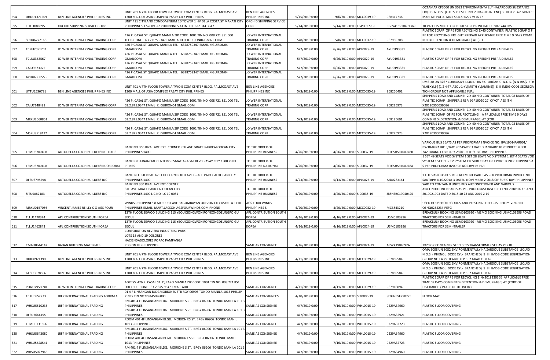|     |                    |                                    |                                                                                              |                          |                |                           |                  | OCTAMAR CP3500 UN 3082 ENVIRONMENTA LLY HAZARDOUS SUBSTANCE                                                                                     |
|-----|--------------------|------------------------------------|----------------------------------------------------------------------------------------------|--------------------------|----------------|---------------------------|------------------|-------------------------------------------------------------------------------------------------------------------------------------------------|
|     |                    |                                    | UNIT 701 A 7TH FLOOR TOWER A TWO E COM CENTER BLDG. PALMCOAST AVE                            | <b>BEN LINE AGENCIES</b> |                |                           |                  | LIQUID N. O.S. (FUELS DIESE L NO.2 NAPHTHA LENE) 9 III FLP.: 62 GRAD C;                                                                         |
|     | DHDU1371509        | BEN LINE AGENCIES PHILIPPINES INC  | 1300 MALL OF ASIA COMPLEX PASAY CITY PHILIPPINES                                             | PHILIPPINES INC          | 5/15/2019 0:00 | 9/6/2019 0:00 MCC0039-19  | 968317736        | MARI NE POLLUTANT SEALS: 027779-0277                                                                                                            |
|     |                    |                                    | UNIT 411 CITYLAND CONDOMINIUM 10 TOWER 1 HV DELA COSTA ST MAKATI CITY                        | ORCHID SHIPPING SERVICE  |                |                           |                  |                                                                                                                                                 |
| 595 | EITU1888395        | ORCHID SHIPPING SERVICE CORP       | PHILIPPINES CS2009322 PHILIPPINES ATTN TEL 632 344 3847                                      | CORP                     | 5/14/2019 0:00 | 5/14/2019 0:00 EGP0017-19 | EGLV415910401369 | 30 PALLETS MIXED GROCERIES GROSS WEIGHT 16987.744 LBS                                                                                           |
|     |                    |                                    | 426 P. CASAL ST. QUIAPO MANILA ZIP CODE 1001 TIN NO 008 721 851 000                          | JO WER INTERNATIONAL     |                |                           |                  | PLASTIC SCRAP OF PE FOR RECYCLING 1X40'CONTAINER PLASTIC SCRAP O F<br>PE FOR RECYCLING FREIGHT PREPAID APPLICABLE FREE TIME 9 DAYS COMB         |
| 596 | SUDU6772166        | JO WER INTERNATIONAL TRADING CORP  | TELEPHONE 63.2.875.9347 EMAIL ADD K.IGUIRON04 GMAIL.COM                                      | <b>FRADING CORP</b>      | 5/8/2019 0:00  | 5/8/2019 0:00 MCC0037-19  | 967989708        | INED (DETENTION & DEMURRAGE) AT (PO                                                                                                             |
|     |                    |                                    | 426 P CASAL ST QUIAPO MANILA TEL 6328759347 EMAIL KIGUIRON04                                 | JO WER INTERNATIONAL     |                |                           |                  |                                                                                                                                                 |
| 597 | TCNU2651202        | JO WER INTERNATIONAL TRADING CORP  | <b>GMAILCOM</b>                                                                              | TRADING CORP             | 5/7/2019 0:00  | 6/26/2019 0:00 APL0029-19 | AYU0193331       | PLASTIC SCRAP OF PE FOR RECYCLING FREIGHT PREPAID BALES                                                                                         |
|     |                    |                                    | 426 P CASAL ST QUIAPO MANILA TEL 6328759347 EMAIL KIGUIRON04                                 | JO WER INTERNATIONAL     |                |                           |                  |                                                                                                                                                 |
| 598 | TCLU8363567        | JO WER INTERNATIONAL TRADING CORP  | <b>GMAILCOM</b>                                                                              | <b>TRADING CORP</b>      | 5/7/2019 0:00  | 6/26/2019 0:00 APL0029-19 | AYU0193331       | PLASTIC SCRAP OF PE FOR RECYCLING FREIGHT PREPAID BALES                                                                                         |
|     |                    |                                    | 426 P CASAL ST QUIAPO MANILA TEL 6328759347 EMAIL KIGUIRON04                                 | JO WER INTERNATIONAL     |                |                           |                  |                                                                                                                                                 |
| 599 | CAIU9523025        | JO WER INTERNATIONAL TRADING CORP  | <b>GMAILCOM</b>                                                                              | <b>FRADING CORP</b>      | 5/7/2019 0:00  | 6/26/2019 0:00 APL0029-19 | AYU0193331       | PLASTIC SCRAP OF PE FOR RECYCLING FREIGHT PREPAID BALES                                                                                         |
|     |                    |                                    | 426 P CASAL ST QUIAPO MANILA TEL 6328759347 EMAIL KIGUIRON04                                 | JO WER INTERNATIONAL     |                |                           |                  |                                                                                                                                                 |
| 600 | APHU6308553        | JO WER INTERNATIONAL TRADING CORP  | <b>GMAILCOM</b>                                                                              | <b>FRADING CORP</b>      | 5/7/2019 0:00  | 6/26/2019 0:00 APL0029-19 | AYU0193331       | PLASTIC SCRAP OF PE FOR RECYCLING FREIGHT PREPAID BALES                                                                                         |
|     |                    |                                    | UNIT 701 A 7TH FLOOR TOWER A TWO E COM CENTER BLDG. PALMCOAST AVE                            | <b>BEN LINE AGENCIES</b> |                |                           |                  | DMS-30 UN 3267 CORROSIVE LIQUID BA SIC ORGANIC N.O.S. (N N-BIS(2-ETH<br>YLHEXYL)-( (1 2 4-TRIAZOL-1-YL)METH YL)AMINE))  8  II IMDG-CODE SEGREGA |
|     | UTTU2536781        | BEN LINE AGENCIES PHILIPPINES INC  | 1300 MALL OF ASIA COMPLEX PASAY CITY PHILIPPINES                                             | PHILIPPINES INC          | 5/3/2019 0:00  | 5/3/2019 0:00 MCC0035-19  | 968266402        | TION GROUP NOT APPLICABLE FLP.:                                                                                                                 |
|     |                    |                                    |                                                                                              |                          |                |                           |                  | SHIPPER'S LOAD AND COUNT: 2 X 40'H Q CONTAINER TOTAL 98 BALES OF                                                                                |
|     |                    |                                    | 426 P. CASAL ST. QUIAPO MANILA ZIP CODE 1001 TIN NO 008 721 851 000 TEL                      | JO WER INTERNATIONAL     |                |                           |                  | PLAS TIC SCRAP SHIPPER'S REF: 99P19020 27 CY/CY AES ITN:                                                                                        |
| 602 | CAIU7148481        | JO WER INTERNATIONAL TRADING CORP  | 63.2.875.9347 EMAIL K.IGUIRON04 GMAIL.COM                                                    | <b>FRADING CORP</b>      | 5/3/2019 0:00  | 5/3/2019 0:00 MCC0035-19  | 968225973        | X20190306039086                                                                                                                                 |
|     |                    |                                    |                                                                                              |                          |                |                           |                  | SHIPPER'S LOAD AND COUNT: 1 X 40'H Q CONTAINER TOTAL 33 BALES OF                                                                                |
|     |                    |                                    | 426 P. CASAL ST. QUIAPO MANILA ZIP CODE 1001 TIN NO 008 721 851 000 TEL                      | JO WER INTERNATIONAL     |                |                           |                  | PLAS TIC SCRAP OF PE FOR RECYCLING A PPLICABLE FREE TIME 9 DAYS                                                                                 |
| 603 | MRKU2660861        | JO WER INTERNATIONAL TRADING CORP  | 63.2.875.9347 EMAIL K.IGUIRON04 GMAIL.COM                                                    | <b>FRADING CORP</b>      | 5/3/2019 0:00  | 5/3/2019 0:00 MCC0035-19  | 968125691        | COMBINED (DETENTION & DEMURRAGE) AT (POR                                                                                                        |
|     |                    |                                    |                                                                                              |                          |                |                           |                  | SHIPPER'S LOAD AND COUNT: 2 X 40'H Q CONTAINER TOTAL 98 BALES OF                                                                                |
|     |                    |                                    | 426 P. CASAL ST. QUIAPO MANILA ZIP CODE 1001 TIN NO 008 721 851 000 TEL                      | JO WER INTERNATIONAL     |                |                           |                  | PLAS TIC SCRAP SHIPPER'S REF: 99P19020 27 CY/CY AES ITN:                                                                                        |
|     | MSKU8519132        | JO WER INTERNATIONAL TRADING CORP  | 63.2.875.9347 EMAIL K.IGUIRON04 GMAIL.COM                                                    | <b>FRADING CORP</b>      | 5/3/2019 0:00  | 5/3/2019 0:00 MCC0035-19  | 968225973        | X20190306039086                                                                                                                                 |
|     |                    |                                    |                                                                                              |                          |                |                           |                  |                                                                                                                                                 |
|     |                    |                                    |                                                                                              |                          |                |                           |                  | VARIOUS BUS SEATS AS PER PROFORMA I NVOICE NO. BW1901-PAR001/                                                                                   |
|     | TEMU6700408        |                                    | BANK NO.350 RIZAL AVE.EXT. CORNER 8TH AVE.GRACE PARKCALOOCAN CITY                            | TO THE ORDER OF          |                |                           |                  | BW18-09PA R015/BW1902-PAR003 DATED JANUARY 10 2019DECEMBER                                                                                      |
| 605 |                    | AUTODELTA COACH BUILDERSINC LOT 6  | PHILIPPINES 1400                                                                             | PHILIPPINE BUSINESS      | 4/26/2019 0:00 | 4/26/2019 0:00 SIC0037-19 | SITGSHSFK00078B  | 242018AND FEBRUARY 282019 CIF SUBIC BAY PHILIPPINES<br>SET 49 SEATS VOD SYSTEM 1 SET 28 SEATS VOD SYSTEM 1 SET 4 SEATS VOD                      |
|     |                    |                                    | BANK PNB FINANCIAL CENTERPRESMAC APAGAL BLVD.PASAY CITY 1300 PHILI                           | TO THE ORDER OF          |                |                           |                  | SYSTEM 1 SET BUS TV SYSTEM CIF SUBI C BAY FREEPORT ZONEPHILIPPINES A                                                                            |
| 606 | TEMU6700408        | AUTODELTA COACH BUILDERSINCORPORAT | <b>PPINES</b>                                                                                | PHILIPPINE NATIONAL      | 4/26/2019 0:00 | 4/26/2019 0:00 SIC0037-19 | SITGSHSFK00078A  | S PER PROFORMA INVOICE NOS.BW19-PAR                                                                                                             |
|     |                    |                                    |                                                                                              |                          |                |                           |                  |                                                                                                                                                 |
|     |                    |                                    | BANK NO 350 RIZAL AVE EXT CORNER 8TH AVE GRACE PARK CALOOCAN CITY                            | TO THE ORDER OF          |                |                           |                  | LLOT VARIOUS BUS REPLACEMENT PARTS AS PER PROFORMA INVOICE NO                                                                                   |
| 607 | DFSU6798294        | AUTODELTA COACH BUILDERS INC       | PHILIPPINES 1400                                                                             | PHILIPPINE BUSINESS      | 4/23/2019 0:00 | 5/13/2019 0:00 APL0026-19 | AJD0283161       | SANTAPH I11022018-3 DATED NOVEMBER 2 2018 CIF SUBIC BAY PHILIPPINES                                                                             |
|     |                    |                                    |                                                                                              |                          |                |                           |                  |                                                                                                                                                 |
|     |                    |                                    | BANK NO 350 RIZAL AVE EXT CORNER                                                             |                          |                |                           |                  | SAID TO CONTAIN 8 UNITS BUS AIRCONDITIONER AND VARIOUS                                                                                          |
|     |                    |                                    | 8TH AVE GRACE PARK CALOOCAN CITY                                                             | TO THE ORDER OF          |                |                           |                  | AIRCONDITIONER PARTS AS PER PROFORMA INVOICE CI NO 20181023 1 AND                                                                               |
| 608 | SITU9082183        | AUTODELTA COACH BUILDERS INC       | PHILIPPINES 1400 L C NO ILC 19 0081                                                          | PHILIPPINE BUSINESS      | 4/20/2019 0:00 | 4/20/2019 0:00 SIC0035-19 | BSHSBC19040425   | 2019021903 DATED 2018 10 23 AND 2019 2 19                                                                                                       |
|     |                    |                                    |                                                                                              |                          |                |                           |                  |                                                                                                                                                 |
|     |                    |                                    | WINDS PHILIPPINES 8 MERCURY AVE BAGUMBAYAN QUEZON CITY MANILA 1110                           | AGS FOUR WINDS           |                |                           |                  | USED HOUSEHOLD GOODS AND PERSONAL E FFECTS REILLY VINCENT                                                                                       |
| 609 | MRKU0157056        | VINCENT JAMES REILLY C O AGS FOUR  | PHILIPPINES EMAIL MART.LACSON AGSFOURWINDS.COM PHONE                                         | PHILIPPINES 8            | 4/20/2019 0:00 | 4/20/2019 0:00 MCC0032-19 | MCB843210        | QENQ0255234 PEFG                                                                                                                                |
|     |                    |                                    | 13TH FLOOR SEWOO BUILDING 115 YEOUIGONGWON RO YEONGDEUNGPO GU                                | APL CONTRIBUTION SOUTH   |                |                           |                  | BREAKBULK BOOKING USM0103920 - MEMO BOOKING USM0103996 ROAD                                                                                     |
| 610 | TLLU1470324        | APL CONTRIBUTION SOUTH KOREA       | SEOUL                                                                                        | KOREA                    | 4/16/2019 0:00 | 4/16/2019 0:00 APL0024-19 | USM0103996       | <b>FRACTORS FOR SEMI-TRAILER</b>                                                                                                                |
|     |                    |                                    | 13TH FLOOR SEWOO BUILDING 115 YEOUIGONGWON RO YEONGDEUNGPO GU                                | APL CONTRIBUTION SOUTH   |                |                           |                  | BREAKBULK BOOKING USM0103920 - MEMO BOOKING USM0103996 ROAD                                                                                     |
| 611 | TLLU1462843        | APL CONTRIBUTION SOUTH KOREA       | SEOUL                                                                                        | KOREA                    | 4/16/2019 0:00 | 4/16/2019 0:00 APL0024-19 | USM0103996       | <b>FRACTORS FOR SEMI-TRAILER</b>                                                                                                                |
|     |                    |                                    | CORPORATION ALVIERA INDUSTRIAL PARK                                                          |                          |                |                           |                  |                                                                                                                                                 |
|     |                    |                                    | LOTS 18 AND 19 DOLORES                                                                       |                          |                |                           |                  |                                                                                                                                                 |
| 612 | CMAU0644142        | <b>BADAN BUILDING MATERIALS</b>    | HACIENDADOLORES PORAC PAMPANGA<br><b>REGION III PHILIPPINES</b>                              | SAME AS CONSIGNEE        | 4/16/2019 0:00 |                           | ASSZX1904092A    | LX20 GP CONTAINER STC 1 SETS TRANSFORMER SEE AS PER BL                                                                                          |
|     |                    |                                    |                                                                                              |                          |                | 4/16/2019 0:00 APL0024-19 |                  | OMA 500S UN 3082 ENVIRONMENTALLY HA ZARDOUS SUBSTANCE LIQUID                                                                                    |
|     |                    |                                    | UNIT 701 A 7TH FLOOR TOWER A TWO E COM CENTER BLDG. PALMCOAST AVE                            | <b>BEN LINE AGENCIES</b> |                |                           |                  | N.O.S. ( PHENOL DODE CYL- BRANCHED) 9 II I IMDG-CODE SEGREGATION                                                                                |
| 613 | DHIU0971390        | BEN LINE AGENCIES PHILIPPINES INC  | 1300 MALL OF ASIA COMPLEX PASAY CITY PHILIPPINES                                             | PHILIPPINES INC          | 4/11/2019 0:00 | 4/11/2019 0:00 MCC0029-19 | 967869584        | GROUP NOT A PPLICABLE FLP.: 62 GRAD C MARI                                                                                                      |
|     |                    |                                    |                                                                                              |                          |                |                           |                  | OMA 500S UN 3082 ENVIRONMENTALLY HA ZARDOUS SUBSTANCE LIQUID                                                                                    |
|     |                    |                                    | UNIT 701 A 7TH FLOOR TOWER A TWO E COM CENTER BLDG. PALMCOAST AVE                            | <b>BEN LINE AGENCIES</b> |                |                           |                  | N.O.S. ( PHENOL DODE CYL- BRANCHED) 9 II I IMDG-CODE SEGREGATION                                                                                |
| 614 | GESU8078566        | BEN LINE AGENCIES PHILIPPINES INC  | 1300 MALL OF ASIA COMPLEX PASAY CITY PHILIPPINES                                             | PHILIPPINES INC          | 4/11/2019 0:00 | 4/11/2019 0:00 MCC0029-19 | 967869584        | GROUP NOT A PPLICABLE FLP.: 62 GRAD C MARI                                                                                                      |
|     |                    |                                    |                                                                                              |                          |                |                           |                  | PLASTIC SCRAP OF PE FOR RECYCLING EIN+201822036E APPLICABLE FREE                                                                                |
|     |                    |                                    | ADRESS 426 P. CASAL ST. QUIAPO MANILA ZIP CODE 1001 TIN NO 008 721 851                       |                          |                |                           |                  | TIME 09 DAYS COMBINED (DETENTION & DEMURRAGE) AT (PORT OF                                                                                       |
| 615 | PONU7958090        | JO WER INTERNATIONAL TRADING CORP  | 000 TELEPHONE 63.2.875.9347 EMAIL ADD                                                        | SAME AS CONSIGNEE        | 4/11/2019 0:00 | 4/11/2019 0:00 MCC0029-19 | 967918894        | DISCHARGE / PLACE OF DELIVERY)                                                                                                                  |
|     |                    |                                    | 01 4 F LINSANGAN BLDGMORIONES STB RGY 06906 TONDO MANILA 1013 PHILLIP                        |                          |                |                           |                  |                                                                                                                                                 |
| 616 | <b>TCKU6652223</b> | JRFP INTERNATIONAL TRADING ADDRM 4 | PINES TIN NO229445096000                                                                     | SAME AS CONSIGNEES       | 4/10/2019 0:00 | 4/10/2019 0:00 SIT0006-19 | SITGNBSF290725   | FLOOR MAT                                                                                                                                       |
| 617 | WHSU5510235        | JRFP INTERNATIONAL TRADING         | RM 401 4 F LINSANGAN BLDG. MORIONE S ST. BRGY 06906 TONDO MANILA 101 3<br><b>PHILIPPINES</b> | SAME AS CONSIGNEE        |                | 7/16/2019 0:00 WHL0015-19 | 0229A34960       |                                                                                                                                                 |
|     |                    |                                    | RM 401 4 F LINSANGAN BLDG. MORIONE S ST. BRGY 06906 TONDO MANILA 101 3                       |                          | 4/7/2019 0:00  |                           |                  | PLASTIC FLOOR COVERING                                                                                                                          |
| 618 | DFSU7664155        | JRFP INTERNATIONAL TRADING         | <b>PHILIPPINES</b>                                                                           | SAME AS CONSIGNEE        | 4/7/2019 0:00  | 7/16/2019 0:00 WHL0015-19 | 0229A32921       | PLASTIC FLOOR COVERING                                                                                                                          |
|     |                    |                                    | ROOM 401 4F LINSANGAN BLGD. MORION ES ST. BRGY 06906 TONDO MANIL                             |                          |                |                           |                  |                                                                                                                                                 |
| 619 | TEMU8131656        | JRFP INTERNATIONAL TRADING         | 1013 PHILIPPINES                                                                             | SAME AS CONSIGNEE        | 4/7/2019 0:00  | 7/16/2019 0:00 WHL0015-19 | 0229A32723       | PLASTIC FLOOR COVERING                                                                                                                          |
|     |                    |                                    | RM 401 4 F LINSANGAN BLDG. MORIONE S ST. BRGY 06906 TONDO MANILA 101                         |                          |                |                           |                  |                                                                                                                                                 |
| 620 | WHSU5643080        | JRFP INTERNATIONAL TRADING         | <b>PHILIPPINES</b>                                                                           | SAME AS CONSIGNEE        | 4/7/2019 0:00  | 7/16/2019 0:00 WHL0015-19 | 0229A34960       | PLASTIC FLOOR COVERING                                                                                                                          |
|     |                    |                                    | ROOM 401 4F LINSANGAN BLGD. MORION ES ST. BRGY 06906 TONDO MANIL                             |                          |                |                           |                  |                                                                                                                                                 |
| 621 | WHLU5628541        | JRFP INTERNATIONAL TRADING         | 1013 PHILIPPINES<br>RM 401 4 F LINSANGAN BLDG. MORIONE S ST. BRGY 06906 TONDO MANILA 101 3   | SAME AS CONSIGNEE        | 4/7/2019 0:00  | 7/16/2019 0:00 WHL0015-19 | 0229A32723       | PLASTIC FLOOR COVERING                                                                                                                          |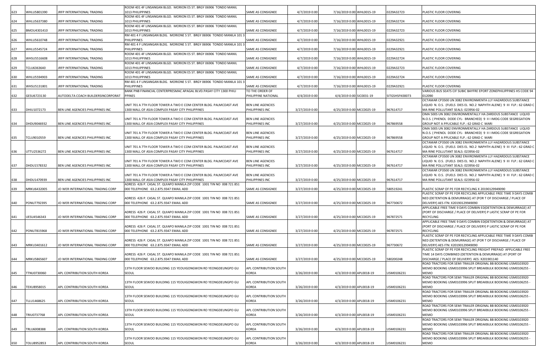| 623 | WHLU5801390 | JRFP INTERNATIONAL TRADING         | ROOM 401 4F LINSANGAN BLGD. MORION ES ST. BRGY 06906 TONDO MANIL<br>1013 PHILIPPINES                                  | SAME AS CONSIGNEE                           | 4/7/2019 0:00  | 7/16/2019 0:00 WHL0015-19 | 0229A32723     | PLASTIC FLOOR COVERING                                                                                                                |
|-----|-------------|------------------------------------|-----------------------------------------------------------------------------------------------------------------------|---------------------------------------------|----------------|---------------------------|----------------|---------------------------------------------------------------------------------------------------------------------------------------|
|     |             |                                    | ROOM 401 4F LINSANGAN BLGD. MORION ES ST. BRGY 06906 TONDO MANIL                                                      |                                             |                |                           |                |                                                                                                                                       |
| 624 | WHLU5637380 | JRFP INTERNATIONAL TRADING         | 1013 PHILIPPINES                                                                                                      | SAME AS CONSIGNEE                           | 4/7/2019 0:00  | 7/16/2019 0:00 WHL0015-19 | 0229A32724     | PLASTIC FLOOR COVERING                                                                                                                |
|     |             |                                    | ROOM 401 4F LINSANGAN BLGD. MORION ES ST. BRGY 06906 TONDO MANIL                                                      |                                             |                |                           |                |                                                                                                                                       |
| 625 | BMOU4301410 | JRFP INTERNATIONAL TRADING         | 1013 PHILIPPINES<br>RM 401 4 F LINSANGAN BLDG. MORIONE S ST. BRGY 06906 TONDO MANILA 101 3                            | SAME AS CONSIGNEE                           | 4/7/2019 0:00  | 7/16/2019 0:00 WHL0015-19 | 0229A32723     | PLASTIC FLOOR COVERING                                                                                                                |
| 626 | WHLU5610748 | JRFP INTERNATIONAL TRADING         | <b>PHILIPPINES</b>                                                                                                    | SAME AS CONSIGNEE                           | 4/7/2019 0:00  | 7/16/2019 0:00 WHL0015-19 | 0229A32921     | PLASTIC FLOOR COVERING                                                                                                                |
|     |             |                                    | RM 401 4 F LINSANGAN BLDG. MORIONE S ST. BRGY 06906 TONDO MANILA 101 :                                                |                                             |                |                           |                |                                                                                                                                       |
| 627 | WHLU5545724 | JRFP INTERNATIONAL TRADING         | PHILIPPINES                                                                                                           | SAME AS CONSIGNEE                           | 4/7/2019 0:00  | 7/16/2019 0:00 WHL0015-19 | 0229A32921     | PLASTIC FLOOR COVERING                                                                                                                |
|     | WHSU5516608 |                                    | ROOM 401 4F LINSANGAN BLGD. MORION ES ST. BRGY 06906 TONDO MANIL                                                      |                                             | 4/7/2019 0:00  |                           | 0229A32724     |                                                                                                                                       |
| 628 |             | IRFP INTERNATIONAL TRADING         | 1013 PHILIPPINES<br>ROOM 401 4F LINSANGAN BLGD. MORION ES ST. BRGY 06906 TONDO MANIL                                  | SAME AS CONSIGNEE                           |                | 7/16/2019 0:00 WHL0015-19 |                | PLASTIC FLOOR COVERING                                                                                                                |
| 629 | TCLU6363640 | IRFP INTERNATIONAL TRADING         | 1013 PHILIPPINES                                                                                                      | SAME AS CONSIGNEE                           | 4/7/2019 0:00  | 7/16/2019 0:00 WHL0015-19 | 0229A32723     | PLASTIC FLOOR COVERING                                                                                                                |
|     |             |                                    | ROOM 401 4F LINSANGAN BLGD. MORION ES ST. BRGY 06906 TONDO MANIL                                                      |                                             |                |                           |                |                                                                                                                                       |
| 630 | WHLU5594903 | JRFP INTERNATIONAL TRADING         | 1013 PHILIPPINES                                                                                                      | SAME AS CONSIGNEE                           | 4/7/2019 0:00  | 7/16/2019 0:00 WHL0015-19 | 0229A32724     | PLASTIC FLOOR COVERING                                                                                                                |
| 631 | WHSU5131801 | IRFP INTERNATIONAL TRADING         | RM 401 4 F LINSANGAN BLDG. MORIONE S ST. BRGY 06906 TONDO MANILA 101 3<br>PHILIPPINES                                 | SAME AS CONSIGNEE                           | 4/7/2019 0:00  | 7/16/2019 0:00 WHL0015-19 | 0229A32921     | PLASTIC FLOOR COVERING                                                                                                                |
|     |             |                                    | BANK PNB FINANCIAL CENTERPRESMAC APAGAL BLVD.PASAY CITY 1300 PHILI                                                    | TO THE ORDER OF                             |                |                           |                | VARIOUS BUS SEATS CIF SUBIC BAYFRE EPORT ZONEPHILIPPINES HS CODE 94                                                                   |
| 632 | GESU6723130 | AUTODELTA COACH BUILDERSINCORPORAT | <b>PPINES</b>                                                                                                         | PHILIPPINE NATIONAL                         | 4/4/2019 0:00  | 4/4/2019 0:00 SIC0031-19  | SITGSHSFK00073 | 012090                                                                                                                                |
|     |             |                                    |                                                                                                                       |                                             |                |                           |                | OCTAMAR CP3500 UN 3082 ENVIRONMENTA LLY HAZARDOUS SUBSTANCE                                                                           |
| 633 | DHIU1072173 | BEN LINE AGENCIES PHILIPPINES INC  | UNIT 701 A 7TH FLOOR TOWER A TWO E COM CENTER BLDG. PALMCOAST AVE<br>1300 MALL OF ASIA COMPLEX PASAY CITY PHILIPPINES | <b>BEN LINE AGENCIES</b><br>PHILIPPINES INC | 3/27/2019 0:00 | 4/25/2019 0:00 MCC0025-19 | 967614717      | LIQUID N. O.S. (FUELS DIES EL NO.2 NAPHTH ALENE) 9 III FLP.: 62 GRAD C  <br>MA RINE POLLUTANT SEALS: 023956-02                        |
|     |             |                                    |                                                                                                                       |                                             |                |                           |                | OMA 500S UN 3082 ENVIRONMENTALLY HA ZARDOUS SUBSTANCE LIQUID                                                                          |
|     |             |                                    | UNIT 701 A 7TH FLOOR TOWER A TWO E COM CENTER BLDG. PALMCOAST AVE                                                     | <b>BEN LINE AGENCIES</b>                    |                |                           |                | N.O.S. ( PHENOL DODE CYL- BRANCHED) 9 II I IMDG CODE SEGREGATION                                                                      |
| 634 | DHDU9046932 | BEN LINE AGENCIES PHILIPPINES INC  | 1300 MALL OF ASIA COMPLEX PASAY CITY PHILIPPINES                                                                      | PHILIPPINES INC                             | 3/27/2019 0:00 | 4/25/2019 0:00 MCC0025-19 | 967869558      | GROUP NOT A PPLICABLE FLP.: 62 GRAD C MARI                                                                                            |
|     |             |                                    |                                                                                                                       |                                             |                |                           |                | OMA 500S UN 3082 ENVIRONMENTALLY HA ZARDOUS SUBSTANCE LIQUID                                                                          |
| 635 | TCLU9010559 | BEN LINE AGENCIES PHILIPPINES INC  | UNIT 701 A 7TH FLOOR TOWER A TWO E COM CENTER BLDG. PALMCOAST AVE<br>1300 MALL OF ASIA COMPLEX PASAY CITY PHILIPPINES | <b>BEN LINE AGENCIES</b><br>PHILIPPINES INC | 3/27/2019 0:00 | 4/25/2019 0:00 MCC0025-19 | 967869558      | N.O.S. ( PHENOL DODE CYL- BRANCHED) 9 II I IMDG CODE SEGREGATION<br>GROUP NOT A PPLICABLE FLP.: 62 GRAD C MARI                        |
|     |             |                                    |                                                                                                                       |                                             |                |                           |                | OCTAMAR CP3500 UN 3082 ENVIRONMENTA LLY HAZARDOUS SUBSTANCE                                                                           |
|     |             |                                    | UNIT 701 A 7TH FLOOR TOWER A TWO E COM CENTER BLDG. PALMCOAST AVE                                                     | <b>BEN LINE AGENCIES</b>                    |                |                           |                | LIQUID N. O.S. (FUELS DIES EL NO.2 NAPHTH ALENE) 9 III FLP.: 62 GRAD C                                                                |
| 636 | UTTU2536272 | BEN LINE AGENCIES PHILIPPINES INC  | 1300 MALL OF ASIA COMPLEX PASAY CITY PHILIPPINES                                                                      | PHILIPPINES INC                             | 3/27/2019 0:00 | 4/25/2019 0:00 MCC0025-19 | 967614717      | MA RINE POLLUTANT SEALS: 023956-02                                                                                                    |
|     |             |                                    | UNIT 701 A 7TH FLOOR TOWER A TWO E COM CENTER BLDG. PALMCOAST AVE                                                     | <b>BEN LINE AGENCIES</b>                    |                |                           |                | OCTAMAR CP3500 UN 3082 ENVIRONMENTA LLY HAZARDOUS SUBSTANCE<br>LIQUID N. O.S. (FUELS DIES EL NO.2 NAPHTH ALENE) 9 III FLP.: 62 GRAD C |
| 637 | DHDU1578332 | BEN LINE AGENCIES PHILIPPINES INC  | 1300 MALL OF ASIA COMPLEX PASAY CITY PHILIPPINES                                                                      | PHILIPPINES INC                             | 3/27/2019 0:00 | 4/25/2019 0:00 MCC0025-19 | 967614717      | MA RINE POLLUTANT SEALS: 023956-02                                                                                                    |
|     |             |                                    |                                                                                                                       |                                             |                |                           |                | OCTAMAR CP3500 UN 3082 ENVIRONMENTA LLY HAZARDOUS SUBSTANCE                                                                           |
|     |             |                                    | UNIT 701 A 7TH FLOOR TOWER A TWO E COM CENTER BLDG. PALMCOAST AVE                                                     | <b>BEN LINE AGENCIES</b>                    |                |                           |                | LIQUID N. O.S. (FUELS DIES EL NO.2 NAPHTH ALENE) 9 III FLP.: 62 GRAD C                                                                |
| 638 | DHDU1470939 | BEN LINE AGENCIES PHILIPPINES INC  | 1300 MALL OF ASIA COMPLEX PASAY CITY PHILIPPINES                                                                      | PHILIPPINES INC                             | 3/27/2019 0:00 | 4/25/2019 0:00 MCC0025-19 | 967614717      | MA RINE POLLUTANT SEALS: 023956-02                                                                                                    |
| 639 | MRKU6432005 | JO WER INTERNATIONAL TRADING CORP  | ADRESS 426 P. CASAL ST. QUIAPO MANILA ZIP CODE 1001 TIN NO 008 721 851<br>000 TELEPHONE 63.2.875.9347 EMAIL ADD       | SAME AS CONSIGNEE                           | 3/27/2019 0:00 | 4/25/2019 0:00 MCC0025-19 | 580519241      | PLASTIC SCRAP OF PE FOR RECYCLING X 20190129949090                                                                                    |
|     |             |                                    |                                                                                                                       |                                             |                |                           |                | PLASTIC SCRAP OF PE FOR RECYCLING APPLICABLE FREE TIME 9 DAYS COMBI                                                                   |
|     |             |                                    | ADRESS 426 P. CASAL ST. QUIAPO MANILA ZIP CODE 1001 TIN NO 008 721 851                                                |                                             |                |                           |                | NED (DETENTION & DEMURRAGE) AT (POR T OF DISCHARGE / PLACE OF                                                                         |
| 640 | PONU7792395 | JO WER INTERNATIONAL TRADING CORP  | 000 TELEPHONE 63.2.875.9347 EMAIL ADD                                                                                 | SAME AS CONSIGNEE                           | 3/27/2019 0:00 | 4/25/2019 0:00 MCC0025-19 | 967730672      | DELIVERY) AES ITN: X20190129949090                                                                                                    |
|     |             |                                    | ADRESS 426 P. CASAL ST. QUIAPO MANILA ZIP CODE 1001 TIN NO 008 721 851                                                |                                             |                |                           |                | APPLICABLE FREE TIME 9 DAYS COMBIN ED(DETENTION & DEMURRAGE) AT<br>(PORT OF DISCHARGE / PLACE OF DELIVERY) P LASTIC SCRAP OF PE FOR   |
| 641 | UESU4546343 | JO WER INTERNATIONAL TRADING CORP  | 000 TELEPHONE 63.2.875.9347 EMAIL ADD                                                                                 | SAME AS CONSIGNEE                           | 3/27/2019 0:00 | 4/25/2019 0:00 MCC0025-19 | 967872571      | RECYCLING                                                                                                                             |
|     |             |                                    |                                                                                                                       |                                             |                |                           |                | APPLICABLE FREE TIME 9 DAYS COMBIN ED(DETENTION & DEMURRAGE) AT                                                                       |
|     |             |                                    | ADRESS 426 P. CASAL ST. QUIAPO MANILA ZIP CODE 1001 TIN NO 008 721 851                                                |                                             |                |                           |                | (PORT OF DISCHARGE / PLACE OF DELIVERY) P LASTIC SCRAP OF PE FOR                                                                      |
| 642 | PONU7815968 | JO WER INTERNATIONAL TRADING CORP  | 000 TELEPHONE 63.2.875.9347 EMAIL ADD                                                                                 | SAME AS CONSIGNEE                           | 3/27/2019 0:00 | 4/25/2019 0:00 MCC0025-19 | 967872571      | <b>RECYCLING</b><br>PLASTIC SCRAP OF PE FOR RECYCLING APPLICABLE FREE TIME 9 DAYS COMBI                                               |
|     |             |                                    | ADRESS 426 P. CASAL ST. QUIAPO MANILA ZIP CODE 1001 TIN NO 008 721 851                                                |                                             |                |                           |                | NED (DETENTION & DEMURRAGE) AT (POR T OF DISCHARGE / PLACE OF                                                                         |
| 643 | MRKU3401612 | JO WER INTERNATIONAL TRADING CORP  | 000 TELEPHONE 63.2.875.9347 EMAIL ADD                                                                                 | SAME AS CONSIGNEE                           | 3/27/2019 0:00 | 4/25/2019 0:00 MCC0025-19 | 967730672      | DELIVERY) AES ITN: X20190129949090                                                                                                    |
|     |             |                                    |                                                                                                                       |                                             |                |                           |                | PLASTIC SCRAP OF PE FOR RECYCLING FREIGHT PREPAID APPLICABLE FREE                                                                     |
|     |             |                                    | ADRESS 426 P. CASAL ST. QUIAPO MANILA ZIP CODE 1001 TIN NO 008 721 851                                                | SAME AS CONSIGNEE                           |                |                           | 580200248      | TIME 14 DAYS COMBINED (DETENTION & DEMURRAGE) AT (PORT OF<br>DISCHARGE / PLACE OF DELIVERY) AES: X201901140                           |
| 644 | MRKU5865607 | JO WER INTERNATIONAL TRADING CORP  | 000 TELEPHONE 63.2.875.9347 EMAIL ADD                                                                                 |                                             | 3/27/2019 0:00 | 4/25/2019 0:00 MCC0025-19 |                | ROAD TRACTORS FOR SEMI TRAILER ORIGINAL BB BOOKING USM0103920                                                                         |
|     |             |                                    | 13TH FLOOR SEWOO BUILDING 115 YEOUIGONGWON RO YEONGDEUNGPO GU                                                         | APL CONTRIBUTION SOUTH                      |                |                           |                | MEMO BOOKING USM0103996 SPLIT BREAKBULK BOOKING USM0106255 -                                                                          |
| 645 | TTNU0730060 | APL CONTRIBUTION SOUTH KOREA       | SEOUL                                                                                                                 | KOREA                                       | 3/26/2019 0:00 | 4/3/2019 0:00 APL0018-19  | USM0106231     | <b>MEMO</b>                                                                                                                           |
|     |             |                                    |                                                                                                                       |                                             |                |                           |                | ROAD TRACTORS FOR SEMI TRAILER ORIGINAL BB BOOKING USM0103920                                                                         |
| 646 | TEXU8958015 | APL CONTRIBUTION SOUTH KOREA       | 13TH FLOOR SEWOO BUILDING 115 YEOUIGONGWON RO YEONGDEUNGPO GU<br>SEOUL                                                | APL CONTRIBUTION SOUTH<br><b>KOREA</b>      | 3/26/2019 0:00 | 4/3/2019 0:00 APL0018-19  | USM0106231     | MEMO BOOKING USM0103996 SPLIT BREAKBULK BOOKING USM0106255 -<br><b>MEMO</b>                                                           |
|     |             |                                    |                                                                                                                       |                                             |                |                           |                | ROAD TRACTORS FOR SEMI TRAILER ORIGINAL BB BOOKING USM0103920                                                                         |
|     |             |                                    | 13TH FLOOR SEWOO BUILDING 115 YEOUIGONGWON RO YEONGDEUNGPO GU                                                         | APL CONTRIBUTION SOUTH                      |                |                           |                | MEMO BOOKING USM0103996 SPLIT BREAKBULK BOOKING USM0106255 -                                                                          |
| 647 | TLLU1468625 | APL CONTRIBUTION SOUTH KOREA       | SEOUL                                                                                                                 | KOREA                                       | 3/26/2019 0:00 | 4/3/2019 0:00 APL0018-19  | USM0106231     | <b>MEMO</b>                                                                                                                           |
|     |             |                                    |                                                                                                                       |                                             |                |                           |                | ROAD TRACTORS FOR SEMI TRAILER ORIGINAL BB BOOKING USM0103920                                                                         |
| 648 | TRIU0737768 | APL CONTRIBUTION SOUTH KOREA       | 13TH FLOOR SEWOO BUILDING 115 YEOUIGONGWON RO YEONGDEUNGPO GU<br>SEOUL                                                | APL CONTRIBUTION SOUTH<br>KOREA             | 3/26/2019 0:00 | 4/3/2019 0:00 APL0018-19  | USM0106231     | MEMO BOOKING USM0103996 SPLIT BREAKBULK BOOKING USM0106255 -<br><b>MEMO</b>                                                           |
|     |             |                                    |                                                                                                                       |                                             |                |                           |                | ROAD TRACTORS FOR SEMI TRAILER ORIGINAL BB BOOKING USM0103920                                                                         |
|     |             |                                    | 13TH FLOOR SEWOO BUILDING 115 YEOUIGONGWON RO YEONGDEUNGPO GU                                                         | APL CONTRIBUTION SOUTH                      |                |                           |                | MEMO BOOKING USM0103996 SPLIT BREAKBULK BOOKING USM0106255 -                                                                          |
| 649 | TRLU6008388 | APL CONTRIBUTION SOUTH KOREA       | SEOUL                                                                                                                 | KOREA                                       | 3/26/2019 0:00 | 4/3/2019 0:00 APL0018-19  | USM0106231     | <b>MEMO</b>                                                                                                                           |
|     |             |                                    | 13TH FLOOR SEWOO BUILDING 115 YEOUIGONGWON RO YEONGDEUNGPO GU                                                         | APL CONTRIBUTION SOUTH                      |                |                           |                | ROAD TRACTORS FOR SEMI TRAILER ORIGINAL BB BOOKING USM0103920<br>MEMO BOOKING USM0103996 SPLIT BREAKBULK BOOKING USM0106255 -         |
| 650 | TOLU8952853 | APL CONTRIBUTION SOUTH KOREA       | SEOUL                                                                                                                 | <b>KOREA</b>                                | 3/26/2019 0:00 | 4/3/2019 0:00 APL0018-19  | USM0106231     | <b>MEMO</b>                                                                                                                           |
|     |             |                                    |                                                                                                                       |                                             |                |                           |                |                                                                                                                                       |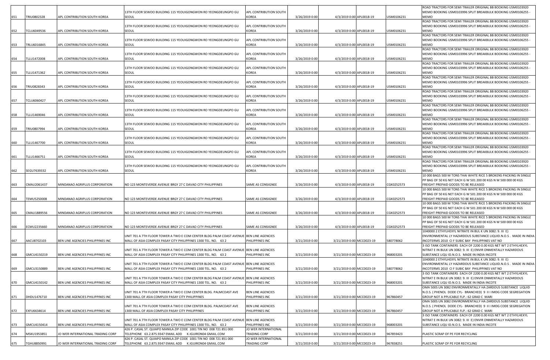|     |                    |                                   |                                                                                                                                                           |                                        |                |                           |            | ROAD TRACTORS FOR SEMI TRAILER ORIGINAL BB BOOKING USM0103920                                                                        |
|-----|--------------------|-----------------------------------|-----------------------------------------------------------------------------------------------------------------------------------------------------------|----------------------------------------|----------------|---------------------------|------------|--------------------------------------------------------------------------------------------------------------------------------------|
| 651 | TRIU0802328        | APL CONTRIBUTION SOUTH KOREA      | 13TH FLOOR SEWOO BUILDING 115 YEOUIGONGWON RO YEONGDEUNGPO GU<br>SEOUL                                                                                    | APL CONTRIBUTION SOUTH<br><b>KOREA</b> | 3/26/2019 0:00 | 4/3/2019 0:00 APL0018-19  | USM0106231 | MEMO BOOKING USM0103996 SPLIT BREAKBULK BOOKING USM0106255 -<br>MEMO                                                                 |
|     |                    |                                   |                                                                                                                                                           |                                        |                |                           |            | ROAD TRACTORS FOR SEMI TRAILER ORIGINAL BB BOOKING USM0103920                                                                        |
|     |                    |                                   | 13TH FLOOR SEWOO BUILDING 115 YEOUIGONGWON RO YEONGDEUNGPO GU                                                                                             | APL CONTRIBUTION SOUTH                 |                |                           |            | MEMO BOOKING USM0103996 SPLIT BREAKBULK BOOKING USM0106255 -                                                                         |
| 652 | TCLU6049536        | APL CONTRIBUTION SOUTH KOREA      | SEOUL                                                                                                                                                     | KOREA                                  | 3/26/2019 0:00 | 4/3/2019 0:00 APL0018-19  | USM0106231 | MEMO                                                                                                                                 |
|     |                    |                                   | 13TH FLOOR SEWOO BUILDING 115 YEOUIGONGWON RO YEONGDEUNGPO GU                                                                                             | <b>APL CONTRIBUTION SOUTH</b>          |                |                           |            | ROAD TRACTORS FOR SEMI TRAILER ORIGINAL BB BOOKING USM0103920<br>MEMO BOOKING USM0103996 SPLIT BREAKBULK BOOKING USM0106255          |
| 653 | TRLU6016845        | APL CONTRIBUTION SOUTH KOREA      | SEOUL                                                                                                                                                     | KOREA                                  | 3/26/2019 0:00 | 4/3/2019 0:00 APL0018-19  | USM0106231 | MEMO                                                                                                                                 |
|     |                    |                                   |                                                                                                                                                           |                                        |                |                           |            | ROAD TRACTORS FOR SEMI TRAILER ORIGINAL BB BOOKING USM0103920                                                                        |
|     |                    |                                   | 13TH FLOOR SEWOO BUILDING 115 YEOUIGONGWON RO YEONGDEUNGPO GU                                                                                             | APL CONTRIBUTION SOUTH                 |                |                           |            | MEMO BOOKING USM0103996 SPLIT BREAKBULK BOOKING USM0106255                                                                           |
| 654 | TLLU1472008        | APL CONTRIBUTION SOUTH KOREA      | SEOUL                                                                                                                                                     | <b>KOREA</b>                           | 3/26/2019 0:00 | 4/3/2019 0:00 APL0018-19  | USM0106231 | MEMO                                                                                                                                 |
|     |                    |                                   |                                                                                                                                                           |                                        |                |                           |            | ROAD TRACTORS FOR SEMI TRAILER ORIGINAL BB BOOKING USM0103920                                                                        |
| 655 | TLLU1471362        | APL CONTRIBUTION SOUTH KOREA      | 13TH FLOOR SEWOO BUILDING 115 YEOUIGONGWON RO YEONGDEUNGPO GU<br>SEOUL                                                                                    | APL CONTRIBUTION SOUTH<br><b>KOREA</b> | 3/26/2019 0:00 | 4/3/2019 0:00 APL0018-19  | JSM0106231 | MEMO BOOKING USM0103996 SPLIT BREAKBULK BOOKING USM0106255<br>MEMO                                                                   |
|     |                    |                                   |                                                                                                                                                           |                                        |                |                           |            | ROAD TRACTORS FOR SEMI TRAILER ORIGINAL BB BOOKING USM0103920                                                                        |
|     |                    |                                   | 13TH FLOOR SEWOO BUILDING 115 YEOUIGONGWON RO YEONGDEUNGPO GU                                                                                             | APL CONTRIBUTION SOUTH                 |                |                           |            | MEMO BOOKING USM0103996 SPLIT BREAKBULK BOOKING USM0106255                                                                           |
| 656 | TRIU0828343        | APL CONTRIBUTION SOUTH KOREA      | SEOUL                                                                                                                                                     | KOREA                                  | 3/26/2019 0:00 | 4/3/2019 0:00 APL0018-19  | USM0106231 | MEMO                                                                                                                                 |
|     |                    |                                   |                                                                                                                                                           |                                        |                |                           |            | ROAD TRACTORS FOR SEMI TRAILER ORIGINAL BB BOOKING USM0103920                                                                        |
|     | TCLU6060427        |                                   | 13TH FLOOR SEWOO BUILDING 115 YEOUIGONGWON RO YEONGDEUNGPO GU<br>SEOUL                                                                                    | APL CONTRIBUTION SOUTH<br>KOREA        |                |                           | USM0106231 | MEMO BOOKING USM0103996 SPLIT BREAKBULK BOOKING USM0106255 -<br>MEMO                                                                 |
| 657 |                    | APL CONTRIBUTION SOUTH KOREA      |                                                                                                                                                           |                                        | 3/26/2019 0:00 | 4/3/2019 0:00 APL0018-19  |            | ROAD TRACTORS FOR SEMI TRAILER ORIGINAL BB BOOKING USM0103920                                                                        |
|     |                    |                                   | 13TH FLOOR SEWOO BUILDING 115 YEOUIGONGWON RO YEONGDEUNGPO GU                                                                                             | APL CONTRIBUTION SOUTH                 |                |                           |            | MEMO BOOKING USM0103996 SPLIT BREAKBULK BOOKING USM0106255                                                                           |
| 658 | TLLU1469046        | APL CONTRIBUTION SOUTH KOREA      | SEOUL                                                                                                                                                     | KOREA                                  | 3/26/2019 0:00 | 4/3/2019 0:00 APL0018-19  | USM0106231 | MEMO                                                                                                                                 |
|     |                    |                                   |                                                                                                                                                           |                                        |                |                           |            | ROAD TRACTORS FOR SEMI TRAILER ORIGINAL BB BOOKING USM0103920                                                                        |
|     |                    |                                   | 13TH FLOOR SEWOO BUILDING 115 YEOUIGONGWON RO YEONGDEUNGPO GU                                                                                             | APL CONTRIBUTION SOUTH                 |                |                           |            | MEMO BOOKING USM0103996 SPLIT BREAKBULK BOOKING USM0106255 -                                                                         |
| 659 | TRIU0807994        | APL CONTRIBUTION SOUTH KOREA      | SEOUL                                                                                                                                                     | KOREA                                  | 3/26/2019 0:00 | 4/3/2019 0:00 APL0018-19  | USM0106231 | MEMO<br>ROAD TRACTORS FOR SEMI TRAILER ORIGINAL BB BOOKING USM0103920                                                                |
|     |                    |                                   | 13TH FLOOR SEWOO BUILDING 115 YEOUIGONGWON RO YEONGDEUNGPO GU                                                                                             | APL CONTRIBUTION SOUTH                 |                |                           |            | MEMO BOOKING USM0103996 SPLIT BREAKBULK BOOKING USM0106255 -                                                                         |
| 660 | TLLU1467700        | APL CONTRIBUTION SOUTH KOREA      | SEOUL                                                                                                                                                     | KOREA                                  | 3/26/2019 0:00 | 4/3/2019 0:00 APL0018-19  | USM0106231 | MEMO                                                                                                                                 |
|     |                    |                                   |                                                                                                                                                           |                                        |                |                           |            | ROAD TRACTORS FOR SEMI TRAILER ORIGINAL BB BOOKING USM0103920                                                                        |
|     |                    |                                   | 13TH FLOOR SEWOO BUILDING 115 YEOUIGONGWON RO YEONGDEUNGPO GU                                                                                             | APL CONTRIBUTION SOUTH                 |                |                           |            | MEMO BOOKING USM0103996 SPLIT BREAKBULK BOOKING USM0106255 -                                                                         |
| 661 | TLLU1466751        | APL CONTRIBUTION SOUTH KOREA      | SEOUL                                                                                                                                                     | KOREA                                  | 3/26/2019 0:00 | 4/3/2019 0:00 APL0018-19  | USM0106231 | <b>MEMO</b><br>ROAD TRACTORS FOR SEMI TRAILER ORIGINAL BB BOOKING USM0103920                                                         |
|     |                    |                                   | 13TH FLOOR SEWOO BUILDING 115 YEOUIGONGWON RO YEONGDEUNGPO GU                                                                                             | APL CONTRIBUTION SOUTH                 |                |                           |            | MEMO BOOKING USM0103996 SPLIT BREAKBULK BOOKING USM0106255 -                                                                         |
| 662 | SEGU7639332        | APL CONTRIBUTION SOUTH KOREA      | SEOUL                                                                                                                                                     | KOREA                                  | 3/26/2019 0:00 | 4/3/2019 0:00 APL0018-19  | USM0106231 | <b>MEMO</b>                                                                                                                          |
|     |                    |                                   |                                                                                                                                                           |                                        |                |                           |            | 10 000 BAGS 500 M TONS THAI WHITE RICE 5 BROKENS PACKING IN SINGLE                                                                   |
|     |                    |                                   |                                                                                                                                                           |                                        |                |                           |            | PP BAG OF 50 KG NET EACH G W 501 200 00 KGS N W 500 000 00 KGS                                                                       |
| 663 | CMAU2061437        | MINDANAO AGRIPLUS CORPORATION     | NO 123 MONTEVERDE AVENUE BRGY 27 C DAVAO CITY PHILIPPINES                                                                                                 | SAME AS CONSIGNEE                      | 3/26/2019 0:00 | 4/3/2019 0:00 APL0018-19  | CGK0252573 | FREIGHT PREPAID GOODS TO BE RELEASED                                                                                                 |
|     |                    |                                   |                                                                                                                                                           |                                        |                |                           |            | 10 000 BAGS 500 M TONS THAI WHITE RICE 5 BROKENS PACKING IN SINGLE<br>PP BAG OF 50 KG NET EACH G W 501 200 00 KGS N W 500 000 00 KGS |
| 664 | <b>TEMU5250008</b> | MINDANAO AGRIPLUS CORPORATION     | NO 123 MONTEVERDE AVENUE BRGY 27 C DAVAO CITY PHILIPPINES                                                                                                 | SAME AS CONSIGNEE                      | 3/26/2019 0:00 | 4/3/2019 0:00 APL0018-19  | CGK0252573 | FREIGHT PREPAID GOODS TO BE RELEASED                                                                                                 |
|     |                    |                                   |                                                                                                                                                           |                                        |                |                           |            | 10 000 BAGS 500 M TONS THAI WHITE RICE 5 BROKENS PACKING IN SINGLE                                                                   |
|     |                    |                                   |                                                                                                                                                           |                                        |                |                           |            | PP BAG OF 50 KG NET EACH G W 501 200 00 KGS N W 500 000 00 KGS                                                                       |
| 665 | CMAU1889556        | MINDANAO AGRIPLUS CORPORATION     | NO 123 MONTEVERDE AVENUE BRGY 27 C DAVAO CITY PHILIPPINES                                                                                                 | SAME AS CONSIGNEE                      | 3/26/2019 0:00 | 4/3/2019 0:00 APL0018-19  | CGK0252573 | FREIGHT PREPAID GOODS TO BE RELEASED                                                                                                 |
|     |                    |                                   |                                                                                                                                                           |                                        |                |                           |            | 10 000 BAGS 500 M TONS THAI WHITE RICE 5 BROKENS PACKING IN SINGLE                                                                   |
| 666 | ECMU2235660        | MINDANAO AGRIPLUS CORPORATION     | NO 123 MONTEVERDE AVENUE BRGY 27 C DAVAO CITY PHILIPPINES                                                                                                 | SAME AS CONSIGNEE                      | 3/26/2019 0:00 | 4/3/2019 0:00 APL0018-19  | CGK0252573 | PP BAG OF 50 KG NET EACH G W 501 200 00 KGS N W 500 000 00 KGS<br>FREIGHT PREPAID GOODS TO BE RELEASED                               |
|     |                    |                                   |                                                                                                                                                           |                                        |                |                           |            | 1040000 2 ETHYLHEXYL NITRATE IN BUL K UN 3082: 9. III E)                                                                             |
|     |                    |                                   | UNIT 701 A 7TH FLOOR TOWER A TWO E COM CENTER BLDG PALM COAST AVENUE BEN LINE AGENCIES                                                                    |                                        |                |                           |            | ENVIRONMENTAL LY HAZARDOUS SUBSTANCE LIQUID.N.O.S . MADE IN INDIA                                                                    |
| 667 | AACU8702103        | BEN LINE AGENCIES PHILIPPINES INC | MALL OF ASIA COMPLEX PASAY CITY PHILIPPINES 1300 TEL. NO. 63 2                                                                                            | PHILIPPINES INC                        | 3/21/2019 0:00 | 3/21/2019 0:00 MCC0023-19 | 580778062  | INCOTERMS 2010 CI F SUBIC BAY PHILIPPINES VAT NO                                                                                     |
|     |                    |                                   |                                                                                                                                                           |                                        |                |                           |            | 3 ISO TANK CONTAINERS EACH OF 2200 0.00 KGS NET WT 2 ETHYLHEXYL                                                                      |
| 668 | GMCU4150219        | BEN LINE AGENCIES PHILIPPINES INC | UNIT 701 A 7TH FLOOR TOWER A TWO E COM CENTER BLDG PALM COAST AVENUE  BEN LINE AGENCIES<br>MALL OF ASIA COMPLEX PASAY CITY PHILIPPINES 1300 TEL. NO. 63 2 | PHILIPPINES INC                        | 3/21/2019 0:00 | 3/21/2019 0:00 MCC0023-19 | 968003201  | NITRAT E IN BULK UN 3082: 9. III E) ENVIR ONMENTALLY HAZARDOUS<br>SUBSTANCE LIQU ID.N.O.S. MADE IN INDIA INCOTE                      |
|     |                    |                                   |                                                                                                                                                           |                                        |                |                           |            | 1040000 2 ETHYLHEXYL NITRATE IN BUL K UN 3082: 9. III E)                                                                             |
|     |                    |                                   | UNIT 701 A 7TH FLOOR TOWER A TWO E COM CENTER BLDG PALM COAST AVENUE BEN LINE AGENCIES                                                                    |                                        |                |                           |            | ENVIRONMENTAL LY HAZARDOUS SUBSTANCE LIQUID.N.O.S. MADE IN INDIA                                                                     |
| 669 | GMCU3150889        | BEN LINE AGENCIES PHILIPPINES INC | MALL OF ASIA COMPLEX PASAY CITY PHILIPPINES 1300 TEL. NO. 63 2                                                                                            | PHILIPPINES INC                        | 3/21/2019 0:00 | 3/21/2019 0:00 MCC0023-19 | 580778062  | INCOTERMS 2010 CI F SUBIC BAY PHILIPPINES VAT NO                                                                                     |
|     |                    |                                   |                                                                                                                                                           |                                        |                |                           |            | 3 ISO TANK CONTAINERS EACH OF 2200 0.00 KGS NET WT 2 ETHYLHEXYL<br>NITRAT E IN BULK UN 3082: 9. III E) ENVIR ONMENTALLY HAZARDOUS    |
| 670 | GMCU4150142        | BEN LINE AGENCIES PHILIPPINES INC | UNIT 701 A 7TH FLOOR TOWER A TWO E COM CENTER BLDG PALM COAST AVENUE BEN LINE AGENCIES<br>MALL OF ASIA COMPLEX PASAY CITY PHILIPPINES 1300 TEL. NO. 63 2  | PHILIPPINES INC                        | 3/21/2019 0:00 | 3/21/2019 0:00 MCC0023-19 | 968003201  | SUBSTANCE LIQU ID.N.O.S. MADE IN INDIA INCOTE                                                                                        |
|     |                    |                                   |                                                                                                                                                           |                                        |                |                           |            | OMA 500S UN 3082 ENVIRONMENTALLY HA ZARDOUS SUBSTANCE LIQUID                                                                         |
|     |                    |                                   | UNIT 701 A 7TH FLOOR TOWER A TWO E COM CENTER BLDG. PALMCOAST AVE                                                                                         | <b>BEN LINE AGENCIES</b>               |                |                           |            | N.O.S. ( PHENOL DODE CYL- BRANCHED) 9 II I IMDG CODE SEGREGATION                                                                     |
| 671 | DHDU1476710        | BEN LINE AGENCIES PHILIPPINES INC | 1300 MALL OF ASIA COMPLEX PASAY CITY PHILIPPINES                                                                                                          | PHILIPPINES INC                        | 3/21/2019 0:00 | 3/21/2019 0:00 MCC0023-19 | 967860457  | GROUP NOT A PPLICABLE FLP.: 62 GRAD C MARI                                                                                           |
|     |                    |                                   |                                                                                                                                                           |                                        |                |                           |            | OMA 500S UN 3082 ENVIRONMENTALLY HA ZARDOUS SUBSTANCE LIQUID                                                                         |
| 672 | EXFU6634614        | BEN LINE AGENCIES PHILIPPINES INC | UNIT 701 A 7TH FLOOR TOWER A TWO E COM CENTER BLDG. PALMCOAST AVE<br>1300 MALL OF ASIA COMPLEX PASAY CITY PHILIPPINES                                     | BEN LINE AGENCIES<br>PHILIPPINES INC   | 3/21/2019 0:00 | 3/21/2019 0:00 MCC0023-19 | 967860457  | N.O.S. ( PHENOL DODE CYL- BRANCHED) 9 II I IMDG CODE SEGREGATION<br>GROUP NOT A PPLICABLE FLP.: 62 GRAD C MARI                       |
|     |                    |                                   |                                                                                                                                                           |                                        |                |                           |            | 3 ISO TANK CONTAINERS EACH OF 2200 0.00 KGS NET WT 2 ETHYLHEXYL                                                                      |
|     |                    |                                   | UNIT 701 A 7TH FLOOR TOWER A TWO E COM CENTER BLDG PALM COAST AVENUE BEN LINE AGENCIES                                                                    |                                        |                |                           |            | NITRAT E IN BULK UN 3082: 9. III E) ENVIR ONMENTALLY HAZARDOUS                                                                       |
| 673 | GMCU4150414        | BEN LINE AGENCIES PHILIPPINES INC | MALL OF ASIA COMPLEX PASAY CITY PHILIPPINES 1300 TEL. NO. 63 2                                                                                            | PHILIPPINES INC                        | 3/21/2019 0:00 | 3/21/2019 0:00 MCC0023-19 | 968003201  | SUBSTANCE LIQU ID.N.O.S. MADE IN INDIA INCOTE                                                                                        |
|     |                    |                                   | 426 P. CASAL ST. QUIAPO MANILA ZIP CODE 1001 TIN NO 008 721 851 000                                                                                       | JO WER INTERNATIONAL                   |                |                           |            |                                                                                                                                      |
| 674 | MSKU1953851        | O WER INTERNATIONAL TRADING CORP  | TELEPHONE 63.2.875.9347 EMAIL ADD K.IGUIRON04 GMAIL.COM<br>426 P. CASAL ST. QUIAPO MANILA ZIP CODE 1001 TIN NO 008 721 851 000                            | TRADING CORP<br>JO WER INTERNATIONAL   | 3/21/2019 0:00 | 3/21/2019 0:00 MCC0023-19 | 967859423  | PLASTIC SCRAP OF PE FOR RECYCLING                                                                                                    |
| 675 | TGHU8850991        | JO WER INTERNATIONAL TRADING CORP | TELEPHONE 63.2.875.9347 EMAIL ADD K.IGUIRON04 GMAIL.COM                                                                                                   | TRADING CORP                           | 3/21/2019 0:00 | 3/21/2019 0:00 MCC0023-19 | 967838251  | PLASTIC SCRAP OF PE FOR RECYCLING                                                                                                    |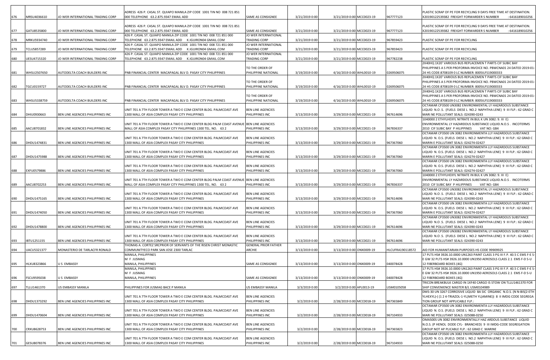|     |             |                                   | ADRESS 426 P. CASAL ST. QUIAPO MANILA ZIP CODE 1001 TIN NO 008 721 851                                                 |                                                |                |                           |                  | PLASTIC SCRAP OF PE FOR RECYCLING 9 DAYS FREE TIME AT DESTINATION.                                                                  |
|-----|-------------|-----------------------------------|------------------------------------------------------------------------------------------------------------------------|------------------------------------------------|----------------|---------------------------|------------------|-------------------------------------------------------------------------------------------------------------------------------------|
| 676 | MRSU4036610 | JO WER INTERNATIONAL TRADING CORP | 000 TELEPHONE 63.2.875.9347 EMAIL ADD                                                                                  | SAME AS CONSIGNEE                              | 3/21/2019 0:00 | 3/21/2019 0:00 MCC0023-19 | 967777123        | X20190122539382 FREIGHT FORWARDER S NUMBER<br>: 6416189010256                                                                       |
|     |             |                                   | ADRESS 426 P. CASAL ST. QUIAPO MANILA ZIP CODE 1001 TIN NO 008 721 851                                                 |                                                |                |                           |                  |                                                                                                                                     |
| 677 | GATU8535800 | JO WER INTERNATIONAL TRADING CORF | 000 TELEPHONE 63.2.875.9347 EMAIL ADD                                                                                  | SAME AS CONSIGNEE                              | 3/21/2019 0:00 | 3/21/2019 0:00 MCC0023-19 | 967777123        | PLASTIC SCRAP OF PE FOR RECYCLING 9 DAYS FREE TIME AT DESTINATION.<br>X20190122539382 FREIGHT FORWARDER S NUMBER<br>: 6416189010256 |
|     |             |                                   | 426 P. CASAL ST. QUIAPO MANILA ZIP CODE 1001 TIN NO 008 721 851 000                                                    | JO WER INTERNATIONAL                           |                |                           |                  |                                                                                                                                     |
| 678 | MRKU5934740 | JO WER INTERNATIONAL TRADING CORP | TELEPHONE 63.2.875.9347 EMAIL ADD K.IGUIRON04 GMAIL.COM                                                                | TRADING CORP                                   | 3/21/2019 0:00 | 3/21/2019 0:00 MCC0023-19 | 967859423        | PLASTIC SCRAP OF PE FOR RECYCLING                                                                                                   |
|     |             |                                   | 426 P. CASAL ST. QUIAPO MANILA ZIP CODE 1001 TIN NO 008 721 851 000                                                    | JO WER INTERNATIONAL                           |                |                           |                  |                                                                                                                                     |
| 679 | TCLU5857289 | JO WER INTERNATIONAL TRADING CORP | TELEPHONE 63.2.875.9347 EMAIL ADD K.IGUIRON04 GMAIL.COM                                                                | TRADING CORP                                   | 3/21/2019 0:00 | 3/21/2019 0:00 MCC0023-19 | 967859423        | PLASTIC SCRAP OF PE FOR RECYCLING                                                                                                   |
|     |             |                                   | 426 P. CASAL ST. QUIAPO MANILA ZIP CODE 1001 TIN NO 008 721 851 000                                                    | JO WER INTERNATIONAL                           |                |                           |                  |                                                                                                                                     |
| 680 | UESU4715320 | JO WER INTERNATIONAL TRADING CORP | TELEPHONE 63.2.875.9347 EMAIL ADD K.IGUIRON04 GMAIL.COM                                                                | TRADING CORP                                   | 3/21/2019 0:00 | 3/21/2019 0:00 MCC0023-19 | 967782238        | PLASTIC SCRAP OF PE FOR RECYCLING                                                                                                   |
|     |             |                                   |                                                                                                                        |                                                |                |                           |                  | 2X40HQ 1X20' VARIOUS BUS REPLACEMEN T PARTS CIF SUBIC BAY                                                                           |
|     |             |                                   |                                                                                                                        | TO THE ORDER OF                                |                |                           |                  | PHILIPPINES A S PER PROFORMA INVOICE NO. PBWCNA01 24 DATED 2019-01                                                                  |
| 681 | WHSU2507650 | AUTODELTA COACH BUILDERS INC      | PNB FINANCIAL CENTER MACAPAGAL BLV D. PASAY CITY PHILIPPINES                                                           | PHILIPPINE NATIONAL                            | 3/19/2019 0:00 | 4/16/2019 0:00 WHL0010-19 | 0269506075       | 24 HS CODE:8708109 0 LC NUMBER: 8005ILFS19000333                                                                                    |
|     |             |                                   |                                                                                                                        |                                                |                |                           |                  | 2X40HQ 1X20' VARIOUS BUS REPLACEMEN T PARTS CIF SUBIC BAY                                                                           |
|     |             |                                   |                                                                                                                        | TO THE ORDER OF                                |                |                           |                  | PHILIPPINES A S PER PROFORMA INVOICE NO. PBWCNA01 24 DATED 2019-01                                                                  |
| 682 | TGCU0159727 | AUTODELTA COACH BUILDERS INC      | PNB FINANCIAL CENTER MACAPAGAL BLV D. PASAY CITY PHILIPPINES                                                           | PHILIPPINE NATIONAL                            | 3/19/2019 0:00 | 4/16/2019 0:00 WHL0010-19 | 0269506075       | 24 HS CODE:8708109 0 LC NUMBER: 8005ILFS19000333                                                                                    |
|     |             |                                   |                                                                                                                        |                                                |                |                           |                  | 2X40HQ 1X20' VARIOUS BUS REPLACEMEN T PARTS CIF SUBIC BAY                                                                           |
| 683 | WHSU5338759 | AUTODELTA COACH BUILDERS INC      | PNB FINANCIAL CENTER MACAPAGAL BLV D. PASAY CITY PHILIPPINES                                                           | TO THE ORDER OF<br>PHILIPPINE NATIONAL         | 3/19/2019 0:00 | 4/16/2019 0:00 WHL0010-19 | 0269506075       | PHILIPPINES A S PER PROFORMA INVOICE NO. PBWCNA01 24 DATED 2019-01<br>24 HS CODE:8708109 0 LC NUMBER: 8005ILFS19000333              |
|     |             |                                   |                                                                                                                        |                                                |                |                           |                  | OCTAMAR CP3500 UN3082 ENVIRONMENTAL LY HAZARDOUS SUBSTANCE                                                                          |
|     |             |                                   | UNIT 701 A 7TH FLOOR TOWER A TWO E COM CENTER BLDG. PALMCOAST AVE                                                      | <b>BEN LINE AGENCIES</b>                       |                |                           |                  | LIQUID N.O.S. (FUELS DIESE L NO.2 NAPHTHA LENE) 9 III FLP.: 62 GRAD C                                                               |
| 684 | DHIU0930663 | BEN LINE AGENCIES PHILIPPINES INC | 1300 MALL OF ASIA COMPLEX PASAY CITY PHILIPPINES                                                                       | PHILIPPINES INC                                | 3/13/2019 0:00 | 3/29/2019 0:00 MCC0021-19 | 967614696        | MARI NE POLLUTANT SEALS: 024390-0243                                                                                                |
|     |             |                                   |                                                                                                                        |                                                |                |                           |                  | 1040000 2 ETHYLHEXYL NITRATE IN BUL K UN 3082: 9. III E)                                                                            |
|     |             |                                   | UNIT 701 A 7TH FLOOR TOWER A TWO E COM CENTER BLDG PALM COAST AVENUE BEN LINE AGENCIES                                 |                                                |                |                           |                  | ENVIRONMENTAL LY HAZARDOUS SUBSTANCE LIQUID.N.O.S. INCOTERMS                                                                        |
| 685 | AACU8701832 | BEN LINE AGENCIES PHILIPPINES INC | MALL OF ASIA COMPLEX PASAY CITY PHILIPPINES 1300 TEL. NO. 63 2                                                         | PHILIPPINES INC                                | 3/13/2019 0:00 | 3/29/2019 0:00 MCC0021-19 | 967836337        | 2010 CIF SUBIC BAY P HILIPPINES VAT NO: GB4                                                                                         |
|     |             |                                   |                                                                                                                        |                                                |                |                           |                  | OCTAMAR CP3500 UN 3082 ENVIRONMENTA LLY HAZARDOUS SUBSTANCE                                                                         |
|     |             |                                   | UNIT 701 A 7TH FLOOR TOWER A TWO E COM CENTER BLDG. PALMCOAST AVE                                                      | <b>BEN LINE AGENCIES</b>                       |                |                           |                  | LIQUID N. O.S. (FUELS DIESE L NO.2 NAPHTHA LENE) 9 III FLP.: 62 GRAD C                                                              |
| 686 | DHDU1474831 | BEN LINE AGENCIES PHILIPPINES INC | 1300 MALL OF ASIA COMPLEX PASAY CITY PHILIPPINES                                                                       | PHILIPPINES INC                                | 3/13/2019 0:00 | 3/29/2019 0:00 MCC0021-19 | 967367060        | MARIN E POLLUTANT SEALS: 024274-02427                                                                                               |
|     |             |                                   |                                                                                                                        |                                                |                |                           |                  | OCTAMAR CP3500 UN 3082 ENVIRONMENTA LLY HAZARDOUS SUBSTANCE                                                                         |
|     |             |                                   | UNIT 701 A 7TH FLOOR TOWER A TWO E COM CENTER BLDG. PALMCOAST AVE                                                      | <b>BEN LINE AGENCIES</b>                       |                |                           |                  | LIQUID N. O.S. (FUELS DIESE L NO.2 NAPHTHA LENE) 9 III FLP.: 62 GRAD C                                                              |
| 687 | DHDU1475988 | BEN LINE AGENCIES PHILIPPINES INC | 1300 MALL OF ASIA COMPLEX PASAY CITY PHILIPPINES                                                                       | PHILIPPINES INC                                | 3/13/2019 0:00 | 3/29/2019 0:00 MCC0021-19 | 967367060        | MARIN E POLLUTANT SEALS: 024274-02427                                                                                               |
|     |             |                                   |                                                                                                                        |                                                |                |                           |                  | OCTAMAR CP3500 UN 3082 ENVIRONMENTA LLY HAZARDOUS SUBSTANCE                                                                         |
| 688 |             |                                   | UNIT 701 A 7TH FLOOR TOWER A TWO E COM CENTER BLDG. PALMCOAST AVE<br>1300 MALL OF ASIA COMPLEX PASAY CITY PHILIPPINES  | BEN LINE AGENCIES<br>PHILIPPINES INC           |                | 3/29/2019 0:00 MCC0021-19 | 967367060        | LIQUID N. O.S. (FUELS DIESE L NO.2 NAPHTHA LENE) 9 III FLP.: 62 GRAD C                                                              |
|     | EXFU0579886 | BEN LINE AGENCIES PHILIPPINES INC |                                                                                                                        |                                                | 3/13/2019 0:00 |                           |                  | MARIN E POLLUTANT SEALS: 024274-02427<br>1040000 2 ETHYLHEXYL NITRATE IN BUL K UN 3082: 9. III E)                                   |
|     |             |                                   | UNIT 701 A 7TH FLOOR TOWER A TWO E COM CENTER BLDG PALM COAST AVENUE BEN LINE AGENCIES                                 |                                                |                |                           |                  | ENVIRONMENTAL LY HAZARDOUS SUBSTANCE LIQUID.N.O.S . INCOTERMS                                                                       |
| 689 | AACU8702253 | BEN LINE AGENCIES PHILIPPINES INC | MALL OF ASIA COMPLEX PASAY CITY PHILIPPINES 1300 TEL. NO. 63 2                                                         | PHILIPPINES INC                                | 3/13/2019 0:00 | 3/29/2019 0:00 MCC0021-19 | 967836337        | 2010 CIF SUBIC BAY P HILIPPINES VAT NO: GB4                                                                                         |
|     |             |                                   |                                                                                                                        |                                                |                |                           |                  | OCTAMAR CP3500 UN3082 ENVIRONMENTAL LY HAZARDOUS SUBSTANCE                                                                          |
|     |             |                                   | UNIT 701 A 7TH FLOOR TOWER A TWO E COM CENTER BLDG. PALMCOAST AVE                                                      | <b>BEN LINE AGENCIES</b>                       |                |                           |                  | LIQUID N.O.S. (FUELS DIESE L NO.2 NAPHTHA LENE) 9 III FLP.: 62 GRAD C                                                               |
| 690 | DHDU1475165 | BEN LINE AGENCIES PHILIPPINES INC | 1300 MALL OF ASIA COMPLEX PASAY CITY PHILIPPINES                                                                       | PHILIPPINES INC                                | 3/13/2019 0:00 | 3/29/2019 0:00 MCC0021-19 | 967614696        | MARI NE POLLUTANT SEALS: 024390-0243                                                                                                |
|     |             |                                   |                                                                                                                        |                                                |                |                           |                  | OCTAMAR CP3500 UN 3082 ENVIRONMENTA LLY HAZARDOUS SUBSTANCE                                                                         |
|     |             |                                   | UNIT 701 A 7TH FLOOR TOWER A TWO E COM CENTER BLDG. PALMCOAST AVE                                                      | <b>BEN LINE AGENCIES</b>                       |                |                           |                  | LIQUID N. O.S. (FUELS DIESE L NO.2 NAPHTHA LENE) 9 III FLP.: 62 GRAD C                                                              |
| 691 | DHDU1474050 | BEN LINE AGENCIES PHILIPPINES INC | 1300 MALL OF ASIA COMPLEX PASAY CITY PHILIPPINES                                                                       | PHILIPPINES INC                                | 3/13/2019 0:00 | 3/29/2019 0:00 MCC0021-19 | 967367060        | MARIN E POLLUTANT SEALS: 024274-02427                                                                                               |
|     |             |                                   |                                                                                                                        |                                                |                |                           |                  | OCTAMAR CP3500 UN3082 ENVIRONMENTAL LY HAZARDOUS SUBSTANCE                                                                          |
|     |             |                                   | UNIT 701 A 7TH FLOOR TOWER A TWO E COM CENTER BLDG. PALMCOAST AVE                                                      | <b>BEN LINE AGENCIES</b>                       |                |                           |                  | LIQUID N.O.S. (FUELS DIESE L NO.2 NAPHTHA LENE) 9 III FLP.: 62 GRAD C                                                               |
| 692 | DHDU1478800 | BEN LINE AGENCIES PHILIPPINES INC | 1300 MALL OF ASIA COMPLEX PASAY CITY PHILIPPINES                                                                       | PHILIPPINES INC                                | 3/13/2019 0:00 | 3/29/2019 0:00 MCC0021-19 | 967614696        | MARI NE POLLUTANT SEALS: 024390-0243                                                                                                |
|     |             |                                   |                                                                                                                        |                                                |                |                           |                  | OCTAMAR CP3500 UN3082 ENVIRONMENTAL LY HAZARDOUS SUBSTANCE                                                                          |
|     |             |                                   | UNIT 701 A 7TH FLOOR TOWER A TWO E COM CENTER BLDG. PALMCOAST AVE                                                      | <b>BEN LINE AGENCIES</b>                       |                |                           |                  | LIQUID N.O.S. (FUELS DIESE L NO.2 NAPHTHA LENE) 9 III FLP.: 62 GRAD C                                                               |
| 693 | BTU1251155  | BEN LINE AGENCIES PHILIPPINES INC | 1300 MALL OF ASIA COMPLEX PASAY CITY PHILIPPINES<br>THOMAS A. CORTEZ SRCPRIOR OF SERVANTS OF THE RISEN CHRIST MONASTIC | PHILIPPINES INC<br><b>GENERAL PRIOR FATHER</b> | 3/13/2019 0:00 | 3/29/2019 0:00 MCC0021-19 | 967614696        | MARI NE POLLUTANT SEALS: 024390-0243                                                                                                |
| 694 | UACU5321377 | MONASTERIO DE TARLACFR RONALD     | COMMUNITYECO PARK SAN JOSE 2300 TARLAC                                                                                 | ARCHIE                                         | 3/13/2019 0:00 | 3/13/2019 0:00 ONX0009-19 | HLCUFRA190118572 | AID FOR HUMANITARIAN PURPOSES HS CODE 99909925                                                                                      |
|     |             |                                   | MANILA, PHILIPPINES                                                                                                    |                                                |                |                           |                  | 17 PLTS HS# 3926.10.0000 UN1263 PAINT CLASS 3 PG III F.P. 40.5 C EMS F-E 9                                                          |
|     |             |                                   | M F JUSMAG                                                                                                             |                                                |                |                           |                  | E GW 32 PLTS HS# 3926.10.0000 UN1950 AEROSOLS CLASS 2.1 EMS F-D S-U                                                                 |
| 695 | HLXU8323866 | JS EMBASSY                        | MANILA, PHILIPPINES                                                                                                    | SAME AS CONSIGNEE                              | 3/13/2019 0:00 | 3/13/2019 0:00 ONX0009-19 | 040078428        | 12 FIBERBOARD BOXES (4G)                                                                                                            |
|     |             |                                   | MANILA, PHILIPPINES                                                                                                    |                                                |                |                           |                  | 17 PLTS HS# 3926.10.0000 UN1263 PAINT CLASS 3 PG III F.P. 40.5 C EMS F-E S                                                          |
|     |             |                                   | M F JUSMAG                                                                                                             |                                                |                |                           |                  | E GW 32 PLTS HS# 3926.10.0000 UN1950 AEROSOLS CLASS 2.1 EMS F-D S-U                                                                 |
| 696 | FSCU9595038 | JS EMBASSY                        | MANILA, PHILIPPINES                                                                                                    | SAME AS CONSIGNEE                              | 3/13/2019 0:00 | 3/13/2019 0:00 ONX0009-19 | 040078428        | 12 FIBERBOARD BOXES (4G)                                                                                                            |
|     |             |                                   |                                                                                                                        |                                                |                |                           |                  | TRICON BREAKBULK CARGO IN 1XF40 CARGO IS STOW ON TLLU1461370 FOR                                                                    |
| 697 | TLLU1461370 | US EMBASSY MANILA                 | PHILIPPINES FOR JUSMAG BACE P MANILA                                                                                   | US EMBASSY MANILA                              | 3/3/2019 0:00  | 3/2/2019 0:00 APL0013-19  | JSM0105058       | SHIP CONVENIENCE MASTER B/L USM0104989                                                                                              |
|     |             |                                   |                                                                                                                        |                                                |                |                           |                  | DMS-30 UN 3267 CORROSIVE LIQUID BA SIC ORGANIC N.O.S. (N N-BIS(2-ETH                                                                |
|     |             |                                   | UNIT 701 A 7TH FLOOR TOWER A TWO E COM CENTER BLDG. PALMCOAST AVE                                                      | BEN LINE AGENCIES                              |                |                           |                  | YLHEXYL)-((124-TRIAZOL-1-YL)METH YL)AMINE)) 8 II IMDG CODE SEGREGA                                                                  |
| 698 | DHDU1373292 | BEN LINE AGENCIES PHILIPPINES INC | 1300 MALL OF ASIA COMPLEX PASAY CITY PHILIPPINES                                                                       | PHILIPPINES INC                                | 3/2/2019 0:00  | 2/28/2019 0:00 MCC0018-19 | 967365849        | TION GROUP NOT APPLICABLE FLP.:                                                                                                     |
|     |             |                                   |                                                                                                                        |                                                |                |                           |                  | OCTAMAR CP3500 UN 3082 ENVIRONMENTA LLY HAZARDOUS SUBSTANCE                                                                         |
| 699 | DHDU1470604 | BEN LINE AGENCIES PHILIPPINES INC | UNIT 701 A 7TH FLOOR TOWER A TWO E COM CENTER BLDG. PALMCOAST AVE<br>1300 MALL OF ASIA COMPLEX PASAY CITY PHILIPPINES  | <b>BEN LINE AGENCIES</b><br>PHILIPPINES INC    | 3/2/2019 0:00  | 2/28/2019 0:00 MCC0018-19 | 967104933        | LIQUID N. O.S. (FUELS DIESE L NO.2 NAPHTHA LENE) 9 III FLP.: 62 GRAD C<br>MARI NE POLLUTANT SEALS: 025088-0250                      |
|     |             |                                   |                                                                                                                        |                                                |                |                           |                  | OMA500S UN 3082 ENVIRONMENTALLY HAZ ARDOUS SUBSTANCE LIQUID                                                                         |
|     |             |                                   | UNIT 701 A 7TH FLOOR TOWER A TWO E COM CENTER BLDG. PALMCOAST AVE                                                      | BEN LINE AGENCIES                              |                |                           |                  | N.O.S. (P HENOL DODE CYL- BRANCHED) 9 III IMDG-CODE SEGREGATION                                                                     |
| 700 | CRXU8628753 | BEN LINE AGENCIES PHILIPPINES INC | 1300 MALL OF ASIA COMPLEX PASAY CITY PHILIPPINES                                                                       | PHILIPPINES INC                                | 3/2/2019 0:00  | 2/28/2019 0:00 MCC0018-19 | 967365823        | GROUP NOT AP PLICABLE FLP.: 62 GRAD C MARINE                                                                                        |
|     |             |                                   |                                                                                                                        |                                                |                |                           |                  | OCTAMAR CP3500 UN 3082 ENVIRONMENTA LLY HAZARDOUS SUBSTANCE                                                                         |
|     |             |                                   | UNIT 701 A 7TH FLOOR TOWER A TWO E COM CENTER BLDG. PALMCOAST AVE                                                      | <b>BEN LINE AGENCIES</b>                       |                |                           |                  | LIQUID N. O.S. (FUELS DIESE L NO.2 NAPHTHA LENE) 9 III FLP.: 62 GRAD C                                                              |
| 701 | GESU8078376 | BEN LINE AGENCIES PHILIPPINES INC | 1300 MALL OF ASIA COMPLEX PASAY CITY PHILIPPINES                                                                       | PHILIPPINES INC                                | 3/2/2019 0:00  | 2/28/2019 0:00 MCC0018-19 | 967104933        | MARI NE POLLUTANT SEALS: 025088-0250                                                                                                |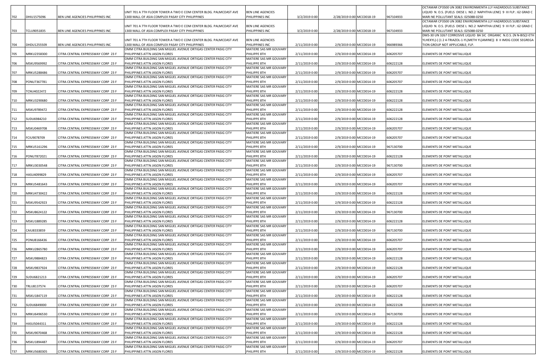|     |              |                                    |                                                                                                                       |                                             |                |                           |                          |           | OCTAMAR CP3500 UN 3082 ENVIRONMENTA LLY HAZARDOUS SUBSTANCE                                                    |
|-----|--------------|------------------------------------|-----------------------------------------------------------------------------------------------------------------------|---------------------------------------------|----------------|---------------------------|--------------------------|-----------|----------------------------------------------------------------------------------------------------------------|
| 702 |              |                                    | UNIT 701 A 7TH FLOOR TOWER A TWO E COM CENTER BLDG. PALMCOAST AVE                                                     | <b>BEN LINE AGENCIES</b><br>PHILIPPINES INC |                | 2/28/2019 0:00 MCC0018-19 |                          | 967104933 | LIQUID N. O.S. (FUELS DIESE L NO.2 NAPHTHA LENE) 9 III FLP.: 62 GRAD C<br>MARI NE POLLUTANT SEALS: 025088-0250 |
|     | DHIU1575096  | BEN LINE AGENCIES PHILIPPINES INC  | 1300 MALL OF ASIA COMPLEX PASAY CITY PHILIPPINES                                                                      |                                             | 3/2/2019 0:00  |                           |                          |           | OCTAMAR CP3500 UN 3082 ENVIRONMENTA LLY HAZARDOUS SUBSTANCE                                                    |
|     |              |                                    | UNIT 701 A 7TH FLOOR TOWER A TWO E COM CENTER BLDG. PALMCOAST AVE                                                     | <b>BEN LINE AGENCIES</b>                    |                |                           |                          |           | LIQUID N. O.S. (FUELS DIESE L NO.2 NAPHTHA LENE) 9 III FLP.: 62 GRAD C                                         |
| 703 | TCLU9051835  | BEN LINE AGENCIES PHILIPPINES INC  | 1300 MALL OF ASIA COMPLEX PASAY CITY PHILIPPINES                                                                      | PHILIPPINES INC                             | 3/2/2019 0:00  | 2/28/2019 0:00 MCC0018-19 |                          | 967104933 | MARI NE POLLUTANT SEALS: 025088-0250                                                                           |
|     |              |                                    |                                                                                                                       |                                             |                |                           |                          |           | DMS-30 UN 3267 CORROSIVE LIQUID BA SIC ORGANIC N.O.S. (N N-BIS(2-ETH                                           |
| 704 | DHDU1255509  | BEN LINE AGENCIES PHILIPPINES INC  | UNIT 701 A 7TH FLOOR TOWER A TWO E COM CENTER BLDG. PALMCOAST AVE<br>1300 MALL OF ASIA COMPLEX PASAY CITY PHILIPPINES | <b>BEN LINE AGENCIES</b><br>PHILIPPINES INC | 2/11/2019 0:00 | 2/9/2019 0:00 MCC0014-19  |                          | 966989366 | YLHEXYL)-( (1 2 4-TRIAZOL-1-YL)METH YL)AMINE))  8  II IMDG CODE SEGREGA<br>TION GROUP NOT APPLICABLE; FLP.     |
|     |              |                                    | OMM CITRA BUILDING SAN MIGUEL AVENUE ORTIGAS CENTER PASIG CITY                                                        | MATIERE SAS MR GOUVARY                      |                |                           |                          |           |                                                                                                                |
| 705 | MRKU2358300  | CITRA CENTRAL EXPRESSWAY CORP 23 F | PHILIPPINES ATTN JASON FLORES                                                                                         | PHILIPPE 8TH                                | 2/11/2019 0:00 | 2/9/2019 0:00 MCC0014-19  |                          | 606205707 | ELEMENTS DE PONT METALLIQUE                                                                                    |
|     |              |                                    | OMM CITRA BUILDING SAN MIGUEL AVENUE ORTIGAS CENTER PASIG CITY                                                        | MATIERE SAS MR GOUVARY                      |                |                           |                          |           |                                                                                                                |
| 706 | MSKU9569992  | CITRA CENTRAL EXPRESSWAY CORP 23 F | PHILIPPINES ATTN JASON FLORES                                                                                         | PHILIPPE 8TH                                | 2/11/2019 0:00 | 2/9/2019 0:00 MCC0014-19  |                          | 606222128 | ELEMENTS DE PONT METALLIQUE                                                                                    |
| 707 | MRKU5288486  | CITRA CENTRAL EXPRESSWAY CORP 23 F | OMM CITRA BUILDING SAN MIGUEL AVENUE ORTIGAS CENTER PASIG CITY<br>PHILIPPINES ATTN JASON FLORES                       | MATIERE SAS MR GOUVARY<br>PHILIPPE 8TH      | 2/11/2019 0:00 | 2/9/2019 0:00 MCC0014-19  |                          | 606205707 | ELEMENTS DE PONT METALLIQUE                                                                                    |
|     |              |                                    | OMM CITRA BUILDING SAN MIGUEL AVENUE ORTIGAS CENTER PASIG CITY                                                        | MATIERE SAS MR GOUVARY                      |                |                           |                          |           |                                                                                                                |
| 708 | PONU7367781  | CITRA CENTRAL EXPRESSWAY CORP 23 F | PHILIPPINES ATTN JASON FLORES                                                                                         | PHILIPPE 8TH                                | 2/11/2019 0:00 | 2/9/2019 0:00 MCC0014-19  |                          | 606205707 | ELEMENTS DE PONT METALLIQUE                                                                                    |
|     |              |                                    | OMM CITRA BUILDING SAN MIGUEL AVENUE ORTIGAS CENTER PASIG CITY                                                        | MATIERE SAS MR GOUVARY                      |                |                           |                          |           |                                                                                                                |
| 709 | CNU4022472   | CITRA CENTRAL EXPRESSWAY CORP 23 F | PHILIPPINES ATTN JASON FLORES<br>OMM CITRA BUILDING SAN MIGUEL AVENUE ORTIGAS CENTER PASIG CITY                       | PHILIPPE 8TH<br>MATIERE SAS MR GOUVARY      | 2/11/2019 0:00 | 2/9/2019 0:00 MCC0014-19  |                          | 606222128 | ELEMENTS DE PONT METALLIQUE                                                                                    |
| 710 | MRKU3290680  | CITRA CENTRAL EXPRESSWAY CORP 23 F | PHILIPPINES ATTN JASON FLORES                                                                                         | PHILIPPE 8TH                                | 2/11/2019 0:00 | 2/9/2019 0:00 MCC0014-19  |                          | 606222128 | ELEMENTS DE PONT METALLIQUE                                                                                    |
|     |              |                                    | OMM CITRA BUILDING SAN MIGUEL AVENUE ORTIGAS CENTER PASIG CITY                                                        | MATIERE SAS MR GOUVARY                      |                |                           |                          |           |                                                                                                                |
| 711 | MSKU9789472  | CITRA CENTRAL EXPRESSWAY CORP 23 F | PHILIPPINES ATTN JASON FLORES                                                                                         | PHILIPPE 8TH                                | 2/11/2019 0:00 | 2/9/2019 0:00 MCC0014-19  |                          | 606222128 | ELEMENTS DE PONT METALLIQUE                                                                                    |
| 712 | SUDU6984210  | CITRA CENTRAL EXPRESSWAY CORP 23 F | OMM CITRA BUILDING SAN MIGUEL AVENUE ORTIGAS CENTER PASIG CITY<br>PHILIPPINES ATTN JASON FLORES                       | MATIERE SAS MR GOUVARY<br>PHILIPPE 8TH      | 2/11/2019 0:00 | 2/9/2019 0:00 MCC0014-19  |                          | 606222128 | ELEMENTS DE PONT METALLIQUE                                                                                    |
|     |              |                                    | OMM CITRA BUILDING SAN MIGUEL AVENUE ORTIGAS CENTER PASIG CITY                                                        | MATIERE SAS MR GOUVARY                      |                |                           |                          |           |                                                                                                                |
| 713 | MSKU0469708  | CITRA CENTRAL EXPRESSWAY CORP 23 F | PHILIPPINES ATTN JASON FLORES                                                                                         | PHILIPPE 8TH                                | 2/11/2019 0:00 | 2/9/2019 0:00 MCC0014-19  |                          | 606205707 | ELEMENTS DE PONT METALLIQUE                                                                                    |
|     |              |                                    | OMM CITRA BUILDING SAN MIGUEL AVENUE ORTIGAS CENTER PASIG CITY                                                        | MATIERE SAS MR GOUVARY                      |                |                           |                          |           |                                                                                                                |
| 714 | CIU9078709   | CITRA CENTRAL EXPRESSWAY CORP 23 F | PHILIPPINES ATTN JASON FLORES                                                                                         | PHILIPPE 8TH                                | 2/11/2019 0:00 | 2/9/2019 0:00 MCC0014-19  |                          | 606205707 | ELEMENTS DE PONT METALLIQUE                                                                                    |
| 715 | MRKU5161296  | CITRA CENTRAL EXPRESSWAY CORP 23 F | OMM CITRA BUILDING SAN MIGUEL AVENUE ORTIGAS CENTER PASIG CITY<br>PHILIPPINES ATTN JASON FLORES                       | MATIERE SAS MR GOUVARY<br>PHILIPPE 8TH      | 2/11/2019 0:00 | 2/9/2019 0:00 MCC0014-19  |                          | 967130700 | ELEMENTS DE PONT METALLIQUE                                                                                    |
|     |              |                                    | OMM CITRA BUILDING SAN MIGUEL AVENUE ORTIGAS CENTER PASIG CITY                                                        | MATIERE SAS MR GOUVARY                      |                |                           |                          |           |                                                                                                                |
| 716 | PONU7872021  | CITRA CENTRAL EXPRESSWAY CORP 23 F | PHILIPPINES ATTN JASON FLORES                                                                                         | PHILIPPE 8TH                                | 2/11/2019 0:00 | 2/9/2019 0:00 MCC0014-19  |                          | 606222128 | ELEMENTS DE PONT METALLIQUE                                                                                    |
|     |              |                                    | OMM CITRA BUILDING SAN MIGUEL AVENUE ORTIGAS CENTER PASIG CITY                                                        | MATIERE SAS MR GOUVARY                      |                |                           |                          |           |                                                                                                                |
| 717 | VIRKU3030548 | CITRA CENTRAL EXPRESSWAY CORP 23 F | PHILIPPINES ATTN JASON FLORES<br>OMM CITRA BUILDING SAN MIGUEL AVENUE ORTIGAS CENTER PASIG CITY                       | PHILIPPE 8TH<br>MATIERE SAS MR GOUVARY      | 2/11/2019 0:00 | 2/9/2019 0:00 MCC0014-19  |                          | 967130700 | ELEMENTS DE PONT METALLIQUE                                                                                    |
| 718 | HASU4099829  | CITRA CENTRAL EXPRESSWAY CORP 23 F | PHILIPPINES ATTN JASON FLORES                                                                                         | PHILIPPE 8TH                                | 2/11/2019 0:00 | 2/9/2019 0:00 MCC0014-19  |                          | 606205707 | ELEMENTS DE PONT METALLIQUE                                                                                    |
|     |              |                                    | OMM CITRA BUILDING SAN MIGUEL AVENUE ORTIGAS CENTER PASIG CITY                                                        | MATIERE SAS MR GOUVARY                      |                |                           |                          |           |                                                                                                                |
| 719 | MRKU5481643  | CITRA CENTRAL EXPRESSWAY CORP 23 F | PHILIPPINES ATTN JASON FLORES                                                                                         | PHILIPPE 8TH                                | 2/11/2019 0:00 | 2/9/2019 0:00 MCC0014-19  |                          | 606205707 | ELEMENTS DE PONT METALLIQUE                                                                                    |
| 720 | MRKU4730422  | CITRA CENTRAL EXPRESSWAY CORP 23 F | OMM CITRA BUILDING SAN MIGUEL AVENUE ORTIGAS CENTER PASIG CITY<br>PHILIPPINES ATTN JASON FLORES                       | MATIERE SAS MR GOUVARY<br>PHILIPPE 8TH      | 2/11/2019 0:00 | 2/9/2019 0:00 MCC0014-19  |                          | 606222128 | ELEMENTS DE PONT METALLIQUE                                                                                    |
|     |              |                                    | OMM CITRA BUILDING SAN MIGUEL AVENUE ORTIGAS CENTER PASIG CITY                                                        | MATIERE SAS MR GOUVARY                      |                |                           |                          |           |                                                                                                                |
| 721 | MSKU9542923  | CITRA CENTRAL EXPRESSWAY CORP 23 F | PHILIPPINES ATTN JASON FLORES                                                                                         | PHILIPPE 8TH                                | 2/11/2019 0:00 | 2/9/2019 0:00 MCC0014-19  |                          | 606222128 | ELEMENTS DE PONT METALLIQUE                                                                                    |
|     |              |                                    | OMM CITRA BUILDING SAN MIGUEL AVENUE ORTIGAS CENTER PASIG CITY                                                        | MATIERE SAS MR GOUVARY                      |                |                           |                          |           |                                                                                                                |
| 722 | MSKU8624122  | CITRA CENTRAL EXPRESSWAY CORP 23 F | PHILIPPINES ATTN JASON FLORES<br>OMM CITRA BUILDING SAN MIGUEL AVENUE ORTIGAS CENTER PASIG CITY                       | PHILIPPE 8TH<br>MATIERE SAS MR GOUVARY      | 2/11/2019 0:00 | 2/9/2019 0:00 MCC0014-19  |                          | 967130700 | ELEMENTS DE PONT METALLIQUE                                                                                    |
| 723 | MSKU1889285  | CITRA CENTRAL EXPRESSWAY CORP 23 F | PHILIPPINES ATTN JASON FLORES                                                                                         | PHILIPPE 8TH                                | 2/11/2019 0:00 | 2/9/2019 0:00 MCC0014-19  |                          | 606222128 | ELEMENTS DE PONT METALLIQUE                                                                                    |
|     |              |                                    | OMM CITRA BUILDING SAN MIGUEL AVENUE ORTIGAS CENTER PASIG CITY                                                        | MATIERE SAS MR GOUVARY                      |                |                           |                          |           |                                                                                                                |
| 724 | CAIU8333859  | CITRA CENTRAL EXPRESSWAY CORP 23 F | PHILIPPINES ATTN JASON FLORES                                                                                         | PHILIPPE 8TH                                | 2/11/2019 0:00 | 2/9/2019 0:00 MCC0014-19  |                          | 967130700 | ELEMENTS DE PONT METALLIQUE                                                                                    |
|     | PONU8166436  |                                    | OMM CITRA BUILDING SAN MIGUEL AVENUE ORTIGAS CENTER PASIG CITY<br>PHILIPPINES ATTN JASON FLORES                       | MATIERE SAS MR GOUVARY                      |                |                           |                          |           |                                                                                                                |
| 725 |              | CITRA CENTRAL EXPRESSWAY CORP 23 F | OMM CITRA BUILDING SAN MIGUEL AVENUE ORTIGAS CENTER PASIG CITY                                                        | PHILIPPE 8TH<br>MATIERE SAS MR GOUVARY      | 2/11/2019 0:00 | 2/9/2019 0:00 MCC0014-19  |                          | 606205707 | ELEMENTS DE PONT METALLIQUE                                                                                    |
| 726 | MRKU2865780  | CITRA CENTRAL EXPRESSWAY CORP 23 F | PHILIPPINES ATTN JASON FLORES                                                                                         | PHILIPPE 8TH                                | 2/11/2019 0:00 | 2/9/2019 0:00 MCC0014-19  |                          | 606205707 | ELEMENTS DE PONT METALLIQUE                                                                                    |
|     |              |                                    | OMM CITRA BUILDING SAN MIGUEL AVENUE ORTIGAS CENTER PASIG CITY                                                        | MATIERE SAS MR GOUVARY                      |                |                           |                          |           |                                                                                                                |
| 727 | MSKU9884823  | CITRA CENTRAL EXPRESSWAY CORP 23 F | PHILIPPINES ATTN JASON FLORES                                                                                         | PHILIPPE 8TH                                | 2/11/2019 0:00 | 2/9/2019 0:00 MCC0014-19  |                          | 606222128 | ELEMENTS DE PONT METALLIQUE                                                                                    |
| 728 | MSKU9837924  | CITRA CENTRAL EXPRESSWAY CORP 23 F | OMM CITRA BUILDING SAN MIGUEL AVENUE ORTIGAS CENTER PASIG CITY<br>PHILIPPINES ATTN JASON FLORES                       | MATIERE SAS MR GOUVARY<br>PHILIPPE 8TH      | 2/11/2019 0:00 |                           | 2/9/2019 0:00 MCC0014-19 | 606222128 | ELEMENTS DE PONT METALLIQUE                                                                                    |
|     |              |                                    | OMM CITRA BUILDING SAN MIGUEL AVENUE ORTIGAS CENTER PASIG CITY                                                        | MATIERE SAS MR GOUVARY                      |                |                           |                          |           |                                                                                                                |
| 729 | SUDU6821213  | CITRA CENTRAL EXPRESSWAY CORP 23 F | PHILIPPINES ATTN JASON FLORES                                                                                         | PHILIPPE 8TH                                | 2/11/2019 0:00 | 2/9/2019 0:00 MCC0014-19  |                          | 606205707 | ELEMENTS DE PONT METALLIQUE                                                                                    |
|     |              |                                    | OMM CITRA BUILDING SAN MIGUEL AVENUE ORTIGAS CENTER PASIG CITY                                                        | MATIERE SAS MR GOUVARY                      |                |                           |                          |           |                                                                                                                |
| 730 | TRLU8137574  | CITRA CENTRAL EXPRESSWAY CORP 23 F | PHILIPPINES ATTN JASON FLORES<br>OMM CITRA BUILDING SAN MIGUEL AVENUE ORTIGAS CENTER PASIG CITY                       | PHILIPPE 8TH<br>MATIERE SAS MR GOUVARY      | 2/11/2019 0:00 | 2/9/2019 0:00 MCC0014-19  |                          | 606205707 | ELEMENTS DE PONT METALLIQUE                                                                                    |
| 731 | MSKU1847119  | CITRA CENTRAL EXPRESSWAY CORP 23 F | PHILIPPINES ATTN JASON FLORES                                                                                         | PHILIPPE 8TH                                | 2/11/2019 0:00 | 2/9/2019 0:00 MCC0014-19  |                          | 606222128 | ELEMENTS DE PONT METALLIQUE                                                                                    |
|     |              |                                    | OMM CITRA BUILDING SAN MIGUEL AVENUE ORTIGAS CENTER PASIG CITY                                                        | MATIERE SAS MR GOUVARY                      |                |                           |                          |           |                                                                                                                |
| 732 | SUDU6849000  | CITRA CENTRAL EXPRESSWAY CORP 23 F | PHILIPPINES ATTN JASON FLORES                                                                                         | PHILIPPE 8TH                                | 2/11/2019 0:00 | 2/9/2019 0:00 MCC0014-19  |                          | 606222128 | ELEMENTS DE PONT METALLIQUE                                                                                    |
| 733 | MRKU6496530  | CITRA CENTRAL EXPRESSWAY CORP 23 F | OMM CITRA BUILDING SAN MIGUEL AVENUE ORTIGAS CENTER PASIG CITY<br>PHILIPPINES ATTN JASON FLORES                       | MATIERE SAS MR GOUVARY<br>PHILIPPE 8TH      | 2/11/2019 0:00 | 2/9/2019 0:00 MCC0014-19  |                          | 967130700 | ELEMENTS DE PONT METALLIQUE                                                                                    |
|     |              |                                    | OMM CITRA BUILDING SAN MIGUEL AVENUE ORTIGAS CENTER PASIG CITY                                                        | MATIERE SAS MR GOUVARY                      |                |                           |                          |           |                                                                                                                |
| 734 | HASU5044311  | CITRA CENTRAL EXPRESSWAY CORP 23 F | PHILIPPINES ATTN JASON FLORES                                                                                         | PHILIPPE 8TH                                | 2/11/2019 0:00 | 2/9/2019 0:00 MCC0014-19  |                          | 606222128 | ELEMENTS DE PONT METALLIQUE                                                                                    |
|     |              |                                    | OMM CITRA BUILDING SAN MIGUEL AVENUE ORTIGAS CENTER PASIG CITY                                                        | MATIERE SAS MR GOUVARY                      |                |                           |                          |           |                                                                                                                |
| 735 | MSKU9070468  | CITRA CENTRAL EXPRESSWAY CORP 23 F | PHILIPPINES ATTN JASON FLORES<br>OMM CITRA BUILDING SAN MIGUEL AVENUE ORTIGAS CENTER PASIG CITY                       | PHILIPPE 8TH<br>MATIERE SAS MR GOUVARY      | 2/11/2019 0:00 | 2/9/2019 0:00 MCC0014-19  |                          | 606222128 | ELEMENTS DE PONT METALLIQUE                                                                                    |
| 736 | MSKU1894487  | CITRA CENTRAL EXPRESSWAY CORP 23 F | PHILIPPINES ATTN JASON FLORES                                                                                         | PHILIPPE 8TH                                | 2/11/2019 0:00 | 2/9/2019 0:00 MCC0014-19  |                          | 606205707 | ELEMENTS DE PONT METALLIQUE                                                                                    |
|     |              |                                    | OMM CITRA BUILDING SAN MIGUEL AVENUE ORTIGAS CENTER PASIG CITY                                                        | MATIERE SAS MR GOUVARY                      |                |                           |                          |           |                                                                                                                |
| 737 | MRKU5680305  | CITRA CENTRAL EXPRESSWAY CORP 23 F | PHILIPPINES ATTN JASON FLORES                                                                                         | PHILIPPE 8TH                                | 2/11/2019 0:00 | 2/9/2019 0:00 MCC0014-19  |                          | 606222128 | ELEMENTS DE PONT METALLIQUE                                                                                    |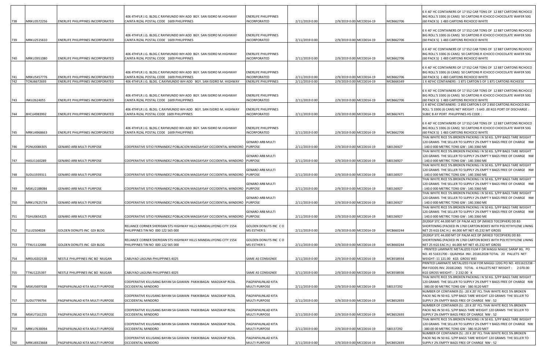| 738        | MRKU3572256                | ENERLIFE PHILIPPINES INCORPORATED                                      | 406 4THFLR J.G. BLDG.C RAYMUNDO WH ADD BGY. SAN ISIDRO M.HIGHWAY<br>CAINTA RIZAL POSTAL CODE 1609 PHILIPPINES                                                                       | ENERLIFE PHILIPPINES<br>INCORPORATED                         | 2/11/2019 0:00                   | 2/9/2019 0:00 MCC0014-19                             | MCB662706              | 6 X 40' HC CONTAINERS OF 17 552 CAR TONS OF 12 887 CARTONS RICHOCO<br>BIG ROLL'S 330G (6 CANS) 50 CARTONS R ICHOCO CHOCOLATE WAFER 50G<br>(60 PACK S) 1 483 CARTONS RICHOCO WHITE                                                                    |
|------------|----------------------------|------------------------------------------------------------------------|-------------------------------------------------------------------------------------------------------------------------------------------------------------------------------------|--------------------------------------------------------------|----------------------------------|------------------------------------------------------|------------------------|------------------------------------------------------------------------------------------------------------------------------------------------------------------------------------------------------------------------------------------------------|
| 739        | MRKU2515610                | ENERLIFE PHILIPPINES INCORPORATED                                      | 406 4THFLR J.G. BLDG.C RAYMUNDO WH ADD BGY. SAN ISIDRO M.HIGHWAY<br>CAINTA RIZAL POSTAL CODE 1609 PHILIPPINES                                                                       | ENERLIFE PHILIPPINES<br>INCORPORATED                         | 2/11/2019 0:00                   | 2/9/2019 0:00 MCC0014-19                             | MCB662706              | 6 X 40' HC CONTAINERS OF 17 552 CAR TONS OF 12 887 CARTONS RICHOCO<br>BIG ROLL'S 330G (6 CANS) 50 CARTONS R ICHOCO CHOCOLATE WAFER 50G<br>(60 PACK S) 1 483 CARTONS RICHOCO WHITE                                                                    |
| 740        | MRKU3951080                | ENERLIFE PHILIPPINES INCORPORATED                                      | 406 4THFLR J.G. BLDG.C RAYMUNDO WH ADD BGY. SAN ISIDRO M.HIGHWAY<br>CAINTA RIZAL POSTAL CODE 1609 PHILIPPINES                                                                       | ENERLIFE PHILIPPINES<br>INCORPORATED                         | 2/11/2019 0:00                   | 2/9/2019 0:00 MCC0014-19                             | MCB662706              | 6 X 40' HC CONTAINERS OF 17 552 CAR TONS OF 12 887 CARTONS RICHOCO<br>BIG ROLL'S 330G (6 CANS) 50 CARTONS R ICHOCO CHOCOLATE WAFER 50G<br>(60 PACK S) 1 483 CARTONS RICHOCO WHITE                                                                    |
| 741        | MRKU5457776                | ENERLIFE PHILIPPINES INCORPORATED                                      | 406 4THFLR J.G. BLDG.C RAYMUNDO WH ADD BGY. SAN ISIDRO M.HIGHWAY<br>CAINTA RIZAL POSTAL CODE 1609 PHILIPPINES                                                                       | ENERLIFE PHILIPPINES<br>INCORPORATED                         | 2/11/2019 0:00                   | 2/9/2019 0:00 MCC0014-19                             | MCB662706              | 6 X 40' HC CONTAINERS OF 17 552 CAR TONS OF 12 887 CARTONS RICHOCO<br>BIG ROLL'S 330G (6 CANS) 50 CARTONS R ICHOCO CHOCOLATE WAFER 50G<br>(60 PACK S) 1 483 CARTONS RICHOCO WHITE                                                                    |
| 742<br>743 | TCNU6672693<br>INKU2624055 | ENERLIFE PHILIPPINES INCORPORATED<br>ENERLIFE PHILIPPINES INCORPORATED | 406 4THFLR J.G. BLDG. C.RAYMUNDO WH ADD BGY. SAN ISIDRO M. HIGHWAY<br>406 4THFLR J.G. BLDG.C RAYMUNDO WH ADD BGY. SAN ISIDRO M.HIGHWAY<br>CAINTA RIZAL POSTAL CODE 1609 PHILIPPINES | ENERLIFE PHILIPPINES<br>ENERLIFE PHILIPPINES<br>INCORPORATED | 2/11/2019 0:00<br>2/11/2019 0:00 | 2/9/2019 0:00 MCC0014-19<br>2/9/2019 0:00 MCC0014-19 | MCB666349<br>MCB662706 | 1 X 40'HC CONTAINERS : 1 871 CARTON S OF 1 871 CARTONS RICHEESE<br>6 X 40' HC CONTAINERS OF 17 552 CAR TONS OF 12 887 CARTONS RICHOCO<br>BIG ROLL'S 330G (6 CANS) 50 CARTONS R ICHOCO CHOCOLATE WAFER 50G<br>(60 PACK S) 1 483 CARTONS RICHOCO WHITE |
| 744        | BHCU4983992                | ENERLIFE PHILIPPINES INCORPORATED                                      | 406 4THFLR J.G. BLDG. C.RAYMUNDO WH ADD BGY. SAN ISIDRO M. HIGHWAY<br>CAINTA RIZAL POSTAL CODE 1609 PHILIPPINES                                                                     | ENERLIFE PHILIPPINES<br>INCORPORATED                         | 2/11/2019 0:00                   | 2/9/2019 0:00 MCC0014-19                             | MCB667471              | 1 X 40'HC CONTAINERS : 2 850 CARTON S OF 2 850 CARTONS RICHOCO BIG<br>ROLL 'S 330G (6 CANS) NET WEIGHT : 5 643 .00 KGS PORT OF DISCHARGE :<br>SUBIC B AY PORT PHILIPPINES HS CODE:                                                                   |
| 745        | MRKU4968663                | ENERLIFE PHILIPPINES INCORPORATED                                      | 406 4THFLR J.G. BLDG.C RAYMUNDO WH ADD BGY. SAN ISIDRO M.HIGHWAY<br>CAINTA RIZAL POSTAL CODE 1609 PHILIPPINES                                                                       | ENERLIFE PHILIPPINES<br>INCORPORATED                         | 2/11/2019 0:00                   | 2/9/2019 0:00 MCC0014-19                             | MCB662706              | 6 X 40' HC CONTAINERS OF 17 552 CAR TONS OF 12 887 CARTONS RICHOCO<br>BIG ROLL'S 330G (6 CANS) 50 CARTONS R ICHOCO CHOCOLATE WAFER 50G<br>(60 PACK S) 1 483 CARTONS RICHOCO WHITE                                                                    |
| 746        | PONU0084305                | <b>GENARO ARB MULTI PURPOSE</b>                                        | COOPERATIVE SITIO FERNANDEZ POBLACION MAGSAYSAY OCCIDENTAL MINDORO PURPOSE                                                                                                          | GENARO ARB MULTI                                             | 2/11/2019 0:00                   | 2/9/2019 0:00 MCC0014-19                             | 580136927              | THAI WHITE RICE 5% BROKEN PACKING I N 50 KG. S/PP BAGS TARE WEIGHT<br>120 GRAMS THE SELLER TO SUPPLY 2% EMPT Y BAGS FREE OF CHARGE NW<br>140.0 000 METRIC TONS GW: 140.3360 ME<br>THAI WHITE RICE 5% BROKEN PACKING I N 50 KG. S/PP BAGS TARE WEIGHT |
| 747        | HASU1160289                | <b>GENARO ARB MULTI PURPOSE</b>                                        | COOPERATIVE SITIO FERNANDEZ POBLACION MAGSAYSAY OCCIDENTAL MINDORO PURPOSE                                                                                                          | GENARO ARB MULTI                                             | 2/11/2019 0:00                   | 2/9/2019 0:00 MCC0014-19                             | 580136927              | 120 GRAMS THE SELLER TO SUPPLY 2% EMPT Y BAGS FREE OF CHARGE NW<br>140.0 000 METRIC TONS GW: 140.3360 ME                                                                                                                                             |
| 748        | SUDU1939311                | <b>GENARO ARB MULTI PURPOSE</b>                                        | COOPERATIVE SITIO FERNANDEZ POBLACION MAGSAYSAY OCCIDENTAL MINDORO PURPOSE                                                                                                          | GENARO ARB MULTI                                             | 2/11/2019 0:00                   | 2/9/2019 0:00 MCC0014-19                             | 580136927              | THAI WHITE RICE 5% BROKEN PACKING I N 50 KG. S/PP BAGS TARE WEIGHT<br>120 GRAMS THE SELLER TO SUPPLY 2% EMPT Y BAGS FREE OF CHARGE NW<br>140.0 000 METRIC TONS GW: 140.3360 ME                                                                       |
| 749        | MSKU2188084                | <b>GENARO ARB MULTI PURPOSE</b>                                        | COOPERATIVE SITIO FERNANDEZ POBLACION MAGSAYSAY OCCIDENTAL MINDORO                                                                                                                  | GENARO ARB MULTI<br><b>PURPOSE</b>                           | 2/11/2019 0:00                   | 2/9/2019 0:00 MCC0014-19                             | 580136927              | THAI WHITE RICE 5% BROKEN PACKING I N 50 KG. S/PP BAGS TARE WEIGHT<br>120 GRAMS THE SELLER TO SUPPLY 2% EMPT Y BAGS FREE OF CHARGE NW<br>140.0 000 METRIC TONS GW: 140.3360 ME                                                                       |
| 750        | MRKU7625734                | <b>GENARO ARB MULTI PURPOSE</b>                                        | COOPERATIVE SITIO FERNANDEZ POBLACION MAGSAYSAY OCCIDENTAL MINDORO PURPOSE                                                                                                          | GENARO ARB MULTI                                             | 2/11/2019 0:00                   | 2/9/2019 0:00 MCC0014-19                             | 580136927              | THAI WHITE RICE 5% BROKEN PACKING I N 50 KG. S/PP BAGS TARE WEIGHT<br>120 GRAMS THE SELLER TO SUPPLY 2% EMPT Y BAGS FREE OF CHARGE NW<br>140.0 000 METRIC TONS GW: 140.3360 ME                                                                       |
| 751        | TGHU0654225                | <b>GENARO ARB MULTI PURPOSE</b>                                        | COOPERATIVE SITIO FERNANDEZ POBLACION MAGSAYSAY OCCIDENTAL MINDORO PURPOSE                                                                                                          | GENARO ARB MULTI                                             | 2/11/2019 0:00                   | 2/9/2019 0:00 MCC0014-19                             | 580136927              | THAI WHITE RICE 5% BROKEN PACKING I N 50 KG. S/PP BAGS TARE WEIGHT<br>120 GRAMS THE SELLER TO SUPPLY 2% EMPT Y BAGS FREE OF CHARGE NW<br>: 140.0 000 METRIC TONS GW : 140.3360 ME                                                                    |
| 752        | TLLU2504028                | GOLDEN DONUTS INC GDI BLDG                                             | RELIANCE CORNER SHERIDAN STS HIGHWAY HILLS MANDALUYONG CITY 1554<br>PHILIPPINES TIN NO 000 122 565 000                                                                              | GOLDEN DONUTS INC CO<br>MS ESTHER S                          | 2/11/2019 0:00                   | 2/9/2019 0:00 MCC0014-19                             | MCB660244              | 2X20GP STC 44.000 MT OF PALM ACE DP (MIXED TOCOPHER) DD B3<br>SHORTENING (PACKED IN 1760 CARTON BOXES WITH POLYETHYLENE LINING<br>NET 25 KGS EAC H.) 44.000 MT NET 45.232 MT GROSS                                                                   |
| 753        | TTNU1112066                | GOLDEN DONUTS INC GDI BLDG                                             | RELIANCE CORNER SHERIDAN STS HIGHWAY HILLS MANDALUYONG CITY 1554<br>PHILIPPINES TIN NO 000 122 565 000                                                                              | GOLDEN DONUTS INC CO<br>MS ESTHER S                          | 2/11/2019 0:00                   | 2/9/2019 0:00 MCC0014-19                             | MCB660244              | 2X20GP STC 44.000 MT OF PALM ACE DP (MIXED TOCOPHER) DD B3<br>SHORTENING (PACKED IN 1760 CARTON BOXES WITH POLYETHYLENE LINING<br>NET 25 KGS EAC H.) 44.000 MT NET 45.232 MT GROSS<br>PRINTED LAMINATE METALIZED FILM F OR MAGGI MAGIC SARAP 8G. PO  |
| 754        | MRSU0202538                | NESTLE PHILIPPINES INC BO NIUGAN                                       | CABUYAO LAGUNA PHILIPPINES 4025                                                                                                                                                     | SAME AS CONSIGNEE                                            | 2/11/2019 0:00                   | 2/9/2019 0:00 MCC0014-19                             | MCB558934              | NO. 45 51631700 - QUAENSA INV. 201812028 TOTAL 20 PALLETS NET<br>WEIGHT: 11 121.00 KGS GROSS WEI<br>PRINTED LAMINATE METALIZED FILM FOR MAGGI 120G PO NO. 4551615238 -                                                                               |
| 755        | TTNU1225397                | NESTLE PHILIPPINES INC BO NIUGAN                                       | CABUYAO LAGUNA PHILIPPINES 4025                                                                                                                                                     | SAME AS CONSIGNEE                                            | 2/11/2019 0:00                   | 2/9/2019 0:00 MCC0014-19                             | MCB558936              | RM FOODS INV. 201812065 TOTAL 4 PALLETS NET WEIGHT: 2 070.00<br>KGS GROSS WEIGHT: 2 232.00 K<br>THAI WHITE RICE 5% BROKEN PACKING I N 50 KG. S/PP BAGS TARE WEIGHT                                                                                   |
| 756        | MSKU5697038                | PAGPAPAUNLAD KITA MULTI PURPOSE                                        | COOPERATIVE KILUSANG BAYAN SA GAWAIN PAKIKIBAGAI MAGSIKAP RIZAL<br>OCCIDENTAL MINDORO                                                                                               | PAGPAPAUNLAD KITA<br>MULTI PURPOSE                           | 2/11/2019 0:00                   | 2/9/2019 0:00 MCC0014-19                             | 580137292              | 120 GRAMS THE SELLER TO SUPPLY 2% EMPT Y BAGS FREE OF CHARGE NW<br>380.00 00 METRIC TONS GW: 380.9120 MET<br>NUMBER OF CONTAINER (S) : 20 X 20' FCL THAI WHITE RICE 5% BROKEN                                                                        |
| 757        | SUDU7799794                | PAGPAPAUNLAD KITA MULTI PURPOSE                                        | COOPERATIVE KILUSANG BAYAN SA GAWAIN PAKIKIBAGAI MAGSIKAP RIZAL<br>OCCIDENTAL MINDORO                                                                                               | PAGPAPAUNLAD KITA<br>MULTI PURPOSE                           | 2/11/2019 0:00                   | 2/9/2019 0:00 MCC0014-19                             | MCB652693              | PACKI NG IN 50 KG. S/PP BAGS TARE WEIGHT 120 GRAMS THE SELLER TO<br>SUPPLY 2% EMPTY BAGS FREE OF CHARGE NW: 52                                                                                                                                       |
| 758        | MSKU7161255                | PAGPAPAUNLAD KITA MULTI PURPOSE                                        | COOPERATIVE KILUSANG BAYAN SA GAWAIN PAKIKIBAGAI MAGSIKAP RIZAL<br>OCCIDENTAL MINDORO                                                                                               | PAGPAPAUNLAD KITA<br>MULTI PURPOSE                           | 2/11/2019 0:00                   | 2/9/2019 0:00 MCC0014-19                             | MCB652693              | NUMBER OF CONTAINER (S): 20 X 20' FCL THAI WHITE RICE 5% BROKEN<br>PACKI NG IN 50 KG. S/PP BAGS TARE WEIGHT 120 GRAMS THE SELLER TO<br>SUPPLY 2% EMPTY BAGS FREE OF CHARGE NW : 52                                                                   |
| 759        | MRKU7630094                | PAGPAPAUNLAD KITA MULTI PURPOSE                                        | COOPERATIVE KILUSANG BAYAN SA GAWAIN PAKIKIBAGAI MAGSIKAP RIZAL<br>OCCIDENTAL MINDORO                                                                                               | PAGPAPAUNLAD KITA<br>MULTI PURPOSE                           | 2/11/2019 0:00                   | 2/9/2019 0:00 MCC0014-19                             | 580137292              | THAI WHITE RICE 5% BROKEN PACKING I N 50 KG. S/PP BAGS TARE WEIGHT<br>120 GRAMS THE SELLER TO SUPPLY 2% EMPT Y BAGS FREE OF CHARGE NW<br>380.00 00 METRIC TONS GW: 380.9120 MET                                                                      |
| 760        | MRKU6923668                | PAGPAPAUNLAD KITA MULTI PURPOSE                                        | COOPERATIVE KILUSANG BAYAN SA GAWAIN PAKIKIBAGAI MAGSIKAP RIZAL<br>OCCIDENTAL MINDORO                                                                                               | PAGPAPAUNLAD KITA<br>MULTI PURPOSE                           | 2/11/2019 0:00                   | 2/9/2019 0:00 MCC0014-19                             | MCB652693              | NUMBER OF CONTAINER (S): 20 X 20' FCL THAI WHITE RICE 5% BROKEN<br>PACKI NG IN 50 KG. S/PP BAGS TARE WEIGHT 120 GRAMS THE SELLER TO<br>SUPPLY 2% EMPTY BAGS FREE OF CHARGE NW : 52                                                                   |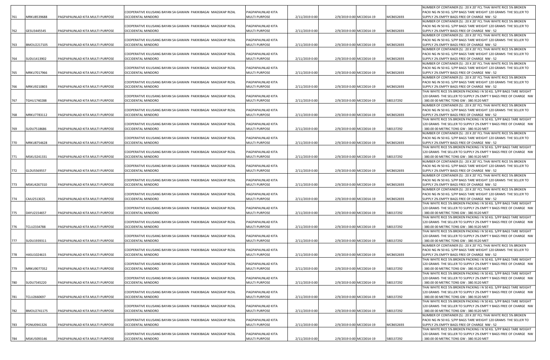|     |             |                                 |                                                                                       |                                    |                |                          |           | NUMBER OF CONTAINER (S) : 20 X 20' FCL THAI WHITE RICE 5% BROKEN                                                                     |
|-----|-------------|---------------------------------|---------------------------------------------------------------------------------------|------------------------------------|----------------|--------------------------|-----------|--------------------------------------------------------------------------------------------------------------------------------------|
|     |             |                                 | COOPERATIVE KILUSANG BAYAN SA GAWAIN PAKIKIBAGAI MAGSIKAP RIZAL                       | PAGPAPAUNLAD KITA                  |                |                          |           | PACKI NG IN 50 KG. S/PP BAGS TARE WEIGHT 120 GRAMS THE SELLER TO                                                                     |
| 761 | MRKU8539688 | PAGPAPAUNLAD KITA MULTI PURPOSE | OCCIDENTAL MINDORO                                                                    | <b>MULTI PURPOSE</b>               | 2/11/2019 0:00 | 2/9/2019 0:00 MCC0014-19 | MCB652693 | SUPPLY 2% EMPTY BAGS FREE OF CHARGE NW: 52                                                                                           |
|     |             |                                 |                                                                                       |                                    |                |                          |           | NUMBER OF CONTAINER (S) : 20 X 20' FCL THAI WHITE RICE 5% BROKEN                                                                     |
|     |             |                                 | COOPERATIVE KILUSANG BAYAN SA GAWAIN PAKIKIBAGAI MAGSIKAP RIZAL                       | PAGPAPAUNLAD KITA                  |                |                          |           | PACKI NG IN 50 KG, S/PP BAGS TARE WEIGHT 120 GRAMS THE SELLER TO                                                                     |
| 762 | GESU3445545 | PAGPAPAUNLAD KITA MULTI PURPOSE | OCCIDENTAL MINDORO                                                                    | <b>MULTI PURPOSE</b>               | 2/11/2019 0:00 | 2/9/2019 0:00 MCC0014-19 | MCB652693 | SUPPLY 2% EMPTY BAGS FREE OF CHARGE NW: 52                                                                                           |
|     |             |                                 | COOPERATIVE KILUSANG BAYAN SA GAWAIN PAKIKIBAGAI MAGSIKAP RIZAL                       |                                    |                |                          |           | NUMBER OF CONTAINER (S): 20 X 20' FCL THAI WHITE RICE 5% BROKEN                                                                      |
|     |             | PAGPAPAUNLAD KITA MULTI PURPOSE | OCCIDENTAL MINDORO                                                                    | PAGPAPAUNLAD KITA<br>MULTI PURPOSE | 2/11/2019 0:00 | 2/9/2019 0:00 MCC0014-19 | MCB652693 | PACKI NG IN 50 KG. S/PP BAGS TARE WEIGHT 120 GRAMS THE SELLER TO<br>SUPPLY 2% EMPTY BAGS FREE OF CHARGE NW: 52                       |
| 763 | BMOU2217105 |                                 |                                                                                       |                                    |                |                          |           | NUMBER OF CONTAINER (S) : 20 X 20' FCL THAI WHITE RICE 5% BROKEN                                                                     |
|     |             |                                 | COOPERATIVE KILUSANG BAYAN SA GAWAIN PAKIKIBAGAI MAGSIKAP RIZAL                       | PAGPAPAUNLAD KITA                  |                |                          |           | PACKI NG IN 50 KG. S/PP BAGS TARE WEIGHT 120 GRAMS THE SELLER TO                                                                     |
| 764 | SUDU1413902 | PAGPAPAUNLAD KITA MULTI PURPOSE | OCCIDENTAL MINDORO                                                                    | MULTI PURPOSE                      | 2/11/2019 0:00 | 2/9/2019 0:00 MCC0014-19 | MCB652693 | SUPPLY 2% EMPTY BAGS FREE OF CHARGE NW : 52                                                                                          |
|     |             |                                 |                                                                                       |                                    |                |                          |           | NUMBER OF CONTAINER (S) : 20 X 20' FCL THAI WHITE RICE 5% BROKEN                                                                     |
|     |             |                                 | COOPERATIVE KILUSANG BAYAN SA GAWAIN PAKIKIBAGAI MAGSIKAP RIZAL                       | PAGPAPAUNLAD KITA                  |                |                          |           | PACKI NG IN 50 KG. S/PP BAGS TARE WEIGHT 120 GRAMS THE SELLER TO                                                                     |
| 765 | MRKU7017966 | PAGPAPAUNLAD KITA MULTI PURPOSE | OCCIDENTAL MINDORO                                                                    | MULTI PURPOSE                      | 2/11/2019 0:00 | 2/9/2019 0:00 MCC0014-19 | MCB652693 | SUPPLY 2% EMPTY BAGS FREE OF CHARGE NW: 52                                                                                           |
|     |             |                                 |                                                                                       |                                    |                |                          |           | NUMBER OF CONTAINER (S) : 20 X 20' FCL THAI WHITE RICE 5% BROKEN                                                                     |
|     |             |                                 | COOPERATIVE KILUSANG BAYAN SA GAWAIN PAKIKIBAGAI MAGSIKAP RIZAL                       | PAGPAPAUNLAD KITA                  |                |                          |           | PACKI NG IN 50 KG. S/PP BAGS TARE WEIGHT 120 GRAMS THE SELLER TO                                                                     |
| 766 | MRKU9210803 | PAGPAPAUNLAD KITA MULTI PURPOSE | OCCIDENTAL MINDORO                                                                    | MULTI PURPOSE                      | 2/11/2019 0:00 | 2/9/2019 0:00 MCC0014-19 | MCB652693 | SUPPLY 2% EMPTY BAGS FREE OF CHARGE NW : 52                                                                                          |
|     |             |                                 |                                                                                       |                                    |                |                          |           | THAI WHITE RICE 5% BROKEN PACKING I N 50 KG. S/PP BAGS TARE WEIGHT                                                                   |
|     |             |                                 | COOPERATIVE KILUSANG BAYAN SA GAWAIN PAKIKIBAGAI MAGSIKAP RIZAL                       | PAGPAPAUNLAD KITA                  |                |                          |           | 120 GRAMS THE SELLER TO SUPPLY 2% EMPT Y BAGS FREE OF CHARGE NW                                                                      |
| 767 | TGHU1740288 | PAGPAPAUNLAD KITA MULTI PURPOSE | OCCIDENTAL MINDORO                                                                    | MULTI PURPOSE                      | 2/11/2019 0:00 | 2/9/2019 0:00 MCC0014-19 | 580137292 | 380.00 00 METRIC TONS GW: 380.9120 MET<br>NUMBER OF CONTAINER (S) : 20 X 20' FCL THAI WHITE RICE 5% BROKEN                           |
|     |             |                                 | COOPERATIVE KILUSANG BAYAN SA GAWAIN PAKIKIBAGAI MAGSIKAP RIZAL                       | PAGPAPAUNLAD KITA                  |                |                          |           | PACKI NG IN 50 KG. S/PP BAGS TARE WEIGHT 120 GRAMS THE SELLER TO                                                                     |
| 768 | MRKU7783112 | PAGPAPAUNLAD KITA MULTI PURPOSE | OCCIDENTAL MINDORO                                                                    | MULTI PURPOSE                      | 2/11/2019 0:00 | 2/9/2019 0:00 MCC0014-19 | MCB652693 | SUPPLY 2% EMPTY BAGS FREE OF CHARGE NW : 52                                                                                          |
|     |             |                                 |                                                                                       |                                    |                |                          |           | THAI WHITE RICE 5% BROKEN PACKING I N 50 KG. S/PP BAGS TARE WEIGHT                                                                   |
|     |             |                                 | COOPERATIVE KILUSANG BAYAN SA GAWAIN PAKIKIBAGAI MAGSIKAP RIZAL                       | PAGPAPAUNLAD KITA                  |                |                          |           | 120 GRAMS THE SELLER TO SUPPLY 2% EMPT Y BAGS FREE OF CHARGE NW                                                                      |
| 769 | SUDU7518686 | PAGPAPAUNLAD KITA MULTI PURPOSE | OCCIDENTAL MINDORO                                                                    | MULTI PURPOSE                      | 2/11/2019 0:00 | 2/9/2019 0:00 MCC0014-19 | 580137292 | 380.00 00 METRIC TONS GW: 380.9120 MET                                                                                               |
|     |             |                                 |                                                                                       |                                    |                |                          |           | NUMBER OF CONTAINER (S): 20 X 20' FCL THAI WHITE RICE 5% BROKEN                                                                      |
|     |             |                                 | COOPERATIVE KILUSANG BAYAN SA GAWAIN PAKIKIBAGAI MAGSIKAP RIZAL                       | PAGPAPAUNLAD KITA                  |                |                          |           | PACKI NG IN 50 KG. S/PP BAGS TARE WEIGHT 120 GRAMS THE SELLER TO                                                                     |
| 770 | MRKU8754628 | PAGPAPAUNLAD KITA MULTI PURPOSE | OCCIDENTAL MINDORO                                                                    | <b>MULTI PURPOSE</b>               | 2/11/2019 0:00 | 2/9/2019 0:00 MCC0014-19 | MCB652693 | SUPPLY 2% EMPTY BAGS FREE OF CHARGE NW : 52                                                                                          |
|     |             |                                 |                                                                                       |                                    |                |                          |           | THAI WHITE RICE 5% BROKEN PACKING I N 50 KG. S/PP BAGS TARE WEIGHT                                                                   |
|     |             |                                 | COOPERATIVE KILUSANG BAYAN SA GAWAIN PAKIKIBAGAI MAGSIKAP RIZAL                       | PAGPAPAUNLAD KITA                  |                |                          |           | 120 GRAMS THE SELLER TO SUPPLY 2% EMPT Y BAGS FREE OF CHARGE NW                                                                      |
| 771 | MSKU3241331 | PAGPAPAUNLAD KITA MULTI PURPOSE | OCCIDENTAL MINDORO                                                                    | MULTI PURPOSE                      | 2/11/2019 0:00 | 2/9/2019 0:00 MCC0014-19 | 580137292 | 380.00 00 METRIC TONS GW: 380.9120 MET                                                                                               |
|     |             |                                 | COOPERATIVE KILUSANG BAYAN SA GAWAIN PAKIKIBAGAI MAGSIKAP RIZAL                       | PAGPAPAUNLAD KITA                  |                |                          |           | NUMBER OF CONTAINER (S) : 20 X 20' FCL THAI WHITE RICE 5% BROKEN<br>PACKI NG IN 50 KG. S/PP BAGS TARE WEIGHT 120 GRAMS THE SELLER TO |
| 772 | GLDU5569557 | PAGPAPAUNLAD KITA MULTI PURPOSE | <b>OCCIDENTAL MINDORO</b>                                                             | MULTI PURPOSE                      | 2/11/2019 0:00 | 2/9/2019 0:00 MCC0014-19 | MCB652693 | SUPPLY 2% EMPTY BAGS FREE OF CHARGE NW : 52                                                                                          |
|     |             |                                 |                                                                                       |                                    |                |                          |           | NUMBER OF CONTAINER (S) : 20 X 20' FCL THAI WHITE RICE 5% BROKEN                                                                     |
|     |             |                                 | COOPERATIVE KILUSANG BAYAN SA GAWAIN PAKIKIBAGAI MAGSIKAP RIZAL                       | PAGPAPAUNLAD KITA                  |                |                          |           | PACKI NG IN 50 KG. S/PP BAGS TARE WEIGHT 120 GRAMS THE SELLER TO                                                                     |
| 773 | MSKU4267310 | PAGPAPAUNLAD KITA MULTI PURPOSE | OCCIDENTAL MINDORO                                                                    | <b>MULTI PURPOSE</b>               | 2/11/2019 0:00 | 2/9/2019 0:00 MCC0014-19 | MCB652693 | SUPPLY 2% EMPTY BAGS FREE OF CHARGE NW: 52                                                                                           |
|     |             |                                 |                                                                                       |                                    |                |                          |           | NUMBER OF CONTAINER (S) : 20 X 20' FCL THAI WHITE RICE 5% BROKEN                                                                     |
|     |             |                                 | COOPERATIVE KILUSANG BAYAN SA GAWAIN PAKIKIBAGAI MAGSIKAP RIZAL                       | PAGPAPAUNLAD KITA                  |                |                          |           | PACKI NG IN 50 KG. S/PP BAGS TARE WEIGHT 120 GRAMS THE SELLER TO                                                                     |
| 774 | CAIU2513025 | PAGPAPAUNLAD KITA MULTI PURPOSE | OCCIDENTAL MINDORO                                                                    | <b>MULTI PURPOSE</b>               | 2/11/2019 0:00 | 2/9/2019 0:00 MCC0014-19 | MCB652693 | SUPPLY 2% EMPTY BAGS FREE OF CHARGE NW : 52                                                                                          |
|     |             |                                 |                                                                                       |                                    |                |                          |           | THAI WHITE RICE 5% BROKEN PACKING I N 50 KG. S/PP BAGS TARE WEIGHT                                                                   |
|     | DAYU2154657 |                                 | COOPERATIVE KILUSANG BAYAN SA GAWAIN PAKIKIBAGAI MAGSIKAP RIZAL<br>OCCIDENTAL MINDORO | PAGPAPAUNLAD KITA<br>MULTI PURPOSE | 2/11/2019 0:00 | 2/9/2019 0:00 MCC0014-19 | 580137292 | 120 GRAMS THE SELLER TO SUPPLY 2% EMPT Y BAGS FREE OF CHARGE NW                                                                      |
| 775 |             | PAGPAPAUNLAD KITA MULTI PURPOSE |                                                                                       |                                    |                |                          |           | 380.00 00 METRIC TONS GW: 380.9120 MET<br>THAI WHITE RICE 5% BROKEN PACKING I N 50 KG. S/PP BAGS TARE WEIGHT                         |
|     |             |                                 | COOPERATIVE KILUSANG BAYAN SA GAWAIN PAKIKIBAGAI MAGSIKAP RIZAL                       | PAGPAPAUNLAD KITA                  |                |                          |           | 120 GRAMS THE SELLER TO SUPPLY 2% EMPT Y BAGS FREE OF CHARGE NW                                                                      |
| 776 | TCLU2334788 | PAGPAPAUNLAD KITA MULTI PURPOSE | OCCIDENTAL MINDORO                                                                    | MULTI PURPOSE                      | 2/11/2019 0:00 | 2/9/2019 0:00 MCC0014-19 | 580137292 | 380.00 00 METRIC TONS GW: 380.9120 MET                                                                                               |
|     |             |                                 |                                                                                       |                                    |                |                          |           | THAI WHITE RICE 5% BROKEN PACKING I N 50 KG. S/PP BAGS TARE WEIGHT                                                                   |
|     |             |                                 | COOPERATIVE KILUSANG BAYAN SA GAWAIN PAKIKIBAGAI MAGSIKAP RIZAL                       | PAGPAPAUNLAD KITA                  |                |                          |           | 120 GRAMS THE SELLER TO SUPPLY 2% EMPT Y BAGS FREE OF CHARGE NW                                                                      |
| 777 | SUDU1939311 | PAGPAPAUNLAD KITA MULTI PURPOSE | OCCIDENTAL MINDORO                                                                    | <b>MULTI PURPOSE</b>               | 2/11/2019 0:00 | 2/9/2019 0:00 MCC0014-19 | 580137292 | 380.00 00 METRIC TONS GW: 380.9120 MET                                                                                               |
|     |             |                                 |                                                                                       |                                    |                |                          |           | NUMBER OF CONTAINER (S) : 20 X 20' FCL THAI WHITE RICE 5% BROKEN                                                                     |
|     |             |                                 | COOPERATIVE KILUSANG BAYAN SA GAWAIN PAKIKIBAGAI MAGSIKAP RIZAL                       | PAGPAPAUNLAD KITA                  |                |                          |           | PACKI NG IN 50 KG, S/PP BAGS TARE WEIGHT 120 GRAMS THE SELLER TO                                                                     |
| 778 | HASU1024615 | PAGPAPAUNLAD KITA MULTI PURPOSE | OCCIDENTAL MINDORO                                                                    | <b>MULTI PURPOSE</b>               | 2/11/2019 0:00 | 2/9/2019 0:00 MCC0014-19 | MCB652693 | SUPPLY 2% EMPTY BAGS FREE OF CHARGE NW: 52                                                                                           |
|     |             |                                 |                                                                                       |                                    |                |                          |           | THAI WHITE RICE 5% BROKEN PACKING I N 50 KG. S/PP BAGS TARE WEIGHT                                                                   |
|     |             |                                 | COOPERATIVE KILUSANG BAYAN SA GAWAIN PAKIKIBAGAI MAGSIKAP RIZAL<br>OCCIDENTAL MINDORO | PAGPAPAUNLAD KITA                  |                |                          |           | 120 GRAMS THE SELLER TO SUPPLY 2% EMPT Y BAGS FREE OF CHARGE NW                                                                      |
| 779 | MRKU9077352 | PAGPAPAUNLAD KITA MULTI PURPOSE |                                                                                       | <b>MULTI PURPOSE</b>               | 2/11/2019 0:00 | 2/9/2019 0:00 MCC0014-19 | 580137292 | 380.00 00 METRIC TONS GW: 380.9120 MET<br>THAI WHITE RICE 5% BROKEN PACKING I N 50 KG. S/PP BAGS TARE WEIGHT                         |
|     |             |                                 | COOPERATIVE KILUSANG BAYAN SA GAWAIN PAKIKIBAGAI MAGSIKAP RIZAL                       | PAGPAPAUNLAD KITA                  |                |                          |           | 120 GRAMS THE SELLER TO SUPPLY 2% EMPT Y BAGS FREE OF CHARGE NW                                                                      |
| 780 | SUDU7345220 | PAGPAPAUNLAD KITA MULTI PURPOSE | OCCIDENTAL MINDORO                                                                    | MULTI PURPOSE                      | 2/11/2019 0:00 | 2/9/2019 0:00 MCC0014-19 | 580137292 | 380.00 00 METRIC TONS GW: 380.9120 MET                                                                                               |
|     |             |                                 |                                                                                       |                                    |                |                          |           | THAI WHITE RICE 5% BROKEN PACKING I N 50 KG. S/PP BAGS TARE WEIGHT                                                                   |
|     |             |                                 | COOPERATIVE KILUSANG BAYAN SA GAWAIN PAKIKIBAGAI MAGSIKAP RIZAL                       | PAGPAPAUNLAD KITA                  |                |                          |           | 120 GRAMS THE SELLER TO SUPPLY 2% EMPT Y BAGS FREE OF CHARGE NW                                                                      |
| 781 | TCLU2660697 | PAGPAPAUNLAD KITA MULTI PURPOSE | OCCIDENTAL MINDORO                                                                    | MULTI PURPOSE                      | 2/11/2019 0:00 | 2/9/2019 0:00 MCC0014-19 | 580137292 | 380.00 00 METRIC TONS GW: 380.9120 MET                                                                                               |
|     |             |                                 |                                                                                       |                                    |                |                          |           | THAI WHITE RICE 5% BROKEN PACKING I N 50 KG. S/PP BAGS TARE WEIGHT                                                                   |
|     |             |                                 | COOPERATIVE KILUSANG BAYAN SA GAWAIN PAKIKIBAGAI MAGSIKAP RIZAL                       | PAGPAPAUNLAD KITA                  |                |                          |           | 120 GRAMS THE SELLER TO SUPPLY 2% EMPT Y BAGS FREE OF CHARGE NW                                                                      |
| 782 | BMOU2741175 | PAGPAPAUNLAD KITA MULTI PURPOSE | OCCIDENTAL MINDORO                                                                    | MULTI PURPOSE                      | 2/11/2019 0:00 | 2/9/2019 0:00 MCC0014-19 | 580137292 | 380.00 00 METRIC TONS GW: 380.9120 MET                                                                                               |
|     |             |                                 |                                                                                       |                                    |                |                          |           | NUMBER OF CONTAINER (S) : 20 X 20' FCL THAI WHITE RICE 5% BROKEN                                                                     |
| 783 | PONU0941326 | PAGPAPAUNLAD KITA MULTI PURPOSE | COOPERATIVE KILUSANG BAYAN SA GAWAIN PAKIKIBAGAI MAGSIKAP RIZAL<br>OCCIDENTAL MINDORO | PAGPAPAUNLAD KITA<br>MULTI PURPOSE | 2/11/2019 0:00 | 2/9/2019 0:00 MCC0014-19 | MCB652693 | PACKI NG IN 50 KG. S/PP BAGS TARE WEIGHT 120 GRAMS THE SELLER TO<br>SUPPLY 2% EMPTY BAGS FREE OF CHARGE NW : 52                      |
|     |             |                                 |                                                                                       |                                    |                |                          |           | THAI WHITE RICE 5% BROKEN PACKING I N 50 KG. S/PP BAGS TARE WEIGHT                                                                   |
|     |             |                                 | COOPERATIVE KILUSANG BAYAN SA GAWAIN PAKIKIBAGAI MAGSIKAP RIZAL                       | PAGPAPAUNLAD KITA                  |                |                          |           | 120 GRAMS THE SELLER TO SUPPLY 2% EMPT Y BAGS FREE OF CHARGE NW                                                                      |
| 784 | MSKU5093146 | PAGPAPAUNLAD KITA MULTI PURPOSE | OCCIDENTAL MINDORO                                                                    | MULTI PURPOSE                      | 2/11/2019 0:00 | 2/9/2019 0:00 MCC0014-19 | 580137292 | 380.00 00 METRIC TONS GW: 380.9120 MET                                                                                               |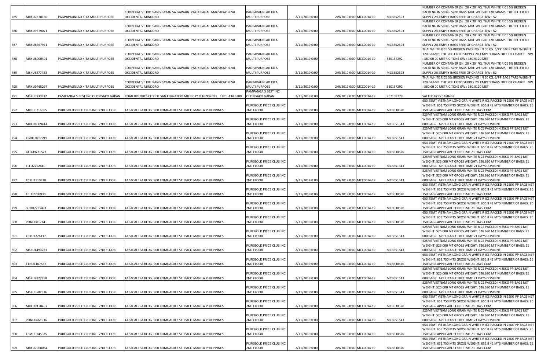|     |             |                                    |                                                                      |                                      |                |                          |                          |           | NUMBER OF CONTAINER (S) : 20 X 20' FCL THAI WHITE RICE 5% BROKEN                                                                      |
|-----|-------------|------------------------------------|----------------------------------------------------------------------|--------------------------------------|----------------|--------------------------|--------------------------|-----------|---------------------------------------------------------------------------------------------------------------------------------------|
|     |             |                                    | COOPERATIVE KILUSANG BAYAN SA GAWAIN PAKIKIBAGAI MAGSIKAP RIZAL      | PAGPAPAUNLAD KITA                    |                |                          |                          |           | PACKI NG IN 50 KG. S/PP BAGS TARE WEIGHT 120 GRAMS THE SELLER TO                                                                      |
| 785 | MRKU7320150 | PAGPAPAUNLAD KITA MULTI PURPOSE    | OCCIDENTAL MINDORO                                                   | <b>MULTI PURPOSE</b>                 | 2/11/2019 0:00 | 2/9/2019 0:00 MCC0014-19 |                          | MCB652693 | SUPPLY 2% EMPTY BAGS FREE OF CHARGE NW: 52<br>NUMBER OF CONTAINER (S) : 20 X 20' FCL THAI WHITE RICE 5% BROKEN                        |
|     |             |                                    | COOPERATIVE KILUSANG BAYAN SA GAWAIN PAKIKIBAGAI MAGSIKAP RIZAL      | PAGPAPAUNLAD KITA                    |                |                          |                          |           | PACKI NG IN 50 KG. S/PP BAGS TARE WEIGHT 120 GRAMS THE SELLER TO                                                                      |
| 786 | MRKU9779071 | PAGPAPAUNLAD KITA MULTI PURPOSE    | OCCIDENTAL MINDORO                                                   | <b>MULTI PURPOSE</b>                 | 2/11/2019 0:00 | 2/9/2019 0:00 MCC0014-19 |                          | MCB652693 | SUPPLY 2% EMPTY BAGS FREE OF CHARGE NW : 52                                                                                           |
|     |             |                                    |                                                                      |                                      |                |                          |                          |           | NUMBER OF CONTAINER (S) : 20 X 20' FCL THAI WHITE RICE 5% BROKEN                                                                      |
|     |             |                                    | COOPERATIVE KILUSANG BAYAN SA GAWAIN PAKIKIBAGAI MAGSIKAP RIZAL      | PAGPAPAUNLAD KITA                    |                |                          |                          |           | PACKI NG IN 50 KG. S/PP BAGS TARE WEIGHT 120 GRAMS THE SELLER TO                                                                      |
| 787 | MRKU6767971 | PAGPAPAUNLAD KITA MULTI PURPOSE    | OCCIDENTAL MINDORO                                                   | <b>MULTI PURPOSE</b>                 | 2/11/2019 0:00 | 2/9/2019 0:00 MCC0014-19 |                          | MCB652693 | SUPPLY 2% EMPTY BAGS FREE OF CHARGE NW : 52                                                                                           |
|     |             |                                    |                                                                      |                                      |                |                          |                          |           | THAI WHITE RICE 5% BROKEN PACKING I N 50 KG. S/PP BAGS TARE WEIGHT                                                                    |
|     |             |                                    | COOPERATIVE KILUSANG BAYAN SA GAWAIN PAKIKIBAGAI MAGSIKAP RIZAL      | PAGPAPAUNLAD KITA                    |                |                          |                          |           | 120 GRAMS THE SELLER TO SUPPLY 2% EMPT Y BAGS FREE OF CHARGE NW                                                                       |
| 788 | MRKU8000401 | PAGPAPAUNLAD KITA MULTI PURPOSE    | OCCIDENTAL MINDORO                                                   | <b>MULTI PURPOSE</b>                 | 2/11/2019 0:00 | 2/9/2019 0:00 MCC0014-19 |                          | 580137292 | 380.00 00 METRIC TONS GW: 380.9120 MET                                                                                                |
|     |             |                                    |                                                                      |                                      |                |                          |                          |           | NUMBER OF CONTAINER (S) : 20 X 20' FCL THAI WHITE RICE 5% BROKEN                                                                      |
|     |             |                                    | COOPERATIVE KILUSANG BAYAN SA GAWAIN PAKIKIBAGAI MAGSIKAP RIZAL      | PAGPAPAUNLAD KITA                    |                |                          |                          |           | PACKI NG IN 50 KG. S/PP BAGS TARE WEIGHT 120 GRAMS THE SELLER TO                                                                      |
| 789 | MSKU5277483 | PAGPAPAUNLAD KITA MULTI PURPOSE    | OCCIDENTAL MINDORO                                                   | <b>MULTI PURPOSE</b>                 | 2/11/2019 0:00 | 2/9/2019 0:00 MCC0014-19 |                          | MCB652693 | SUPPLY 2% EMPTY BAGS FREE OF CHARGE NW: 52                                                                                            |
|     |             |                                    | COOPERATIVE KILUSANG BAYAN SA GAWAIN PAKIKIBAGAI MAGSIKAP RIZAL      | PAGPAPAUNLAD KITA                    |                |                          |                          |           | THAI WHITE RICE 5% BROKEN PACKING I N 50 KG. S/PP BAGS TARE WEIGHT<br>120 GRAMS THE SELLER TO SUPPLY 2% EMPT Y BAGS FREE OF CHARGE NW |
| 790 | MRKU9465297 | PAGPAPAUNLAD KITA MULTI PURPOSE    | OCCIDENTAL MINDORO                                                   | <b>MULTI PURPOSE</b>                 | 2/11/2019 0:00 | 2/9/2019 0:00 MCC0014-19 |                          | 580137292 | 380.00 00 METRIC TONS GW: 380.9120 MET                                                                                                |
|     |             |                                    |                                                                      | PAMPANGA S BEST INC                  |                |                          |                          |           |                                                                                                                                       |
| 791 | MSKU5930812 | PAMPANGA S BEST INC OLONGAPO GAPAN | ROAD DOLORES CITY OF SAN FERNANDO MR RICKY O.HIZON TEL 1201 434 6300 | OLONGAPO GAPAN                       | 2/11/2019 0:00 | 2/9/2019 0:00 MCC0014-19 |                          | 967108779 | SALTED HOG CASINGS                                                                                                                    |
|     |             |                                    |                                                                      |                                      |                |                          |                          |           | 653.75MT VIETNAM LONG GRAIN WHITE R ICE PACKED IN 25KG PP BAGS NET                                                                    |
|     |             |                                    |                                                                      | PUREGOLD PRICE CLUB INC              |                |                          |                          |           | WEIG HT: 653.750 MTS GROSS WEIGHT: 655.8 42 MTS NUMBER OF BAGS: 26                                                                    |
| 792 | MRSU0216085 | PUREGOLD PRICE CLUB INC 2ND FLOOR  | TABACALERA BLDG. 900 ROMUALDEZ ST. PACO MANILA PHILIPPINES           | 2ND FLOOR                            | 2/11/2019 0:00 |                          | 2/9/2019 0:00 MCC0014-19 | MCB630620 | 150 BAGS APPLICABLE FREE TIME 21 DAYS COM                                                                                             |
|     |             |                                    |                                                                      |                                      |                |                          |                          |           | 525MT VIETNAM LONG GRAIN WHITE RICE PACKED IN 25KG PP BAGS NET                                                                        |
|     |             |                                    |                                                                      | PUREGOLD PRICE CLUB INC              |                |                          |                          |           | WEIGHT: 525.000 MT GROSS WEIGHT: 526.680 M T NUMBER OF BAGS: 21                                                                       |
| 793 | MRKU8009414 | PUREGOLD PRICE CLUB INC 2ND FLOOR  | TABACALERA BLDG. 900 ROMUALDEZ ST. PACO MANILA PHILIPPINES           | 2ND FLOOR                            | 2/11/2019 0:00 | 2/9/2019 0:00 MCC0014-19 |                          | MCB651643 | 000 BAGS APP LICABLE FREE TIME 21 DAYS COMBINE                                                                                        |
|     |             |                                    |                                                                      |                                      |                |                          |                          |           | 525MT VIETNAM LONG GRAIN WHITE RICE PACKED IN 25KG PP BAGS NET                                                                        |
|     |             |                                    |                                                                      | PUREGOLD PRICE CLUB INC              |                |                          |                          |           | WEIGHT: 525.000 MT GROSS WEIGHT: 526.680 M T NUMBER OF BAGS: 21                                                                       |
| 794 | TGHU3839599 | PUREGOLD PRICE CLUB INC 2ND FLOOR  | TABACALERA BLDG. 900 ROMUALDEZ ST. PACO MANILA PHILIPPINES           | 2ND FLOOR                            | 2/11/2019 0:00 | 2/9/2019 0:00 MCC0014-19 |                          | MCB651643 | 000 BAGS APP LICABLE FREE TIME 21 DAYS COMBINE                                                                                        |
|     |             |                                    |                                                                      |                                      |                |                          |                          |           | 653.75MT VIETNAM LONG GRAIN WHITE R ICE PACKED IN 25KG PP BAGS NET                                                                    |
|     |             |                                    |                                                                      | PUREGOLD PRICE CLUB INC              |                |                          |                          |           | WEIG HT: 653.750 MTS GROSS WEIGHT: 655.8 42 MTS NUMBER OF BAGS: 26                                                                    |
| 795 | GLDU9721523 | PUREGOLD PRICE CLUB INC 2ND FLOOR  | TABACALERA BLDG. 900 ROMUALDEZ ST. PACO MANILA PHILIPPINES           | 2ND FLOOR                            | 2/11/2019 0:00 | 2/9/2019 0:00 MCC0014-19 |                          | MCB630620 | 150 BAGS APPLICABLE FREE TIME 21 DAYS COM                                                                                             |
|     |             |                                    |                                                                      | PUREGOLD PRICE CLUB INC              |                |                          |                          |           | 525MT VIETNAM LONG GRAIN WHITE RICE PACKED IN 25KG PP BAGS NET<br>WEIGHT: 525.000 MT GROSS WEIGHT: 526.680 M T NUMBER OF BAGS: 21     |
| 796 | TLLU2252440 | PUREGOLD PRICE CLUB INC 2ND FLOOR  | TABACALERA BLDG. 900 ROMUALDEZ ST. PACO MANILA PHILIPPINES           | 2ND FLOOR                            | 2/11/2019 0:00 | 2/9/2019 0:00 MCC0014-19 |                          | MCB651643 | 000 BAGS APP LICABLE FREE TIME 21 DAYS COMBINE                                                                                        |
|     |             |                                    |                                                                      |                                      |                |                          |                          |           | 525MT VIETNAM LONG GRAIN WHITE RICE PACKED IN 25KG PP BAGS NET                                                                        |
|     |             |                                    |                                                                      | PUREGOLD PRICE CLUB INC              |                |                          |                          |           | WEIGHT: 525.000 MT GROSS WEIGHT: 526.680 M T NUMBER OF BAGS: 21                                                                       |
| 797 | TCKU1110810 | PUREGOLD PRICE CLUB INC 2ND FLOOR  | TABACALERA BLDG. 900 ROMUALDEZ ST. PACO MANILA PHILIPPINES           | 2ND FLOOR                            | 2/11/2019 0:00 |                          | 2/9/2019 0:00 MCC0014-19 | MCB651643 | 000 BAGS APP LICABLE FREE TIME 21 DAYS COMBINE                                                                                        |
|     |             |                                    |                                                                      |                                      |                |                          |                          |           | 653.75MT VIETNAM LONG GRAIN WHITE R ICE PACKED IN 25KG PP BAGS NET                                                                    |
|     |             |                                    |                                                                      | PUREGOLD PRICE CLUB INC              |                |                          |                          |           | WEIG HT: 653.750 MTS GROSS WEIGHT: 655.8 42 MTS NUMBER OF BAGS: 26                                                                    |
| 798 | TCLU2708933 | PUREGOLD PRICE CLUB INC 2ND FLOOR  | TABACALERA BLDG. 900 ROMUALDEZ ST. PACO MANILA PHILIPPINES           | 2ND FLOOR                            | 2/11/2019 0:00 | 2/9/2019 0:00 MCC0014-19 |                          | MCB630620 | 150 BAGS APPLICABLE FREE TIME 21 DAYS COM                                                                                             |
|     |             |                                    |                                                                      |                                      |                |                          |                          |           | 653.75MT VIETNAM LONG GRAIN WHITE R ICE PACKED IN 25KG PP BAGS NET                                                                    |
|     |             |                                    |                                                                      | PUREGOLD PRICE CLUB INC              |                |                          |                          |           | WEIG HT: 653.750 MTS GROSS WEIGHT: 655.8 42 MTS NUMBER OF BAGS: 26                                                                    |
| 799 | SUDU7735491 | PUREGOLD PRICE CLUB INC 2ND FLOOR  | TABACALERA BLDG. 900 ROMUALDEZ ST. PACO MANILA PHILIPPINES           | 2ND FLOOR                            | 2/11/2019 0:00 | 2/9/2019 0:00 MCC0014-19 |                          | MCB630620 | 150 BAGS APPLICABLE FREE TIME 21 DAYS COM                                                                                             |
|     |             |                                    |                                                                      |                                      |                |                          |                          |           | 653.75MT VIETNAM LONG GRAIN WHITE R ICE PACKED IN 25KG PP BAGS NET                                                                    |
|     |             |                                    |                                                                      | PUREGOLD PRICE CLUB INC              |                |                          |                          |           | WEIG HT: 653.750 MTS GROSS WEIGHT: 655.8 42 MTS NUMBER OF BAGS: 26                                                                    |
| 800 | PONU0012141 | PUREGOLD PRICE CLUB INC 2ND FLOOR  | TABACALERA BLDG. 900 ROMUALDEZ ST. PACO MANILA PHILIPPINES           | 2ND FLOOR                            | 2/11/2019 0:00 | 2/9/2019 0:00 MCC0014-19 |                          | MCB630620 | 150 BAGS APPLICABLE FREE TIME 21 DAYS COM                                                                                             |
|     |             |                                    |                                                                      |                                      |                |                          |                          |           | 525MT VIETNAM LONG GRAIN WHITE RICE PACKED IN 25KG PP BAGS NET                                                                        |
|     | TCKU1226117 |                                    | TABACALERA BLDG. 900 ROMUALDEZ ST. PACO MANILA PHILIPPINES           | PUREGOLD PRICE CLUB INC<br>2ND FLOOR |                | 2/9/2019 0:00 MCC0014-19 |                          | MCB651643 | WEIGHT: 525.000 MT GROSS WEIGHT: 526.680 M T NUMBER OF BAGS: 21<br>000 BAGS APP LICABLE FREE TIME 21 DAYS COMBINE                     |
| 801 |             | PUREGOLD PRICE CLUB INC 2ND FLOOR  |                                                                      |                                      | 2/11/2019 0:00 |                          |                          |           | 525MT VIETNAM LONG GRAIN WHITE RICE PACKED IN 25KG PP BAGS NET                                                                        |
|     |             |                                    |                                                                      | PUREGOLD PRICE CLUB INC              |                |                          |                          |           | WEIGHT: 525.000 MT GROSS WEIGHT: 526.680 M T NUMBER OF BAGS: 21                                                                       |
| 802 | MSKU4490283 | PUREGOLD PRICE CLUB INC 2ND FLOOR  | TABACALERA BLDG. 900 ROMUALDEZ ST. PACO MANILA PHILIPPINES           | 2ND FLOOR                            | 2/11/2019 0:00 | 2/9/2019 0:00 MCC0014-19 |                          | MCB651643 | 000 BAGS APP LICABLE FREE TIME 21 DAYS COMBINE                                                                                        |
|     |             |                                    |                                                                      |                                      |                |                          |                          |           | 653.75MT VIETNAM LONG GRAIN WHITE R ICE PACKED IN 25KG PP BAGS NET                                                                    |
|     |             |                                    |                                                                      | PUREGOLD PRICE CLUB INC              |                |                          |                          |           | WEIG HT: 653.750 MTS GROSS WEIGHT: 655.8 42 MTS NUMBER OF BAGS: 26                                                                    |
| 803 | TTNU1107537 | PUREGOLD PRICE CLUB INC 2ND FLOOR  | TABACALERA BLDG. 900 ROMUALDEZ ST. PACO MANILA PHILIPPINES           | 2ND FLOOR                            | 2/11/2019 0:00 | 2/9/2019 0:00 MCC0014-19 |                          | MCB630620 | 150 BAGS APPLICABLE FREE TIME 21 DAYS COM                                                                                             |
|     |             |                                    |                                                                      |                                      |                |                          |                          |           | 525MT VIETNAM LONG GRAIN WHITE RICE PACKED IN 25KG PP BAGS NET                                                                        |
|     |             |                                    |                                                                      | PUREGOLD PRICE CLUB INC              |                |                          |                          |           | WEIGHT: 525.000 MT GROSS WEIGHT: 526.680 M T NUMBER OF BAGS: 21                                                                       |
| 804 | MSKU2827858 | PUREGOLD PRICE CLUB INC 2ND FLOOR  | TABACALERA BLDG. 900 ROMUALDEZ ST. PACO MANILA PHILIPPINES           | 2ND FLOOR                            | 2/11/2019 0:00 | 2/9/2019 0:00 MCC0014-19 |                          | MCB651643 | 000 BAGS APP LICABLE FREE TIME 21 DAYS COMBINE                                                                                        |
|     |             |                                    |                                                                      |                                      |                |                          |                          |           | 525MT VIETNAM LONG GRAIN WHITE RICE PACKED IN 25KG PP BAGS NET                                                                        |
|     |             |                                    |                                                                      | PUREGOLD PRICE CLUB INC              |                |                          |                          |           | WEIGHT: 525.000 MT GROSS WEIGHT: 526.680 M T NUMBER OF BAGS: 21                                                                       |
| 805 | MSKU5582316 | PUREGOLD PRICE CLUB INC 2ND FLOOR  | TABACALERA BLDG, 900 ROMUALDEZ ST, PACO MANILA PHILIPPINES           | 2ND FLOOR                            | 2/11/2019 0:00 |                          | 2/9/2019 0:00 MCC0014-19 | MCB651643 | 000 BAGS APP LICABLE FREE TIME 21 DAYS COMBINE                                                                                        |
|     |             |                                    |                                                                      |                                      |                |                          |                          |           | 653.75MT VIETNAM LONG GRAIN WHITE R ICE PACKED IN 25KG PP BAGS NET                                                                    |
|     |             |                                    |                                                                      | PUREGOLD PRICE CLUB INC              |                |                          |                          |           | WEIG HT: 653.750 MTS GROSS WEIGHT: 655.8 42 MTS NUMBER OF BAGS: 26                                                                    |
| 806 | MRKU9138437 | PUREGOLD PRICE CLUB INC 2ND FLOOR  | TABACALERA BLDG. 900 ROMUALDEZ ST. PACO MANILA PHILIPPINES           | 2ND FLOOR                            | 2/11/2019 0:00 | 2/9/2019 0:00 MCC0014-19 |                          | MCB630620 | 150 BAGS APPLICABLE FREE TIME 21 DAYS COM                                                                                             |
|     |             |                                    |                                                                      |                                      |                |                          |                          |           | 525MT VIETNAM LONG GRAIN WHITE RICE PACKED IN 25KG PP BAGS NET                                                                        |
|     |             |                                    |                                                                      | PUREGOLD PRICE CLUB INC              |                |                          |                          |           | WEIGHT: 525.000 MT GROSS WEIGHT: 526.680 M T NUMBER OF BAGS: 21                                                                       |
| 807 | PONU0661536 | PUREGOLD PRICE CLUB INC 2ND FLOOR  | TABACALERA BLDG. 900 ROMUALDEZ ST. PACO MANILA PHILIPPINES           | 2ND FLOOR                            | 2/11/2019 0:00 | 2/9/2019 0:00 MCC0014-19 |                          | MCB651643 | 000 BAGS APP LICABLE FREE TIME 21 DAYS COMBINE<br>653.75MT VIETNAM LONG GRAIN WHITE R ICE PACKED IN 25KG PP BAGS NET                  |
|     |             |                                    |                                                                      | PUREGOLD PRICE CLUB INC              |                |                          |                          |           | WEIG HT: 653.750 MTS GROSS WEIGHT: 655.8 42 MTS NUMBER OF BAGS: 26                                                                    |
| 808 | TEMU0145925 | PUREGOLD PRICE CLUB INC 2ND FLOOR  | TABACALERA BLDG. 900 ROMUALDEZ ST. PACO MANILA PHILIPPINES           | 2ND FLOOR                            | 2/11/2019 0:00 | 2/9/2019 0:00 MCC0014-19 |                          | MCB630620 | 150 BAGS APPLICABLE FREE TIME 21 DAYS COM                                                                                             |
|     |             |                                    |                                                                      |                                      |                |                          |                          |           | 653.75MT VIETNAM LONG GRAIN WHITE R ICE PACKED IN 25KG PP BAGS NET                                                                    |
|     |             |                                    |                                                                      | PUREGOLD PRICE CLUB INC              |                |                          |                          |           | WEIG HT: 653.750 MTS GROSS WEIGHT: 655.8 42 MTS NUMBER OF BAGS: 26                                                                    |
| 809 | MRKU7968034 | PUREGOLD PRICE CLUB INC 2ND FLOOR  | TABACALERA BLDG. 900 ROMUALDEZ ST. PACO MANILA PHILIPPINES           | 2ND FLOOR                            | 2/11/2019 0:00 | 2/9/2019 0:00 MCC0014-19 |                          | MCB630620 | 150 BAGS APPLICABLE FREE TIME 21 DAYS COM                                                                                             |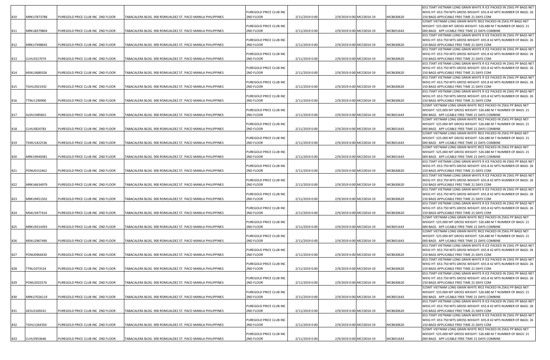|     |             |                                   |                                                            |                                      |                |                          |           | 653.75MT VIETNAM LONG GRAIN WHITE R ICE PACKED IN 25KG PP BAGS NET                                                                       |
|-----|-------------|-----------------------------------|------------------------------------------------------------|--------------------------------------|----------------|--------------------------|-----------|------------------------------------------------------------------------------------------------------------------------------------------|
| 810 | MRKU7873788 | PUREGOLD PRICE CLUB INC 2ND FLOOR | TABACALERA BLDG. 900 ROMUALDEZ ST. PACO MANILA PHILIPPINES | PUREGOLD PRICE CLUB INC<br>2ND FLOOR | 2/11/2019 0:00 | 2/9/2019 0:00 MCC0014-19 | MCB630620 | WEIG HT: 653.750 MTS GROSS WEIGHT: 655.8 42 MTS NUMBER OF BAGS: 26<br>150 BAGS APPLICABLE FREE TIME 21 DAYS COM                          |
|     |             |                                   |                                                            |                                      |                |                          |           | 525MT VIETNAM LONG GRAIN WHITE RICE PACKED IN 25KG PP BAGS NET                                                                           |
|     |             |                                   |                                                            | PUREGOLD PRICE CLUB INC              |                |                          |           | WEIGHT: 525.000 MT GROSS WEIGHT: 526.680 M T NUMBER OF BAGS: 21                                                                          |
| 811 | MRKU8379804 | PUREGOLD PRICE CLUB INC 2ND FLOOR | TABACALERA BLDG. 900 ROMUALDEZ ST. PACO MANILA PHILIPPINES | 2ND FLOOR                            | 2/11/2019 0:00 | 2/9/2019 0:00 MCC0014-19 | MCB651643 | 000 BAGS APP LICABLE FREE TIME 21 DAYS COMBINE<br>653.75MT VIETNAM LONG GRAIN WHITE R ICE PACKED IN 25KG PP BAGS NET                     |
|     |             |                                   |                                                            | PUREGOLD PRICE CLUB INC              |                |                          |           | WEIG HT: 653.750 MTS GROSS WEIGHT: 655.8 42 MTS NUMBER OF BAGS: 26                                                                       |
| 812 | MRKU7498645 | PUREGOLD PRICE CLUB INC 2ND FLOOR | TABACALERA BLDG. 900 ROMUALDEZ ST. PACO MANILA PHILIPPINES | 2ND FLOOR                            | 2/11/2019 0:00 | 2/9/2019 0:00 MCC0014-19 | MCB630620 | 150 BAGS APPLICABLE FREE TIME 21 DAYS COM                                                                                                |
|     |             |                                   |                                                            |                                      |                |                          |           | 653.75MT VIETNAM LONG GRAIN WHITE R ICE PACKED IN 25KG PP BAGS NET                                                                       |
| 813 | CLHU3317074 | PUREGOLD PRICE CLUB INC 2ND FLOOR | TABACALERA BLDG. 900 ROMUALDEZ ST. PACO MANILA PHILIPPINES | PUREGOLD PRICE CLUB INC<br>2ND FLOOR | 2/11/2019 0:00 | 2/9/2019 0:00 MCC0014-19 | MCB630620 | WEIG HT: 653.750 MTS GROSS WEIGHT: 655.8 42 MTS NUMBER OF BAGS: 26<br>150 BAGS APPLICABLE FREE TIME 21 DAYS COM                          |
|     |             |                                   |                                                            |                                      |                |                          |           | 653.75MT VIETNAM LONG GRAIN WHITE R ICE PACKED IN 25KG PP BAGS NET                                                                       |
|     |             |                                   |                                                            | PUREGOLD PRICE CLUB INC              |                |                          |           | WEIG HT: 653.750 MTS GROSS WEIGHT: 655.8 42 MTS NUMBER OF BAGS: 26                                                                       |
| 814 | MSKU3689326 | PUREGOLD PRICE CLUB INC 2ND FLOOR | TABACALERA BLDG. 900 ROMUALDEZ ST. PACO MANILA PHILIPPINES | 2ND FLOOR                            | 2/11/2019 0:00 | 2/9/2019 0:00 MCC0014-19 | MCB630620 | 150 BAGS APPLICABLE FREE TIME 21 DAYS COM<br>653.75MT VIETNAM LONG GRAIN WHITE R ICE PACKED IN 25KG PP BAGS NET                          |
|     |             |                                   |                                                            | PUREGOLD PRICE CLUB INC              |                |                          |           | WEIG HT: 653.750 MTS GROSS WEIGHT: 655.8 42 MTS NUMBER OF BAGS: 26                                                                       |
| 815 | TGHU2921932 | PUREGOLD PRICE CLUB INC 2ND FLOOR | TABACALERA BLDG. 900 ROMUALDEZ ST. PACO MANILA PHILIPPINES | 2ND FLOOR                            | 2/11/2019 0:00 | 2/9/2019 0:00 MCC0014-19 | MCB630620 | 150 BAGS APPLICABLE FREE TIME 21 DAYS COM                                                                                                |
|     |             |                                   |                                                            |                                      |                |                          |           | 653.75MT VIETNAM LONG GRAIN WHITE R ICE PACKED IN 25KG PP BAGS NET                                                                       |
| 816 | TTNU1190900 | PUREGOLD PRICE CLUB INC 2ND FLOOR | TABACALERA BLDG. 900 ROMUALDEZ ST. PACO MANILA PHILIPPINES | PUREGOLD PRICE CLUB INC<br>2ND FLOOR | 2/11/2019 0:00 | 2/9/2019 0:00 MCC0014-19 | MCB630620 | WEIG HT: 653.750 MTS GROSS WEIGHT: 655.8 42 MTS NUMBER OF BAGS: 26<br><b>150 BAGS APPLICABLE FREE TIME 21 DAYS COM</b>                   |
|     |             |                                   |                                                            |                                      |                |                          |           | 525MT VIETNAM LONG GRAIN WHITE RICE PACKED IN 25KG PP BAGS NET                                                                           |
|     |             |                                   |                                                            | PUREGOLD PRICE CLUB INC              |                |                          |           | WEIGHT: 525.000 MT GROSS WEIGHT: 526.680 M T NUMBER OF BAGS: 21                                                                          |
| 817 | SUDU1985831 | PUREGOLD PRICE CLUB INC 2ND FLOOR | TABACALERA BLDG. 900 ROMUALDEZ ST. PACO MANILA PHILIPPINES | 2ND FLOOR                            | 2/11/2019 0:00 | 2/9/2019 0:00 MCC0014-19 | MCB651643 | 000 BAGS APP LICABLE FREE TIME 21 DAYS COMBINE                                                                                           |
|     |             |                                   |                                                            | PUREGOLD PRICE CLUB INC              |                |                          |           | 525MT VIETNAM LONG GRAIN WHITE RICE PACKED IN 25KG PP BAGS NET<br>WEIGHT: 525.000 MT GROSS WEIGHT: 526.680 M T NUMBER OF BAGS: 21        |
| 818 | CLHU3824783 | PUREGOLD PRICE CLUB INC 2ND FLOOR | TABACALERA BLDG. 900 ROMUALDEZ ST. PACO MANILA PHILIPPINES | 2ND FLOOR                            | 2/11/2019 0:00 | 2/9/2019 0:00 MCC0014-19 | MCB651643 | 000 BAGS APP LICABLE FREE TIME 21 DAYS COMBINE                                                                                           |
|     |             |                                   |                                                            |                                      |                |                          |           | 525MT VIETNAM LONG GRAIN WHITE RICE PACKED IN 25KG PP BAGS NET                                                                           |
|     | TEMU1422536 | PUREGOLD PRICE CLUB INC 2ND FLOOR |                                                            | PUREGOLD PRICE CLUB INC              |                |                          | MCB651643 | WEIGHT: 525.000 MT GROSS WEIGHT: 526.680 M T NUMBER OF BAGS: 21<br>000 BAGS APP LICABLE FREE TIME 21 DAYS COMBINE                        |
| 819 |             |                                   | TABACALERA BLDG. 900 ROMUALDEZ ST. PACO MANILA PHILIPPINES | 2ND FLOOR                            | 2/11/2019 0:00 | 2/9/2019 0:00 MCC0014-19 |           | 525MT VIETNAM LONG GRAIN WHITE RICE PACKED IN 25KG PP BAGS NET                                                                           |
|     |             |                                   |                                                            | PUREGOLD PRICE CLUB INC              |                |                          |           | WEIGHT: 525.000 MT GROSS WEIGHT: 526.680 M T NUMBER OF BAGS: 21                                                                          |
| 820 | MRKU9940381 | PUREGOLD PRICE CLUB INC 2ND FLOOR | TABACALERA BLDG. 900 ROMUALDEZ ST. PACO MANILA PHILIPPINES | 2ND FLOOR                            | 2/11/2019 0:00 | 2/9/2019 0:00 MCC0014-19 | MCB651643 | 000 BAGS APP LICABLE FREE TIME 21 DAYS COMBINE                                                                                           |
|     |             |                                   |                                                            | PUREGOLD PRICE CLUB INC              |                |                          |           | 653.75MT VIETNAM LONG GRAIN WHITE R ICE PACKED IN 25KG PP BAGS NET<br>WEIG HT: 653.750 MTS GROSS WEIGHT: 655.8 42 MTS NUMBER OF BAGS: 26 |
| 821 | PONU0152462 | PUREGOLD PRICE CLUB INC 2ND FLOOR | TABACALERA BLDG. 900 ROMUALDEZ ST. PACO MANILA PHILIPPINES | 2ND FLOOR                            | 2/11/2019 0:00 | 2/9/2019 0:00 MCC0014-19 | MCB630620 | 150 BAGS APPLICABLE FREE TIME 21 DAYS COM                                                                                                |
|     |             |                                   |                                                            |                                      |                |                          |           | 653.75MT VIETNAM LONG GRAIN WHITE R ICE PACKED IN 25KG PP BAGS NET                                                                       |
|     |             |                                   |                                                            | PUREGOLD PRICE CLUB INC              |                |                          |           | WEIG HT: 653.750 MTS GROSS WEIGHT: 655.8 42 MTS NUMBER OF BAGS: 26                                                                       |
| 822 | MRKU6634979 | PUREGOLD PRICE CLUB INC 2ND FLOOR | TABACALERA BLDG. 900 ROMUALDEZ ST. PACO MANILA PHILIPPINES | 2ND FLOOR                            | 2/11/2019 0:00 | 2/9/2019 0:00 MCC0014-19 | MCB630620 | 150 BAGS APPLICABLE FREE TIME 21 DAYS COM<br>653.75MT VIETNAM LONG GRAIN WHITE R ICE PACKED IN 25KG PP BAGS NET                          |
|     |             |                                   |                                                            | PUREGOLD PRICE CLUB INC              |                |                          |           | WEIG HT: 653.750 MTS GROSS WEIGHT: 655.8 42 MTS NUMBER OF BAGS: 26                                                                       |
| 823 | MRKU9451502 | PUREGOLD PRICE CLUB INC 2ND FLOOR | TABACALERA BLDG. 900 ROMUALDEZ ST. PACO MANILA PHILIPPINES | 2ND FLOOR                            | 2/11/2019 0:00 | 2/9/2019 0:00 MCC0014-19 | MCB630620 | 150 BAGS APPLICABLE FREE TIME 21 DAYS COM                                                                                                |
|     |             |                                   |                                                            | PUREGOLD PRICE CLUB INC              |                |                          |           | 653.75MT VIETNAM LONG GRAIN WHITE R ICE PACKED IN 25KG PP BAGS NET<br>WEIG HT: 653.750 MTS GROSS WEIGHT: 655.8 42 MTS NUMBER OF BAGS: 26 |
| 824 | MSKU3477414 | PUREGOLD PRICE CLUB INC 2ND FLOOR | TABACALERA BLDG. 900 ROMUALDEZ ST. PACO MANILA PHILIPPINES | 2ND FLOOR                            | 2/11/2019 0:00 | 2/9/2019 0:00 MCC0014-19 | MCB630620 | 150 BAGS APPLICABLE FREE TIME 21 DAYS COM                                                                                                |
|     |             |                                   |                                                            |                                      |                |                          |           | 525MT VIETNAM LONG GRAIN WHITE RICE PACKED IN 25KG PP BAGS NET                                                                           |
|     |             |                                   |                                                            | PUREGOLD PRICE CLUB INC              |                |                          |           | WEIGHT: 525.000 MT GROSS WEIGHT: 526.680 M T NUMBER OF BAGS: 21                                                                          |
| 825 | MRKU9314393 | PUREGOLD PRICE CLUB INC 2ND FLOOR | TABACALERA BLDG. 900 ROMUALDEZ ST. PACO MANILA PHILIPPINES | 2ND FLOOR                            | 2/11/2019 0:00 | 2/9/2019 0:00 MCC0014-19 | MCB651643 | 000 BAGS APP LICABLE FREE TIME 21 DAYS COMBINE<br>525MT VIETNAM LONG GRAIN WHITE RICE PACKED IN 25KG PP BAGS NET                         |
|     |             |                                   |                                                            | PUREGOLD PRICE CLUB INC              |                |                          |           | WEIGHT: 525.000 MT GROSS WEIGHT: 526.680 M T NUMBER OF BAGS: 21                                                                          |
| 826 | MSKU2967490 | PUREGOLD PRICE CLUB INC 2ND FLOOR | TABACALERA BLDG. 900 ROMUALDEZ ST. PACO MANILA PHILIPPINES | 2ND FLOOR                            | 2/11/2019 0:00 | 2/9/2019 0:00 MCC0014-19 | MCB651643 | 000 BAGS APP LICABLE FREE TIME 21 DAYS COMBINE                                                                                           |
|     |             |                                   |                                                            |                                      |                |                          |           | 653.75MT VIETNAM LONG GRAIN WHITE R ICE PACKED IN 25KG PP BAGS NET                                                                       |
| 827 | PONU0964430 | PUREGOLD PRICE CLUB INC 2ND FLOOR | TABACALERA BLDG. 900 ROMUALDEZ ST. PACO MANILA PHILIPPINES | PUREGOLD PRICE CLUB INC<br>2ND FLOOR | 2/11/2019 0:00 | 2/9/2019 0:00 MCC0014-19 | MCB630620 | WEIG HT: 653.750 MTS GROSS WEIGHT: 655.8 42 MTS NUMBER OF BAGS: 26<br>150 BAGS APPLICABLE FREE TIME 21 DAYS COM                          |
|     |             |                                   |                                                            |                                      |                |                          |           | 653.75MT VIETNAM LONG GRAIN WHITE R ICE PACKED IN 25KG PP BAGS NET                                                                       |
|     |             |                                   |                                                            | PUREGOLD PRICE CLUB INC              |                |                          |           | WEIG HT: 653.750 MTS GROSS WEIGHT: 655.8 42 MTS NUMBER OF BAGS: 26                                                                       |
| 828 | TTNU1073524 | PUREGOLD PRICE CLUB INC 2ND FLOOR | TABACALERA BLDG. 900 ROMUALDEZ ST. PACO MANILA PHILIPPINES | 2ND FLOOR                            | 2/11/2019 0:00 | 2/9/2019 0:00 MCC0014-19 | MCB630620 | 150 BAGS APPLICABLE FREE TIME 21 DAYS COM<br>653.75MT VIETNAM LONG GRAIN WHITE R ICE PACKED IN 25KG PP BAGS NET                          |
|     |             |                                   |                                                            | PUREGOLD PRICE CLUB INC              |                |                          |           | WEIG HT: 653.750 MTS GROSS WEIGHT: 655.8 42 MTS NUMBER OF BAGS: 26                                                                       |
| 829 | PONU2022576 | PUREGOLD PRICE CLUB INC 2ND FLOOR | TABACALERA BLDG. 900 ROMUALDEZ ST. PACO MANILA PHILIPPINES | 2ND FLOOR                            | 2/11/2019 0:00 | 2/9/2019 0:00 MCC0014-19 | MCB630620 | 150 BAGS APPLICABLE FREE TIME 21 DAYS COM                                                                                                |
|     |             |                                   |                                                            |                                      |                |                          |           | 525MT VIETNAM LONG GRAIN WHITE RICE PACKED IN 25KG PP BAGS NET                                                                           |
| 830 | MRKU7026119 | PUREGOLD PRICE CLUB INC 2ND FLOOR | TABACALERA BLDG. 900 ROMUALDEZ ST. PACO MANILA PHILIPPINES | PUREGOLD PRICE CLUB INC<br>2ND FLOOR | 2/11/2019 0:00 | 2/9/2019 0:00 MCC0014-19 | MCB651643 | WEIGHT: 525.000 MT GROSS WEIGHT: 526.680 M T NUMBER OF BAGS: 21<br>000 BAGS APP LICABLE FREE TIME 21 DAYS COMBINE                        |
|     |             |                                   |                                                            |                                      |                |                          |           | 653.75MT VIETNAM LONG GRAIN WHITE R ICE PACKED IN 25KG PP BAGS NET                                                                       |
|     |             |                                   |                                                            | PUREGOLD PRICE CLUB INC              |                |                          |           | WEIG HT: 653.750 MTS GROSS WEIGHT: 655.8 42 MTS NUMBER OF BAGS: 26                                                                       |
| 831 | GESU3169241 | PUREGOLD PRICE CLUB INC 2ND FLOOR | TABACALERA BLDG. 900 ROMUALDEZ ST. PACO MANILA PHILIPPINES | 2ND FLOOR                            | 2/11/2019 0:00 | 2/9/2019 0:00 MCC0014-19 | MCB630620 | 150 BAGS APPLICABLE FREE TIME 21 DAYS COM                                                                                                |
|     |             |                                   |                                                            | PUREGOLD PRICE CLUB INC              |                |                          |           | 653.75MT VIETNAM LONG GRAIN WHITE R ICE PACKED IN 25KG PP BAGS NET<br>WEIG HT: 653.750 MTS GROSS WEIGHT: 655.8 42 MTS NUMBER OF BAGS: 26 |
| 832 | TGHU1264350 | PUREGOLD PRICE CLUB INC 2ND FLOOR | TABACALERA BLDG. 900 ROMUALDEZ ST. PACO MANILA PHILIPPINES | 2ND FLOOR                            | 2/11/2019 0:00 | 2/9/2019 0:00 MCC0014-19 | MCB630620 | 150 BAGS APPLICABLE FREE TIME 21 DAYS COM                                                                                                |
|     |             |                                   |                                                            |                                      |                |                          |           | 525MT VIETNAM LONG GRAIN WHITE RICE PACKED IN 25KG PP BAGS NET                                                                           |
|     |             |                                   |                                                            | PUREGOLD PRICE CLUB INC              |                |                          |           | WEIGHT: 525.000 MT GROSS WEIGHT: 526.680 M T NUMBER OF BAGS: 21                                                                          |
| 833 | CLHU3953646 | PUREGOLD PRICE CLUB INC 2ND FLOOR | TABACALERA BLDG. 900 ROMUALDEZ ST. PACO MANILA PHILIPPINES | 2ND FLOOR                            | 2/11/2019 0:00 | 2/9/2019 0:00 MCC0014-19 | MCB651643 | 000 BAGS APP LICABLE FREE TIME 21 DAYS COMBINE                                                                                           |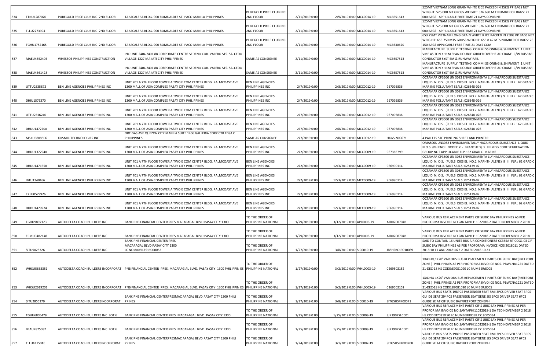|     |                    |                                    |                                                                                                                                  |                                             |                |                           |                          |                 | 525MT VIETNAM LONG GRAIN WHITE RICE PACKED IN 25KG PP BAGS NET                                                                  |
|-----|--------------------|------------------------------------|----------------------------------------------------------------------------------------------------------------------------------|---------------------------------------------|----------------|---------------------------|--------------------------|-----------------|---------------------------------------------------------------------------------------------------------------------------------|
| 834 | TTNU1287070        | PUREGOLD PRICE CLUB INC 2ND FLOOR  | TABACALERA BLDG. 900 ROMUALDEZ ST. PACO MANILA PHILIPPINES                                                                       | PUREGOLD PRICE CLUB INC<br>2ND FLOOR        | 2/11/2019 0:00 |                           |                          | MCB651643       | WEIGHT: 525.000 MT GROSS WEIGHT: 526.680 M T NUMBER OF BAGS: 21<br>000 BAGS APP LICABLE FREE TIME 21 DAYS COMBINE               |
|     |                    |                                    |                                                                                                                                  |                                             |                | 2/9/2019 0:00 MCC0014-19  |                          |                 | 525MT VIETNAM LONG GRAIN WHITE RICE PACKED IN 25KG PP BAGS NET                                                                  |
|     |                    |                                    |                                                                                                                                  | PUREGOLD PRICE CLUB INC                     |                |                           |                          |                 | WEIGHT: 525.000 MT GROSS WEIGHT: 526.680 M T NUMBER OF BAGS: 21                                                                 |
| 835 | TLLU2273994        | PUREGOLD PRICE CLUB INC 2ND FLOOR  | TABACALERA BLDG. 900 ROMUALDEZ ST. PACO MANILA PHILIPPINES                                                                       | 2ND FLOOR                                   | 2/11/2019 0:00 | 2/9/2019 0:00 MCC0014-19  |                          | MCB651643       | 000 BAGS APP LICABLE FREE TIME 21 DAYS COMBINE                                                                                  |
|     |                    |                                    |                                                                                                                                  |                                             |                |                           |                          |                 | 653.75MT VIETNAM LONG GRAIN WHITE R ICE PACKED IN 25KG PP BAGS NET                                                              |
|     |                    |                                    |                                                                                                                                  | PUREGOLD PRICE CLUB INC                     |                |                           |                          | MCB630620       | WEIG HT: 653.750 MTS GROSS WEIGHT: 655.8 42 MTS NUMBER OF BAGS: 26                                                              |
| 836 | TGHU1752165        | PUREGOLD PRICE CLUB INC 2ND FLOOR  | TABACALERA BLDG. 900 ROMUALDEZ ST. PACO MANILA PHILIPPINES                                                                       | 2ND FLOOR                                   | 2/11/2019 0:00 | 2/9/2019 0:00 MCC0014-19  |                          |                 | 150 BAGS APPLICABLE FREE TIME 21 DAYS COM<br>MANUFACTURE SUPPLY TESTING COMMISSIONING & SHIPMENT 1 UNIT                         |
|     |                    |                                    | INC UNIT 2404 2401 88 CORPORATE CENTRE SEDENO COR. VALERO STS. SALCEDO                                                           |                                             |                |                           |                          |                 | VME 45 TON X 11M SPAN DOUBLE GIRDER OVERHE AD CRANE C/W BUSBAR                                                                  |
| 837 | MAEU4652405        | WHESSOE PHILIPPINES CONSTRUCTION   | VILLAGE 1227 MAKATI CITY PHILIPPINES                                                                                             | SAME AS CONSIGNEE                           | 2/11/2019 0:00 | 2/9/2019 0:00 MCC0014-19  |                          | MCB657513       | CONDUCTOR SYST EM & RUNWAY RAIL                                                                                                 |
|     |                    |                                    |                                                                                                                                  |                                             |                |                           |                          |                 | MANUFACTURE SUPPLY TESTING COMMISSIONING & SHIPMENT 1 UNIT                                                                      |
|     |                    |                                    | INC UNIT 2404 2401 88 CORPORATE CENTRE SEDENO COR. VALERO STS. SALCEDO                                                           |                                             |                |                           |                          |                 | VME 45 TON X 11M SPAN DOUBLE GIRDER OVERHE AD CRANE C/W BUSBAR                                                                  |
| 838 | MAEU4661428        | WHESSOE PHILIPPINES CONSTRUCTION   | VILLAGE 1227 MAKATI CITY PHILIPPINES                                                                                             | SAME AS CONSIGNEE                           | 2/11/2019 0:00 | 2/9/2019 0:00 MCC0014-19  |                          | MCB657513       | CONDUCTOR SYST EM & RUNWAY RAIL<br>OCTAMAR CP3500 UN 3082 ENVIRONMENTA LLY HAZARDOUS SUBSTANCE                                  |
|     |                    |                                    | UNIT 701 A 7TH FLOOR TOWER A TWO E COM CENTER BLDG. PALMCOAST AVE                                                                | BEN LINE AGENCIES                           |                |                           |                          |                 | LIQUID N. O.S. (FUELS DIES EL NO.2 NAPHTH ALENE) 9 III FLP.: 62 GRAD C                                                          |
| 839 | JTTU2535872        | BEN LINE AGENCIES PHILIPPINES INC  | 1300 MALL OF ASIA COMPLEX PASAY CITY PHILIPPINES                                                                                 | PHILIPPINES INC                             | 2/7/2019 0:00  | 2/8/2019 0:00 MCC0012-19  |                          | 967095836       | MAR INE POLLUTANT SEALS: 026348-026                                                                                             |
|     |                    |                                    |                                                                                                                                  |                                             |                |                           |                          |                 | OCTAMAR CP3500 UN 3082 ENVIRONMENTA LLY HAZARDOUS SUBSTANCE                                                                     |
|     |                    |                                    | UNIT 701 A 7TH FLOOR TOWER A TWO E COM CENTER BLDG. PALMCOAST AVE                                                                | BEN LINE AGENCIES                           |                |                           |                          |                 | LIQUID N. O.S. (FUELS DIES EL NO.2 NAPHTH ALENE) 9 III FLP.: 62 GRAD C                                                          |
| 840 | DHIU1576370        | BEN LINE AGENCIES PHILIPPINES INC  | 1300 MALL OF ASIA COMPLEX PASAY CITY PHILIPPINES                                                                                 | PHILIPPINES INC                             | 2/7/2019 0:00  | 2/8/2019 0:00 MCC0012-19  |                          | 967095836       | MAR INE POLLUTANT SEALS: 026348-026<br>OCTAMAR CP3500 UN 3082 ENVIRONMENTA LLY HAZARDOUS SUBSTANCE                              |
|     |                    |                                    | UNIT 701 A 7TH FLOOR TOWER A TWO E COM CENTER BLDG. PALMCOAST AVE                                                                | BEN LINE AGENCIES                           |                |                           |                          |                 | LIQUID N. O.S. (FUELS DIES EL NO.2 NAPHTH ALENE) 9 III FLP.: 62 GRAD C                                                          |
| 841 | UTTU2516240        | BEN LINE AGENCIES PHILIPPINES INC  | 1300 MALL OF ASIA COMPLEX PASAY CITY PHILIPPINES                                                                                 | PHILIPPINES INC                             | 2/7/2019 0:00  | 2/8/2019 0:00 MCC0012-19  |                          | 967095836       | MAR INE POLLUTANT SEALS: 026348-026                                                                                             |
|     |                    |                                    |                                                                                                                                  |                                             |                |                           |                          |                 | OCTAMAR CP3500 UN 3082 ENVIRONMENTA LLY HAZARDOUS SUBSTANCE                                                                     |
|     |                    |                                    | UNIT 701 A 7TH FLOOR TOWER A TWO E COM CENTER BLDG. PALMCOAST AVE                                                                | <b>BEN LINE AGENCIES</b>                    |                |                           |                          |                 | LIQUID N. O.S. (FUELS DIES EL NO.2 NAPHTH ALENE) 9 III FLP.: 62 GRAD C                                                          |
| 842 | DHDU1472700        | BEN LINE AGENCIES PHILIPPINES INC  | 1300 MALL OF ASIA COMPLEX PASAY CITY PHILIPPINES<br>ORTIGAS AVE QUEZON CITY MANILA SUITE 1406 GALLERIA CORP CTR EDSA C           | <b>PHILIPPINES INC</b>                      | 2/7/2019 0:00  | 2/8/2019 0:00 MCC0012-19  |                          | 967095836       | MAR INE POLLUTANT SEALS: 026348-026                                                                                             |
| 843 | MSKU5808506        | KOSMIC TECHNOLOGIES INC            | PHILIPPINES                                                                                                                      | SAME AS CONSIGNEE                           | 2/7/2019 0:00  | 2/8/2019 0:00 MCC0012-19  |                          | HKGSIN09671     | 4 PALLETS STC PRINTING SHEET AND PRINTER                                                                                        |
|     |                    |                                    |                                                                                                                                  |                                             |                |                           |                          |                 | OMA500S UN3082 ENVIRONMENTALLY HAZA RDOUS SUBSTANCE LIQUID                                                                      |
|     |                    |                                    | UNIT 701 A 7TH FLOOR TOWER A TWO E COM CENTER BLDG. PALMCOAST AVE                                                                | BEN LINE AGENCIES                           |                |                           |                          |                 | N.O.S. (PH ENOL DODEC YL- BRANCHED) 9 III IMDG CODE SEGREGATION                                                                 |
| 844 | DHDU1377940        | BEN LINE AGENCIES PHILIPPINES INC  | 1300 MALL OF ASIA COMPLEX PASAY CITY PHILIPPINES                                                                                 | PHILIPPINES INC                             | 2/2/2019 0:00  | 12/3/2019 0:00 MCC0009-19 |                          | 967365799       | GROUP NOT APP LICABLE FLP.: 62 GRAD C MARINE                                                                                    |
|     |                    |                                    |                                                                                                                                  |                                             |                |                           |                          |                 | OCTAMAR CP3500 UN 3082 ENVIRONMENTA LLY HAZARDOUS SUBSTANCE                                                                     |
| 845 | DHDU1471658        | BEN LINE AGENCIES PHILIPPINES INC  | UNIT 701 A 7TH FLOOR TOWER A TWO E COM CENTER BLDG. PALMCOAST AVE<br>1300 MALL OF ASIA COMPLEX PASAY CITY PHILIPPINES            | BEN LINE AGENCIES<br>PHILIPPINES INC        | 2/2/2019 0:00  | 12/3/2019 0:00 MCC0009-19 |                          | 966990114       | .IQUID N. O.S. (FUELS DIES EL NO.2 NAPHTH ALENE) 9 III FLP.: 62 GRAD C<br>MA RINE POLLUTANT SEALS: 025139-02                    |
|     |                    |                                    |                                                                                                                                  |                                             |                |                           |                          |                 | OCTAMAR CP3500 UN 3082 ENVIRONMENTA LLY HAZARDOUS SUBSTANCE                                                                     |
|     |                    |                                    | UNIT 701 A 7TH FLOOR TOWER A TWO E COM CENTER BLDG. PALMCOAST AVE                                                                | BEN LINE AGENCIES                           |                |                           |                          |                 | LIQUID N. O.S. (FUELS DIES EL NO.2 NAPHTH ALENE) 9 III FLP.: 62 GRAD C                                                          |
| 846 | IBTU1240166        | BEN LINE AGENCIES PHILIPPINES INC  | 1300 MALL OF ASIA COMPLEX PASAY CITY PHILIPPINES                                                                                 | PHILIPPINES INC                             | 2/2/2019 0:00  | 12/3/2019 0:00 MCC0009-19 |                          | 966990114       | MA RINE POLLUTANT SEALS: 025139-02                                                                                              |
|     |                    |                                    |                                                                                                                                  |                                             |                |                           |                          |                 | OCTAMAR CP3500 UN 3082 ENVIRONMENTA LLY HAZARDOUS SUBSTANCE                                                                     |
| 847 | EXFU0579926        | BEN LINE AGENCIES PHILIPPINES INC  | UNIT 701 A 7TH FLOOR TOWER A TWO E COM CENTER BLDG. PALMCOAST AVE<br>1300 MALL OF ASIA COMPLEX PASAY CITY PHILIPPINES            | <b>BEN LINE AGENCIES</b><br>PHILIPPINES INC | 2/2/2019 0:00  | 12/3/2019 0:00 MCC0009-19 |                          |                 | LIQUID N. O.S. (FUELS DIES EL NO.2 NAPHTH ALENE) 9 III FLP.: 62 GRAD C<br>MA RINE POLLUTANT SEALS: 025139-02                    |
|     |                    |                                    |                                                                                                                                  |                                             |                |                           |                          | 966990114       | OCTAMAR CP3500 UN 3082 ENVIRONMENTA LLY HAZARDOUS SUBSTANCE                                                                     |
|     |                    |                                    | UNIT 701 A 7TH FLOOR TOWER A TWO E COM CENTER BLDG. PALMCOAST AVE                                                                | BEN LINE AGENCIES                           |                |                           |                          |                 | LIQUID N. O.S. (FUELS DIES EL NO.2 NAPHTH ALENE) 9 III FLP.: 62 GRAD C                                                          |
| 848 | DHDU1478924        | BEN LINE AGENCIES PHILIPPINES INC  | 1300 MALL OF ASIA COMPLEX PASAY CITY PHILIPPINES                                                                                 | PHILIPPINES INC                             | 2/2/2019 0:00  | 12/3/2019 0:00 MCC0009-19 |                          | 966990114       | MA RINE POLLUTANT SEALS: 025139-02                                                                                              |
|     |                    |                                    |                                                                                                                                  |                                             |                |                           |                          |                 |                                                                                                                                 |
| 849 | TGHU9897123        | AUTODELTA COACH BUILDERS INC       | BANK PNB FINANCIAL CENTER PRES MACAPAGAL BLVD PASAY CITY 1300                                                                    | TO THE ORDER OF<br>PHILIPPINE NATIONAL      | 1/29/2019 0:00 | 3/12/2019 0:00 APL0006-19 |                          | AJD0208704B     | VARIOUS BUS REPLACEMENT PARTS CIF SUBIC BAY PHILIPPINES AS PER<br>PROFORMA INVOICE NO SANTAPH I11022018-2 DATED NOVEMBER 2 2018 |
|     |                    |                                    |                                                                                                                                  |                                             |                |                           |                          |                 |                                                                                                                                 |
|     |                    |                                    |                                                                                                                                  | TO THE ORDER OF                             |                |                           |                          |                 | VARIOUS BUS REPLACEMENT PARTS CIF SUBIC BAY PHILIPPINES AS PER                                                                  |
| 850 | ECMU9482148        | AUTODELTA COACH BUILDERS INC       | BANK PNB FINANCIAL CENTER PRES MACAPAGAL BLVD PASAY CITY 1300                                                                    | PHILIPPINE NATIONAL                         | 1/29/2019 0:00 | 3/12/2019 0:00 APL0006-19 |                          | AJD0208704B     | PROFORMA INVOICE NO SANTAPH I11022018-2 DATED NOVEMBER 2 2018                                                                   |
|     |                    |                                    | BANK PNB FINANCIAL CENTER PRES                                                                                                   |                                             |                |                           |                          |                 | SAID TO CONTAIN 16 UNITS BUS AIR CONDITIONERS CC355A RT COG1 03 CIF                                                             |
| 851 | SITU9025326        | AUTODELTA COACH BUILDERS INC       | MACAPAGAL BLVD PASAY CITY 1300<br>C NO 8005ILFS19000052                                                                          | TO THE ORDER OF<br>PHILIPPINE NATIONAL      | 1/27/2019 0:00 | 3/8/2019 0:00 SIC0010-19  |                          | IBSHSBC19010089 | SUBIC BAY PHILIPPINES AS PER PROFORMA INVOICE NOS 2018011 DATED<br>2018 10 11 AND 20181023 2 DATED 2018 10 23                   |
|     |                    |                                    |                                                                                                                                  |                                             |                |                           |                          |                 |                                                                                                                                 |
|     |                    |                                    |                                                                                                                                  |                                             |                |                           |                          |                 | X40HQ 1X20' VARIOUS BUS REPLACEMEN T PARTS CIF SUBIC BAY(FREEPORT                                                               |
|     |                    |                                    |                                                                                                                                  | TO THE ORDER OF                             |                |                           |                          |                 | ZONE) PHILIPPINES AS PER PROFORMA INVO ICE NOS. PBWCNA1221 DATED                                                                |
| 852 | <b>WHSU5658351</b> |                                    | AUTODELTA COACH BUILDERS INCORPORAT PNB FINANCIAL CENTER PRES. MACAPAG AL BLVD. PASAY CITY 1300 PHILIPPIN ES PHILIPPINE NATIONAL |                                             | 1/27/2019 0:00 |                           | 3/2/2019 0:00 WHL0003-19 | 0269502152      | 21-DEC-18 HS CODE:87081090 LC NUMBER:8005                                                                                       |
|     |                    |                                    |                                                                                                                                  |                                             |                |                           |                          |                 | 1X40HQ 1X20' VARIOUS BUS REPLACEMEN T PARTS CIF SUBIC BAY(FREEPORT                                                              |
|     |                    |                                    |                                                                                                                                  | TO THE ORDER OF                             |                |                           |                          |                 | ZONE) PHILIPPINES AS PER PROFORMA INVO ICE NOS. PBWCNA1221 DATED                                                                |
| 853 | WHSU2619201        |                                    | AUTODELTA COACH BUILDERS INCORPORAT PNB FINANCIAL CENTER PRES. MACAPAG AL BLVD. PASAY CITY 1300 PHILIPPIN ES PHILIPPINE NATIONAL |                                             | 1/27/2019 0:00 | 3/2/2019 0:00 WHL0003-19  |                          | 0269502152      | 21-DEC-18 HS CODE:87081090 LC NUMBER:8005                                                                                       |
|     |                    |                                    |                                                                                                                                  |                                             |                |                           |                          |                 | VARIOUS BUS SEATS 198PCS PASSENGER SEAT RMI 3PCS DRIVER SEAT 3PCS                                                               |
| 854 | SITU2855379        | AUTODELTA COACH BUILDERSINCORPORAT | BANK PNB FINANCIAL CENTERPRESMAC APAGAL BLVD.PASAY CITY 1300 PHILI<br><b>PPINES</b>                                              | TO THE ORDER OF<br>PHILIPPINE NATIONAL      | 1/27/2019 0:00 | 3/8/2019 0:00 SIC0010-19  |                          | SITGSHSFK00071  | GU IDE SEAT 294PCS PASSENGER SEATGENE SIS 6PCS DRIVER SEAT 6PCS<br>GUIDE SE AT CIF SUBIC BAYFREEPORT ZONEPHI                    |
|     |                    |                                    |                                                                                                                                  |                                             |                |                           |                          |                 | VARIOUS BUS REPLACEMENT PARTS CIF S UBIC BAY PHILIPPINES AS PER                                                                 |
|     |                    |                                    |                                                                                                                                  | TO THE ORDER OF                             |                |                           |                          |                 | PROFOR MA INVOICE NO.SANTAPHI11022018-1 DA TED NOVEMBER 2 2018                                                                  |
| 855 | TGHU6805479        | AUTODELTA COACH BUILDERS INC LOT 6 | BANK PNB FINANCIAL CENTER PRES. MACAPAGAL BLVD. PASAY CITY 1300                                                                  | PHILIPPINE NATIONAL                         | 1/25/2019 0:00 | 1/25/2019 0:00 SIC0008-19 |                          | SJK1902SLC601   | HS CODE870810 90 LC NUMBER8005ILFS18005034                                                                                      |
|     |                    |                                    |                                                                                                                                  |                                             |                |                           |                          |                 | VARIOUS BUS REPLACEMENT PARTS CIF S UBIC BAY PHILIPPINES AS PER                                                                 |
|     | BEAU2875082        |                                    |                                                                                                                                  | TO THE ORDER OF<br>PHILIPPINE NATIONAL      | 1/25/2019 0:00 | 1/25/2019 0:00 SIC0008-19 |                          | SJK1902SLC601   | PROFOR MA INVOICE NO.SANTAPHI11022018-1 DA TED NOVEMBER 2 2018                                                                  |
| 856 |                    | AUTODELTA COACH BUILDERS INC LOT 6 | BANK PNB FINANCIAL CENTER PRES. MACAPAGAL BLVD. PASAY CITY 1300                                                                  |                                             |                |                           |                          |                 | HS CODE870810 90 LC NUMBER8005ILFS18005034<br>VARIOUS BUS SEATS 198PCS PASSENGER SEAT RMI 3PCS DRIVER SEAT 3PCS                 |
|     |                    |                                    | BANK PNB FINANCIAL CENTERPRESMAC APAGAL BLVD.PASAY CITY 1300 PHILI                                                               | TO THE ORDER OF                             |                |                           |                          |                 | GU IDE SEAT 294PCS PASSENGER SEATGENE SIS 6PCS DRIVER SEAT 6PCS                                                                 |
| 857 | TLLU4115046        | AUTODELTA COACH BUILDERSINCORPORAT | <b>PPINES</b>                                                                                                                    | PHILIPPINE NATIONAL                         | 1/24/2019 0:00 | 3/1/2019 0:00 SIC0007-19  |                          | SITGSHSFK00070B | GUIDE SE AT CIF SUBIC BAYFREEPORT ZONEPHI                                                                                       |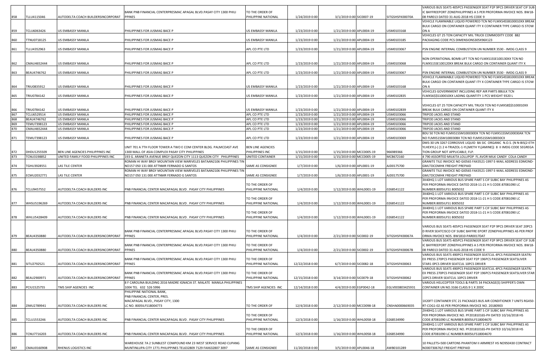|            |                            |                                               |                                                                                                                   |                                        |                                  |                                                        |                  | /ARIOUS BUS SEATS 405PCS PASSENGER SEAT P2P 9PCS DRIVER SEAT CIF SUB                                                                       |
|------------|----------------------------|-----------------------------------------------|-------------------------------------------------------------------------------------------------------------------|----------------------------------------|----------------------------------|--------------------------------------------------------|------------------|--------------------------------------------------------------------------------------------------------------------------------------------|
|            |                            |                                               | BANK PNB FINANCIAL CENTERPRESMAC APAGAL BLVD.PASAY CITY 1300 PHILI                                                | TO THE ORDER OF                        |                                  |                                                        |                  | IC BAYFREEPORT ZONEPHILIPPINES A S PER PROFORMA INVOICE NOS. BW18-                                                                         |
| 858        | TLLU4115046                | AUTODELTA COACH BUILDERSINCORPORAT            | <b>PPINES</b>                                                                                                     | PHILIPPINE NATIONAL                    | 1/24/2019 0:00                   | 3/1/2019 0:00 SIC0007-19                               | SITGSHSFK00070A  | 08 PAR013 DATED 31-AUG-2018 HS CODE 9<br>VEHICLE FLAMMABLE LIQUID POWERED TCN NO FLMXS4SSB100010XX BREAK                                   |
|            |                            |                                               |                                                                                                                   |                                        |                                  |                                                        |                  | BULK CARGO ON CONTAINER QUANT ITY X CONTAINER TYPE CARGO IS STOW                                                                           |
| 859        | TCLU6063426                | US EMBASSY MANILA                             | PHILIPPINES FOR JUSMAG BACE P                                                                                     | US EMBASSY MANILA                      | 1/23/2019 0:00                   | 1/21/2019 0:00 APL0004-19                              | USM0103168       | ON A                                                                                                                                       |
|            |                            |                                               |                                                                                                                   |                                        |                                  |                                                        |                  | VEHICLES GT 25 TON CAPACITY MIL TRUCK COMMODITY CODE 882                                                                                   |
| 860        | TTNU0718125                | US EMBASSY MANILA                             | PHILIPPINES FOR JUSMAG BACE P                                                                                     | US EMBASSY MANILA                      | 1/23/2019 0:00                   | 1/21/2019 0:00 APL0004-19                              | USM0103185       | PACKAGING CODE PCS DIMENSIONS305X96X123                                                                                                    |
|            |                            |                                               |                                                                                                                   |                                        |                                  |                                                        |                  |                                                                                                                                            |
| 861        | TLLU4352963                | US EMBASSY MANILA                             | PHILIPPINES FOR JUSMAG BACE P                                                                                     | APL CO PTE LTD                         | 1/23/2019 0:00                   | 1/21/2019 0:00 APL0004-19                              | USM0103067       | PSN ENGINE INTERNAL COMBUSTION UN NUMBER 3530 - IMDG CLASS 9                                                                               |
|            |                            |                                               |                                                                                                                   |                                        |                                  |                                                        |                  |                                                                                                                                            |
| 862        | CMAU4652444                | US EMBASSY MANILA                             | PHILIPPINES FOR JUSMAG BACE P                                                                                     | APL CO PTE LTD                         | 1/23/2019 0:00                   | 1/21/2019 0:00 APL0004-19                              | USM0103068       | NON OPERATIONAL BOMB LIFT TCN NO FLMXS1SSE100130XX TCN NO<br>FLMXS1SSE100120XX BREAK BULK CARGO ON CONTAINER QUANT ITY X                   |
|            |                            |                                               |                                                                                                                   |                                        |                                  |                                                        |                  |                                                                                                                                            |
| 863        | BEAU4746762                | US EMBASSY MANILA                             | PHILIPPINES FOR JUSMAG BACE P                                                                                     | APL CO PTE LTD                         | 1/23/2019 0:00                   | 1/21/2019 0:00 APL0004-19                              | USM0103067       | PSN ENGINE INTERNAL COMBUSTION UN NUMBER 3530 - IMDG CLASS 9                                                                               |
|            |                            |                                               |                                                                                                                   |                                        |                                  |                                                        |                  | VEHICLE FLAMMABLE LIQUID POWERED TCN NO FLMXS4SSB100010XX BREAK                                                                            |
|            |                            |                                               |                                                                                                                   |                                        |                                  |                                                        |                  | BULK CARGO ON CONTAINER QUANT ITY X CONTAINER TYPE CARGO IS STOW                                                                           |
|            | TRIU0835912                | US EMBASSY MANILA                             | PHILIPPINES FOR JUSMAG BACE P                                                                                     | US EMBASSY MANILA                      | 1/23/2019 0:00                   | 1/21/2019 0:00 APL0004-19                              | USM0103168       | ON A<br>VEHICLES GOVERNMENT INCLUDING REP AIR PARTS BBULK TCN                                                                              |
| 865        | TRIU0784142                | US EMBASSY MANILA                             | PHILIPPINES FOR JUSMAG BACE P                                                                                     | JS EMBASSY MANILA                      | 1/23/2019 0:00                   | 1/21/2019 0:00 APL0004-19                              | USM0102835       | LMXS6\$\$S100010XX LADING QUANTITY 1 PCS WEIGHT 9320 L                                                                                     |
|            |                            |                                               |                                                                                                                   |                                        |                                  |                                                        |                  |                                                                                                                                            |
|            |                            |                                               |                                                                                                                   |                                        |                                  |                                                        |                  | VEHICLES GT 25 TON CAPACITY MIL TRUCK TCN NO FLMXS8\$\$S100010XX                                                                           |
| 866        | TRIU0784142                | US EMBASSY MANILA                             | PHILIPPINES FOR JUSMAG BACE P                                                                                     | US EMBASSY MANILA                      | 1/23/2019 0:00                   | 1/21/2019 0:00 APL0004-19                              | USM0102839       | BREAK BULK CARGO ON CONTAINER QUANT ITY X                                                                                                  |
| 867        | TCLU6529514                | <b>US EMBASSY MANILA</b>                      | PHILIPPINES FOR JUSMAG BACE P                                                                                     | APL CO PTE LTD                         | 1/23/2019 0:00                   | 1/21/2019 0:00 APL0004-19                              | USM0103066       | TRIPOD JACKS AND STAND                                                                                                                     |
| 868        | BEAU4746762                | <b>US EMBASSY MANILA</b>                      | PHILIPPINES FOR JUSMAG BACE P                                                                                     | APL CO PTE LTD                         | 1/23/2019 0:00                   | 1/21/2019 0:00 APL0004-19                              | USM0103066       | <b>FRIPOD JACKS AND STAND</b>                                                                                                              |
| 869<br>870 | TEMU7398123<br>CMAU4652444 | <b>US EMBASSY MANILA</b><br>US EMBASSY MANILA | PHILIPPINES FOR JUSMAG BACE P                                                                                     | APL CO PTE LTD                         | 1/23/2019 0:00<br>1/23/2019 0:00 | 1/21/2019 0:00 APL0004-19<br>1/21/2019 0:00 APL0004-19 | USM0103066       | TRIPOD JACKS AND STAND<br>TRIPOD JACKS AND STAND                                                                                           |
|            |                            |                                               | PHILIPPINES FOR JUSMAG BACE P                                                                                     | APL CO PTE LTD                         |                                  |                                                        | USM0103066       | BDU 50 TCN NO FLMXS1SSM100030DX TCN NO FLMXS1SSM100030AX TCN                                                                               |
| 871        | TEMU7398123                | US EMBASSY MANILA                             | PHILIPPINES FOR JUSMAG BACE P                                                                                     | APL CO PTE LTD                         | 1/23/2019 0:00                   | 1/21/2019 0:00 APL0004-19                              | USM0103069       | NO FLMXS1SSM100030BX TCN NO FLMXS1SSM100030CX                                                                                              |
|            |                            |                                               |                                                                                                                   |                                        |                                  |                                                        |                  | DMS-30 UN 3267 CORROSIVE LIQUID BA SIC ORGANIC N.O.S. (N N-BIS(2-ETH                                                                       |
|            |                            |                                               | UNIT 701 A 7TH FLOOR TOWER A TWO E COM CENTER BLDG. PALMCOAST AVE                                                 | <b>BEN LINE AGENCIES</b>               |                                  |                                                        |                  | YLHEXYL)-( (1 2 4-TRIAZOL-1-YL)METH YL)AMINE))  8  II IMDG CODE SEGREGA                                                                    |
| 872        | DHDU1255509                | BEN LINE AGENCIES PHILIPPINES INC             | 1300 MALL OF ASIA COMPLEX PASAY CITY PHILIPPINES                                                                  | PHILIPPINES INC                        | 1/15/2019 0:00                   | 1/15/2019 0:00 MCC0005-19                              | 966989366        | TION GROUP NOT APPLICABLE; FLP.                                                                                                            |
| 873        | TCNU3198852                | UNITED FAMILY FOOD PHILIPPINES INC            | 193 G. ARANETA AVENUE BRGY QUEZON CITY 1113 QUEZON CITY PHILIPPINES                                               | UNITED CONTAINER                       | 1/15/2019 0:00                   | 1/15/2019 0:00 MCC0005-19                              | MCB672160        | 4 790 ASSORTED MILKITA LOLLIPOP FL AVOR MILK CANDY COLA CANDY                                                                              |
| 874        | TGHU3928551                | LAS TILE CENTER                               | ROMAN HI WAY BRGY MOUNTAIN VIEW MARIVELES BATAAN2106 PHILIPPINES TIN<br>NO157 050 131 000 ATTNMR FERNADO G SANTOS | SAME AS CONSIGNEE                      | 1/7/2019 0:00                    | 1/6/2019 0:00 APL0001-19                               | AJD0175700       | GRANITE TILE INVOICE NO GI0565 FAX3521-1997 E-MAIL ADDRESS EDMOND-<br><b>SMLTDCOMHK FREIGHT PREPAID</b>                                    |
|            |                            |                                               | ROMAN HI WAY BRGY MOUNTAIN VIEW MARIVELES BATAAN2106 PHILIPPINES TIN                                              |                                        |                                  |                                                        |                  | GRANITE TILE INVOICE NO GI0565 FAX3521-1997 E-MAIL ADDRESS EDMOND-                                                                         |
| 875        | ECMU2032771                | LAS TILE CENTER                               | NO157 050 131 000 ATTNMR FERNADO G SANTOS                                                                         | SAME AS CONSIGNEE                      | 1/7/2019 0:00                    | 1/6/2019 0:00 APL0001-19                               | AJD0175700       | GMLTDCOMHK FREIGHT PREPAID                                                                                                                 |
|            |                            |                                               |                                                                                                                   |                                        |                                  |                                                        |                  | 3X40HQ 1 LOT VARIOUS BUS SPARE PART S CIF SUBIC BAY PHILIPPINES AS                                                                         |
|            |                            |                                               |                                                                                                                   | TO THE ORDER OF                        |                                  |                                                        |                  | PER PROFORMA INVOICE DATED 2018-11-21 H S CODE:87081090 LC                                                                                 |
| 876        | <b>TCLU9457552</b>         | AUTODELTA COACH BUILDERS INC                  | PNB FINANCIAL CENTER MACAPAGAL BLVD. PASAY CITY PHILIPPINES                                                       | PHILIPPINE NATIONAL                    | 1/4/2019 0:00                    | 1/12/2019 0:00 WHL0001-19                              | 0268541122       | NUMBER:8005ILFS1 8005032                                                                                                                   |
|            |                            |                                               |                                                                                                                   | TO THE ORDER OF                        |                                  |                                                        |                  | 3X40HQ 1 LOT VARIOUS BUS SPARE PART S CIF SUBIC BAY PHILIPPINES AS<br>PER PROFORMA INVOICE DATED 2018-11-21 H S CODE:87081090 LC           |
| 877        | WHSU5196269                | AUTODELTA COACH BUILDERS INC                  | PNB FINANCIAL CENTER MACAPAGAL BLVD. PASAY CITY PHILIPPINES                                                       | PHILIPPINE NATIONAL                    | 1/4/2019 0:00                    | 1/12/2019 0:00 WHL0001-19                              | 0268541122       | NUMBER:8005ILFS1 8005032                                                                                                                   |
|            |                            |                                               |                                                                                                                   |                                        |                                  |                                                        |                  | 3X40HQ 1 LOT VARIOUS BUS SPARE PART S CIF SUBIC BAY PHILIPPINES AS                                                                         |
|            |                            |                                               |                                                                                                                   | TO THE ORDER OF                        |                                  |                                                        |                  | PER PROFORMA INVOICE DATED 2018-11-21 H S CODE:87081090 LC                                                                                 |
| 878        | WHLU5428409                | AUTODELTA COACH BUILDERS INC                  | PNB FINANCIAL CENTER MACAPAGAL BLVD . PASAY CITY PHILIPPINES                                                      | PHILIPPINE NATIONAL                    | 1/4/2019 0:00                    | 1/12/2019 0:00 WHL0001-19                              | 0268541122       | NUMBER:8005ILFS1 8005032                                                                                                                   |
|            |                            |                                               |                                                                                                                   |                                        |                                  |                                                        |                  |                                                                                                                                            |
|            |                            |                                               | BANK PNB FINANCIAL CENTERPRESMAC APAGAL BLVD.PASAY CITY 1300 PHILI                                                | TO THE ORDER OF                        |                                  |                                                        |                  | VARIOUS BUS SEATS 405PCS PASSENGER SEAT P2P 9PCS DRIVER SEAT 20PCS<br>D RIVER SEATCISCO CIF SUBIC BAYFRE EPORT ZONEPHILIPPINES AS PER PROF |
| 879        | BEAU4350880                | AUTODELTA COACH BUILDERSINCORPORAT            | <b>PPINES</b>                                                                                                     | PHILIPPINE NATIONAL                    | 1/4/2019 0:00                    | 2/21/2019 0:00 SIC0002-19                              | SITGSHSFK00067A  | ORMA INVOICE NOS. BW1810-PAR0017DAT                                                                                                        |
|            |                            |                                               |                                                                                                                   |                                        |                                  |                                                        |                  | VARIOUS BUS SEATS 405PCS PASSENGER SEAT P2P 9PCS DRIVER SEAT CIF SUB                                                                       |
|            |                            |                                               | BANK PNB FINANCIAL CENTERPRESMAC APAGAL BLVD.PASAY CITY 1300 PHILI                                                | TO THE ORDER OF                        |                                  |                                                        |                  | IC BAYFREEPORT ZONEPHILIPPINES A S PER PROFORMA INVOICE NOS. BW18-                                                                         |
| 880        | BEAU4350880                | AUTODELTA COACH BUILDERSINCORPORAT            | <b>PPINES</b>                                                                                                     | PHILIPPINE NATIONAL                    | 1/4/2019 0:00                    | 2/21/2019 0:00 SIC0002-19                              | SITGSHSFK00067B  | 08 PAR013 DATED 31-AUG-2018 HS CODE 9                                                                                                      |
|            |                            |                                               |                                                                                                                   |                                        |                                  |                                                        |                  | VARIOUS BUS SEATS 490PCS PASSENGER SEATCUL 4PCS PASSENGER SEATRJ                                                                           |
|            |                            |                                               | BANK PNB FINANCIAL CENTERPRESMAC APAGAL BLVD.PASAY CITY 1300 PHILI                                                | TO THE ORDER OF                        |                                  |                                                        |                  | EX PRESS 270PCS PASSENGER SEAT P2P 196PCS PASSENGER SEATSLIVER                                                                             |
| 881        | SITU2792521                | AUTODELTA COACH BUILDERSINCORPORAT            | <b>PPINES</b>                                                                                                     | PHILIPPINE NATIONAL                    | 12/22/2018 0:00                  | 6/7/2019 0:00 SIC0082-18                               | SITGSHSFK00063   | <b>STAR1 OPCS DRIVER SEATCUL 10PCS DRIVER</b><br>VARIOUS BUS SEATS 490PCS PASSENGER SEATCUL 4PCS PASSENGER SEATRJ                          |
|            |                            |                                               | BANK PNB FINANCIAL CENTERPRESMAC APAGAL BLVD.PASAY CITY 1300 PHILI                                                | TO THE ORDER OF                        |                                  |                                                        |                  | EX PRESS 270PCS PASSENGER SEAT P2P 196PCS PASSENGER SEATSLIVER STAR                                                                        |
| 882        | BEAU2900971                | AUTODELTA COACH BUILDERSINCORPORAT            | <b>PPINES</b>                                                                                                     | PHILIPPINE NATIONAL                    | 12/15/2018 0:00                  | 3/14/2019 0:00 SIC0079-18                              | SITGSHSFK00062   | 10PCS DRIVER SEATCUL 10PCS DRIVER                                                                                                          |
|            |                            |                                               | 8 F CAROLINA BUILDING 2016 MADRE IGNACIA ST. MALATE MANILA PHILIPPINES                                            |                                        |                                  |                                                        |                  | VARIOUS HELICOPTER TOOLS & PARTS 34 PACKAGE(S) SHIPPER'S OWN                                                                               |
| 883        | PCIU1525755                | TMS SHIP AGENCIES INC                         | 1004 TEL 632 526 5996                                                                                             | TMS SHIP AGENCIES INC                  | 12/14/2018 0:00                  | 4/4/2019 0:00 EGP0042-18                               | EGLV003803425931 | CONTAINER UN NO.3166 CLASS:9 1 X 20DC                                                                                                      |
|            |                            |                                               | PHILIPPINE NATIONAL BANK,                                                                                         |                                        |                                  |                                                        |                  |                                                                                                                                            |
|            |                            |                                               | PNB FINANCIAL CENTER, PRES.<br>MACAPAGAL BLVD., PASAY CITY, 1300                                                  |                                        |                                  |                                                        |                  | 1X20FT CONTAINER STC 21 PACKAGES BUS AIR CONDITIONER 7 UNITS RG450-                                                                        |
| 884        | ZIMU2789941                | AUTODELTA COACH BUILDERS INC                  | LC NO. 8005ILFS18004773                                                                                           | TO THE ORDER OF                        | 12/4/2018 0:00                   | 2/12/2019 0:00 MCC0098-18                              | CNSHA0000669035  | RT-COG1-02 AS PER PROFORMA INVOICE NO. 20180903                                                                                            |
|            |                            |                                               |                                                                                                                   |                                        |                                  |                                                        |                  | 2X40HQ 1 LOT VARIOUS BUS SPARE PART S CIF SUBIC BAY PHILIPPINES AS                                                                         |
|            |                            |                                               |                                                                                                                   | TO THE ORDER OF                        |                                  |                                                        |                  | PER PROFORMA INVOICE NO. PF20181016S-PH DATED 10/16/2018 HS                                                                                |
| 885        | TCLU1553246                | AUTODELTA COACH BUILDERS INC                  | PNB FINANCIAL CENTER MACAPAGAL BLVD. PASAY CITY PHILIPPINES                                                       | PHILIPPINE NATIONAL                    | 12/3/2018 0:00                   | 1/16/2019 0:00 WHL0058-18                              | 0268534990       | CODE:87081090 LC NUMBER:8005ILFS18004670                                                                                                   |
|            |                            |                                               |                                                                                                                   |                                        |                                  |                                                        |                  | 2X40HQ 1 LOT VARIOUS BUS SPARE PART S CIF SUBIC BAY PHILIPPINES AS                                                                         |
| 886        | TCNU7716203                | AUTODELTA COACH BUILDERS INC                  | PNB FINANCIAL CENTER MACAPAGAL BLVD. PASAY CITY PHILIPPINES                                                       | TO THE ORDER OF<br>PHILIPPINE NATIONAL | 12/3/2018 0:00                   | 1/16/2019 0:00 WHL0058-18                              | 0268534990       | PER PROFORMA INVOICE NO. PF20181016S-PH DATED 10/16/2018 HS<br>CODE:87081090 LC NUMBER:8005ILFS18004670                                    |
|            |                            |                                               |                                                                                                                   |                                        |                                  |                                                        |                  |                                                                                                                                            |
|            |                            |                                               | WAREHOUSE 7A 2 SUNBLEST COMPOUND KM 23 WEST SERVICE ROAD CUPANG                                                   |                                        |                                  |                                                        |                  | 10 PALLETS=500 CARTONS PHANTOM II ARMREST HS NO950430 CONTRACT                                                                             |
| 887        | CMAU0160908                | RHENUS LOGISTICS INC                          | MUNTINLUPA CITY 1771 PHILIPPINES TEL632809 7129 FAX632807 3097                                                    | SAME AS CONSIGNEE                      | 11/20/2018 0:00                  | 3/5/2019 0:00 APL0046-18                               | AWB0101289       | NO00730676/I FREIGHT PREPAID                                                                                                               |